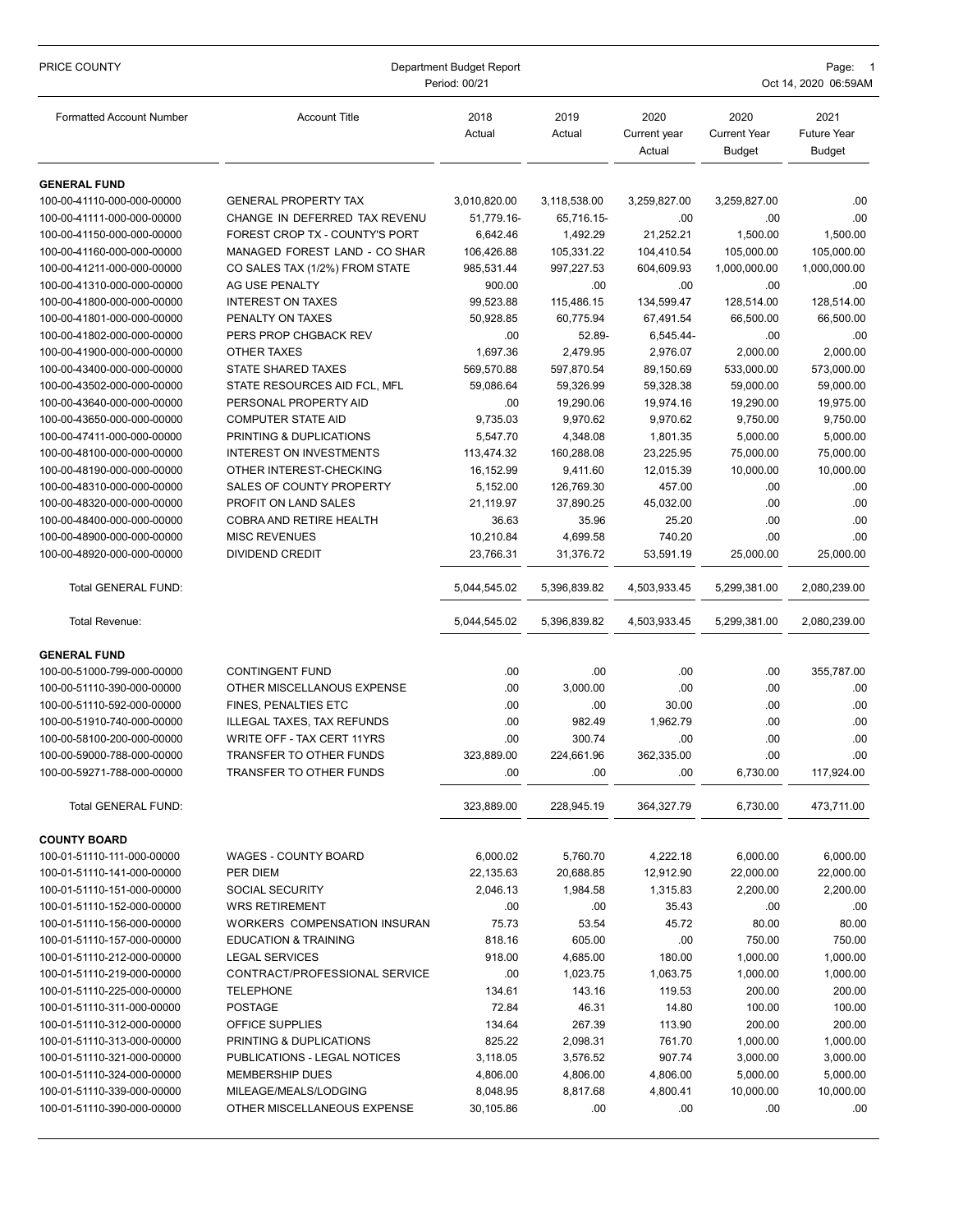| PRICE COUNTY                                             | Department Budget Report<br>Period: 00/21       |                        |                       |                                | Page:<br>-1<br>Oct 14, 2020 06:59AM   |                                             |  |
|----------------------------------------------------------|-------------------------------------------------|------------------------|-----------------------|--------------------------------|---------------------------------------|---------------------------------------------|--|
| <b>Formatted Account Number</b>                          | <b>Account Title</b>                            | 2018<br>Actual         | 2019<br>Actual        | 2020<br>Current year<br>Actual | 2020<br><b>Current Year</b><br>Budget | 2021<br><b>Future Year</b><br><b>Budget</b> |  |
| <b>GENERAL FUND</b>                                      |                                                 |                        |                       |                                |                                       |                                             |  |
| 100-00-41110-000-000-00000                               | <b>GENERAL PROPERTY TAX</b>                     | 3,010,820.00           | 3,118,538.00          | 3,259,827.00                   | 3,259,827.00                          | .00                                         |  |
| 100-00-41111-000-000-00000                               | CHANGE IN DEFERRED TAX REVENU                   | 51,779.16-             | 65,716.15-            | .00.                           | .00                                   | .00                                         |  |
| 100-00-41150-000-000-00000                               | FOREST CROP TX - COUNTY'S PORT                  | 6,642.46               | 1,492.29              | 21,252.21                      | 1,500.00                              | 1.500.00                                    |  |
| 100-00-41160-000-000-00000                               | MANAGED FOREST LAND - CO SHAR                   | 106,426.88             | 105,331.22            | 104,410.54                     | 105,000.00                            | 105,000.00                                  |  |
| 100-00-41211-000-000-00000                               | CO SALES TAX (1/2%) FROM STATE                  | 985,531.44             | 997,227.53            | 604,609.93                     | 1,000,000.00                          | 1,000,000.00                                |  |
| 100-00-41310-000-000-00000                               | AG USE PENALTY                                  | 900.00                 | .00                   | .00                            | .00                                   | .00                                         |  |
| 100-00-41800-000-000-00000                               | <b>INTEREST ON TAXES</b>                        | 99,523.88              | 115,486.15            | 134,599.47                     | 128,514.00                            | 128,514.00                                  |  |
| 100-00-41801-000-000-00000                               | PENALTY ON TAXES                                | 50,928.85              | 60,775.94             | 67,491.54                      | 66,500.00                             | 66,500.00                                   |  |
| 100-00-41802-000-000-00000                               | PERS PROP CHGBACK REV                           | .00                    | 52.89-                | 6,545.44-                      | .00                                   | .00                                         |  |
| 100-00-41900-000-000-00000                               | OTHER TAXES                                     | 1,697.36               | 2,479.95              | 2,976.07                       | 2,000.00                              | 2,000.00                                    |  |
| 100-00-43400-000-000-00000                               | STATE SHARED TAXES                              | 569,570.88             | 597,870.54            | 89,150.69                      | 533,000.00                            | 573,000.00                                  |  |
| 100-00-43502-000-000-00000                               | STATE RESOURCES AID FCL. MFL                    | 59,086.64              | 59,326.99             | 59,328.38                      | 59,000.00                             | 59,000.00                                   |  |
| 100-00-43640-000-000-00000                               | PERSONAL PROPERTY AID                           | .00                    | 19,290.06             | 19,974.16                      | 19,290.00                             | 19,975.00                                   |  |
| 100-00-43650-000-000-00000                               | <b>COMPUTER STATE AID</b>                       | 9,735.03               | 9,970.62              | 9,970.62                       | 9,750.00                              | 9,750.00                                    |  |
| 100-00-47411-000-000-00000                               | PRINTING & DUPLICATIONS                         | 5,547.70               | 4,348.08              | 1,801.35                       | 5,000.00                              | 5,000.00                                    |  |
| 100-00-48100-000-000-00000                               | <b>INTEREST ON INVESTMENTS</b>                  | 113,474.32             | 160,288.08            | 23,225.95                      | 75,000.00                             | 75,000.00                                   |  |
| 100-00-48190-000-000-00000                               | OTHER INTEREST-CHECKING                         | 16,152.99              | 9,411.60              | 12,015.39                      | 10,000.00                             | 10,000.00                                   |  |
| 100-00-48310-000-000-00000                               | SALES OF COUNTY PROPERTY                        | 5,152.00               | 126,769.30            | 457.00                         | .00                                   | .00                                         |  |
| 100-00-48320-000-000-00000                               | PROFIT ON LAND SALES                            | 21,119.97              | 37,890.25             | 45,032.00                      | .00                                   | .00                                         |  |
| 100-00-48400-000-000-00000                               | COBRA AND RETIRE HEALTH<br><b>MISC REVENUES</b> | 36.63                  | 35.96                 | 25.20<br>740.20                | .00<br>.00                            | .00<br>.00                                  |  |
| 100-00-48900-000-000-00000<br>100-00-48920-000-000-00000 | <b>DIVIDEND CREDIT</b>                          | 10,210.84<br>23,766.31 | 4,699.58<br>31,376.72 | 53,591.19                      | 25,000.00                             | 25,000.00                                   |  |
|                                                          |                                                 |                        |                       |                                |                                       |                                             |  |
| Total GENERAL FUND:                                      |                                                 | 5,044,545.02           | 5,396,839.82          | 4,503,933.45                   | 5,299,381.00                          | 2,080,239.00                                |  |
| Total Revenue:                                           |                                                 | 5,044,545.02           | 5,396,839.82          | 4,503,933.45                   | 5,299,381.00                          | 2,080,239.00                                |  |
| <b>GENERAL FUND</b>                                      |                                                 |                        |                       |                                |                                       |                                             |  |
| 100-00-51000-799-000-00000                               | <b>CONTINGENT FUND</b>                          | .00                    | .00                   | .00.                           | .00                                   | 355,787.00                                  |  |
| 100-00-51110-390-000-00000                               | OTHER MISCELLANOUS EXPENSE                      | .00                    | 3,000.00              | .00                            | .00                                   | .00                                         |  |
| 100-00-51110-592-000-00000                               | FINES, PENALTIES ETC                            | .00                    | .00                   | 30.00                          | .00                                   | .00                                         |  |
| 100-00-51910-740-000-00000                               | ILLEGAL TAXES, TAX REFUNDS                      | .00                    | 982.49                | 1,962.79                       | .00                                   | .00                                         |  |
| 100-00-58100-200-000-00000                               | WRITE OFF - TAX CERT 11YRS                      | .00                    | 300.74                | .00.                           | .00                                   | .00                                         |  |
| 100-00-59000-788-000-00000                               | TRANSFER TO OTHER FUNDS                         | 323,889.00             | 224,661.96            | 362,335.00                     | .00                                   | .00                                         |  |
| 100-00-59271-788-000-00000                               | TRANSFER TO OTHER FUNDS                         | .00                    | .00                   | .00                            | 6,730.00                              | 117,924.00                                  |  |
| <b>Total GENERAL FUND:</b>                               |                                                 | 323,889.00             | 228,945.19            | 364,327.79                     | 6,730.00                              | 473,711.00                                  |  |
| <b>COUNTY BOARD</b>                                      |                                                 |                        |                       |                                |                                       |                                             |  |
| 100-01-51110-111-000-00000                               | <b>WAGES - COUNTY BOARD</b>                     | 6,000.02               | 5,760.70              | 4,222.18                       | 6,000.00                              | 6,000.00                                    |  |
| 100-01-51110-141-000-00000                               | PER DIEM                                        | 22,135.63              | 20,688.85             | 12,912.90                      | 22,000.00                             | 22,000.00                                   |  |
| 100-01-51110-151-000-00000                               | <b>SOCIAL SECURITY</b>                          | 2,046.13               | 1,984.58              | 1,315.83                       | 2,200.00                              | 2,200.00                                    |  |
| 100-01-51110-152-000-00000                               | <b>WRS RETIREMENT</b>                           | .00.                   | .00                   | 35.43                          | .00                                   | .00                                         |  |
| 100-01-51110-156-000-00000                               | WORKERS COMPENSATION INSURAN                    | 75.73                  | 53.54                 | 45.72                          | 80.00                                 | 80.00                                       |  |
| 100-01-51110-157-000-00000                               | <b>EDUCATION &amp; TRAINING</b>                 | 818.16                 | 605.00                | .00                            | 750.00                                | 750.00                                      |  |
| 100-01-51110-212-000-00000                               | <b>LEGAL SERVICES</b>                           | 918.00                 | 4,685.00              | 180.00                         | 1,000.00                              | 1,000.00                                    |  |
| 100-01-51110-219-000-00000                               | CONTRACT/PROFESSIONAL SERVICE                   | .00                    | 1,023.75              | 1,063.75                       | 1,000.00                              | 1,000.00                                    |  |
| 100-01-51110-225-000-00000                               | <b>TELEPHONE</b>                                | 134.61                 | 143.16                | 119.53                         | 200.00                                | 200.00                                      |  |
| 100-01-51110-311-000-00000                               | <b>POSTAGE</b>                                  | 72.84                  | 46.31                 | 14.80                          | 100.00                                | 100.00                                      |  |
| 100-01-51110-312-000-00000                               | OFFICE SUPPLIES                                 | 134.64                 | 267.39                | 113.90                         | 200.00                                | 200.00                                      |  |
| 100-01-51110-313-000-00000                               | PRINTING & DUPLICATIONS                         | 825.22                 | 2,098.31              | 761.70                         | 1,000.00                              | 1,000.00                                    |  |
| 100-01-51110-321-000-00000                               | PUBLICATIONS - LEGAL NOTICES                    | 3,118.05               | 3,576.52              | 907.74                         | 3,000.00                              | 3,000.00                                    |  |
| 100-01-51110-324-000-00000                               | <b>MEMBERSHIP DUES</b>                          | 4,806.00               | 4,806.00              | 4,806.00                       | 5,000.00                              | 5,000.00                                    |  |
| 100-01-51110-339-000-00000                               | MILEAGE/MEALS/LODGING                           | 8,048.95               | 8,817.68              | 4,800.41                       | 10,000.00                             | 10,000.00                                   |  |
| 100-01-51110-390-000-00000                               | OTHER MISCELLANEOUS EXPENSE                     | 30,105.86              | .00                   | .00                            | .00                                   | .00.                                        |  |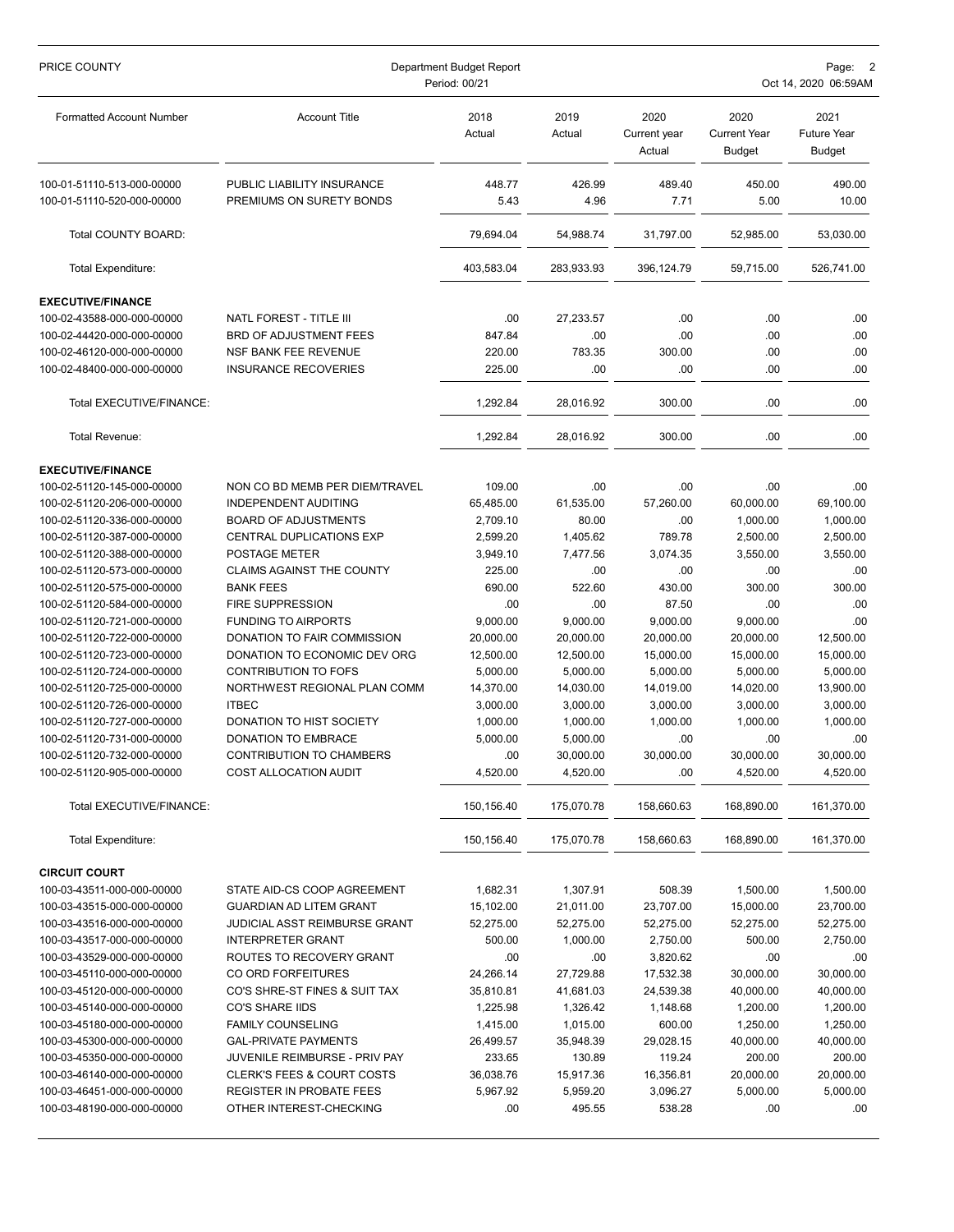| PRICE COUNTY                                             | Department Budget Report<br>Oct 14, 2020 06:59AM<br>Period: 00/21 |                      |                      |                                |                                              |                                      |  |
|----------------------------------------------------------|-------------------------------------------------------------------|----------------------|----------------------|--------------------------------|----------------------------------------------|--------------------------------------|--|
| <b>Formatted Account Number</b>                          | <b>Account Title</b>                                              | 2018<br>Actual       | 2019<br>Actual       | 2020<br>Current year<br>Actual | 2020<br><b>Current Year</b><br><b>Budget</b> | 2021<br><b>Future Year</b><br>Budget |  |
| 100-01-51110-513-000-00000<br>100-01-51110-520-000-00000 | PUBLIC LIABILITY INSURANCE<br>PREMIUMS ON SURETY BONDS            | 448.77<br>5.43       | 426.99<br>4.96       | 489.40<br>7.71                 | 450.00<br>5.00                               | 490.00<br>10.00                      |  |
| <b>Total COUNTY BOARD:</b>                               |                                                                   | 79.694.04            | 54,988.74            | 31,797.00                      | 52,985.00                                    | 53,030.00                            |  |
| Total Expenditure:                                       |                                                                   | 403,583.04           | 283,933.93           | 396,124.79                     | 59,715.00                                    | 526,741.00                           |  |
| <b>EXECUTIVE/FINANCE</b>                                 |                                                                   |                      |                      |                                |                                              |                                      |  |
| 100-02-43588-000-000-00000                               | NATL FOREST - TITLE III                                           | .00                  | 27,233.57            | .00                            | .00                                          | .00                                  |  |
| 100-02-44420-000-000-00000                               | BRD OF ADJUSTMENT FEES                                            | 847.84               | .00                  | .00                            | .00                                          | .00                                  |  |
| 100-02-46120-000-000-00000                               | NSF BANK FEE REVENUE                                              | 220.00               | 783.35               | 300.00                         | .00                                          | .00                                  |  |
| 100-02-48400-000-000-00000                               | <b>INSURANCE RECOVERIES</b>                                       | 225.00               | .00                  | .00                            | .00                                          | .00                                  |  |
| Total EXECUTIVE/FINANCE:                                 |                                                                   | 1,292.84             | 28,016.92            | 300.00                         | .00                                          | .00                                  |  |
| <b>Total Revenue:</b>                                    |                                                                   | 1,292.84             | 28,016.92            | 300.00                         | .00                                          | .00                                  |  |
|                                                          |                                                                   |                      |                      |                                |                                              |                                      |  |
| <b>EXECUTIVE/FINANCE</b>                                 |                                                                   |                      |                      |                                |                                              |                                      |  |
| 100-02-51120-145-000-00000                               | NON CO BD MEMB PER DIEM/TRAVEL                                    | 109.00               | .00                  | .00                            | .00<br>60,000.00                             | .00                                  |  |
| 100-02-51120-206-000-00000                               | INDEPENDENT AUDITING                                              | 65,485.00            | 61,535.00            | 57,260.00                      |                                              | 69,100.00                            |  |
| 100-02-51120-336-000-00000<br>100-02-51120-387-000-00000 | <b>BOARD OF ADJUSTMENTS</b><br>CENTRAL DUPLICATIONS EXP           | 2,709.10             | 80.00                | .00<br>789.78                  | 1,000.00<br>2,500.00                         | 1,000.00<br>2,500.00                 |  |
| 100-02-51120-388-000-00000                               | POSTAGE METER                                                     | 2,599.20<br>3,949.10 | 1,405.62<br>7,477.56 | 3,074.35                       | 3,550.00                                     | 3,550.00                             |  |
| 100-02-51120-573-000-00000                               | <b>CLAIMS AGAINST THE COUNTY</b>                                  | 225.00               | .00                  | .00                            | .00                                          | .00                                  |  |
| 100-02-51120-575-000-00000                               | <b>BANK FEES</b>                                                  | 690.00               | 522.60               | 430.00                         | 300.00                                       | 300.00                               |  |
| 100-02-51120-584-000-00000                               | <b>FIRE SUPPRESSION</b>                                           | .00                  | .00                  | 87.50                          | .00                                          | .00                                  |  |
| 100-02-51120-721-000-00000                               | <b>FUNDING TO AIRPORTS</b>                                        | 9,000.00             | 9,000.00             | 9,000.00                       | 9,000.00                                     | .00                                  |  |
| 100-02-51120-722-000-00000                               | DONATION TO FAIR COMMISSION                                       | 20,000.00            | 20,000.00            | 20,000.00                      | 20,000.00                                    | 12,500.00                            |  |
| 100-02-51120-723-000-00000                               | DONATION TO ECONOMIC DEV ORG                                      | 12,500.00            | 12,500.00            | 15,000.00                      | 15,000.00                                    | 15,000.00                            |  |
| 100-02-51120-724-000-00000                               | <b>CONTRIBUTION TO FOFS</b>                                       | 5,000.00             | 5,000.00             | 5,000.00                       | 5,000.00                                     | 5,000.00                             |  |
| 100-02-51120-725-000-00000                               | NORTHWEST REGIONAL PLAN COMM                                      | 14,370.00            | 14,030.00            | 14,019.00                      | 14,020.00                                    | 13,900.00                            |  |
| 100-02-51120-726-000-00000                               | <b>ITBEC</b>                                                      | 3,000.00             | 3,000.00             | 3,000.00                       | 3,000.00                                     | 3,000.00                             |  |
| 100-02-51120-727-000-00000                               | DONATION TO HIST SOCIETY                                          | 1,000.00             | 1,000.00             | 1,000.00                       | 1,000.00                                     | 1,000.00                             |  |
| 100-02-51120-731-000-00000                               | DONATION TO EMBRACE                                               | 5,000.00             | 5,000.00             | .00                            | .00                                          | .00                                  |  |
| 100-02-51120-732-000-00000                               | CONTRIBUTION TO CHAMBERS                                          | .00                  | 30,000.00            | 30,000.00                      | 30,000.00                                    | 30,000.00                            |  |
| 100-02-51120-905-000-00000                               | <b>COST ALLOCATION AUDIT</b>                                      | 4,520.00             | 4,520.00             | .00                            | 4,520.00                                     | 4,520.00                             |  |
| Total EXECUTIVE/FINANCE:                                 |                                                                   | 150,156.40           | 175,070.78           | 158,660.63                     | 168,890.00                                   | 161,370.00                           |  |
| Total Expenditure:                                       |                                                                   | 150,156.40           | 175,070.78           | 158,660.63                     | 168,890.00                                   | 161,370.00                           |  |
| <b>CIRCUIT COURT</b>                                     |                                                                   |                      |                      |                                |                                              |                                      |  |
| 100-03-43511-000-000-00000                               | STATE AID-CS COOP AGREEMENT                                       | 1,682.31             | 1,307.91             | 508.39                         | 1,500.00                                     | 1,500.00                             |  |
| 100-03-43515-000-000-00000                               | <b>GUARDIAN AD LITEM GRANT</b>                                    | 15,102.00            | 21,011.00            | 23,707.00                      | 15,000.00                                    | 23,700.00                            |  |
| 100-03-43516-000-000-00000                               | JUDICIAL ASST REIMBURSE GRANT                                     | 52,275.00            | 52,275.00            | 52,275.00                      | 52,275.00                                    | 52,275.00                            |  |
| 100-03-43517-000-000-00000                               | <b>INTERPRETER GRANT</b>                                          | 500.00               | 1,000.00             | 2,750.00                       | 500.00                                       | 2,750.00                             |  |
| 100-03-43529-000-000-00000                               | ROUTES TO RECOVERY GRANT                                          | .00                  | .00                  | 3,820.62                       | .00                                          | .00                                  |  |
| 100-03-45110-000-000-00000                               | CO ORD FORFEITURES                                                | 24,266.14            | 27,729.88            | 17,532.38                      | 30,000.00                                    | 30,000.00                            |  |
| 100-03-45120-000-000-00000                               | CO'S SHRE-ST FINES & SUIT TAX                                     | 35,810.81            | 41,681.03            | 24,539.38                      | 40,000.00                                    | 40,000.00                            |  |
| 100-03-45140-000-000-00000                               | <b>CO'S SHARE IIDS</b>                                            | 1,225.98             | 1,326.42             | 1,148.68                       | 1,200.00                                     | 1,200.00                             |  |
| 100-03-45180-000-000-00000                               | <b>FAMILY COUNSELING</b>                                          | 1,415.00             | 1,015.00             | 600.00                         | 1,250.00                                     | 1,250.00                             |  |
| 100-03-45300-000-000-00000                               | <b>GAL-PRIVATE PAYMENTS</b>                                       | 26,499.57            | 35,948.39            | 29,028.15                      | 40,000.00                                    | 40,000.00                            |  |
| 100-03-45350-000-000-00000                               | JUVENILE REIMBURSE - PRIV PAY                                     | 233.65               | 130.89               | 119.24                         | 200.00                                       | 200.00                               |  |
| 100-03-46140-000-000-00000                               | <b>CLERK'S FEES &amp; COURT COSTS</b>                             | 36,038.76            | 15,917.36            | 16,356.81                      | 20,000.00                                    | 20,000.00                            |  |
| 100-03-46451-000-000-00000                               | REGISTER IN PROBATE FEES                                          | 5,967.92             | 5,959.20             | 3,096.27                       | 5,000.00                                     | 5,000.00                             |  |
| 100-03-48190-000-000-00000                               | OTHER INTEREST-CHECKING                                           | .00                  | 495.55               | 538.28                         | .00                                          | .00.                                 |  |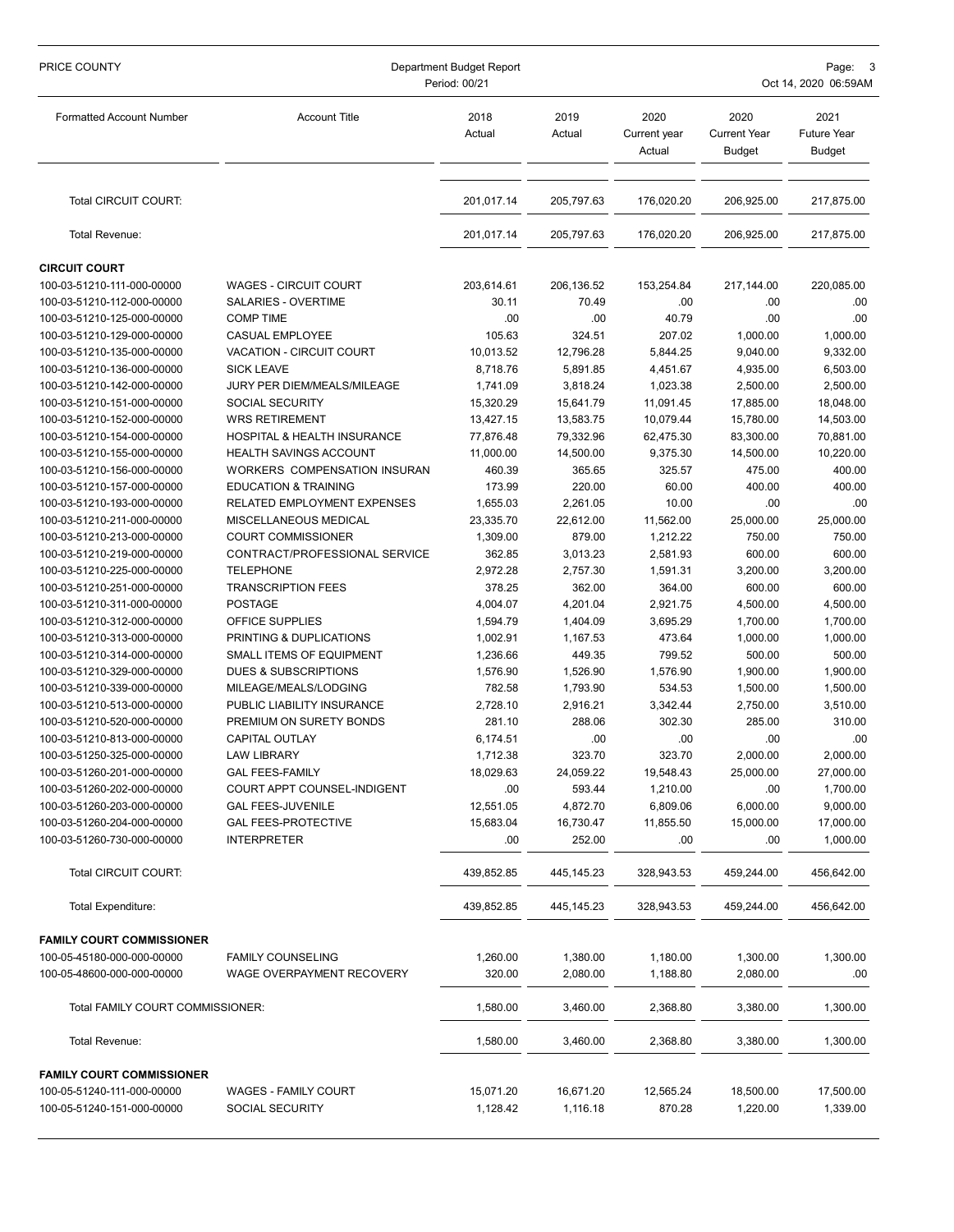| PRICE COUNTY                                             | Department Budget Report<br>Period: 00/21           |                      | Page:<br>Oct 14, 2020 06:59AM |                                |                                              |                                             |
|----------------------------------------------------------|-----------------------------------------------------|----------------------|-------------------------------|--------------------------------|----------------------------------------------|---------------------------------------------|
| <b>Formatted Account Number</b>                          | <b>Account Title</b>                                | 2018<br>Actual       | 2019<br>Actual                | 2020<br>Current year<br>Actual | 2020<br><b>Current Year</b><br><b>Budget</b> | 2021<br><b>Future Year</b><br><b>Budget</b> |
| Total CIRCUIT COURT:                                     |                                                     | 201,017.14           | 205,797.63                    | 176,020.20                     | 206,925.00                                   | 217,875.00                                  |
| Total Revenue:                                           |                                                     | 201,017.14           | 205,797.63                    | 176,020.20                     | 206,925.00                                   | 217,875.00                                  |
| <b>CIRCUIT COURT</b>                                     |                                                     |                      |                               |                                |                                              |                                             |
| 100-03-51210-111-000-00000                               | <b>WAGES - CIRCUIT COURT</b>                        | 203,614.61           | 206,136.52                    | 153,254.84                     | 217,144.00                                   | 220,085.00                                  |
| 100-03-51210-112-000-00000                               | SALARIES - OVERTIME                                 | 30.11                | 70.49                         | .00                            | .00                                          | .00                                         |
| 100-03-51210-125-000-00000                               | <b>COMP TIME</b>                                    | .00                  | .00                           | 40.79                          | .00                                          | .00                                         |
| 100-03-51210-129-000-00000                               | CASUAL EMPLOYEE                                     | 105.63               | 324.51                        | 207.02                         | 1,000.00                                     | 1,000.00                                    |
| 100-03-51210-135-000-00000                               | VACATION - CIRCUIT COURT                            | 10,013.52            | 12,796.28                     | 5,844.25                       | 9,040.00                                     | 9,332.00                                    |
| 100-03-51210-136-000-00000                               | <b>SICK LEAVE</b>                                   | 8,718.76             | 5,891.85                      | 4,451.67                       | 4,935.00                                     | 6,503.00                                    |
| 100-03-51210-142-000-00000                               | JURY PER DIEM/MEALS/MILEAGE                         | 1,741.09             | 3,818.24                      | 1,023.38                       | 2,500.00                                     | 2,500.00                                    |
| 100-03-51210-151-000-00000                               | SOCIAL SECURITY                                     | 15,320.29            | 15,641.79                     | 11,091.45                      | 17,885.00                                    | 18,048.00                                   |
| 100-03-51210-152-000-00000                               | <b>WRS RETIREMENT</b>                               | 13,427.15            | 13,583.75                     | 10,079.44                      | 15,780.00                                    | 14,503.00                                   |
| 100-03-51210-154-000-00000                               | HOSPITAL & HEALTH INSURANCE                         | 77,876.48            | 79,332.96                     | 62,475.30                      | 83,300.00                                    | 70,881.00                                   |
| 100-03-51210-155-000-00000                               | <b>HEALTH SAVINGS ACCOUNT</b>                       | 11,000.00            | 14,500.00                     | 9,375.30                       | 14,500.00                                    | 10,220.00                                   |
| 100-03-51210-156-000-00000                               | WORKERS COMPENSATION INSURAN                        | 460.39               | 365.65                        | 325.57                         | 475.00                                       | 400.00                                      |
| 100-03-51210-157-000-00000                               | <b>EDUCATION &amp; TRAINING</b>                     | 173.99               | 220.00                        | 60.00                          | 400.00                                       | 400.00                                      |
| 100-03-51210-193-000-00000                               | RELATED EMPLOYMENT EXPENSES                         | 1,655.03             | 2,261.05                      | 10.00                          | .00                                          | .00                                         |
| 100-03-51210-211-000-00000                               | MISCELLANEOUS MEDICAL                               | 23,335.70            | 22,612.00                     | 11,562.00                      | 25,000.00                                    | 25,000.00                                   |
| 100-03-51210-213-000-00000                               | <b>COURT COMMISSIONER</b>                           | 1,309.00             | 879.00                        | 1,212.22                       | 750.00                                       | 750.00                                      |
| 100-03-51210-219-000-00000                               | CONTRACT/PROFESSIONAL SERVICE                       | 362.85               | 3,013.23                      | 2,581.93                       | 600.00                                       | 600.00                                      |
| 100-03-51210-225-000-00000                               | <b>TELEPHONE</b>                                    | 2,972.28             | 2,757.30                      | 1,591.31                       | 3,200.00                                     | 3,200.00                                    |
| 100-03-51210-251-000-00000                               | <b>TRANSCRIPTION FEES</b>                           | 378.25               | 362.00                        | 364.00                         | 600.00                                       | 600.00                                      |
| 100-03-51210-311-000-00000                               | <b>POSTAGE</b>                                      | 4,004.07             | 4,201.04                      | 2,921.75                       | 4,500.00                                     | 4,500.00                                    |
| 100-03-51210-312-000-00000                               | OFFICE SUPPLIES                                     | 1,594.79             | 1,404.09                      | 3,695.29                       | 1,700.00                                     | 1,700.00                                    |
| 100-03-51210-313-000-00000<br>100-03-51210-314-000-00000 | PRINTING & DUPLICATIONS<br>SMALL ITEMS OF EQUIPMENT | 1,002.91<br>1,236.66 | 1,167.53<br>449.35            | 473.64<br>799.52               | 1,000.00<br>500.00                           | 1,000.00<br>500.00                          |
| 100-03-51210-329-000-00000                               | <b>DUES &amp; SUBSCRIPTIONS</b>                     | 1,576.90             | 1,526.90                      | 1,576.90                       | 1,900.00                                     | 1,900.00                                    |
| 100-03-51210-339-000-00000                               | MILEAGE/MEALS/LODGING                               | 782.58               | 1,793.90                      | 534.53                         | 1,500.00                                     | 1,500.00                                    |
| 100-03-51210-513-000-00000                               | PUBLIC LIABILITY INSURANCE                          | 2,728.10             | 2,916.21                      | 3,342.44                       | 2,750.00                                     | 3,510.00                                    |
| 100-03-51210-520-000-00000                               | PREMIUM ON SURETY BONDS                             | 281.10               | 288.06                        | 302.30                         | 285.00                                       | 310.00                                      |
| 100-03-51210-813-000-00000                               | <b>CAPITAL OUTLAY</b>                               | 6,174.51             | .00                           | .00                            | .00                                          | .00                                         |
| 100-03-51250-325-000-00000                               | <b>LAW LIBRARY</b>                                  | 1,712.38             | 323.70                        | 323.70                         | 2,000.00                                     | 2,000.00                                    |
| 100-03-51260-201-000-00000                               | <b>GAL FEES-FAMILY</b>                              | 18,029.63            | 24,059.22                     | 19,548.43                      | 25,000.00                                    | 27,000.00                                   |
| 100-03-51260-202-000-00000                               | COURT APPT COUNSEL-INDIGENT                         | .00                  | 593.44                        | 1,210.00                       | .00                                          | 1,700.00                                    |
| 100-03-51260-203-000-00000                               | <b>GAL FEES-JUVENILE</b>                            | 12,551.05            | 4,872.70                      | 6,809.06                       | 6,000.00                                     | 9,000.00                                    |
| 100-03-51260-204-000-00000                               | <b>GAL FEES-PROTECTIVE</b>                          | 15,683.04            | 16,730.47                     | 11,855.50                      | 15,000.00                                    | 17,000.00                                   |
| 100-03-51260-730-000-00000                               | <b>INTERPRETER</b>                                  | .00                  | 252.00                        | .00                            | .00                                          | 1,000.00                                    |
| Total CIRCUIT COURT:                                     |                                                     | 439,852.85           | 445, 145. 23                  | 328,943.53                     | 459,244.00                                   | 456,642.00                                  |
| Total Expenditure:                                       |                                                     | 439,852.85           | 445, 145. 23                  | 328,943.53                     | 459,244.00                                   | 456,642.00                                  |
| <b>FAMILY COURT COMMISSIONER</b>                         |                                                     |                      |                               |                                |                                              |                                             |
| 100-05-45180-000-000-00000                               | <b>FAMILY COUNSELING</b>                            | 1,260.00             | 1,380.00                      | 1,180.00                       | 1,300.00                                     | 1,300.00                                    |
| 100-05-48600-000-000-00000                               | WAGE OVERPAYMENT RECOVERY                           | 320.00               | 2,080.00                      | 1,188.80                       | 2,080.00                                     | .00.                                        |
| Total FAMILY COURT COMMISSIONER:                         |                                                     | 1,580.00             | 3,460.00                      | 2,368.80                       | 3,380.00                                     | 1,300.00                                    |
| Total Revenue:                                           |                                                     | 1,580.00             | 3,460.00                      | 2,368.80                       | 3,380.00                                     | 1,300.00                                    |
| <b>FAMILY COURT COMMISSIONER</b>                         |                                                     |                      |                               |                                |                                              |                                             |
| 100-05-51240-111-000-00000                               | WAGES - FAMILY COURT                                | 15,071.20            | 16,671.20                     | 12,565.24                      | 18,500.00                                    | 17,500.00                                   |
| 100-05-51240-151-000-00000                               | SOCIAL SECURITY                                     | 1,128.42             | 1,116.18                      | 870.28                         | 1,220.00                                     | 1,339.00                                    |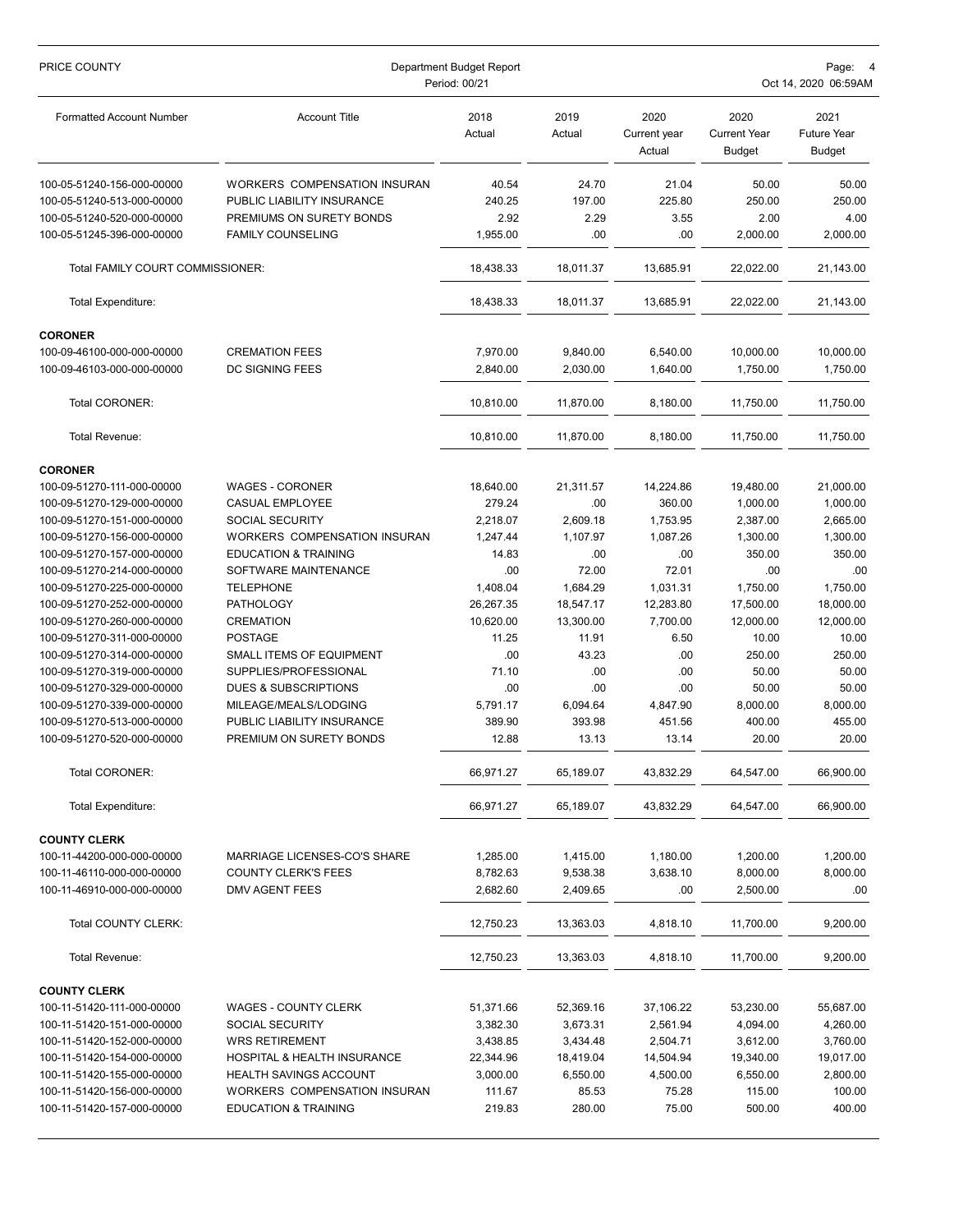| PRICE COUNTY                     | Department Budget Report<br>Period: 00/21 |                |                |                                |                                              | Page:<br>Oct 14, 2020 06:59AM               |  |  |
|----------------------------------|-------------------------------------------|----------------|----------------|--------------------------------|----------------------------------------------|---------------------------------------------|--|--|
| <b>Formatted Account Number</b>  | <b>Account Title</b>                      | 2018<br>Actual | 2019<br>Actual | 2020<br>Current year<br>Actual | 2020<br><b>Current Year</b><br><b>Budget</b> | 2021<br><b>Future Year</b><br><b>Budget</b> |  |  |
| 100-05-51240-156-000-00000       | WORKERS COMPENSATION INSURAN              | 40.54          | 24.70          | 21.04                          | 50.00                                        | 50.00                                       |  |  |
| 100-05-51240-513-000-00000       | PUBLIC LIABILITY INSURANCE                | 240.25         | 197.00         | 225.80                         | 250.00                                       | 250.00                                      |  |  |
| 100-05-51240-520-000-00000       | PREMIUMS ON SURETY BONDS                  | 2.92           | 2.29           | 3.55                           | 2.00                                         | 4.00                                        |  |  |
| 100-05-51245-396-000-00000       | <b>FAMILY COUNSELING</b>                  | 1,955.00       | .00            | .00                            | 2,000.00                                     | 2,000.00                                    |  |  |
| Total FAMILY COURT COMMISSIONER: |                                           | 18.438.33      | 18.011.37      | 13.685.91                      | 22,022.00                                    | 21,143.00                                   |  |  |
| Total Expenditure:               |                                           | 18,438.33      | 18,011.37      | 13,685.91                      | 22,022.00                                    | 21,143.00                                   |  |  |
| <b>CORONER</b>                   |                                           |                |                |                                |                                              |                                             |  |  |
| 100-09-46100-000-000-00000       | <b>CREMATION FEES</b>                     | 7,970.00       | 9,840.00       | 6,540.00                       | 10,000.00                                    | 10,000.00                                   |  |  |
| 100-09-46103-000-000-00000       | <b>DC SIGNING FEES</b>                    | 2.840.00       | 2,030.00       | 1,640.00                       | 1,750.00                                     | 1,750.00                                    |  |  |
| Total CORONER:                   |                                           | 10,810.00      | 11,870.00      | 8,180.00                       | 11,750.00                                    | 11,750.00                                   |  |  |
| Total Revenue:                   |                                           | 10,810.00      | 11,870.00      | 8,180.00                       | 11,750.00                                    | 11,750.00                                   |  |  |
| <b>CORONER</b>                   |                                           |                |                |                                |                                              |                                             |  |  |
| 100-09-51270-111-000-00000       | <b>WAGES - CORONER</b>                    | 18,640.00      | 21,311.57      | 14,224.86                      | 19,480.00                                    | 21,000.00                                   |  |  |
| 100-09-51270-129-000-00000       | CASUAL EMPLOYEE                           | 279.24         | .00            | 360.00                         | 1,000.00                                     | 1,000.00                                    |  |  |
| 100-09-51270-151-000-00000       | <b>SOCIAL SECURITY</b>                    | 2,218.07       | 2,609.18       | 1,753.95                       | 2,387.00                                     | 2,665.00                                    |  |  |
| 100-09-51270-156-000-00000       | WORKERS COMPENSATION INSURAN              | 1,247.44       | 1,107.97       | 1,087.26                       | 1,300.00                                     | 1,300.00                                    |  |  |
| 100-09-51270-157-000-00000       | <b>EDUCATION &amp; TRAINING</b>           | 14.83          | .00            | .00                            | 350.00                                       | 350.00                                      |  |  |
| 100-09-51270-214-000-00000       | SOFTWARE MAINTENANCE                      | .00            | 72.00          | 72.01                          | .00                                          | .00                                         |  |  |
| 100-09-51270-225-000-00000       | <b>TELEPHONE</b>                          | 1,408.04       | 1,684.29       | 1,031.31                       | 1,750.00                                     | 1,750.00                                    |  |  |
| 100-09-51270-252-000-00000       | <b>PATHOLOGY</b>                          | 26,267.35      | 18,547.17      | 12,283.80                      | 17,500.00                                    | 18,000.00                                   |  |  |
| 100-09-51270-260-000-00000       | <b>CREMATION</b>                          | 10,620.00      | 13,300.00      | 7,700.00                       | 12,000.00                                    | 12,000.00                                   |  |  |
| 100-09-51270-311-000-00000       | <b>POSTAGE</b>                            | 11.25          | 11.91          | 6.50                           | 10.00                                        | 10.00                                       |  |  |
| 100-09-51270-314-000-00000       | SMALL ITEMS OF EQUIPMENT                  | .00            | 43.23          | .00                            | 250.00                                       | 250.00                                      |  |  |
| 100-09-51270-319-000-00000       | SUPPLIES/PROFESSIONAL                     | 71.10          | .00            | .00                            | 50.00                                        | 50.00                                       |  |  |
| 100-09-51270-329-000-00000       | DUES & SUBSCRIPTIONS                      | .00            | .00            | .00                            | 50.00                                        | 50.00                                       |  |  |
| 100-09-51270-339-000-00000       | MILEAGE/MEALS/LODGING                     | 5,791.17       | 6,094.64       | 4,847.90                       | 8,000.00                                     | 8,000.00                                    |  |  |
| 100-09-51270-513-000-00000       | PUBLIC LIABILITY INSURANCE                | 389.90         | 393.98         | 451.56                         | 400.00                                       | 455.00                                      |  |  |
| 100-09-51270-520-000-00000       | PREMIUM ON SURETY BONDS                   | 12.88          | 13.13          | 13.14                          | 20.00                                        | 20.00                                       |  |  |
| Total CORONER:                   |                                           | 66,971.27      | 65,189.07      | 43,832.29                      | 64,547.00                                    | 66,900.00                                   |  |  |
| <b>Total Expenditure:</b>        |                                           | 66,971.27      | 65,189.07      | 43,832.29                      | 64,547.00                                    | 66,900.00                                   |  |  |
| <b>COUNTY CLERK</b>              |                                           |                |                |                                |                                              |                                             |  |  |
| 100-11-44200-000-000-00000       | MARRIAGE LICENSES-CO'S SHARE              | 1,285.00       | 1,415.00       | 1,180.00                       | 1,200.00                                     | 1,200.00                                    |  |  |
| 100-11-46110-000-000-00000       | <b>COUNTY CLERK'S FEES</b>                | 8,782.63       | 9,538.38       | 3,638.10                       | 8,000.00                                     | 8,000.00                                    |  |  |
| 100-11-46910-000-000-00000       | <b>DMV AGENT FEES</b>                     | 2,682.60       | 2,409.65       | .00                            | 2,500.00                                     | .00                                         |  |  |
| Total COUNTY CLERK:              |                                           | 12,750.23      | 13,363.03      | 4,818.10                       | 11,700.00                                    | 9,200.00                                    |  |  |
| Total Revenue:                   |                                           | 12,750.23      | 13,363.03      | 4,818.10                       | 11,700.00                                    | 9,200.00                                    |  |  |
| <b>COUNTY CLERK</b>              |                                           |                |                |                                |                                              |                                             |  |  |
| 100-11-51420-111-000-00000       | <b>WAGES - COUNTY CLERK</b>               | 51,371.66      | 52,369.16      | 37,106.22                      | 53,230.00                                    | 55,687.00                                   |  |  |
| 100-11-51420-151-000-00000       | <b>SOCIAL SECURITY</b>                    | 3,382.30       | 3,673.31       | 2,561.94                       | 4,094.00                                     | 4,260.00                                    |  |  |
| 100-11-51420-152-000-00000       | <b>WRS RETIREMENT</b>                     | 3,438.85       | 3,434.48       | 2,504.71                       | 3,612.00                                     | 3,760.00                                    |  |  |
| 100-11-51420-154-000-00000       | HOSPITAL & HEALTH INSURANCE               | 22,344.96      | 18,419.04      | 14,504.94                      | 19,340.00                                    | 19,017.00                                   |  |  |
| 100-11-51420-155-000-00000       | <b>HEALTH SAVINGS ACCOUNT</b>             | 3,000.00       | 6,550.00       | 4,500.00                       | 6,550.00                                     | 2,800.00                                    |  |  |
| 100-11-51420-156-000-00000       | WORKERS COMPENSATION INSURAN              | 111.67         | 85.53          | 75.28                          | 115.00                                       | 100.00                                      |  |  |
| 100-11-51420-157-000-00000       | <b>EDUCATION &amp; TRAINING</b>           | 219.83         | 280.00         | 75.00                          | 500.00                                       | 400.00                                      |  |  |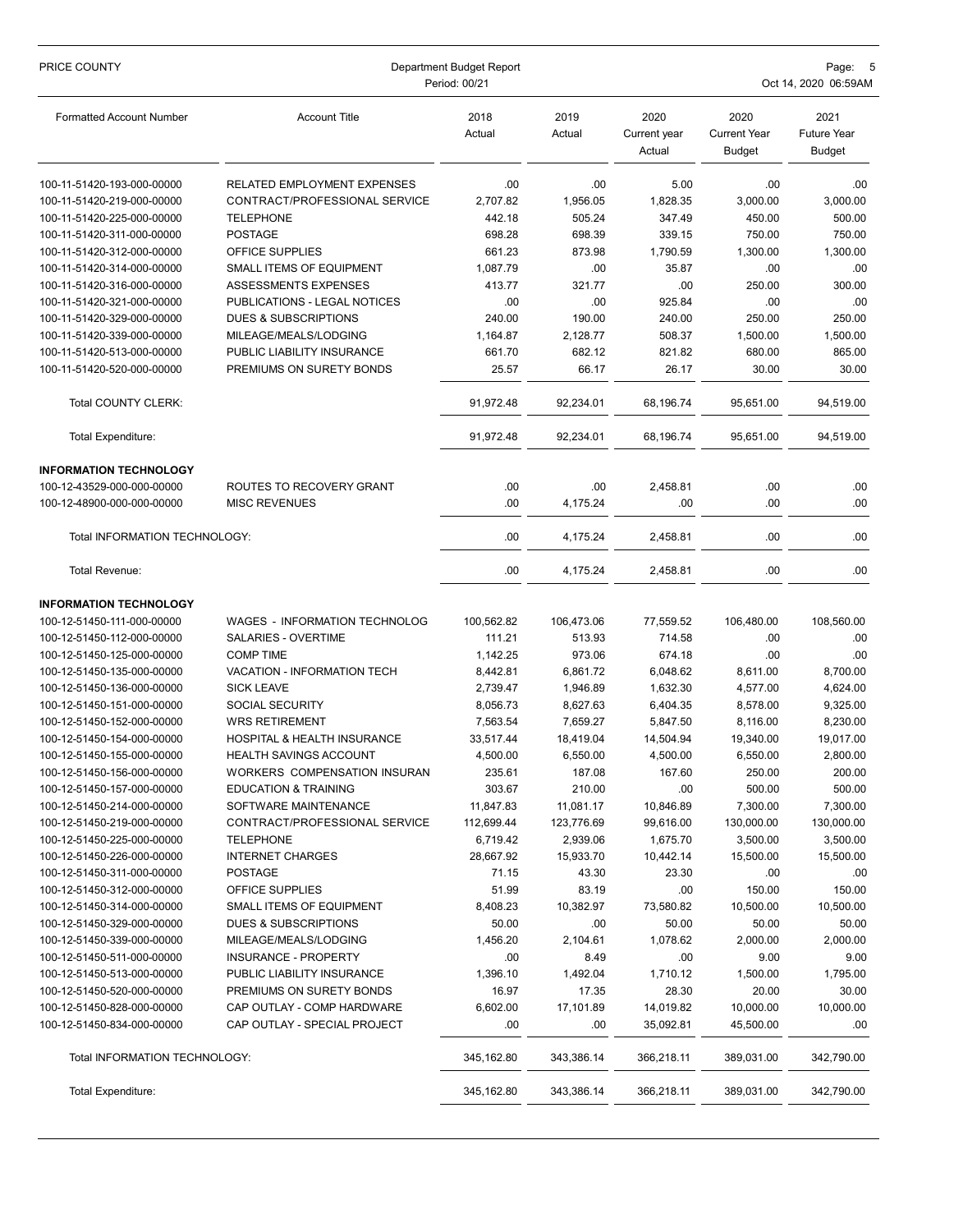| PRICE COUNTY                                             | Department Budget Report<br>Period: 00/21             |                        |                        |                                |                                       | Page:<br>Oct 14, 2020 06:59AM               |  |  |
|----------------------------------------------------------|-------------------------------------------------------|------------------------|------------------------|--------------------------------|---------------------------------------|---------------------------------------------|--|--|
| <b>Formatted Account Number</b>                          | <b>Account Title</b>                                  | 2018<br>Actual         | 2019<br>Actual         | 2020<br>Current year<br>Actual | 2020<br><b>Current Year</b><br>Budget | 2021<br><b>Future Year</b><br><b>Budget</b> |  |  |
| 100-11-51420-193-000-00000                               | RELATED EMPLOYMENT EXPENSES                           | .00                    | .00                    | 5.00                           | .00                                   | .00                                         |  |  |
| 100-11-51420-219-000-00000                               | CONTRACT/PROFESSIONAL SERVICE                         | 2,707.82               | 1,956.05               | 1,828.35                       | 3,000.00                              | 3,000.00                                    |  |  |
| 100-11-51420-225-000-00000                               | <b>TELEPHONE</b>                                      | 442.18                 | 505.24                 | 347.49                         | 450.00                                | 500.00                                      |  |  |
| 100-11-51420-311-000-00000                               | <b>POSTAGE</b>                                        | 698.28                 | 698.39                 | 339.15                         | 750.00                                | 750.00                                      |  |  |
| 100-11-51420-312-000-00000                               | OFFICE SUPPLIES                                       | 661.23                 | 873.98                 | 1,790.59                       | 1,300.00                              | 1,300.00                                    |  |  |
| 100-11-51420-314-000-00000                               | SMALL ITEMS OF EQUIPMENT                              | 1,087.79               | .00                    | 35.87                          | .00                                   | .00                                         |  |  |
| 100-11-51420-316-000-00000                               | <b>ASSESSMENTS EXPENSES</b>                           | 413.77                 | 321.77                 | .00                            | 250.00                                | 300.00                                      |  |  |
| 100-11-51420-321-000-00000                               | PUBLICATIONS - LEGAL NOTICES                          | .00                    | .00                    | 925.84                         | .00                                   | .00                                         |  |  |
| 100-11-51420-329-000-00000                               | <b>DUES &amp; SUBSCRIPTIONS</b>                       | 240.00                 | 190.00                 | 240.00                         | 250.00                                | 250.00                                      |  |  |
| 100-11-51420-339-000-00000                               | MILEAGE/MEALS/LODGING                                 | 1,164.87               | 2,128.77               | 508.37                         | 1,500.00                              | 1,500.00                                    |  |  |
| 100-11-51420-513-000-00000                               | PUBLIC LIABILITY INSURANCE                            | 661.70                 | 682.12                 | 821.82                         | 680.00                                | 865.00                                      |  |  |
| 100-11-51420-520-000-00000                               | PREMIUMS ON SURETY BONDS                              | 25.57                  | 66.17                  | 26.17                          | 30.00                                 | 30.00                                       |  |  |
| <b>Total COUNTY CLERK:</b>                               |                                                       | 91,972.48              | 92,234.01              | 68,196.74                      | 95,651.00                             | 94,519.00                                   |  |  |
| <b>Total Expenditure:</b>                                |                                                       | 91,972.48              | 92,234.01              | 68,196.74                      | 95,651.00                             | 94,519.00                                   |  |  |
| <b>INFORMATION TECHNOLOGY</b>                            |                                                       |                        |                        |                                |                                       |                                             |  |  |
| 100-12-43529-000-000-00000                               | ROUTES TO RECOVERY GRANT                              | .00                    | .00                    | 2,458.81                       | .00                                   | .00                                         |  |  |
| 100-12-48900-000-000-00000                               | <b>MISC REVENUES</b>                                  | .00                    | 4,175.24               | .00                            | .00                                   | .00                                         |  |  |
| Total INFORMATION TECHNOLOGY:                            |                                                       | .00                    | 4,175.24               | 2,458.81                       | .00                                   | .00                                         |  |  |
| Total Revenue:                                           |                                                       | .00                    | 4,175.24               | 2,458.81                       | .00                                   | .00                                         |  |  |
| <b>INFORMATION TECHNOLOGY</b>                            |                                                       |                        |                        |                                |                                       |                                             |  |  |
| 100-12-51450-111-000-00000                               | WAGES - INFORMATION TECHNOLOG                         | 100,562.82             | 106,473.06             | 77,559.52                      | 106,480.00                            | 108,560.00                                  |  |  |
| 100-12-51450-112-000-00000                               | <b>SALARIES - OVERTIME</b>                            | 111.21                 | 513.93                 | 714.58                         | .00                                   | .00                                         |  |  |
| 100-12-51450-125-000-00000                               | <b>COMP TIME</b>                                      | 1,142.25               | 973.06                 | 674.18                         | .00                                   | .00                                         |  |  |
| 100-12-51450-135-000-00000                               | VACATION - INFORMATION TECH                           | 8,442.81               | 6,861.72               | 6,048.62                       | 8,611.00                              | 8,700.00                                    |  |  |
| 100-12-51450-136-000-00000                               | <b>SICK LEAVE</b>                                     | 2,739.47               | 1,946.89               | 1,632.30                       | 4,577.00                              | 4,624.00                                    |  |  |
| 100-12-51450-151-000-00000                               | <b>SOCIAL SECURITY</b>                                | 8,056.73               | 8,627.63               | 6,404.35                       | 8,578.00                              | 9,325.00                                    |  |  |
| 100-12-51450-152-000-00000                               | <b>WRS RETIREMENT</b>                                 | 7,563.54               | 7,659.27               | 5,847.50                       | 8,116.00                              | 8,230.00                                    |  |  |
| 100-12-51450-154-000-00000                               | HOSPITAL & HEALTH INSURANCE                           | 33,517.44              | 18,419.04              | 14,504.94                      | 19,340.00                             | 19,017.00                                   |  |  |
| 100-12-51450-155-000-00000                               | HEALTH SAVINGS ACCOUNT                                | 4,500.00               | 6,550.00               | 4,500.00                       | 6,550.00                              | 2,800.00                                    |  |  |
| 100-12-51450-156-000-00000                               | WORKERS COMPENSATION INSURAN                          | 235.61                 | 187.08                 | 167.60                         | 250.00                                | 200.00                                      |  |  |
| 100-12-51450-157-000-00000                               | <b>EDUCATION &amp; TRAINING</b>                       | 303.67                 | 210.00                 | .00                            | 500.00                                | 500.00                                      |  |  |
| 100-12-51450-214-000-00000                               | SOFTWARE MAINTENANCE<br>CONTRACT/PROFESSIONAL SERVICE | 11,847.83              | 11,081.17              | 10,846.89                      | 7,300.00                              | 7,300.00                                    |  |  |
| 100-12-51450-219-000-00000<br>100-12-51450-225-000-00000 | <b>TELEPHONE</b>                                      | 112,699.44<br>6,719.42 | 123,776.69<br>2,939.06 | 99,616.00<br>1,675.70          | 130,000.00<br>3,500.00                | 130,000.00<br>3,500.00                      |  |  |
| 100-12-51450-226-000-00000                               | <b>INTERNET CHARGES</b>                               | 28,667.92              | 15,933.70              | 10,442.14                      | 15,500.00                             | 15,500.00                                   |  |  |
| 100-12-51450-311-000-00000                               | <b>POSTAGE</b>                                        | 71.15                  | 43.30                  | 23.30                          | .00                                   | .00                                         |  |  |
| 100-12-51450-312-000-00000                               | OFFICE SUPPLIES                                       | 51.99                  | 83.19                  | .00                            | 150.00                                | 150.00                                      |  |  |
| 100-12-51450-314-000-00000                               | SMALL ITEMS OF EQUIPMENT                              | 8,408.23               | 10,382.97              | 73,580.82                      | 10,500.00                             | 10,500.00                                   |  |  |
| 100-12-51450-329-000-00000                               | DUES & SUBSCRIPTIONS                                  | 50.00                  | .00                    | 50.00                          | 50.00                                 | 50.00                                       |  |  |
| 100-12-51450-339-000-00000                               | MILEAGE/MEALS/LODGING                                 | 1,456.20               | 2,104.61               | 1,078.62                       | 2,000.00                              | 2,000.00                                    |  |  |
| 100-12-51450-511-000-00000                               | INSURANCE - PROPERTY                                  | .00                    | 8.49                   | .00                            | 9.00                                  | 9.00                                        |  |  |
| 100-12-51450-513-000-00000                               | PUBLIC LIABILITY INSURANCE                            | 1,396.10               | 1,492.04               | 1,710.12                       | 1,500.00                              | 1,795.00                                    |  |  |
| 100-12-51450-520-000-00000                               | PREMIUMS ON SURETY BONDS                              | 16.97                  | 17.35                  | 28.30                          | 20.00                                 | 30.00                                       |  |  |
| 100-12-51450-828-000-00000                               | CAP OUTLAY - COMP HARDWARE                            | 6,602.00               | 17,101.89              | 14,019.82                      | 10,000.00                             | 10,000.00                                   |  |  |
| 100-12-51450-834-000-00000                               | CAP OUTLAY - SPECIAL PROJECT                          | .00                    | .00                    | 35,092.81                      | 45,500.00                             | .00                                         |  |  |
| Total INFORMATION TECHNOLOGY:                            |                                                       | 345,162.80             | 343,386.14             | 366,218.11                     | 389,031.00                            | 342,790.00                                  |  |  |
| Total Expenditure:                                       |                                                       | 345,162.80             | 343,386.14             | 366,218.11                     | 389,031.00                            | 342,790.00                                  |  |  |
|                                                          |                                                       |                        |                        |                                |                                       |                                             |  |  |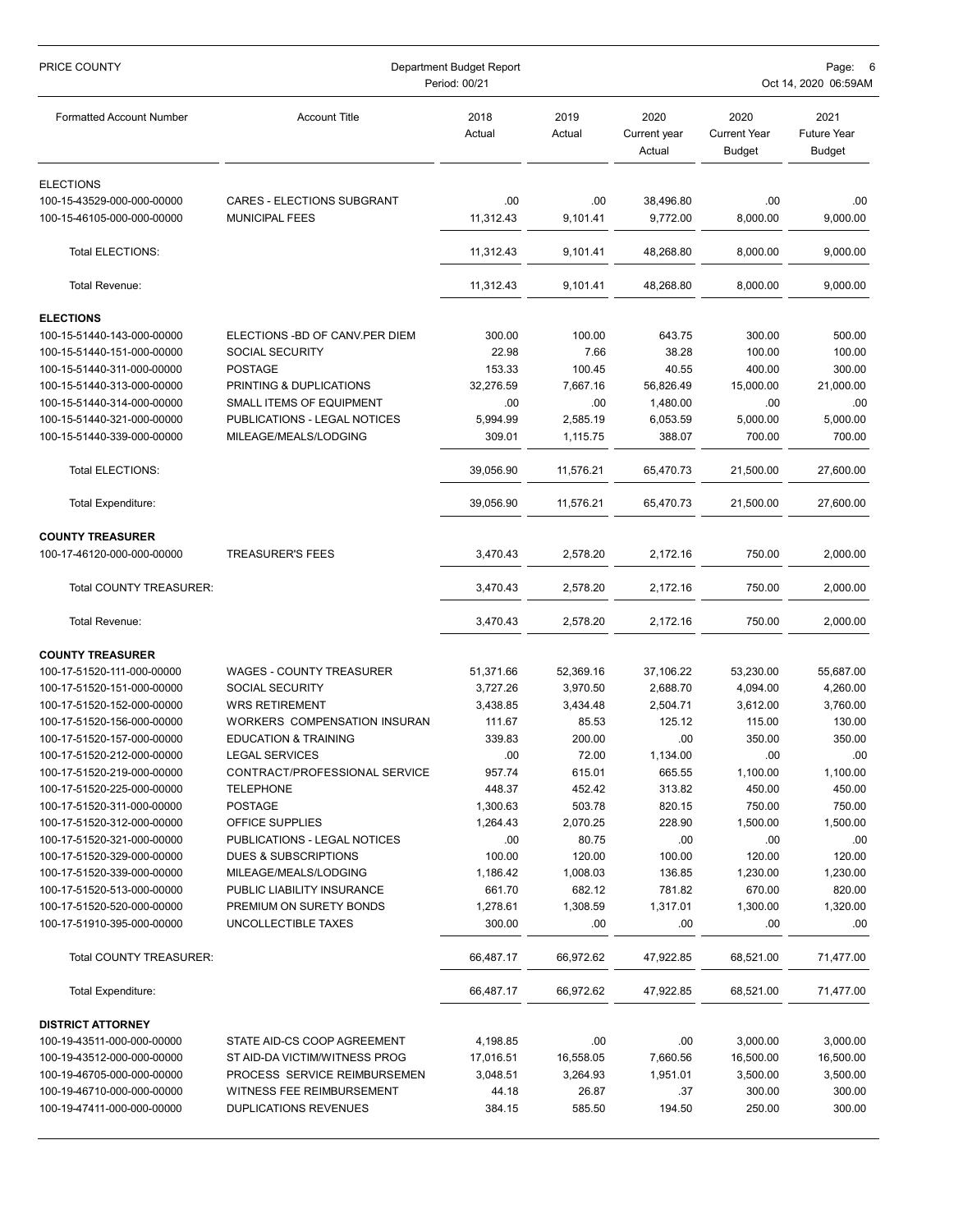| PRICE COUNTY                                                                                                                                                                                                                                                                                                                                                                                                                                                                                                                                  | Department Budget Report<br>Period: 00/21                                                                                                                                                                                                                                                                                                                                                                                          |                                                                                                                                                                                                 |                                                                                                                                                                                               |                                                                                                                                                                                          |                                                                                                                                                                                              | Page:<br>-6<br>Oct 14, 2020 06:59AM                                                                                                                                                           |  |  |
|-----------------------------------------------------------------------------------------------------------------------------------------------------------------------------------------------------------------------------------------------------------------------------------------------------------------------------------------------------------------------------------------------------------------------------------------------------------------------------------------------------------------------------------------------|------------------------------------------------------------------------------------------------------------------------------------------------------------------------------------------------------------------------------------------------------------------------------------------------------------------------------------------------------------------------------------------------------------------------------------|-------------------------------------------------------------------------------------------------------------------------------------------------------------------------------------------------|-----------------------------------------------------------------------------------------------------------------------------------------------------------------------------------------------|------------------------------------------------------------------------------------------------------------------------------------------------------------------------------------------|----------------------------------------------------------------------------------------------------------------------------------------------------------------------------------------------|-----------------------------------------------------------------------------------------------------------------------------------------------------------------------------------------------|--|--|
| <b>Formatted Account Number</b>                                                                                                                                                                                                                                                                                                                                                                                                                                                                                                               | <b>Account Title</b>                                                                                                                                                                                                                                                                                                                                                                                                               | 2018<br>Actual                                                                                                                                                                                  | 2019<br>Actual                                                                                                                                                                                | 2020<br>Current year<br>Actual                                                                                                                                                           | 2020<br><b>Current Year</b><br><b>Budget</b>                                                                                                                                                 | 2021<br><b>Future Year</b><br><b>Budget</b>                                                                                                                                                   |  |  |
| <b>ELECTIONS</b>                                                                                                                                                                                                                                                                                                                                                                                                                                                                                                                              |                                                                                                                                                                                                                                                                                                                                                                                                                                    |                                                                                                                                                                                                 |                                                                                                                                                                                               |                                                                                                                                                                                          |                                                                                                                                                                                              |                                                                                                                                                                                               |  |  |
| 100-15-43529-000-000-00000<br>100-15-46105-000-000-00000                                                                                                                                                                                                                                                                                                                                                                                                                                                                                      | CARES - ELECTIONS SUBGRANT<br><b>MUNICIPAL FEES</b>                                                                                                                                                                                                                                                                                                                                                                                | .00<br>11,312.43                                                                                                                                                                                | .00<br>9,101.41                                                                                                                                                                               | 38,496.80<br>9,772.00                                                                                                                                                                    | .00<br>8,000.00                                                                                                                                                                              | .00<br>9,000.00                                                                                                                                                                               |  |  |
| <b>Total ELECTIONS:</b>                                                                                                                                                                                                                                                                                                                                                                                                                                                                                                                       |                                                                                                                                                                                                                                                                                                                                                                                                                                    | 11,312.43                                                                                                                                                                                       | 9,101.41                                                                                                                                                                                      | 48,268.80                                                                                                                                                                                | 8,000.00                                                                                                                                                                                     | 9,000.00                                                                                                                                                                                      |  |  |
| Total Revenue:                                                                                                                                                                                                                                                                                                                                                                                                                                                                                                                                |                                                                                                                                                                                                                                                                                                                                                                                                                                    | 11,312.43                                                                                                                                                                                       | 9,101.41                                                                                                                                                                                      | 48,268.80                                                                                                                                                                                | 8,000.00                                                                                                                                                                                     | 9,000.00                                                                                                                                                                                      |  |  |
| <b>ELECTIONS</b>                                                                                                                                                                                                                                                                                                                                                                                                                                                                                                                              |                                                                                                                                                                                                                                                                                                                                                                                                                                    |                                                                                                                                                                                                 |                                                                                                                                                                                               |                                                                                                                                                                                          |                                                                                                                                                                                              |                                                                                                                                                                                               |  |  |
| 100-15-51440-143-000-00000<br>100-15-51440-151-000-00000<br>100-15-51440-311-000-00000<br>100-15-51440-313-000-00000                                                                                                                                                                                                                                                                                                                                                                                                                          | ELECTIONS - BD OF CANV. PER DIEM<br><b>SOCIAL SECURITY</b><br><b>POSTAGE</b><br>PRINTING & DUPLICATIONS                                                                                                                                                                                                                                                                                                                            | 300.00<br>22.98<br>153.33<br>32,276.59                                                                                                                                                          | 100.00<br>7.66<br>100.45<br>7,667.16                                                                                                                                                          | 643.75<br>38.28<br>40.55<br>56,826.49                                                                                                                                                    | 300.00<br>100.00<br>400.00<br>15,000.00                                                                                                                                                      | 500.00<br>100.00<br>300.00<br>21,000.00                                                                                                                                                       |  |  |
| 100-15-51440-314-000-00000                                                                                                                                                                                                                                                                                                                                                                                                                                                                                                                    | SMALL ITEMS OF EQUIPMENT                                                                                                                                                                                                                                                                                                                                                                                                           | .00                                                                                                                                                                                             | .00                                                                                                                                                                                           | 1,480.00                                                                                                                                                                                 | .00                                                                                                                                                                                          | .00                                                                                                                                                                                           |  |  |
| 100-15-51440-321-000-00000<br>100-15-51440-339-000-00000                                                                                                                                                                                                                                                                                                                                                                                                                                                                                      | PUBLICATIONS - LEGAL NOTICES<br>MILEAGE/MEALS/LODGING                                                                                                                                                                                                                                                                                                                                                                              | 5,994.99<br>309.01                                                                                                                                                                              | 2,585.19<br>1,115.75                                                                                                                                                                          | 6,053.59<br>388.07                                                                                                                                                                       | 5,000.00<br>700.00                                                                                                                                                                           | 5,000.00<br>700.00                                                                                                                                                                            |  |  |
| <b>Total ELECTIONS:</b>                                                                                                                                                                                                                                                                                                                                                                                                                                                                                                                       |                                                                                                                                                                                                                                                                                                                                                                                                                                    | 39,056.90                                                                                                                                                                                       | 11,576.21                                                                                                                                                                                     | 65,470.73                                                                                                                                                                                | 21,500.00                                                                                                                                                                                    | 27,600.00                                                                                                                                                                                     |  |  |
| Total Expenditure:                                                                                                                                                                                                                                                                                                                                                                                                                                                                                                                            |                                                                                                                                                                                                                                                                                                                                                                                                                                    | 39,056.90                                                                                                                                                                                       | 11,576.21                                                                                                                                                                                     | 65,470.73                                                                                                                                                                                | 21,500.00                                                                                                                                                                                    | 27,600.00                                                                                                                                                                                     |  |  |
| <b>COUNTY TREASURER</b>                                                                                                                                                                                                                                                                                                                                                                                                                                                                                                                       |                                                                                                                                                                                                                                                                                                                                                                                                                                    |                                                                                                                                                                                                 |                                                                                                                                                                                               |                                                                                                                                                                                          |                                                                                                                                                                                              |                                                                                                                                                                                               |  |  |
| 100-17-46120-000-000-00000                                                                                                                                                                                                                                                                                                                                                                                                                                                                                                                    | <b>TREASURER'S FEES</b>                                                                                                                                                                                                                                                                                                                                                                                                            | 3,470.43                                                                                                                                                                                        | 2,578.20                                                                                                                                                                                      | 2,172.16                                                                                                                                                                                 | 750.00                                                                                                                                                                                       | 2,000.00                                                                                                                                                                                      |  |  |
| Total COUNTY TREASURER:                                                                                                                                                                                                                                                                                                                                                                                                                                                                                                                       |                                                                                                                                                                                                                                                                                                                                                                                                                                    | 3,470.43                                                                                                                                                                                        | 2,578.20                                                                                                                                                                                      | 2,172.16                                                                                                                                                                                 | 750.00                                                                                                                                                                                       | 2,000.00                                                                                                                                                                                      |  |  |
| Total Revenue:                                                                                                                                                                                                                                                                                                                                                                                                                                                                                                                                |                                                                                                                                                                                                                                                                                                                                                                                                                                    | 3,470.43                                                                                                                                                                                        | 2,578.20                                                                                                                                                                                      | 2,172.16                                                                                                                                                                                 | 750.00                                                                                                                                                                                       | 2,000.00                                                                                                                                                                                      |  |  |
| <b>COUNTY TREASURER</b>                                                                                                                                                                                                                                                                                                                                                                                                                                                                                                                       |                                                                                                                                                                                                                                                                                                                                                                                                                                    |                                                                                                                                                                                                 |                                                                                                                                                                                               |                                                                                                                                                                                          |                                                                                                                                                                                              |                                                                                                                                                                                               |  |  |
| 100-17-51520-111-000-00000<br>100-17-51520-151-000-00000<br>100-17-51520-152-000-00000<br>100-17-51520-156-000-00000<br>100-17-51520-157-000-00000<br>100-17-51520-212-000-00000<br>100-17-51520-219-000-00000<br>100-17-51520-225-000-00000<br>100-17-51520-311-000-00000<br>100-17-51520-312-000-00000<br>100-17-51520-321-000-00000<br>100-17-51520-329-000-00000<br>100-17-51520-339-000-00000<br>100-17-51520-513-000-00000<br>100-17-51520-520-000-00000<br>100-17-51910-395-000-00000<br>Total COUNTY TREASURER:<br>Total Expenditure: | <b>WAGES - COUNTY TREASURER</b><br>SOCIAL SECURITY<br><b>WRS RETIREMENT</b><br>WORKERS COMPENSATION INSURAN<br><b>EDUCATION &amp; TRAINING</b><br><b>LEGAL SERVICES</b><br>CONTRACT/PROFESSIONAL SERVICE<br><b>TELEPHONE</b><br><b>POSTAGE</b><br>OFFICE SUPPLIES<br>PUBLICATIONS - LEGAL NOTICES<br>DUES & SUBSCRIPTIONS<br>MILEAGE/MEALS/LODGING<br>PUBLIC LIABILITY INSURANCE<br>PREMIUM ON SURETY BONDS<br>UNCOLLECTIBLE TAXES | 51,371.66<br>3,727.26<br>3,438.85<br>111.67<br>339.83<br>.00<br>957.74<br>448.37<br>1,300.63<br>1,264.43<br>.00<br>100.00<br>1,186.42<br>661.70<br>1,278.61<br>300.00<br>66,487.17<br>66,487.17 | 52,369.16<br>3,970.50<br>3,434.48<br>85.53<br>200.00<br>72.00<br>615.01<br>452.42<br>503.78<br>2,070.25<br>80.75<br>120.00<br>1,008.03<br>682.12<br>1,308.59<br>.00<br>66,972.62<br>66,972.62 | 37,106.22<br>2,688.70<br>2,504.71<br>125.12<br>.00<br>1,134.00<br>665.55<br>313.82<br>820.15<br>228.90<br>.00<br>100.00<br>136.85<br>781.82<br>1,317.01<br>.00<br>47,922.85<br>47,922.85 | 53,230.00<br>4,094.00<br>3,612.00<br>115.00<br>350.00<br>.00<br>1,100.00<br>450.00<br>750.00<br>1,500.00<br>.00<br>120.00<br>1,230.00<br>670.00<br>1,300.00<br>.00<br>68,521.00<br>68,521.00 | 55,687.00<br>4,260.00<br>3,760.00<br>130.00<br>350.00<br>.00<br>1,100.00<br>450.00<br>750.00<br>1,500.00<br>.00<br>120.00<br>1,230.00<br>820.00<br>1,320.00<br>.00.<br>71,477.00<br>71,477.00 |  |  |
|                                                                                                                                                                                                                                                                                                                                                                                                                                                                                                                                               |                                                                                                                                                                                                                                                                                                                                                                                                                                    |                                                                                                                                                                                                 |                                                                                                                                                                                               |                                                                                                                                                                                          |                                                                                                                                                                                              |                                                                                                                                                                                               |  |  |
| <b>DISTRICT ATTORNEY</b><br>100-19-43511-000-000-00000<br>100-19-43512-000-000-00000<br>100-19-46705-000-000-00000<br>100-19-46710-000-000-00000<br>100-19-47411-000-000-00000                                                                                                                                                                                                                                                                                                                                                                | STATE AID-CS COOP AGREEMENT<br>ST AID-DA VICTIM/WITNESS PROG<br>PROCESS SERVICE REIMBURSEMEN<br>WITNESS FEE REIMBURSEMENT<br><b>DUPLICATIONS REVENUES</b>                                                                                                                                                                                                                                                                          | 4,198.85<br>17,016.51<br>3,048.51<br>44.18<br>384.15                                                                                                                                            | .00.<br>16,558.05<br>3,264.93<br>26.87<br>585.50                                                                                                                                              | .00<br>7,660.56<br>1,951.01<br>.37<br>194.50                                                                                                                                             | 3,000.00<br>16,500.00<br>3,500.00<br>300.00<br>250.00                                                                                                                                        | 3,000.00<br>16,500.00<br>3,500.00<br>300.00<br>300.00                                                                                                                                         |  |  |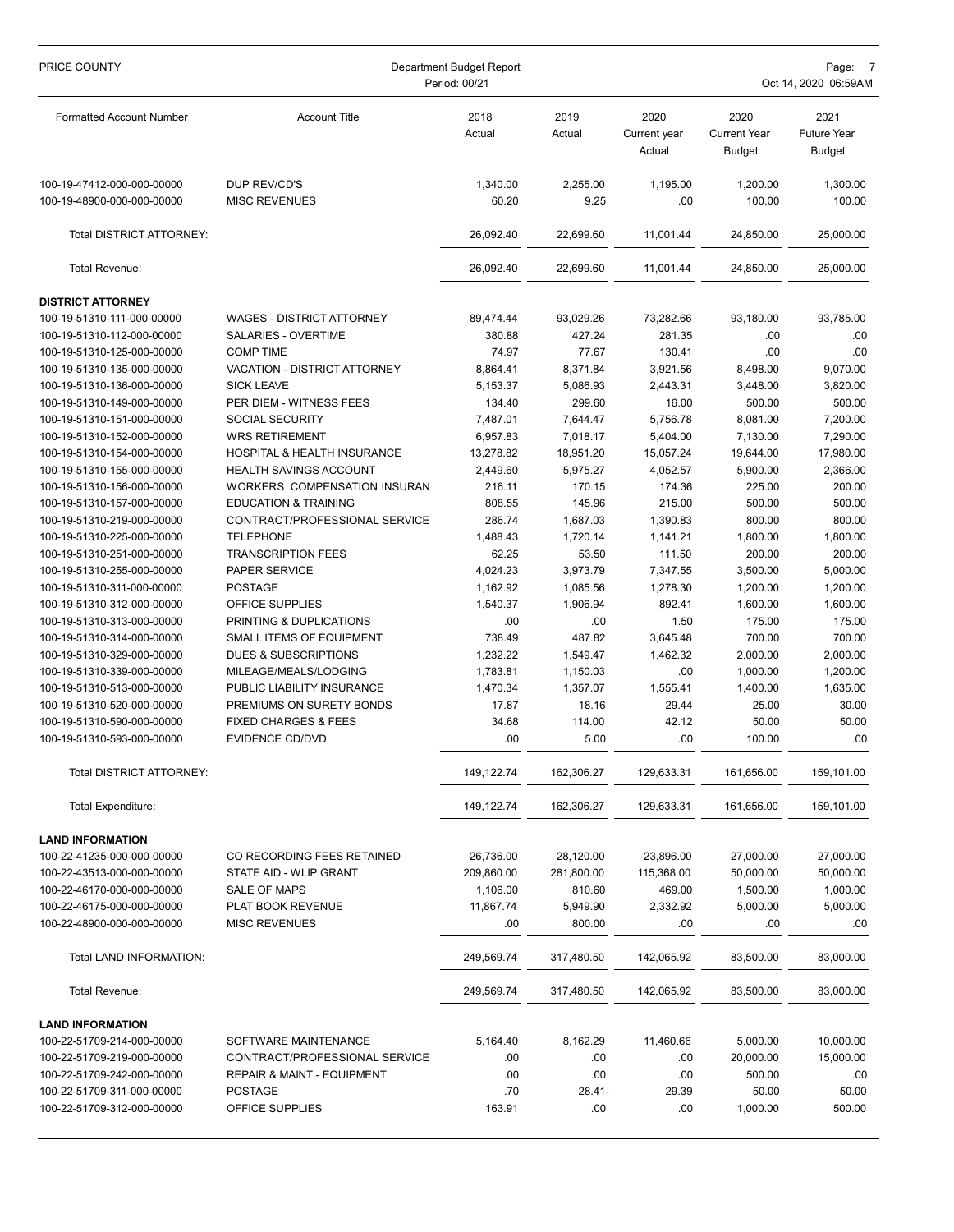| PRICE COUNTY                    | Department Budget Report<br>Period: 00/21 |                | Page:<br>Oct 14, 2020 06:59AM |                                |                                              |                                             |
|---------------------------------|-------------------------------------------|----------------|-------------------------------|--------------------------------|----------------------------------------------|---------------------------------------------|
| <b>Formatted Account Number</b> | <b>Account Title</b>                      | 2018<br>Actual | 2019<br>Actual                | 2020<br>Current year<br>Actual | 2020<br><b>Current Year</b><br><b>Budget</b> | 2021<br><b>Future Year</b><br><b>Budget</b> |
| 100-19-47412-000-000-00000      | DUP REV/CD'S                              | 1,340.00       | 2,255.00                      | 1,195.00                       | 1,200.00                                     | 1,300.00                                    |
| 100-19-48900-000-000-00000      | <b>MISC REVENUES</b>                      | 60.20          | 9.25                          | .00.                           | 100.00                                       | 100.00                                      |
| Total DISTRICT ATTORNEY:        |                                           | 26,092.40      | 22,699.60                     | 11,001.44                      | 24,850.00                                    | 25,000.00                                   |
| Total Revenue:                  |                                           | 26,092.40      | 22,699.60                     | 11,001.44                      | 24,850.00                                    | 25,000.00                                   |
| <b>DISTRICT ATTORNEY</b>        |                                           |                |                               |                                |                                              |                                             |
| 100-19-51310-111-000-00000      | <b>WAGES - DISTRICT ATTORNEY</b>          | 89,474.44      | 93,029.26                     | 73,282.66                      | 93,180.00                                    | 93,785.00                                   |
| 100-19-51310-112-000-00000      | SALARIES - OVERTIME                       | 380.88         | 427.24                        | 281.35                         | .00                                          | .00                                         |
| 100-19-51310-125-000-00000      | <b>COMP TIME</b>                          | 74.97          | 77.67                         | 130.41                         | .00                                          | .00                                         |
| 100-19-51310-135-000-00000      | VACATION - DISTRICT ATTORNEY              | 8,864.41       | 8,371.84                      | 3,921.56                       | 8,498.00                                     | 9,070.00                                    |
| 100-19-51310-136-000-00000      | <b>SICK LEAVE</b>                         | 5,153.37       | 5,086.93                      | 2,443.31                       | 3,448.00                                     | 3,820.00                                    |
| 100-19-51310-149-000-00000      | PER DIEM - WITNESS FEES                   | 134.40         | 299.60                        | 16.00                          | 500.00                                       | 500.00                                      |
| 100-19-51310-151-000-00000      | SOCIAL SECURITY                           | 7,487.01       | 7,644.47                      | 5,756.78                       | 8,081.00                                     | 7,200.00                                    |
| 100-19-51310-152-000-00000      | <b>WRS RETIREMENT</b>                     | 6,957.83       | 7,018.17                      | 5,404.00                       | 7,130.00                                     | 7,290.00                                    |
| 100-19-51310-154-000-00000      | <b>HOSPITAL &amp; HEALTH INSURANCE</b>    | 13,278.82      | 18,951.20                     | 15,057.24                      | 19,644.00                                    | 17,980.00                                   |
| 100-19-51310-155-000-00000      | <b>HEALTH SAVINGS ACCOUNT</b>             | 2,449.60       | 5,975.27                      | 4,052.57                       | 5,900.00                                     | 2,366.00                                    |
| 100-19-51310-156-000-00000      | WORKERS COMPENSATION INSURAN              | 216.11         | 170.15                        | 174.36                         | 225.00                                       | 200.00                                      |
| 100-19-51310-157-000-00000      | <b>EDUCATION &amp; TRAINING</b>           | 808.55         | 145.96                        | 215.00                         | 500.00                                       | 500.00                                      |
| 100-19-51310-219-000-00000      | CONTRACT/PROFESSIONAL SERVICE             | 286.74         | 1,687.03                      | 1,390.83                       | 800.00                                       | 800.00                                      |
| 100-19-51310-225-000-00000      | <b>TELEPHONE</b>                          | 1,488.43       | 1,720.14                      | 1,141.21                       | 1,800.00                                     | 1,800.00                                    |
| 100-19-51310-251-000-00000      | <b>TRANSCRIPTION FEES</b>                 | 62.25          | 53.50                         | 111.50                         | 200.00                                       | 200.00                                      |
| 100-19-51310-255-000-00000      | PAPER SERVICE                             | 4,024.23       | 3,973.79                      | 7,347.55                       | 3,500.00                                     | 5,000.00                                    |
| 100-19-51310-311-000-00000      | <b>POSTAGE</b>                            | 1,162.92       | 1,085.56                      | 1,278.30                       | 1,200.00                                     | 1,200.00                                    |
| 100-19-51310-312-000-00000      | OFFICE SUPPLIES                           | 1,540.37       | 1,906.94                      | 892.41                         | 1,600.00                                     | 1,600.00                                    |
| 100-19-51310-313-000-00000      | PRINTING & DUPLICATIONS                   | .00            | .00                           | 1.50                           | 175.00                                       | 175.00                                      |
| 100-19-51310-314-000-00000      | SMALL ITEMS OF EQUIPMENT                  | 738.49         | 487.82                        | 3,645.48                       | 700.00                                       | 700.00                                      |
| 100-19-51310-329-000-00000      | <b>DUES &amp; SUBSCRIPTIONS</b>           | 1,232.22       | 1,549.47                      | 1,462.32                       | 2,000.00                                     | 2,000.00                                    |
| 100-19-51310-339-000-00000      | MILEAGE/MEALS/LODGING                     | 1,783.81       | 1,150.03                      | .00                            | 1,000.00                                     | 1,200.00                                    |
| 100-19-51310-513-000-00000      | PUBLIC LIABILITY INSURANCE                | 1,470.34       | 1,357.07                      | 1,555.41                       | 1,400.00                                     | 1,635.00                                    |
| 100-19-51310-520-000-00000      | PREMIUMS ON SURETY BONDS                  | 17.87          | 18.16                         | 29.44                          | 25.00                                        | 30.00                                       |
| 100-19-51310-590-000-00000      | <b>FIXED CHARGES &amp; FEES</b>           | 34.68          | 114.00                        | 42.12                          | 50.00                                        | 50.00                                       |
| 100-19-51310-593-000-00000      | <b>EVIDENCE CD/DVD</b>                    | .00            | 5.00                          | .00                            | 100.00                                       | .00                                         |
| Total DISTRICT ATTORNEY:        |                                           | 149,122.74     | 162,306.27                    | 129,633.31                     | 161,656.00                                   | 159,101.00                                  |
| Total Expenditure:              |                                           | 149,122.74     | 162,306.27                    | 129,633.31                     | 161,656.00                                   | 159,101.00                                  |
| <b>LAND INFORMATION</b>         |                                           |                |                               |                                |                                              |                                             |
| 100-22-41235-000-000-00000      | CO RECORDING FEES RETAINED                | 26,736.00      | 28,120.00                     | 23,896.00                      | 27,000.00                                    | 27,000.00                                   |
| 100-22-43513-000-000-00000      | STATE AID - WLIP GRANT                    | 209,860.00     | 281,800.00                    | 115,368.00                     | 50,000.00                                    | 50,000.00                                   |
| 100-22-46170-000-000-00000      | SALE OF MAPS                              | 1,106.00       | 810.60                        | 469.00                         | 1,500.00                                     | 1,000.00                                    |
| 100-22-46175-000-000-00000      | PLAT BOOK REVENUE                         | 11,867.74      | 5,949.90                      | 2,332.92                       | 5,000.00                                     | 5,000.00                                    |
| 100-22-48900-000-000-00000      | <b>MISC REVENUES</b>                      | .00            | 800.00                        | .00                            | .00                                          | .00                                         |
| Total LAND INFORMATION:         |                                           | 249,569.74     | 317,480.50                    | 142,065.92                     | 83,500.00                                    | 83,000.00                                   |
| Total Revenue:                  |                                           | 249,569.74     | 317,480.50                    | 142,065.92                     | 83,500.00                                    | 83,000.00                                   |
| <b>LAND INFORMATION</b>         |                                           |                |                               |                                |                                              |                                             |
| 100-22-51709-214-000-00000      | SOFTWARE MAINTENANCE                      | 5,164.40       | 8,162.29                      | 11,460.66                      | 5,000.00                                     | 10,000.00                                   |
| 100-22-51709-219-000-00000      | CONTRACT/PROFESSIONAL SERVICE             | .00            | .00.                          | .00                            | 20,000.00                                    | 15,000.00                                   |
| 100-22-51709-242-000-00000      | <b>REPAIR &amp; MAINT - EQUIPMENT</b>     | .00            | .00                           | .00                            | 500.00                                       | .00                                         |
| 100-22-51709-311-000-00000      | <b>POSTAGE</b>                            | .70            | 28.41-                        | 29.39                          | 50.00                                        | 50.00                                       |
| 100-22-51709-312-000-00000      | OFFICE SUPPLIES                           | 163.91         | .00.                          | .00.                           | 1,000.00                                     | 500.00                                      |
|                                 |                                           |                |                               |                                |                                              |                                             |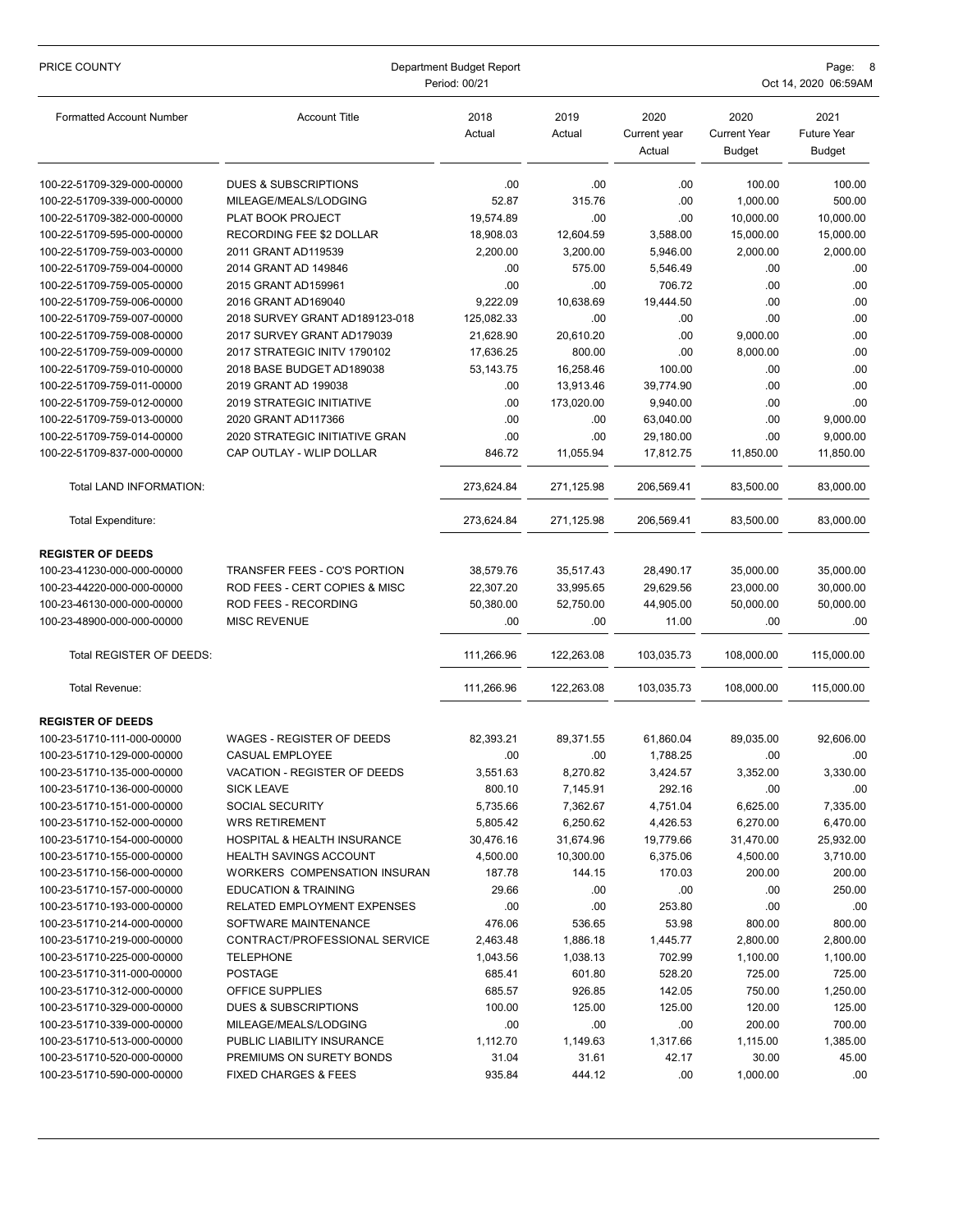| PRICE COUNTY                    | Department Budget Report<br>Period: 00/21 |                |                |                                |                                       | Page:<br>8<br>Oct 14, 2020 06:59AM          |  |  |
|---------------------------------|-------------------------------------------|----------------|----------------|--------------------------------|---------------------------------------|---------------------------------------------|--|--|
| <b>Formatted Account Number</b> | <b>Account Title</b>                      | 2018<br>Actual | 2019<br>Actual | 2020<br>Current year<br>Actual | 2020<br><b>Current Year</b><br>Budget | 2021<br><b>Future Year</b><br><b>Budget</b> |  |  |
| 100-22-51709-329-000-00000      | DUES & SUBSCRIPTIONS                      | .00            | .00            | .00                            | 100.00                                | 100.00                                      |  |  |
| 100-22-51709-339-000-00000      | MILEAGE/MEALS/LODGING                     | 52.87          | 315.76         | .00                            | 1,000.00                              | 500.00                                      |  |  |
| 100-22-51709-382-000-00000      | PLAT BOOK PROJECT                         | 19,574.89      | .00            | .00                            | 10,000.00                             | 10,000.00                                   |  |  |
| 100-22-51709-595-000-00000      | RECORDING FEE \$2 DOLLAR                  | 18,908.03      | 12,604.59      | 3,588.00                       | 15,000.00                             | 15,000.00                                   |  |  |
| 100-22-51709-759-003-00000      | 2011 GRANT AD119539                       | 2,200.00       | 3,200.00       | 5,946.00                       | 2,000.00                              | 2,000.00                                    |  |  |
| 100-22-51709-759-004-00000      | 2014 GRANT AD 149846                      | .00            | 575.00         | 5,546.49                       | .00                                   | .00                                         |  |  |
| 100-22-51709-759-005-00000      | 2015 GRANT AD159961                       | .00            | .00            | 706.72                         | .00                                   | .00                                         |  |  |
| 100-22-51709-759-006-00000      | 2016 GRANT AD169040                       | 9,222.09       | 10,638.69      | 19,444.50                      | .00                                   | .00                                         |  |  |
| 100-22-51709-759-007-00000      | 2018 SURVEY GRANT AD189123-018            | 125,082.33     | .00            | .00                            | .00                                   | .00                                         |  |  |
| 100-22-51709-759-008-00000      | 2017 SURVEY GRANT AD179039                | 21,628.90      | 20,610.20      | .00                            | 9,000.00                              | .00                                         |  |  |
| 100-22-51709-759-009-00000      | 2017 STRATEGIC INITV 1790102              | 17,636.25      | 800.00         | .00                            | 8,000.00                              | .00                                         |  |  |
| 100-22-51709-759-010-00000      | 2018 BASE BUDGET AD189038                 | 53,143.75      | 16,258.46      | 100.00                         | .00                                   | .00                                         |  |  |
| 100-22-51709-759-011-00000      | 2019 GRANT AD 199038                      | .00            | 13,913.46      | 39,774.90                      | .00                                   | .00                                         |  |  |
| 100-22-51709-759-012-00000      | <b>2019 STRATEGIC INITIATIVE</b>          | .00            | 173,020.00     | 9,940.00                       | .00                                   | .00                                         |  |  |
| 100-22-51709-759-013-00000      | 2020 GRANT AD117366                       | .00            | .00            | 63,040.00                      | .00                                   | 9,000.00                                    |  |  |
| 100-22-51709-759-014-00000      | 2020 STRATEGIC INITIATIVE GRAN            | .00            | .00            | 29,180.00                      | .00                                   | 9,000.00                                    |  |  |
| 100-22-51709-837-000-00000      | CAP OUTLAY - WLIP DOLLAR                  | 846.72         | 11.055.94      | 17,812.75                      | 11.850.00                             | 11,850.00                                   |  |  |
| <b>Total LAND INFORMATION:</b>  |                                           | 273,624.84     | 271,125.98     | 206,569.41                     | 83,500.00                             | 83,000.00                                   |  |  |
| <b>Total Expenditure:</b>       |                                           | 273,624.84     | 271,125.98     | 206,569.41                     | 83,500.00                             | 83,000.00                                   |  |  |
| <b>REGISTER OF DEEDS</b>        |                                           |                |                |                                |                                       |                                             |  |  |
| 100-23-41230-000-000-00000      | TRANSFER FEES - CO'S PORTION              | 38,579.76      | 35,517.43      | 28,490.17                      | 35,000.00                             | 35,000.00                                   |  |  |
| 100-23-44220-000-000-00000      | ROD FEES - CERT COPIES & MISC             | 22,307.20      | 33,995.65      | 29,629.56                      | 23,000.00                             | 30,000.00                                   |  |  |
| 100-23-46130-000-000-00000      | ROD FEES - RECORDING                      | 50,380.00      | 52,750.00      | 44,905.00                      | 50,000.00                             | 50,000.00                                   |  |  |
| 100-23-48900-000-000-00000      | <b>MISC REVENUE</b>                       | .00            | .00            | 11.00                          | .00                                   | .00.                                        |  |  |
|                                 |                                           |                |                |                                |                                       |                                             |  |  |
| Total REGISTER OF DEEDS:        |                                           | 111,266.96     | 122,263.08     | 103,035.73                     | 108,000.00                            | 115,000.00                                  |  |  |
| Total Revenue:                  |                                           | 111,266.96     | 122,263.08     | 103,035.73                     | 108,000.00                            | 115,000.00                                  |  |  |
| <b>REGISTER OF DEEDS</b>        |                                           |                |                |                                |                                       |                                             |  |  |
| 100-23-51710-111-000-00000      | <b>WAGES - REGISTER OF DEEDS</b>          | 82,393.21      | 89,371.55      | 61.860.04                      | 89,035.00                             | 92,606.00                                   |  |  |
| 100-23-51710-129-000-00000      | CASUAL EMPLOYEE                           | .00            | .00            | 1,788.25                       | .00                                   | .00                                         |  |  |
| 100-23-51710-135-000-00000      | VACATION - REGISTER OF DEEDS              | 3,551.63       | 8,270.82       | 3,424.57                       | 3,352.00                              | 3,330.00                                    |  |  |
| 100-23-51710-136-000-00000      | <b>SICK LEAVE</b>                         | 800.10         | 7,145.91       | 292.16                         | .00                                   | .00.                                        |  |  |
| 100-23-51710-151-000-00000      | <b>SOCIAL SECURITY</b>                    | 5,735.66       | 7,362.67       | 4,751.04                       | 6,625.00                              | 7,335.00                                    |  |  |
| 100-23-51710-152-000-00000      | <b>WRS RETIREMENT</b>                     | 5,805.42       | 6,250.62       | 4,426.53                       | 6,270.00                              | 6,470.00                                    |  |  |
| 100-23-51710-154-000-00000      | HOSPITAL & HEALTH INSURANCE               | 30,476.16      | 31,674.96      | 19,779.66                      | 31,470.00                             | 25,932.00                                   |  |  |
| 100-23-51710-155-000-00000      | <b>HEALTH SAVINGS ACCOUNT</b>             | 4,500.00       | 10,300.00      | 6,375.06                       | 4,500.00                              | 3,710.00                                    |  |  |
| 100-23-51710-156-000-00000      | <b>WORKERS COMPENSATION INSURAN</b>       | 187.78         | 144.15         | 170.03                         | 200.00                                | 200.00                                      |  |  |
| 100-23-51710-157-000-00000      | <b>EDUCATION &amp; TRAINING</b>           | 29.66          | .00            | .00                            | .00.                                  | 250.00                                      |  |  |
| 100-23-51710-193-000-00000      | RELATED EMPLOYMENT EXPENSES               | .00            | .00            | 253.80                         | .00                                   | .00                                         |  |  |
| 100-23-51710-214-000-00000      | SOFTWARE MAINTENANCE                      | 476.06         | 536.65         | 53.98                          | 800.00                                | 800.00                                      |  |  |
| 100-23-51710-219-000-00000      | CONTRACT/PROFESSIONAL SERVICE             | 2,463.48       | 1,886.18       | 1,445.77                       | 2,800.00                              | 2,800.00                                    |  |  |
| 100-23-51710-225-000-00000      | TELEPHONE                                 | 1,043.56       | 1,038.13       | 702.99                         | 1,100.00                              | 1,100.00                                    |  |  |
| 100-23-51710-311-000-00000      | <b>POSTAGE</b>                            | 685.41         | 601.80         | 528.20                         | 725.00                                | 725.00                                      |  |  |
| 100-23-51710-312-000-00000      | OFFICE SUPPLIES                           | 685.57         | 926.85         | 142.05                         | 750.00                                | 1,250.00                                    |  |  |
| 100-23-51710-329-000-00000      | DUES & SUBSCRIPTIONS                      | 100.00         | 125.00         | 125.00                         | 120.00                                | 125.00                                      |  |  |
| 100-23-51710-339-000-00000      | MILEAGE/MEALS/LODGING                     | .00            | .00            | .00                            | 200.00                                | 700.00                                      |  |  |
| 100-23-51710-513-000-00000      | PUBLIC LIABILITY INSURANCE                | 1,112.70       | 1,149.63       | 1,317.66                       | 1,115.00                              | 1,385.00                                    |  |  |
| 100-23-51710-520-000-00000      | PREMIUMS ON SURETY BONDS                  | 31.04          | 31.61          | 42.17                          | 30.00                                 | 45.00                                       |  |  |
| 100-23-51710-590-000-00000      | <b>FIXED CHARGES &amp; FEES</b>           | 935.84         | 444.12         | .00                            | 1,000.00                              | .00                                         |  |  |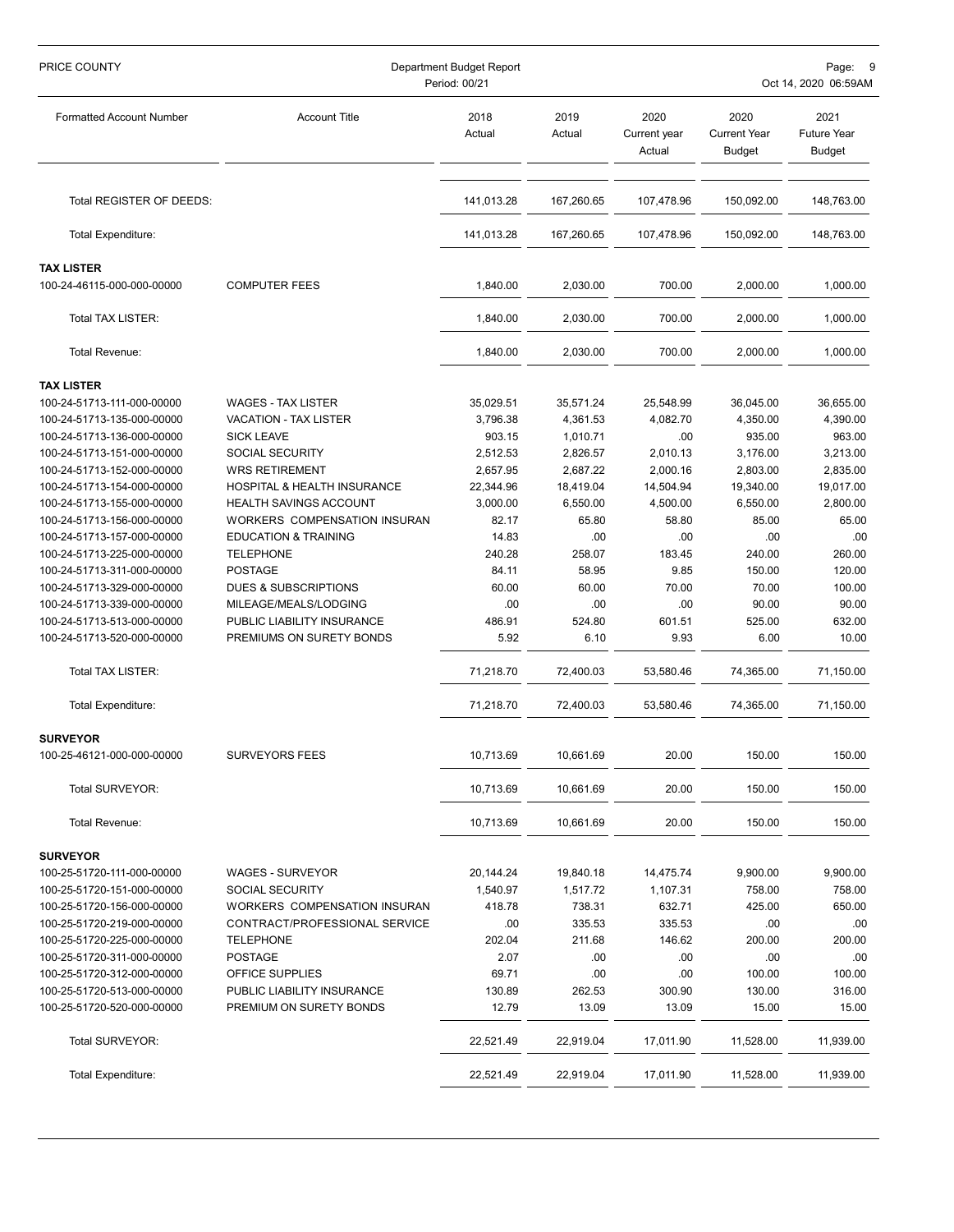| PRICE COUNTY                    | Department Budget Report<br>Period: 00/21 |                |                |                                |                                              | Page:<br>.c<br>Oct 14, 2020 06:59AM         |  |
|---------------------------------|-------------------------------------------|----------------|----------------|--------------------------------|----------------------------------------------|---------------------------------------------|--|
| <b>Formatted Account Number</b> | <b>Account Title</b>                      | 2018<br>Actual | 2019<br>Actual | 2020<br>Current year<br>Actual | 2020<br><b>Current Year</b><br><b>Budget</b> | 2021<br><b>Future Year</b><br><b>Budget</b> |  |
| Total REGISTER OF DEEDS:        |                                           | 141,013.28     | 167,260.65     | 107,478.96                     | 150,092.00                                   | 148,763.00                                  |  |
| Total Expenditure:              |                                           | 141,013.28     | 167,260.65     | 107,478.96                     | 150,092.00                                   | 148,763.00                                  |  |
| <b>TAX LISTER</b>               |                                           |                |                |                                |                                              |                                             |  |
| 100-24-46115-000-000-00000      | <b>COMPUTER FEES</b>                      | 1,840.00       | 2,030.00       | 700.00                         | 2,000.00                                     | 1,000.00                                    |  |
| Total TAX LISTER:               |                                           | 1,840.00       | 2,030.00       | 700.00                         | 2,000.00                                     | 1,000.00                                    |  |
| Total Revenue:                  |                                           | 1,840.00       | 2,030.00       | 700.00                         | 2,000.00                                     | 1,000.00                                    |  |
| <b>TAX LISTER</b>               |                                           |                |                |                                |                                              |                                             |  |
| 100-24-51713-111-000-00000      | <b>WAGES - TAX LISTER</b>                 | 35,029.51      | 35,571.24      | 25,548.99                      | 36,045.00                                    | 36,655.00                                   |  |
| 100-24-51713-135-000-00000      | <b>VACATION - TAX LISTER</b>              | 3,796.38       | 4,361.53       | 4,082.70                       | 4,350.00                                     | 4,390.00                                    |  |
| 100-24-51713-136-000-00000      | <b>SICK LEAVE</b>                         | 903.15         | 1,010.71       | .00                            | 935.00                                       | 963.00                                      |  |
| 100-24-51713-151-000-00000      | SOCIAL SECURITY                           | 2,512.53       | 2,826.57       | 2,010.13                       | 3,176.00                                     | 3,213.00                                    |  |
| 100-24-51713-152-000-00000      | <b>WRS RETIREMENT</b>                     | 2,657.95       | 2,687.22       | 2,000.16                       | 2,803.00                                     | 2,835.00                                    |  |
| 100-24-51713-154-000-00000      | <b>HOSPITAL &amp; HEALTH INSURANCE</b>    | 22,344.96      | 18,419.04      | 14,504.94                      | 19,340.00                                    | 19,017.00                                   |  |
| 100-24-51713-155-000-00000      | HEALTH SAVINGS ACCOUNT                    | 3,000.00       | 6,550.00       | 4,500.00                       | 6,550.00                                     | 2,800.00                                    |  |
| 100-24-51713-156-000-00000      | WORKERS COMPENSATION INSURAN              | 82.17          | 65.80          | 58.80                          | 85.00                                        | 65.00                                       |  |
| 100-24-51713-157-000-00000      | <b>EDUCATION &amp; TRAINING</b>           | 14.83          | .00            | .00                            | .00                                          | .00                                         |  |
| 100-24-51713-225-000-00000      | <b>TELEPHONE</b>                          | 240.28         | 258.07         | 183.45                         | 240.00                                       | 260.00                                      |  |
| 100-24-51713-311-000-00000      | <b>POSTAGE</b>                            | 84.11          | 58.95          | 9.85                           | 150.00                                       | 120.00                                      |  |
| 100-24-51713-329-000-00000      | DUES & SUBSCRIPTIONS                      | 60.00          | 60.00          | 70.00                          | 70.00                                        | 100.00                                      |  |
| 100-24-51713-339-000-00000      | MILEAGE/MEALS/LODGING                     | .00            | .00            | .00                            | 90.00                                        | 90.00                                       |  |
| 100-24-51713-513-000-00000      | PUBLIC LIABILITY INSURANCE                | 486.91         | 524.80         | 601.51                         | 525.00                                       | 632.00                                      |  |
| 100-24-51713-520-000-00000      | PREMIUMS ON SURETY BONDS                  | 5.92           | 6.10           | 9.93                           | 6.00                                         | 10.00                                       |  |
| <b>Total TAX LISTER:</b>        |                                           | 71,218.70      | 72,400.03      | 53,580.46                      | 74,365.00                                    | 71,150.00                                   |  |
| Total Expenditure:              |                                           | 71,218.70      | 72,400.03      | 53,580.46                      | 74,365.00                                    | 71,150.00                                   |  |
| <b>SURVEYOR</b>                 |                                           |                |                |                                |                                              |                                             |  |
| 100-25-46121-000-000-00000      | SURVEYORS FEES                            | 10,713.69      | 10,661.69      | 20.00                          | 150.00                                       | 150.00                                      |  |
| Total SURVEYOR:                 |                                           | 10,713.69      | 10,661.69      | 20.00                          | 150.00                                       | 150.00                                      |  |
| Total Revenue:                  |                                           | 10,713.69      | 10,661.69      | 20.00                          | 150.00                                       | 150.00                                      |  |
| <b>SURVEYOR</b>                 |                                           |                |                |                                |                                              |                                             |  |
| 100-25-51720-111-000-00000      | <b>WAGES - SURVEYOR</b>                   | 20,144.24      | 19,840.18      | 14,475.74                      | 9,900.00                                     | 9,900.00                                    |  |
| 100-25-51720-151-000-00000      | SOCIAL SECURITY                           | 1,540.97       | 1,517.72       | 1,107.31                       | 758.00                                       | 758.00                                      |  |
| 100-25-51720-156-000-00000      | WORKERS COMPENSATION INSURAN              | 418.78         | 738.31         | 632.71                         | 425.00                                       | 650.00                                      |  |
| 100-25-51720-219-000-00000      | CONTRACT/PROFESSIONAL SERVICE             | .00            | 335.53         | 335.53                         | .00.                                         | .00                                         |  |
| 100-25-51720-225-000-00000      | <b>TELEPHONE</b>                          | 202.04         | 211.68         | 146.62                         | 200.00                                       | 200.00                                      |  |
| 100-25-51720-311-000-00000      | <b>POSTAGE</b>                            | 2.07           | .00            | .00                            | .00                                          | .00                                         |  |
| 100-25-51720-312-000-00000      | OFFICE SUPPLIES                           | 69.71          | .00            | .00                            | 100.00                                       | 100.00                                      |  |
| 100-25-51720-513-000-00000      | PUBLIC LIABILITY INSURANCE                | 130.89         | 262.53         | 300.90                         | 130.00                                       | 316.00                                      |  |
| 100-25-51720-520-000-00000      | PREMIUM ON SURETY BONDS                   | 12.79          | 13.09          | 13.09                          | 15.00                                        | 15.00                                       |  |
| Total SURVEYOR:                 |                                           | 22,521.49      | 22,919.04      | 17,011.90                      | 11,528.00                                    | 11,939.00                                   |  |
| Total Expenditure:              |                                           | 22,521.49      | 22,919.04      | 17,011.90                      | 11,528.00                                    | 11,939.00                                   |  |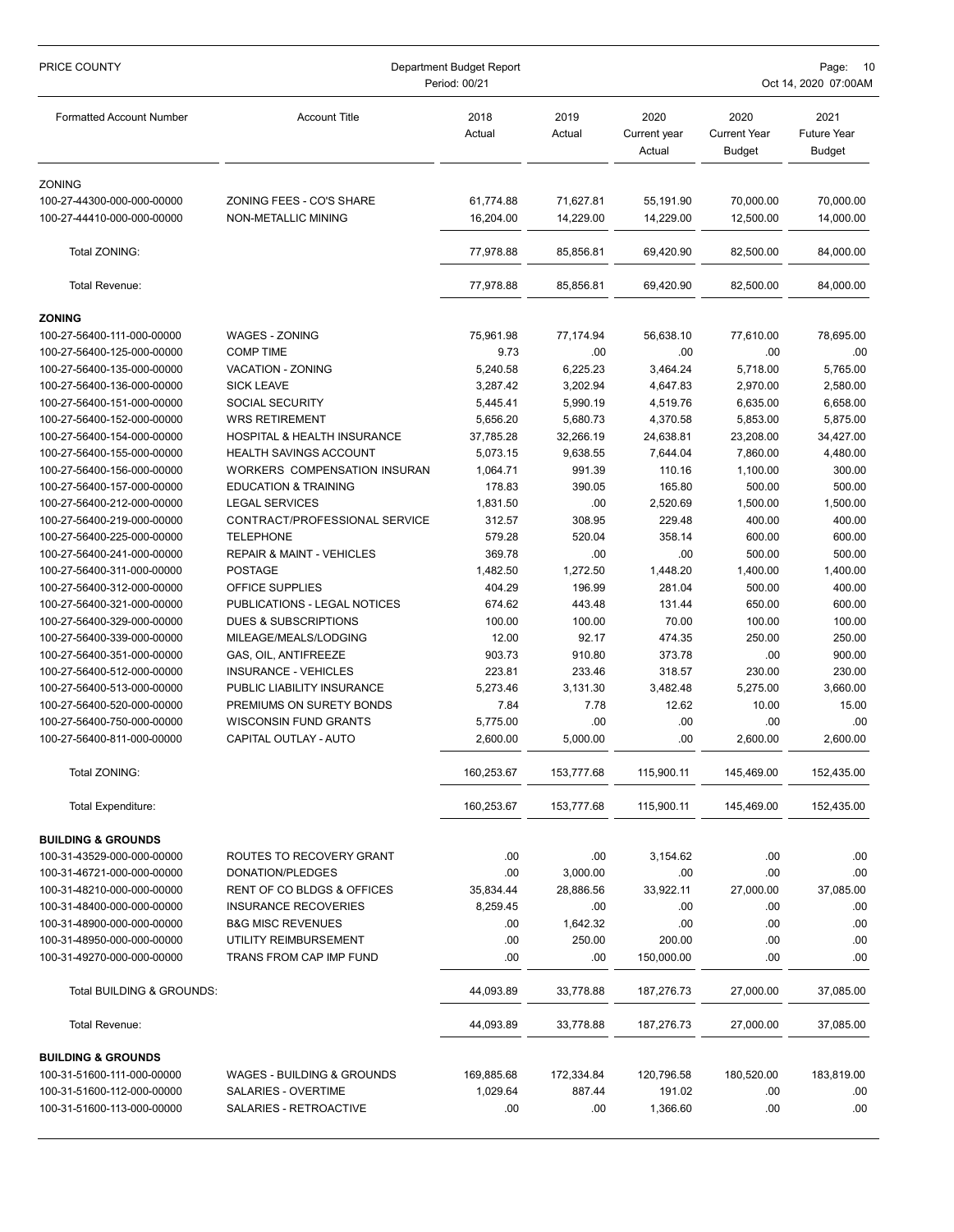| PRICE COUNTY                                             | Department Budget Report<br>Period: 00/21       |                        |                        |                                | Page:<br>10<br>Oct 14, 2020 07:00AM   |                                             |  |
|----------------------------------------------------------|-------------------------------------------------|------------------------|------------------------|--------------------------------|---------------------------------------|---------------------------------------------|--|
| <b>Formatted Account Number</b>                          | <b>Account Title</b>                            | 2018<br>Actual         | 2019<br>Actual         | 2020<br>Current year<br>Actual | 2020<br><b>Current Year</b><br>Budget | 2021<br><b>Future Year</b><br><b>Budget</b> |  |
| ZONING                                                   |                                                 |                        |                        |                                |                                       |                                             |  |
| 100-27-44300-000-000-00000<br>100-27-44410-000-000-00000 | ZONING FEES - CO'S SHARE<br>NON-METALLIC MINING | 61,774.88<br>16,204.00 | 71,627.81<br>14,229.00 | 55,191.90<br>14,229.00         | 70,000.00<br>12,500.00                | 70,000.00<br>14,000.00                      |  |
| Total ZONING:                                            |                                                 | 77,978.88              | 85,856.81              | 69,420.90                      | 82,500.00                             | 84,000.00                                   |  |
| Total Revenue:                                           |                                                 | 77,978.88              | 85,856.81              | 69,420.90                      | 82,500.00                             | 84,000.00                                   |  |
| <b>ZONING</b>                                            |                                                 |                        |                        |                                |                                       |                                             |  |
| 100-27-56400-111-000-00000                               | <b>WAGES - ZONING</b>                           | 75,961.98              | 77,174.94              | 56,638.10                      | 77,610.00                             | 78,695.00                                   |  |
| 100-27-56400-125-000-00000                               | <b>COMP TIME</b>                                | 9.73                   | .00                    | .00                            | .00                                   | .00                                         |  |
| 100-27-56400-135-000-00000                               | VACATION - ZONING                               | 5,240.58               | 6,225.23               | 3,464.24                       | 5,718.00                              | 5,765.00                                    |  |
| 100-27-56400-136-000-00000                               | <b>SICK LEAVE</b>                               | 3,287.42               | 3,202.94               | 4,647.83                       | 2,970.00                              | 2,580.00                                    |  |
| 100-27-56400-151-000-00000                               | SOCIAL SECURITY                                 | 5,445.41               | 5,990.19               | 4,519.76                       | 6,635.00                              | 6,658.00                                    |  |
| 100-27-56400-152-000-00000                               | <b>WRS RETIREMENT</b>                           | 5,656.20               | 5,680.73               | 4,370.58                       | 5,853.00                              | 5,875.00                                    |  |
| 100-27-56400-154-000-00000                               | HOSPITAL & HEALTH INSURANCE                     | 37,785.28              | 32,266.19              | 24,638.81                      | 23,208.00                             | 34,427.00                                   |  |
| 100-27-56400-155-000-00000                               | <b>HEALTH SAVINGS ACCOUNT</b>                   | 5,073.15               | 9,638.55               | 7,644.04                       | 7,860.00                              | 4,480.00                                    |  |
| 100-27-56400-156-000-00000                               | <b>WORKERS COMPENSATION INSURAN</b>             | 1,064.71               | 991.39                 | 110.16                         | 1,100.00                              | 300.00                                      |  |
| 100-27-56400-157-000-00000                               | <b>EDUCATION &amp; TRAINING</b>                 | 178.83                 | 390.05                 | 165.80                         | 500.00                                | 500.00                                      |  |
| 100-27-56400-212-000-00000                               | <b>LEGAL SERVICES</b>                           | 1,831.50               | .00                    | 2,520.69                       | 1,500.00                              | 1,500.00                                    |  |
| 100-27-56400-219-000-00000                               | CONTRACT/PROFESSIONAL SERVICE                   | 312.57                 | 308.95                 | 229.48                         | 400.00                                | 400.00                                      |  |
| 100-27-56400-225-000-00000                               | <b>TELEPHONE</b>                                | 579.28                 | 520.04                 | 358.14                         | 600.00                                | 600.00                                      |  |
| 100-27-56400-241-000-00000                               | <b>REPAIR &amp; MAINT - VEHICLES</b>            | 369.78                 | .00                    | .00                            | 500.00                                | 500.00                                      |  |
| 100-27-56400-311-000-00000                               | <b>POSTAGE</b>                                  | 1,482.50               | 1,272.50               | 1,448.20                       | 1,400.00                              | 1,400.00                                    |  |
| 100-27-56400-312-000-00000                               | OFFICE SUPPLIES                                 | 404.29                 | 196.99                 | 281.04                         | 500.00                                | 400.00                                      |  |
| 100-27-56400-321-000-00000                               | PUBLICATIONS - LEGAL NOTICES                    | 674.62                 | 443.48                 | 131.44                         | 650.00                                | 600.00                                      |  |
| 100-27-56400-329-000-00000                               | <b>DUES &amp; SUBSCRIPTIONS</b>                 | 100.00                 | 100.00                 | 70.00                          | 100.00                                | 100.00                                      |  |
| 100-27-56400-339-000-00000                               | MILEAGE/MEALS/LODGING                           | 12.00                  | 92.17                  | 474.35                         | 250.00                                | 250.00                                      |  |
| 100-27-56400-351-000-00000                               | GAS, OIL, ANTIFREEZE                            | 903.73                 | 910.80                 | 373.78                         | .00                                   | 900.00                                      |  |
| 100-27-56400-512-000-00000                               | <b>INSURANCE - VEHICLES</b>                     | 223.81                 | 233.46                 | 318.57                         | 230.00                                | 230.00                                      |  |
| 100-27-56400-513-000-00000                               | PUBLIC LIABILITY INSURANCE                      | 5.273.46               | 3,131.30               | 3,482.48                       | 5,275.00                              | 3,660.00                                    |  |
| 100-27-56400-520-000-00000                               | PREMIUMS ON SURETY BONDS                        | 7.84                   | 7.78                   | 12.62                          | 10.00                                 | 15.00                                       |  |
| 100-27-56400-750-000-00000                               | <b>WISCONSIN FUND GRANTS</b>                    | 5,775.00               | .00                    | .00                            | .00                                   | .00                                         |  |
| 100-27-56400-811-000-00000                               | CAPITAL OUTLAY - AUTO                           | 2,600.00               | 5,000.00               | .00                            | 2,600.00                              | 2,600.00                                    |  |
| Total ZONING:                                            |                                                 | 160,253.67             | 153,777.68             | 115,900.11                     | 145,469.00                            | 152,435.00                                  |  |
| Total Expenditure:                                       |                                                 | 160,253.67             | 153,777.68             | 115,900.11                     | 145,469.00                            | 152,435.00                                  |  |
| <b>BUILDING &amp; GROUNDS</b>                            |                                                 |                        |                        |                                |                                       |                                             |  |
| 100-31-43529-000-000-00000                               | ROUTES TO RECOVERY GRANT                        | .00                    | .00                    | 3,154.62                       | .00                                   | .00                                         |  |
| 100-31-46721-000-000-00000                               | DONATION/PLEDGES                                | .00                    | 3,000.00               | .00                            | .00                                   | .00                                         |  |
| 100-31-48210-000-000-00000                               | RENT OF CO BLDGS & OFFICES                      | 35,834.44              | 28,886.56              | 33,922.11                      | 27,000.00                             | 37,085.00                                   |  |
| 100-31-48400-000-000-00000                               | <b>INSURANCE RECOVERIES</b>                     | 8,259.45               | .00                    | .00                            | .00                                   | .00                                         |  |
| 100-31-48900-000-000-00000                               | <b>B&amp;G MISC REVENUES</b>                    | .00                    | 1,642.32               | .00                            | .00                                   | .00                                         |  |
| 100-31-48950-000-000-00000                               | UTILITY REIMBURSEMENT                           | .00                    | 250.00                 | 200.00                         | .00                                   | .00                                         |  |
| 100-31-49270-000-000-00000                               | TRANS FROM CAP IMP FUND                         | .00                    | .00                    | 150,000.00                     | .00                                   | .00                                         |  |
| Total BUILDING & GROUNDS:                                |                                                 | 44,093.89              | 33,778.88              | 187,276.73                     | 27,000.00                             | 37,085.00                                   |  |
| Total Revenue:                                           |                                                 | 44,093.89              | 33,778.88              | 187,276.73                     | 27,000.00                             | 37,085.00                                   |  |
| <b>BUILDING &amp; GROUNDS</b>                            |                                                 |                        |                        |                                |                                       |                                             |  |
| 100-31-51600-111-000-00000                               | WAGES - BUILDING & GROUNDS                      | 169,885.68             | 172,334.84             | 120,796.58                     | 180,520.00                            | 183,819.00                                  |  |
| 100-31-51600-112-000-00000                               | SALARIES - OVERTIME                             | 1,029.64               | 887.44                 | 191.02                         | .00                                   | .00.                                        |  |
| 100-31-51600-113-000-00000                               | SALARIES - RETROACTIVE                          | .00                    | .00                    | 1,366.60                       | .00                                   | .00                                         |  |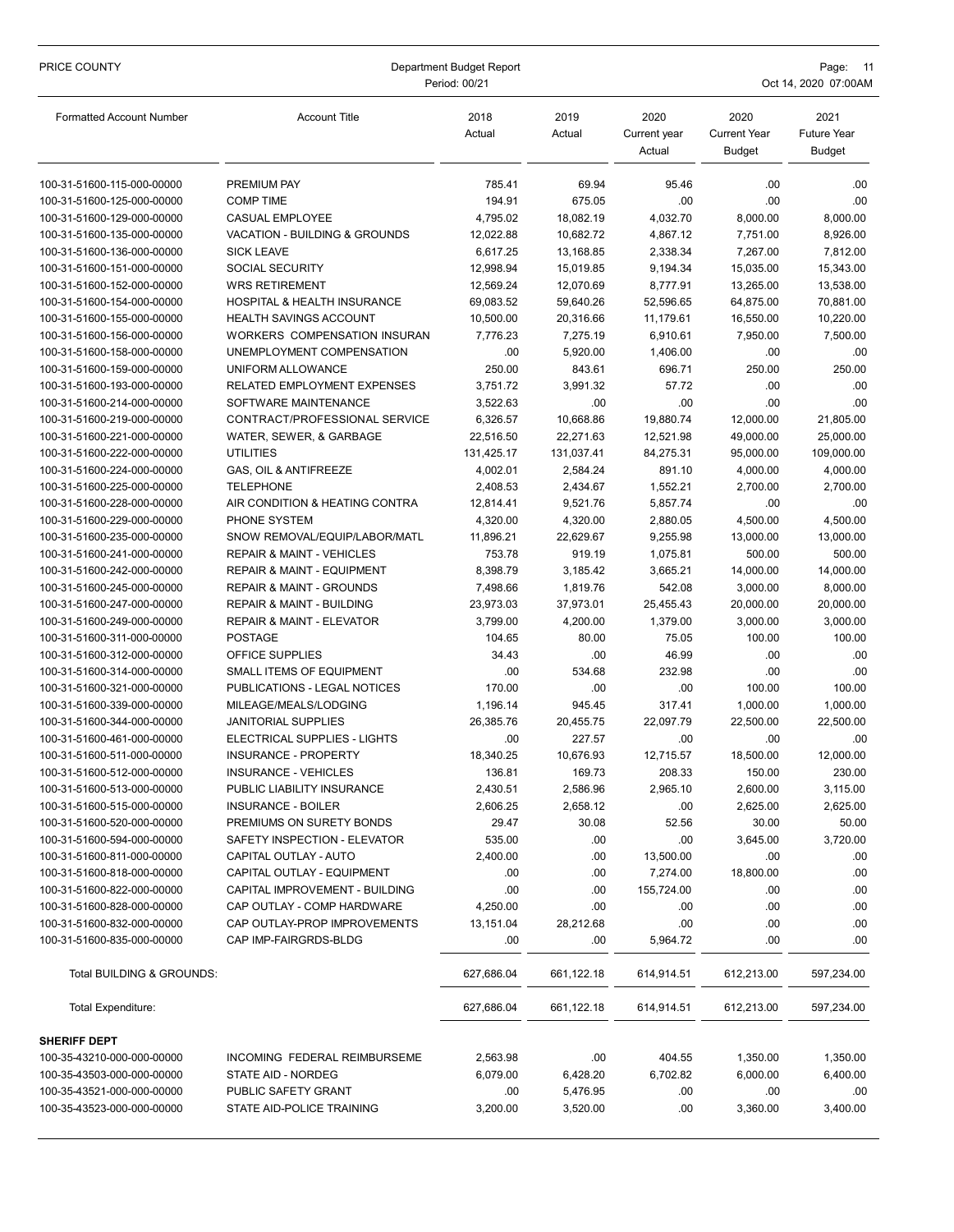| PRICE COUNTY                                             | Department Budget Report<br>Period: 00/21             |                       |                |                                | Page: 11<br>Oct 14, 2020 07:00AM             |                                             |  |
|----------------------------------------------------------|-------------------------------------------------------|-----------------------|----------------|--------------------------------|----------------------------------------------|---------------------------------------------|--|
| <b>Formatted Account Number</b>                          | <b>Account Title</b>                                  | 2018<br>Actual        | 2019<br>Actual | 2020<br>Current year<br>Actual | 2020<br><b>Current Year</b><br><b>Budget</b> | 2021<br><b>Future Year</b><br><b>Budget</b> |  |
| 100-31-51600-115-000-00000                               | <b>PREMIUM PAY</b>                                    | 785.41                | 69.94          | 95.46                          | .00                                          | .00                                         |  |
| 100-31-51600-125-000-00000                               | <b>COMP TIME</b>                                      | 194.91                | 675.05         | .00                            | .00                                          | .00                                         |  |
| 100-31-51600-129-000-00000                               | <b>CASUAL EMPLOYEE</b>                                | 4,795.02              | 18,082.19      | 4,032.70                       | 8,000.00                                     | 8,000.00                                    |  |
| 100-31-51600-135-000-00000                               | VACATION - BUILDING & GROUNDS                         | 12,022.88             | 10,682.72      | 4,867.12                       | 7,751.00                                     | 8,926.00                                    |  |
| 100-31-51600-136-000-00000                               | <b>SICK LEAVE</b>                                     | 6,617.25              | 13,168.85      | 2,338.34                       | 7,267.00                                     | 7,812.00                                    |  |
| 100-31-51600-151-000-00000                               | SOCIAL SECURITY                                       | 12,998.94             | 15,019.85      | 9,194.34                       | 15,035.00                                    | 15,343.00                                   |  |
| 100-31-51600-152-000-00000                               | <b>WRS RETIREMENT</b>                                 | 12,569.24             | 12,070.69      | 8.777.91                       | 13,265.00                                    | 13,538.00                                   |  |
| 100-31-51600-154-000-00000                               | <b>HOSPITAL &amp; HEALTH INSURANCE</b>                | 69,083.52             | 59,640.26      | 52,596.65                      | 64,875.00                                    | 70,881.00                                   |  |
| 100-31-51600-155-000-00000                               | <b>HEALTH SAVINGS ACCOUNT</b>                         | 10,500.00             | 20,316.66      | 11,179.61                      | 16,550.00                                    | 10,220.00                                   |  |
| 100-31-51600-156-000-00000                               | WORKERS COMPENSATION INSURAN                          | 7,776.23              | 7,275.19       | 6,910.61                       | 7,950.00                                     | 7,500.00                                    |  |
| 100-31-51600-158-000-00000                               | UNEMPLOYMENT COMPENSATION                             | .00                   | 5,920.00       | 1,406.00                       | .00                                          | .00                                         |  |
| 100-31-51600-159-000-00000                               | UNIFORM ALLOWANCE                                     | 250.00                | 843.61         | 696.71                         | 250.00                                       | 250.00                                      |  |
| 100-31-51600-193-000-00000                               | <b>RELATED EMPLOYMENT EXPENSES</b>                    | 3,751.72              | 3,991.32       | 57.72                          | .00                                          | .00                                         |  |
| 100-31-51600-214-000-00000                               | SOFTWARE MAINTENANCE                                  | 3,522.63              | .00            | .00                            | .00                                          | .00                                         |  |
| 100-31-51600-219-000-00000                               | CONTRACT/PROFESSIONAL SERVICE                         | 6,326.57              | 10,668.86      | 19,880.74                      | 12,000.00                                    | 21,805.00                                   |  |
| 100-31-51600-221-000-00000                               | WATER, SEWER, & GARBAGE                               | 22,516.50             | 22,271.63      | 12,521.98                      | 49,000.00                                    | 25,000.00                                   |  |
| 100-31-51600-222-000-00000                               | <b>UTILITIES</b>                                      | 131,425.17            | 131,037.41     | 84,275.31                      | 95,000.00                                    | 109,000.00                                  |  |
| 100-31-51600-224-000-00000                               | GAS, OIL & ANTIFREEZE                                 | 4,002.01              | 2,584.24       | 891.10                         | 4,000.00                                     | 4,000.00                                    |  |
| 100-31-51600-225-000-00000                               | <b>TELEPHONE</b>                                      | 2,408.53              | 2,434.67       | 1,552.21                       | 2,700.00                                     | 2,700.00                                    |  |
| 100-31-51600-228-000-00000                               | AIR CONDITION & HEATING CONTRA                        | 12,814.41             | 9,521.76       | 5,857.74                       | .00.                                         | .00                                         |  |
| 100-31-51600-229-000-00000                               | PHONE SYSTEM                                          | 4,320.00              | 4,320.00       | 2,880.05                       | 4,500.00                                     | 4,500.00                                    |  |
| 100-31-51600-235-000-00000                               | SNOW REMOVAL/EQUIP/LABOR/MATL                         | 11,896.21             | 22,629.67      | 9,255.98                       | 13,000.00                                    | 13,000.00                                   |  |
| 100-31-51600-241-000-00000                               | <b>REPAIR &amp; MAINT - VEHICLES</b>                  | 753.78                | 919.19         | 1,075.81                       | 500.00                                       | 500.00                                      |  |
| 100-31-51600-242-000-00000                               | <b>REPAIR &amp; MAINT - EQUIPMENT</b>                 | 8,398.79              | 3,185.42       | 3,665.21                       | 14,000.00                                    | 14,000.00                                   |  |
| 100-31-51600-245-000-00000                               | <b>REPAIR &amp; MAINT - GROUNDS</b>                   | 7,498.66              | 1,819.76       | 542.08                         | 3,000.00                                     | 8,000.00                                    |  |
| 100-31-51600-247-000-00000                               | <b>REPAIR &amp; MAINT - BUILDING</b>                  | 23,973.03             | 37,973.01      | 25,455.43                      | 20,000.00                                    | 20,000.00                                   |  |
| 100-31-51600-249-000-00000                               | <b>REPAIR &amp; MAINT - ELEVATOR</b>                  | 3,799.00              | 4,200.00       | 1,379.00                       | 3,000.00                                     | 3,000.00                                    |  |
| 100-31-51600-311-000-00000                               | <b>POSTAGE</b>                                        | 104.65                | 80.00          | 75.05                          | 100.00                                       | 100.00                                      |  |
| 100-31-51600-312-000-00000                               | OFFICE SUPPLIES                                       | 34.43                 | .00            | 46.99                          | .00                                          | .00                                         |  |
| 100-31-51600-314-000-00000                               | SMALL ITEMS OF EQUIPMENT                              | .00                   | 534.68         | 232.98                         | .00                                          | .00                                         |  |
| 100-31-51600-321-000-00000<br>100-31-51600-339-000-00000 | PUBLICATIONS - LEGAL NOTICES<br>MILEAGE/MEALS/LODGING | 170.00                | .00<br>945.45  | .00                            | 100.00<br>1,000.00                           | 100.00<br>1,000.00                          |  |
| 100-31-51600-344-000-00000                               | <b>JANITORIAL SUPPLIES</b>                            | 1,196.14<br>26,385.76 | 20,455.75      | 317.41<br>22,097.79            | 22,500.00                                    | 22,500.00                                   |  |
| 100-31-51600-461-000-00000                               | ELECTRICAL SUPPLIES - LIGHTS                          | .00                   | 227.57         | .00                            | .00                                          | .00                                         |  |
| 100-31-51600-511-000-00000                               | <b>INSURANCE - PROPERTY</b>                           | 18,340.25             | 10,676.93      | 12,715.57                      | 18,500.00                                    | 12,000.00                                   |  |
| 100-31-51600-512-000-00000                               | <b>INSURANCE - VEHICLES</b>                           | 136.81                | 169.73         | 208.33                         | 150.00                                       | 230.00                                      |  |
| 100-31-51600-513-000-00000                               | PUBLIC LIABILITY INSURANCE                            | 2,430.51              | 2,586.96       | 2,965.10                       | 2,600.00                                     | 3,115.00                                    |  |
| 100-31-51600-515-000-00000                               | INSURANCE - BOILER                                    | 2,606.25              | 2,658.12       | .00                            | 2,625.00                                     | 2,625.00                                    |  |
| 100-31-51600-520-000-00000                               | PREMIUMS ON SURETY BONDS                              | 29.47                 | 30.08          | 52.56                          | 30.00                                        | 50.00                                       |  |
| 100-31-51600-594-000-00000                               | SAFETY INSPECTION - ELEVATOR                          | 535.00                | .00            | .00                            | 3,645.00                                     | 3,720.00                                    |  |
| 100-31-51600-811-000-00000                               | CAPITAL OUTLAY - AUTO                                 | 2,400.00              | .00.           | 13,500.00                      | .00                                          | .00                                         |  |
| 100-31-51600-818-000-00000                               | CAPITAL OUTLAY - EQUIPMENT                            | .00                   | .00            | 7,274.00                       | 18,800.00                                    | .00                                         |  |
| 100-31-51600-822-000-00000                               | CAPITAL IMPROVEMENT - BUILDING                        | .00                   | .00            | 155,724.00                     | .00                                          | .00                                         |  |
| 100-31-51600-828-000-00000                               | CAP OUTLAY - COMP HARDWARE                            | 4,250.00              | .00            | .00                            | .00                                          | .00                                         |  |
| 100-31-51600-832-000-00000                               | CAP OUTLAY-PROP IMPROVEMENTS                          | 13,151.04             | 28,212.68      | .00                            | .00                                          | .00                                         |  |
| 100-31-51600-835-000-00000                               | CAP IMP-FAIRGRDS-BLDG                                 | .00                   | .00.           | 5,964.72                       | .00                                          | .00                                         |  |
| Total BUILDING & GROUNDS:                                |                                                       | 627,686.04            | 661,122.18     | 614,914.51                     | 612,213.00                                   | 597,234.00                                  |  |
| <b>Total Expenditure:</b>                                |                                                       | 627,686.04            | 661,122.18     | 614,914.51                     | 612,213.00                                   | 597,234.00                                  |  |
| <b>SHERIFF DEPT</b>                                      |                                                       |                       |                |                                |                                              |                                             |  |
| 100-35-43210-000-000-00000                               | INCOMING FEDERAL REIMBURSEME                          | 2,563.98              | .00            | 404.55                         | 1,350.00                                     | 1,350.00                                    |  |
| 100-35-43503-000-000-00000                               | STATE AID - NORDEG                                    | 6,079.00              | 6,428.20       | 6,702.82                       | 6,000.00                                     | 6,400.00                                    |  |
| 100-35-43521-000-000-00000                               | PUBLIC SAFETY GRANT                                   | .00                   | 5,476.95       | .00                            | .00                                          | .00                                         |  |
| 100-35-43523-000-000-00000                               | STATE AID-POLICE TRAINING                             | 3,200.00              | 3,520.00       | .00                            | 3,360.00                                     | 3,400.00                                    |  |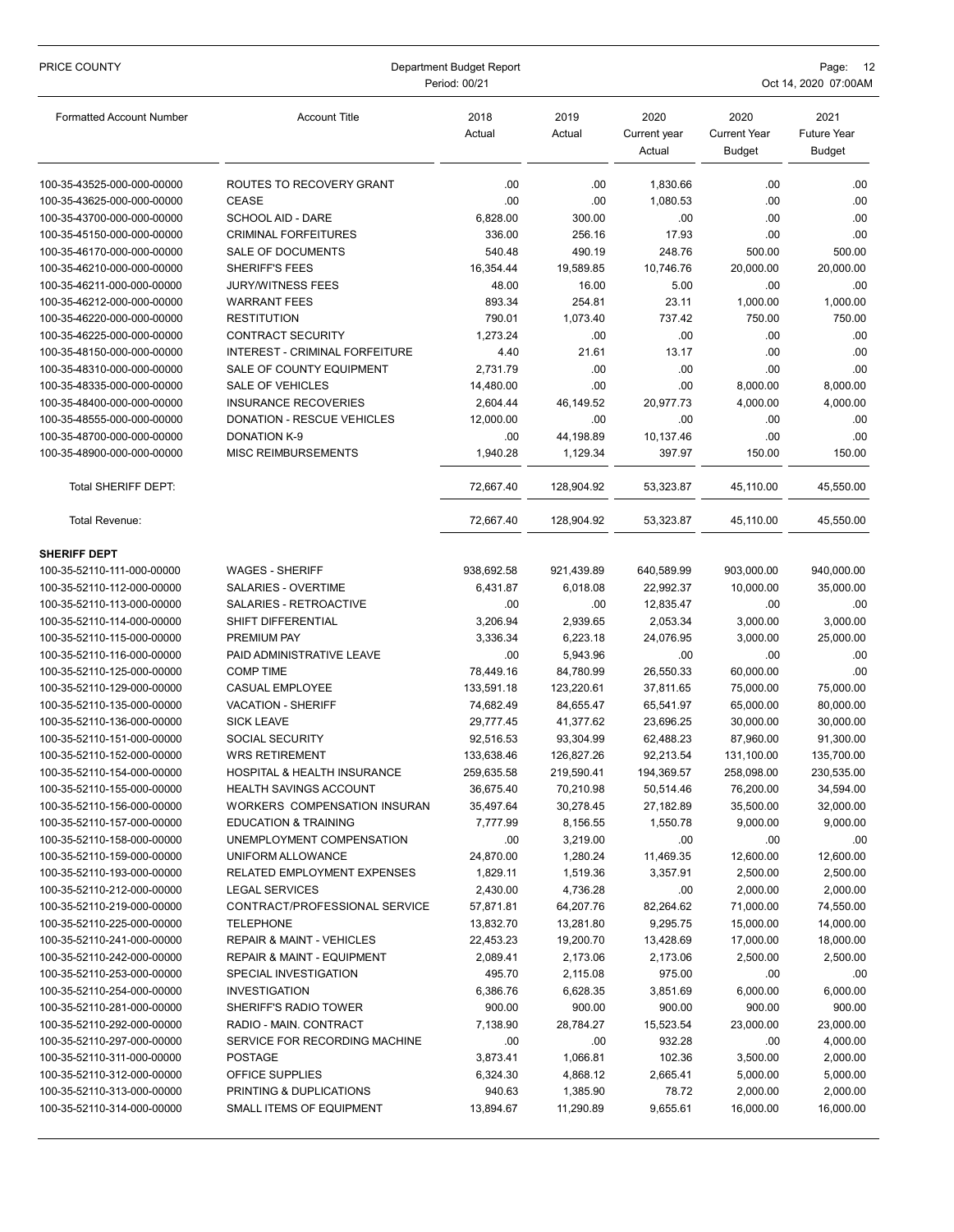| PRICE COUNTY                                             | Department Budget Report<br>Period: 00/21           |                        |                        |                                | Page:<br>- 12<br>Oct 14, 2020 07:00AM |                                             |  |
|----------------------------------------------------------|-----------------------------------------------------|------------------------|------------------------|--------------------------------|---------------------------------------|---------------------------------------------|--|
| <b>Formatted Account Number</b>                          | <b>Account Title</b>                                | 2018<br>Actual         | 2019<br>Actual         | 2020<br>Current year<br>Actual | 2020<br><b>Current Year</b><br>Budget | 2021<br><b>Future Year</b><br><b>Budget</b> |  |
| 100-35-43525-000-000-00000                               | ROUTES TO RECOVERY GRANT                            | .00                    | .00.                   | 1,830.66                       | .00                                   | .00                                         |  |
| 100-35-43625-000-000-00000                               | <b>CEASE</b>                                        | .00                    | .00                    | 1,080.53                       | .00                                   | .00                                         |  |
| 100-35-43700-000-000-00000                               | SCHOOL AID - DARE                                   | 6,828.00               | 300.00                 | .00                            | .00                                   | .00                                         |  |
| 100-35-45150-000-000-00000                               | <b>CRIMINAL FORFEITURES</b>                         | 336.00                 | 256.16                 | 17.93                          | .00                                   | .00                                         |  |
| 100-35-46170-000-000-00000                               | SALE OF DOCUMENTS                                   | 540.48                 | 490.19                 | 248.76                         | 500.00                                | 500.00                                      |  |
| 100-35-46210-000-000-00000                               | <b>SHERIFF'S FEES</b>                               | 16,354.44              | 19,589.85              | 10,746.76                      | 20,000.00                             | 20,000.00                                   |  |
| 100-35-46211-000-000-00000                               | <b>JURY/WITNESS FEES</b>                            | 48.00                  | 16.00                  | 5.00                           | .00                                   | .00                                         |  |
| 100-35-46212-000-000-00000                               | <b>WARRANT FEES</b>                                 | 893.34                 | 254.81                 | 23.11                          | 1,000.00                              | 1,000.00                                    |  |
| 100-35-46220-000-000-00000                               | <b>RESTITUTION</b>                                  | 790.01                 | 1,073.40               | 737.42                         | 750.00                                | 750.00                                      |  |
| 100-35-46225-000-000-00000                               | <b>CONTRACT SECURITY</b>                            | 1,273.24               | .00                    | .00                            | .00                                   | .00                                         |  |
| 100-35-48150-000-000-00000                               | INTEREST - CRIMINAL FORFEITURE                      | 4.40                   | 21.61                  | 13.17                          | .00                                   | .00                                         |  |
| 100-35-48310-000-000-00000                               | SALE OF COUNTY EQUIPMENT                            | 2,731.79               | .00                    | .00                            | .00                                   | .00                                         |  |
| 100-35-48335-000-000-00000                               | <b>SALE OF VEHICLES</b>                             | 14,480.00              | .00                    | .00                            | 8,000.00                              | 8,000.00                                    |  |
| 100-35-48400-000-000-00000                               | <b>INSURANCE RECOVERIES</b>                         | 2,604.44               | 46,149.52              | 20,977.73                      | 4,000.00                              | 4,000.00                                    |  |
| 100-35-48555-000-000-00000                               | DONATION - RESCUE VEHICLES                          | 12,000.00              | .00                    | .00                            | .00                                   | .00                                         |  |
| 100-35-48700-000-000-00000                               | <b>DONATION K-9</b>                                 | .00                    | 44,198.89              | 10,137.46                      | .00                                   | .00                                         |  |
| 100-35-48900-000-000-00000                               | <b>MISC REIMBURSEMENTS</b>                          | 1,940.28               | 1,129.34               | 397.97                         | 150.00                                | 150.00                                      |  |
| Total SHERIFF DEPT:                                      |                                                     | 72,667.40              | 128,904.92             | 53,323.87                      | 45,110.00                             | 45,550.00                                   |  |
| Total Revenue:                                           |                                                     | 72,667.40              | 128,904.92             | 53,323.87                      | 45,110.00                             | 45,550.00                                   |  |
| <b>SHERIFF DEPT</b>                                      |                                                     |                        |                        |                                |                                       |                                             |  |
| 100-35-52110-111-000-00000                               | <b>WAGES - SHERIFF</b>                              | 938,692.58             | 921,439.89             | 640,589.99                     | 903,000.00                            | 940,000.00                                  |  |
| 100-35-52110-112-000-00000                               | SALARIES - OVERTIME                                 | 6,431.87               | 6,018.08               | 22,992.37                      | 10,000.00                             | 35,000.00                                   |  |
| 100-35-52110-113-000-00000                               | SALARIES - RETROACTIVE                              | .00                    | .00                    | 12,835.47                      | .00                                   | .00                                         |  |
| 100-35-52110-114-000-00000                               | SHIFT DIFFERENTIAL                                  | 3,206.94               | 2,939.65               | 2,053.34                       | 3,000.00                              | 3,000.00                                    |  |
| 100-35-52110-115-000-00000                               | PREMIUM PAY                                         | 3,336.34               | 6,223.18               | 24,076.95                      | 3,000.00                              | 25,000.00                                   |  |
| 100-35-52110-116-000-00000                               | PAID ADMINISTRATIVE LEAVE                           | .00                    | 5,943.96               | .00                            | .00                                   | .00                                         |  |
| 100-35-52110-125-000-00000                               | <b>COMP TIME</b>                                    | 78,449.16              | 84,780.99              | 26,550.33                      | 60,000.00                             | .00                                         |  |
| 100-35-52110-129-000-00000<br>100-35-52110-135-000-00000 | <b>CASUAL EMPLOYEE</b><br><b>VACATION - SHERIFF</b> | 133,591.18             | 123,220.61             | 37,811.65                      | 75,000.00                             | 75,000.00                                   |  |
| 100-35-52110-136-000-00000                               | <b>SICK LEAVE</b>                                   | 74,682.49<br>29,777.45 | 84,655.47<br>41,377.62 | 65,541.97<br>23,696.25         | 65,000.00<br>30,000.00                | 80,000.00<br>30,000.00                      |  |
| 100-35-52110-151-000-00000                               | <b>SOCIAL SECURITY</b>                              | 92,516.53              | 93,304.99              | 62.488.23                      | 87,960.00                             | 91,300.00                                   |  |
| 100-35-52110-152-000-00000                               | <b>WRS RETIREMENT</b>                               | 133,638.46             | 126,827.26             | 92,213.54                      | 131,100.00                            | 135,700.00                                  |  |
| 100-35-52110-154-000-00000                               | <b>HOSPITAL &amp; HEALTH INSURANCE</b>              | 259,635.58             | 219,590.41             | 194,369.57                     | 258,098.00                            | 230,535.00                                  |  |
| 100-35-52110-155-000-00000                               | <b>HEALTH SAVINGS ACCOUNT</b>                       | 36,675.40              | 70,210.98              | 50,514.46                      | 76,200.00                             | 34,594.00                                   |  |
| 100-35-52110-156-000-00000                               | WORKERS COMPENSATION INSURAN                        | 35,497.64              | 30,278.45              | 27,182.89                      | 35,500.00                             | 32,000.00                                   |  |
| 100-35-52110-157-000-00000                               | <b>EDUCATION &amp; TRAINING</b>                     | 7,777.99               | 8,156.55               | 1,550.78                       | 9,000.00                              | 9,000.00                                    |  |
| 100-35-52110-158-000-00000                               | UNEMPLOYMENT COMPENSATION                           | .00                    | 3,219.00               | .00                            | .00                                   | .00                                         |  |
| 100-35-52110-159-000-00000                               | UNIFORM ALLOWANCE                                   | 24,870.00              | 1,280.24               | 11,469.35                      | 12,600.00                             | 12,600.00                                   |  |
| 100-35-52110-193-000-00000                               | RELATED EMPLOYMENT EXPENSES                         | 1,829.11               | 1,519.36               | 3,357.91                       | 2,500.00                              | 2,500.00                                    |  |
| 100-35-52110-212-000-00000                               | <b>LEGAL SERVICES</b>                               | 2,430.00               | 4,736.28               | .00                            | 2,000.00                              | 2,000.00                                    |  |
| 100-35-52110-219-000-00000                               | CONTRACT/PROFESSIONAL SERVICE                       | 57,871.81              | 64,207.76              | 82,264.62                      | 71,000.00                             | 74,550.00                                   |  |
| 100-35-52110-225-000-00000                               | <b>TELEPHONE</b>                                    | 13,832.70              | 13,281.80              | 9,295.75                       | 15,000.00                             | 14,000.00                                   |  |
| 100-35-52110-241-000-00000                               | <b>REPAIR &amp; MAINT - VEHICLES</b>                | 22,453.23              | 19,200.70              | 13,428.69                      | 17,000.00                             | 18,000.00                                   |  |
| 100-35-52110-242-000-00000                               | <b>REPAIR &amp; MAINT - EQUIPMENT</b>               | 2,089.41               | 2,173.06               | 2,173.06                       | 2,500.00                              | 2,500.00                                    |  |
| 100-35-52110-253-000-00000                               | SPECIAL INVESTIGATION                               | 495.70                 | 2,115.08               | 975.00                         | .00                                   | .00                                         |  |
| 100-35-52110-254-000-00000                               | <b>INVESTIGATION</b>                                | 6,386.76               | 6,628.35               | 3,851.69                       | 6,000.00                              | 6,000.00                                    |  |
| 100-35-52110-281-000-00000                               | SHERIFF'S RADIO TOWER                               | 900.00                 | 900.00                 | 900.00                         | 900.00                                | 900.00                                      |  |
| 100-35-52110-292-000-00000                               | RADIO - MAIN. CONTRACT                              | 7,138.90               | 28,784.27              | 15,523.54                      | 23,000.00                             | 23,000.00                                   |  |
| 100-35-52110-297-000-00000                               | SERVICE FOR RECORDING MACHINE                       | .00                    | .00                    | 932.28                         | .00                                   | 4,000.00                                    |  |
| 100-35-52110-311-000-00000                               | <b>POSTAGE</b>                                      | 3,873.41               | 1,066.81               | 102.36                         | 3,500.00                              | 2,000.00                                    |  |
| 100-35-52110-312-000-00000<br>100-35-52110-313-000-00000 | OFFICE SUPPLIES<br>PRINTING & DUPLICATIONS          | 6,324.30<br>940.63     | 4,868.12<br>1,385.90   | 2,665.41<br>78.72              | 5,000.00<br>2,000.00                  | 5,000.00<br>2,000.00                        |  |
| 100-35-52110-314-000-00000                               | SMALL ITEMS OF EQUIPMENT                            | 13,894.67              | 11,290.89              | 9,655.61                       | 16,000.00                             | 16,000.00                                   |  |
|                                                          |                                                     |                        |                        |                                |                                       |                                             |  |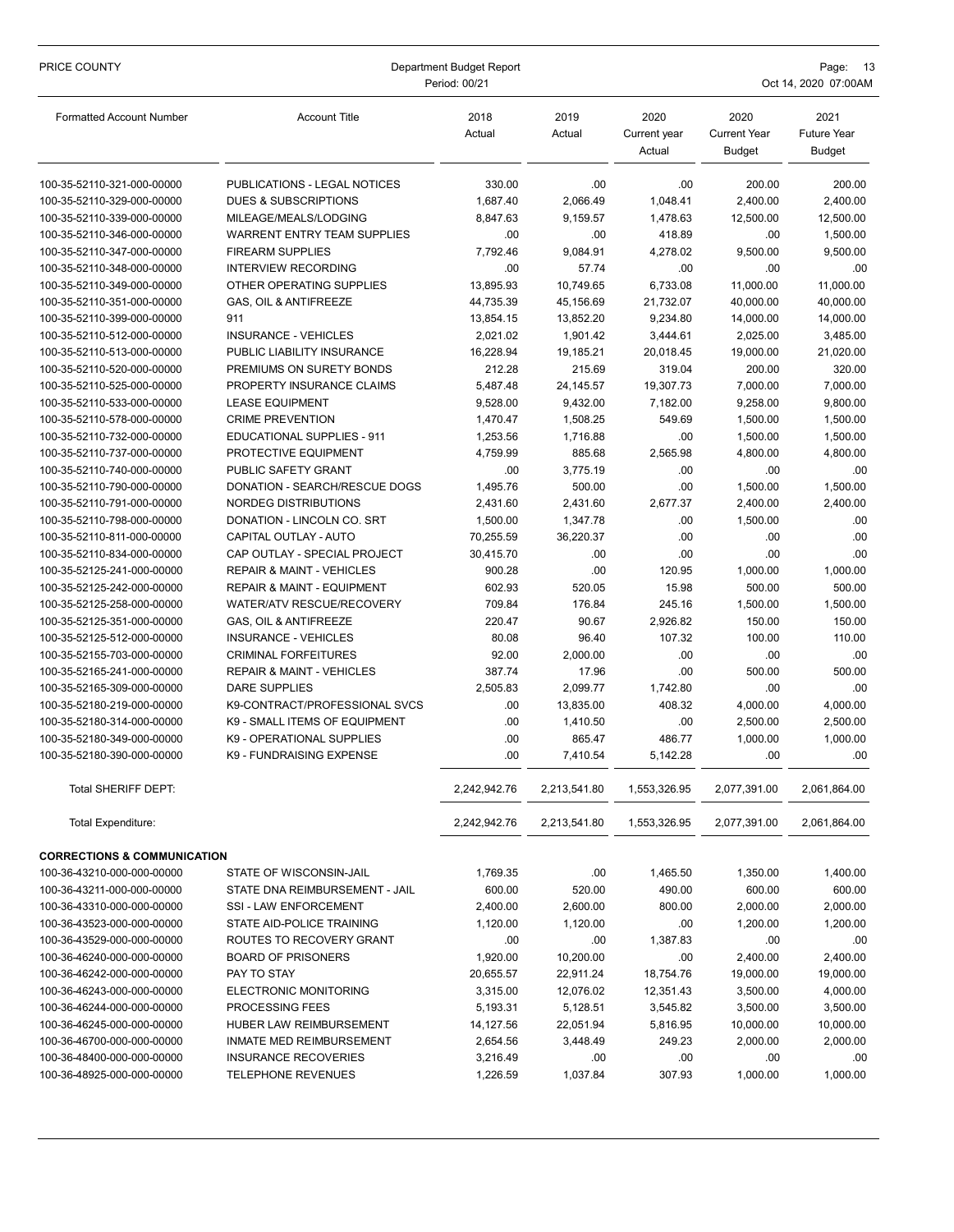| PRICE COUNTY                                             | Department Budget Report<br>Period: 00/21             |                | - 13<br>Page:<br>Oct 14, 2020 07:00AM |                                |                                       |                                             |
|----------------------------------------------------------|-------------------------------------------------------|----------------|---------------------------------------|--------------------------------|---------------------------------------|---------------------------------------------|
| <b>Formatted Account Number</b>                          | <b>Account Title</b>                                  | 2018<br>Actual | 2019<br>Actual                        | 2020<br>Current year<br>Actual | 2020<br><b>Current Year</b><br>Budget | 2021<br><b>Future Year</b><br><b>Budget</b> |
| 100-35-52110-321-000-00000                               | PUBLICATIONS - LEGAL NOTICES                          | 330.00         | .00                                   | .00.                           | 200.00                                | 200.00                                      |
| 100-35-52110-329-000-00000                               | <b>DUES &amp; SUBSCRIPTIONS</b>                       | 1,687.40       | 2,066.49                              | 1,048.41                       | 2,400.00                              | 2,400.00                                    |
| 100-35-52110-339-000-00000                               | MILEAGE/MEALS/LODGING                                 | 8,847.63       | 9,159.57                              | 1,478.63                       | 12,500.00                             | 12,500.00                                   |
| 100-35-52110-346-000-00000                               | <b>WARRENT ENTRY TEAM SUPPLIES</b>                    | .00            | .00                                   | 418.89                         | .00                                   | 1,500.00                                    |
| 100-35-52110-347-000-00000                               | <b>FIREARM SUPPLIES</b>                               | 7,792.46       | 9,084.91                              | 4,278.02                       | 9,500.00                              | 9,500.00                                    |
| 100-35-52110-348-000-00000                               | <b>INTERVIEW RECORDING</b>                            | .00            | 57.74                                 | .00.                           | .00                                   | .00                                         |
| 100-35-52110-349-000-00000                               | OTHER OPERATING SUPPLIES                              | 13,895.93      | 10,749.65                             | 6,733.08                       | 11,000.00                             | 11,000.00                                   |
| 100-35-52110-351-000-00000                               | <b>GAS, OIL &amp; ANTIFREEZE</b>                      | 44,735.39      | 45,156.69                             | 21,732.07                      | 40,000.00                             | 40,000.00                                   |
| 100-35-52110-399-000-00000                               | 911                                                   | 13,854.15      | 13,852.20                             | 9,234.80                       | 14,000.00                             | 14,000.00                                   |
| 100-35-52110-512-000-00000                               | <b>INSURANCE - VEHICLES</b>                           | 2,021.02       | 1,901.42                              | 3,444.61                       | 2,025.00                              | 3,485.00                                    |
| 100-35-52110-513-000-00000                               | PUBLIC LIABILITY INSURANCE                            | 16,228.94      | 19,185.21                             | 20,018.45                      | 19,000.00                             | 21,020.00                                   |
| 100-35-52110-520-000-00000                               | PREMIUMS ON SURETY BONDS                              | 212.28         | 215.69                                | 319.04                         | 200.00                                | 320.00                                      |
| 100-35-52110-525-000-00000                               | PROPERTY INSURANCE CLAIMS                             | 5.487.48       | 24,145.57                             | 19,307.73                      | 7,000.00                              | 7,000.00                                    |
| 100-35-52110-533-000-00000                               | <b>LEASE EQUIPMENT</b>                                | 9.528.00       | 9.432.00                              | 7,182.00                       | 9,258.00                              | 9,800.00                                    |
| 100-35-52110-578-000-00000                               | <b>CRIME PREVENTION</b>                               | 1,470.47       | 1,508.25                              | 549.69                         | 1,500.00                              | 1,500.00                                    |
| 100-35-52110-732-000-00000                               | EDUCATIONAL SUPPLIES - 911                            | 1,253.56       | 1,716.88                              | .00.                           | 1,500.00                              | 1,500.00                                    |
| 100-35-52110-737-000-00000                               | PROTECTIVE EQUIPMENT                                  | 4.759.99       | 885.68                                | 2,565.98                       | 4,800.00                              | 4,800.00                                    |
| 100-35-52110-740-000-00000                               | PUBLIC SAFETY GRANT                                   | .00            | 3,775.19                              | .00                            | .00                                   | .00                                         |
| 100-35-52110-790-000-00000                               | DONATION - SEARCH/RESCUE DOGS                         | 1,495.76       | 500.00                                | .00                            | 1,500.00                              | 1,500.00                                    |
| 100-35-52110-791-000-00000                               | NORDEG DISTRIBUTIONS                                  | 2,431.60       | 2,431.60                              | 2,677.37                       | 2,400.00                              | 2.400.00                                    |
| 100-35-52110-798-000-00000                               | DONATION - LINCOLN CO. SRT                            | 1,500.00       | 1,347.78                              | .00                            | 1,500.00                              | .00                                         |
| 100-35-52110-811-000-00000                               | CAPITAL OUTLAY - AUTO                                 | 70,255.59      | 36,220.37                             | .00                            | .00                                   | .00                                         |
| 100-35-52110-834-000-00000                               | CAP OUTLAY - SPECIAL PROJECT                          | 30,415.70      | .00                                   | .00                            | .00                                   | .00                                         |
| 100-35-52125-241-000-00000                               | <b>REPAIR &amp; MAINT - VEHICLES</b>                  | 900.28         | .00                                   | 120.95                         | 1,000.00                              | 1,000.00                                    |
| 100-35-52125-242-000-00000                               | <b>REPAIR &amp; MAINT - EQUIPMENT</b>                 | 602.93         | 520.05                                | 15.98                          | 500.00                                | 500.00                                      |
| 100-35-52125-258-000-00000                               | WATER/ATV RESCUE/RECOVERY                             | 709.84         | 176.84                                | 245.16                         | 1,500.00                              | 1,500.00                                    |
| 100-35-52125-351-000-00000                               | GAS, OIL & ANTIFREEZE                                 | 220.47         | 90.67                                 | 2,926.82                       | 150.00                                | 150.00                                      |
| 100-35-52125-512-000-00000                               | <b>INSURANCE - VEHICLES</b>                           | 80.08          | 96.40                                 | 107.32                         | 100.00                                | 110.00                                      |
| 100-35-52155-703-000-00000                               | <b>CRIMINAL FORFEITURES</b>                           | 92.00          | 2,000.00                              | .00                            | .00                                   | .00                                         |
| 100-35-52165-241-000-00000                               | <b>REPAIR &amp; MAINT - VEHICLES</b>                  | 387.74         | 17.96                                 | .00                            | 500.00                                | 500.00                                      |
| 100-35-52165-309-000-00000                               | <b>DARE SUPPLIES</b><br>K9-CONTRACT/PROFESSIONAL SVCS | 2,505.83       | 2,099.77                              | 1,742.80                       | .00                                   | .00                                         |
| 100-35-52180-219-000-00000                               | K9 - SMALL ITEMS OF EQUIPMENT                         | .00            | 13,835.00                             | 408.32                         | 4,000.00                              | 4,000.00<br>2.500.00                        |
| 100-35-52180-314-000-00000<br>100-35-52180-349-000-00000 | K9 - OPERATIONAL SUPPLIES                             | .00            | 1,410.50                              | .00<br>486.77                  | 2,500.00                              | 1,000.00                                    |
|                                                          |                                                       | .00            | 865.47                                |                                | 1,000.00                              |                                             |
| 100-35-52180-390-000-00000                               | K9 - FUNDRAISING EXPENSE                              | .00            | 7,410.54                              | 5,142.28                       | .00                                   | .00                                         |
| <b>Total SHERIFF DEPT:</b>                               |                                                       | 2,242,942.76   | 2,213,541.80                          | 1,553,326.95                   | 2,077,391.00                          | 2,061,864.00                                |
| Total Expenditure:                                       |                                                       | 2,242,942.76   | 2,213,541.80                          | 1,553,326.95                   | 2,077,391.00                          | 2,061,864.00                                |
| <b>CORRECTIONS &amp; COMMUNICATION</b>                   |                                                       |                |                                       |                                |                                       |                                             |
| 100-36-43210-000-000-00000                               | <b>STATE OF WISCONSIN-JAIL</b>                        | 1,769.35       | .00                                   | 1,465.50                       | 1,350.00                              | 1,400.00                                    |
| 100-36-43211-000-000-00000                               | STATE DNA REIMBURSEMENT - JAIL                        | 600.00         | 520.00                                | 490.00                         | 600.00                                | 600.00                                      |
| 100-36-43310-000-000-00000                               | SSI - LAW ENFORCEMENT                                 | 2,400.00       | 2,600.00                              | 800.00                         | 2,000.00                              | 2,000.00                                    |
| 100-36-43523-000-000-00000                               | STATE AID-POLICE TRAINING                             | 1,120.00       | 1,120.00                              | .00                            | 1,200.00                              | 1,200.00                                    |
| 100-36-43529-000-000-00000                               | ROUTES TO RECOVERY GRANT                              | .00            | .00                                   | 1,387.83                       | .00                                   | .00                                         |
| 100-36-46240-000-000-00000                               | <b>BOARD OF PRISONERS</b>                             | 1,920.00       | 10,200.00                             | .00.                           | 2,400.00                              | 2,400.00                                    |
| 100-36-46242-000-000-00000                               | PAY TO STAY                                           | 20,655.57      | 22,911.24                             | 18,754.76                      | 19,000.00                             | 19,000.00                                   |
| 100-36-46243-000-000-00000                               | ELECTRONIC MONITORING                                 | 3,315.00       | 12,076.02                             | 12,351.43                      | 3,500.00                              | 4,000.00                                    |
| 100-36-46244-000-000-00000                               | PROCESSING FEES                                       | 5,193.31       | 5,128.51                              | 3,545.82                       | 3,500.00                              | 3,500.00                                    |
| 100-36-46245-000-000-00000                               | HUBER LAW REIMBURSEMENT                               | 14,127.56      | 22,051.94                             | 5,816.95                       | 10,000.00                             | 10,000.00                                   |
| 100-36-46700-000-000-00000                               | INMATE MED REIMBURSEMENT                              | 2,654.56       | 3,448.49                              | 249.23                         | 2,000.00                              | 2,000.00                                    |
| 100-36-48400-000-000-00000                               | <b>INSURANCE RECOVERIES</b>                           | 3,216.49       | .00                                   | .00                            | .00                                   | .00                                         |
| 100-36-48925-000-000-00000                               | <b>TELEPHONE REVENUES</b>                             | 1,226.59       | 1,037.84                              | 307.93                         | 1,000.00                              | 1,000.00                                    |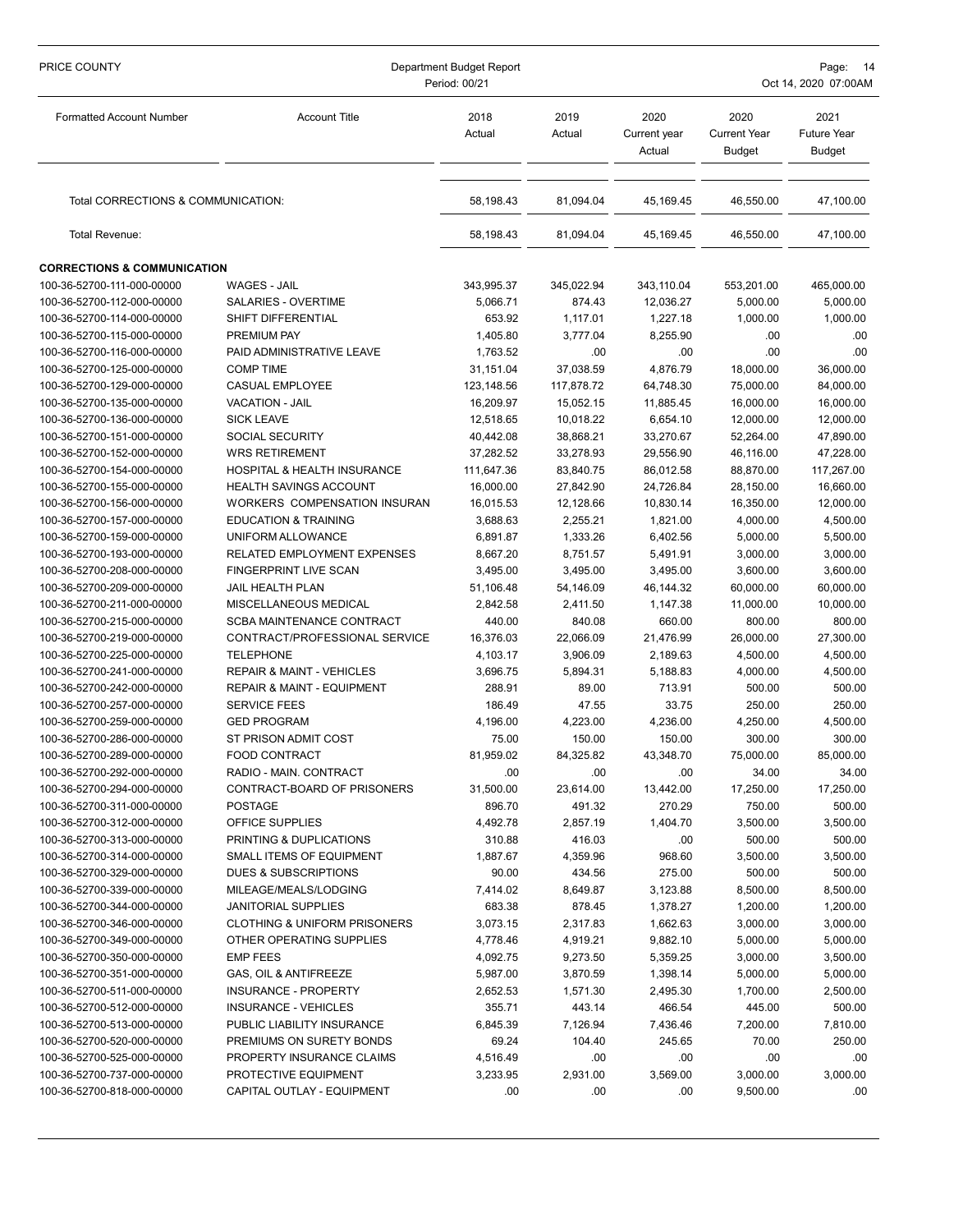| PRICE COUNTY                           | Department Budget Report<br>Period: 00/21 |                |                |                                |                                       | Page:<br>- 14<br>Oct 14, 2020 07:00AM |
|----------------------------------------|-------------------------------------------|----------------|----------------|--------------------------------|---------------------------------------|---------------------------------------|
|                                        |                                           |                |                |                                |                                       |                                       |
| <b>Formatted Account Number</b>        | <b>Account Title</b>                      | 2018<br>Actual | 2019<br>Actual | 2020<br>Current year<br>Actual | 2020<br><b>Current Year</b><br>Budget | 2021<br><b>Future Year</b><br>Budget  |
| Total CORRECTIONS & COMMUNICATION:     |                                           | 58,198.43      | 81,094.04      | 45,169.45                      | 46,550.00                             | 47,100.00                             |
| Total Revenue:                         |                                           | 58,198.43      | 81.094.04      | 45,169.45                      | 46,550.00                             | 47,100.00                             |
| <b>CORRECTIONS &amp; COMMUNICATION</b> |                                           |                |                |                                |                                       |                                       |
| 100-36-52700-111-000-00000             | <b>WAGES - JAIL</b>                       | 343,995.37     | 345,022.94     | 343,110.04                     | 553,201.00                            | 465,000.00                            |
| 100-36-52700-112-000-00000             | SALARIES - OVERTIME                       | 5,066.71       | 874.43         | 12,036.27                      | 5,000.00                              | 5,000.00                              |
| 100-36-52700-114-000-00000             | SHIFT DIFFERENTIAL                        | 653.92         | 1,117.01       | 1,227.18                       | 1,000.00                              | 1,000.00                              |
| 100-36-52700-115-000-00000             | <b>PREMIUM PAY</b>                        | 1,405.80       | 3,777.04       | 8,255.90                       | .00                                   | .00                                   |
| 100-36-52700-116-000-00000             | PAID ADMINISTRATIVE LEAVE                 | 1,763.52       | .00.           | .00                            | .00                                   | .00                                   |
| 100-36-52700-125-000-00000             | <b>COMP TIME</b>                          | 31,151.04      | 37,038.59      | 4,876.79                       | 18,000.00                             | 36,000.00                             |
| 100-36-52700-129-000-00000             | <b>CASUAL EMPLOYEE</b>                    | 123,148.56     | 117,878.72     | 64,748.30                      | 75,000.00                             | 84,000.00                             |
| 100-36-52700-135-000-00000             | VACATION - JAIL                           | 16,209.97      | 15,052.15      | 11,885.45                      | 16,000.00                             | 16,000.00                             |
| 100-36-52700-136-000-00000             | <b>SICK LEAVE</b>                         | 12,518.65      | 10,018.22      | 6,654.10                       | 12,000.00                             | 12,000.00                             |
| 100-36-52700-151-000-00000             | <b>SOCIAL SECURITY</b>                    | 40,442.08      | 38,868.21      | 33,270.67                      | 52,264.00                             | 47,890.00                             |
| 100-36-52700-152-000-00000             | <b>WRS RETIREMENT</b>                     | 37,282.52      | 33,278.93      | 29,556.90                      | 46,116.00                             | 47,228.00                             |
| 100-36-52700-154-000-00000             | <b>HOSPITAL &amp; HEALTH INSURANCE</b>    | 111,647.36     | 83,840.75      | 86,012.58                      | 88,870.00                             | 117,267.00                            |
| 100-36-52700-155-000-00000             | <b>HEALTH SAVINGS ACCOUNT</b>             | 16,000.00      | 27,842.90      | 24,726.84                      | 28,150.00                             | 16,660.00                             |
| 100-36-52700-156-000-00000             | WORKERS COMPENSATION INSURAN              | 16,015.53      | 12,128.66      | 10,830.14                      | 16,350.00                             | 12,000.00                             |
| 100-36-52700-157-000-00000             | <b>EDUCATION &amp; TRAINING</b>           | 3,688.63       | 2,255.21       | 1,821.00                       | 4,000.00                              | 4,500.00                              |
| 100-36-52700-159-000-00000             | UNIFORM ALLOWANCE                         | 6,891.87       | 1,333.26       | 6,402.56                       | 5,000.00                              | 5,500.00                              |
| 100-36-52700-193-000-00000             | RELATED EMPLOYMENT EXPENSES               | 8,667.20       | 8,751.57       | 5,491.91                       | 3,000.00                              | 3,000.00                              |
| 100-36-52700-208-000-00000             | FINGERPRINT LIVE SCAN                     | 3,495.00       | 3,495.00       | 3,495.00                       | 3,600.00                              | 3,600.00                              |
| 100-36-52700-209-000-00000             | JAIL HEALTH PLAN                          | 51,106.48      | 54,146.09      | 46,144.32                      | 60,000.00                             | 60,000.00                             |
| 100-36-52700-211-000-00000             | MISCELLANEOUS MEDICAL                     | 2,842.58       | 2,411.50       | 1,147.38                       | 11,000.00                             | 10,000.00                             |
| 100-36-52700-215-000-00000             | SCBA MAINTENANCE CONTRACT                 | 440.00         | 840.08         | 660.00                         | 800.00                                | 800.00                                |
| 100-36-52700-219-000-00000             | CONTRACT/PROFESSIONAL SERVICE             | 16,376.03      | 22,066.09      | 21,476.99                      | 26,000.00                             | 27,300.00                             |
| 100-36-52700-225-000-00000             | <b>TELEPHONE</b>                          | 4,103.17       | 3,906.09       | 2,189.63                       | 4,500.00                              | 4,500.00                              |
| 100-36-52700-241-000-00000             | <b>REPAIR &amp; MAINT - VEHICLES</b>      | 3,696.75       | 5,894.31       | 5,188.83                       | 4,000.00                              | 4,500.00                              |
| 100-36-52700-242-000-00000             | <b>REPAIR &amp; MAINT - EQUIPMENT</b>     | 288.91         | 89.00          | 713.91                         | 500.00                                | 500.00                                |
| 100-36-52700-257-000-00000             | <b>SERVICE FEES</b>                       | 186.49         | 47.55          | 33.75                          | 250.00                                | 250.00                                |
| 100-36-52700-259-000-00000             | <b>GED PROGRAM</b>                        | 4,196.00       | 4,223.00       | 4,236.00                       | 4,250.00                              | 4,500.00                              |
| 100-36-52700-286-000-00000             | ST PRISON ADMIT COST                      | 75.00          | 150.00         | 150.00                         | 300.00                                | 300.00                                |
| 100-36-52700-289-000-00000             | <b>FOOD CONTRACT</b>                      | 81,959.02      | 84,325.82      | 43,348.70                      | 75,000.00                             | 85,000.00                             |
| 100-36-52700-292-000-00000             | RADIO - MAIN. CONTRACT                    | .00            | .00            | .00                            | 34.00                                 | 34.00                                 |
| 100-36-52700-294-000-00000             | CONTRACT-BOARD OF PRISONERS               | 31,500.00      | 23,614.00      | 13,442.00                      | 17,250.00                             | 17,250.00                             |
| 100-36-52700-311-000-00000             | <b>POSTAGE</b>                            | 896.70         | 491.32         | 270.29                         | 750.00                                | 500.00                                |
| 100-36-52700-312-000-00000             | <b>OFFICE SUPPLIES</b>                    | 4,492.78       | 2,857.19       | 1,404.70                       | 3,500.00                              | 3,500.00                              |
| 100-36-52700-313-000-00000             | PRINTING & DUPLICATIONS                   | 310.88         | 416.03         | .00                            | 500.00                                | 500.00                                |
| 100-36-52700-314-000-00000             | SMALL ITEMS OF EQUIPMENT                  | 1,887.67       | 4,359.96       | 968.60                         | 3,500.00                              | 3,500.00                              |
| 100-36-52700-329-000-00000             | DUES & SUBSCRIPTIONS                      | 90.00          | 434.56         | 275.00                         | 500.00                                | 500.00                                |
| 100-36-52700-339-000-00000             | MILEAGE/MEALS/LODGING                     | 7,414.02       | 8,649.87       | 3,123.88                       | 8,500.00                              | 8,500.00                              |
| 100-36-52700-344-000-00000             | <b>JANITORIAL SUPPLIES</b>                | 683.38         | 878.45         | 1,378.27                       | 1,200.00                              | 1,200.00                              |
| 100-36-52700-346-000-00000             | <b>CLOTHING &amp; UNIFORM PRISONERS</b>   | 3,073.15       | 2,317.83       | 1,662.63                       | 3,000.00                              | 3,000.00                              |
| 100-36-52700-349-000-00000             | OTHER OPERATING SUPPLIES                  | 4,778.46       | 4,919.21       | 9,882.10                       | 5,000.00                              | 5,000.00                              |
| 100-36-52700-350-000-00000             | <b>EMP FEES</b>                           | 4,092.75       | 9,273.50       | 5,359.25                       | 3,000.00                              | 3,500.00                              |
| 100-36-52700-351-000-00000             | GAS, OIL & ANTIFREEZE                     | 5,987.00       | 3,870.59       | 1,398.14                       | 5,000.00                              | 5,000.00                              |
| 100-36-52700-511-000-00000             | <b>INSURANCE - PROPERTY</b>               | 2,652.53       | 1,571.30       | 2,495.30                       | 1,700.00                              | 2,500.00                              |
| 100-36-52700-512-000-00000             | INSURANCE - VEHICLES                      | 355.71         | 443.14         | 466.54                         | 445.00                                | 500.00                                |
| 100-36-52700-513-000-00000             | PUBLIC LIABILITY INSURANCE                | 6,845.39       | 7,126.94       | 7,436.46                       | 7,200.00                              | 7,810.00                              |
| 100-36-52700-520-000-00000             | PREMIUMS ON SURETY BONDS                  | 69.24          | 104.40         | 245.65                         | 70.00                                 | 250.00                                |
| 100-36-52700-525-000-00000             | PROPERTY INSURANCE CLAIMS                 | 4,516.49       | .00            | .00                            | .00                                   | .00                                   |
| 100-36-52700-737-000-00000             | PROTECTIVE EQUIPMENT                      | 3,233.95       | 2,931.00       | 3,569.00                       | 3,000.00                              | 3,000.00                              |
| 100-36-52700-818-000-00000             | CAPITAL OUTLAY - EQUIPMENT                | .00            | .00            | .00                            | 9,500.00                              | .00.                                  |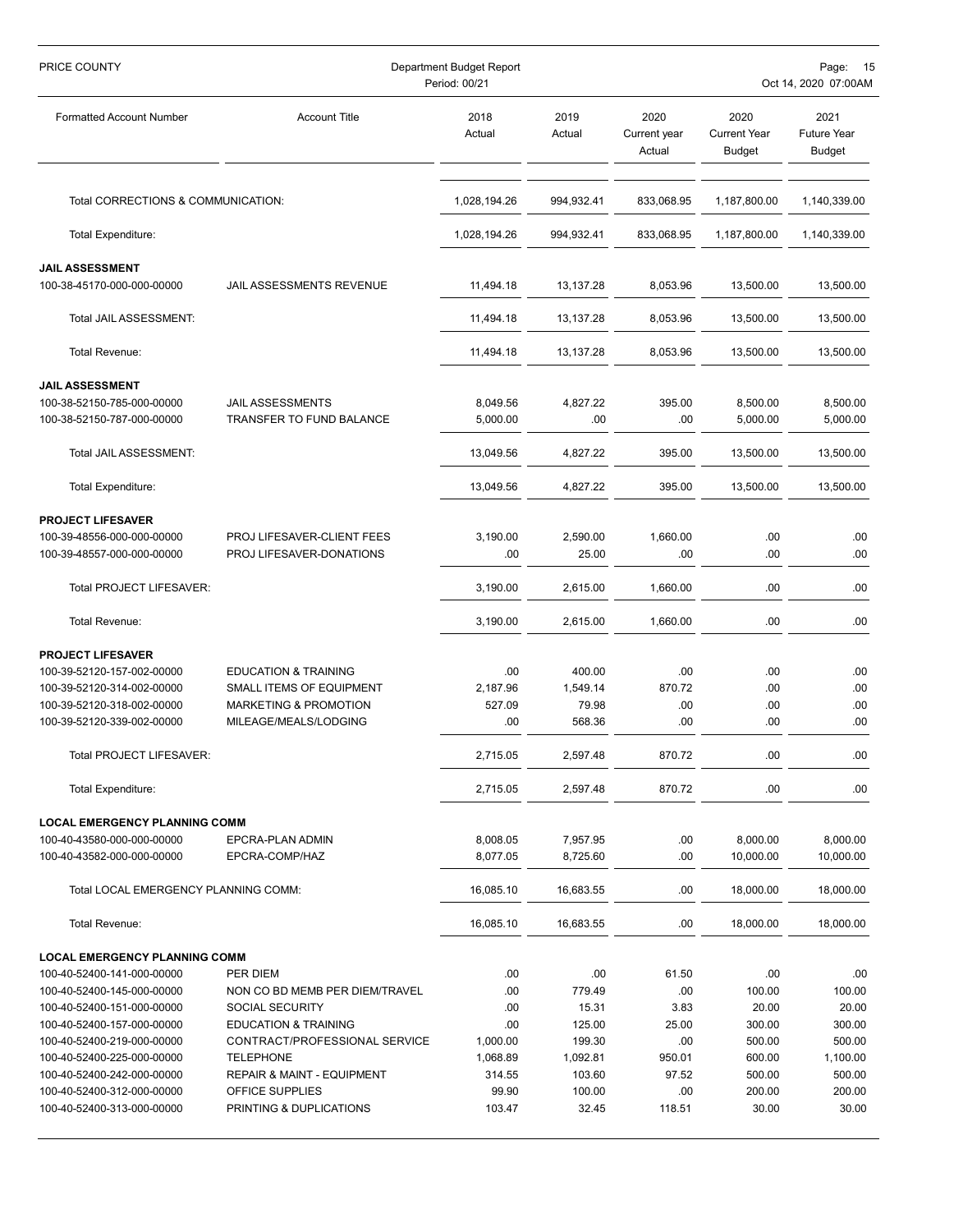| PRICE COUNTY                                             | Department Budget Report<br>Period: 00/21           |                      |                 |                                | Page:<br>15<br>Oct 14, 2020 07:00AM          |                                      |  |  |
|----------------------------------------------------------|-----------------------------------------------------|----------------------|-----------------|--------------------------------|----------------------------------------------|--------------------------------------|--|--|
| <b>Formatted Account Number</b>                          | <b>Account Title</b>                                | 2018<br>Actual       | 2019<br>Actual  | 2020<br>Current year<br>Actual | 2020<br><b>Current Year</b><br><b>Budget</b> | 2021<br><b>Future Year</b><br>Budget |  |  |
| Total CORRECTIONS & COMMUNICATION:                       |                                                     | 1,028,194.26         | 994,932.41      | 833,068.95                     | 1,187,800.00                                 | 1,140,339.00                         |  |  |
| Total Expenditure:                                       |                                                     | 1,028,194.26         | 994,932.41      | 833,068.95                     | 1,187,800.00                                 | 1,140,339.00                         |  |  |
| <b>JAIL ASSESSMENT</b>                                   |                                                     |                      |                 |                                |                                              |                                      |  |  |
| 100-38-45170-000-000-00000                               | JAIL ASSESSMENTS REVENUE                            | 11,494.18            | 13,137.28       | 8,053.96                       | 13,500.00                                    | 13,500.00                            |  |  |
| Total JAIL ASSESSMENT:                                   |                                                     | 11,494.18            | 13,137.28       | 8,053.96                       | 13,500.00                                    | 13,500.00                            |  |  |
| Total Revenue:                                           |                                                     | 11,494.18            | 13,137.28       | 8,053.96                       | 13,500.00                                    | 13,500.00                            |  |  |
| <b>JAIL ASSESSMENT</b>                                   |                                                     |                      |                 |                                |                                              |                                      |  |  |
| 100-38-52150-785-000-00000<br>100-38-52150-787-000-00000 | <b>JAIL ASSESSMENTS</b><br>TRANSFER TO FUND BALANCE | 8,049.56<br>5,000.00 | 4,827.22<br>.00 | 395.00<br>.00                  | 8,500.00<br>5,000.00                         | 8,500.00<br>5,000.00                 |  |  |
| Total JAIL ASSESSMENT:                                   |                                                     | 13,049.56            | 4,827.22        | 395.00                         | 13,500.00                                    | 13.500.00                            |  |  |
| Total Expenditure:                                       |                                                     | 13,049.56            | 4,827.22        | 395.00                         | 13,500.00                                    | 13,500.00                            |  |  |
| <b>PROJECT LIFESAVER</b>                                 |                                                     |                      |                 |                                |                                              |                                      |  |  |
| 100-39-48556-000-000-00000                               | PROJ LIFESAVER-CLIENT FEES                          | 3,190.00             | 2,590.00        | 1,660.00                       | .00                                          | .00                                  |  |  |
| 100-39-48557-000-000-00000                               | PROJ LIFESAVER-DONATIONS                            | .00                  | 25.00           | .00                            | .00                                          | .00                                  |  |  |
| Total PROJECT LIFESAVER:                                 |                                                     | 3,190.00             | 2,615.00        | 1,660.00                       | .00                                          | .00                                  |  |  |
| Total Revenue:                                           |                                                     | 3,190.00             | 2,615.00        | 1,660.00                       | .00                                          | .00                                  |  |  |
| <b>PROJECT LIFESAVER</b>                                 |                                                     |                      |                 |                                |                                              |                                      |  |  |
| 100-39-52120-157-002-00000                               | <b>EDUCATION &amp; TRAINING</b>                     | .00                  | 400.00          | .00                            | .00                                          | .00                                  |  |  |
| 100-39-52120-314-002-00000                               | SMALL ITEMS OF EQUIPMENT                            | 2,187.96             | 1,549.14        | 870.72                         | .00                                          | .00                                  |  |  |
| 100-39-52120-318-002-00000                               | <b>MARKETING &amp; PROMOTION</b>                    | 527.09               | 79.98           | .00                            | .00                                          | .00                                  |  |  |
| 100-39-52120-339-002-00000                               | MILEAGE/MEALS/LODGING                               | .00                  | 568.36          | .00                            | .00                                          | .00                                  |  |  |
| Total PROJECT LIFESAVER:                                 |                                                     | 2,715.05             | 2,597.48        | 870.72                         | .00                                          | .00                                  |  |  |
| Total Expenditure:                                       |                                                     | 2,715.05             | 2,597.48        | 870.72                         | .00                                          | .00.                                 |  |  |
| <b>LOCAL EMERGENCY PLANNING COMM</b>                     |                                                     |                      |                 |                                |                                              |                                      |  |  |
| 100-40-43580-000-000-00000                               | EPCRA-PLAN ADMIN                                    | 8,008.05             | 7,957.95        | .00                            | 8,000.00                                     | 8,000.00                             |  |  |
| 100-40-43582-000-000-00000                               | EPCRA-COMP/HAZ                                      | 8,077.05             | 8,725.60        | .00                            | 10,000.00                                    | 10,000.00                            |  |  |
| Total LOCAL EMERGENCY PLANNING COMM:                     |                                                     | 16,085.10            | 16,683.55       | .00                            | 18,000.00                                    | 18,000.00                            |  |  |
| Total Revenue:                                           |                                                     | 16,085.10            | 16,683.55       | .00                            | 18,000.00                                    | 18,000.00                            |  |  |
| <b>LOCAL EMERGENCY PLANNING COMM</b>                     |                                                     |                      |                 |                                |                                              |                                      |  |  |
| 100-40-52400-141-000-00000                               | PER DIEM                                            | .00                  | .00             | 61.50                          | .00                                          | .00                                  |  |  |
| 100-40-52400-145-000-00000                               | NON CO BD MEMB PER DIEM/TRAVEL                      | .00                  | 779.49          | .00                            | 100.00                                       | 100.00                               |  |  |
| 100-40-52400-151-000-00000                               | <b>SOCIAL SECURITY</b>                              | .00                  | 15.31           | 3.83                           | 20.00                                        | 20.00                                |  |  |
| 100-40-52400-157-000-00000                               | <b>EDUCATION &amp; TRAINING</b>                     | .00                  | 125.00          | 25.00                          | 300.00                                       | 300.00                               |  |  |
| 100-40-52400-219-000-00000                               | CONTRACT/PROFESSIONAL SERVICE                       | 1,000.00             | 199.30          | .00                            | 500.00                                       | 500.00                               |  |  |
| 100-40-52400-225-000-00000                               | <b>TELEPHONE</b>                                    | 1,068.89             | 1,092.81        | 950.01                         | 600.00                                       | 1,100.00                             |  |  |
| 100-40-52400-242-000-00000                               | <b>REPAIR &amp; MAINT - EQUIPMENT</b>               | 314.55               | 103.60          | 97.52                          | 500.00                                       | 500.00                               |  |  |
| 100-40-52400-312-000-00000                               | OFFICE SUPPLIES                                     | 99.90                | 100.00          | .00                            | 200.00                                       | 200.00                               |  |  |
| 100-40-52400-313-000-00000                               | PRINTING & DUPLICATIONS                             | 103.47               | 32.45           | 118.51                         | 30.00                                        | 30.00                                |  |  |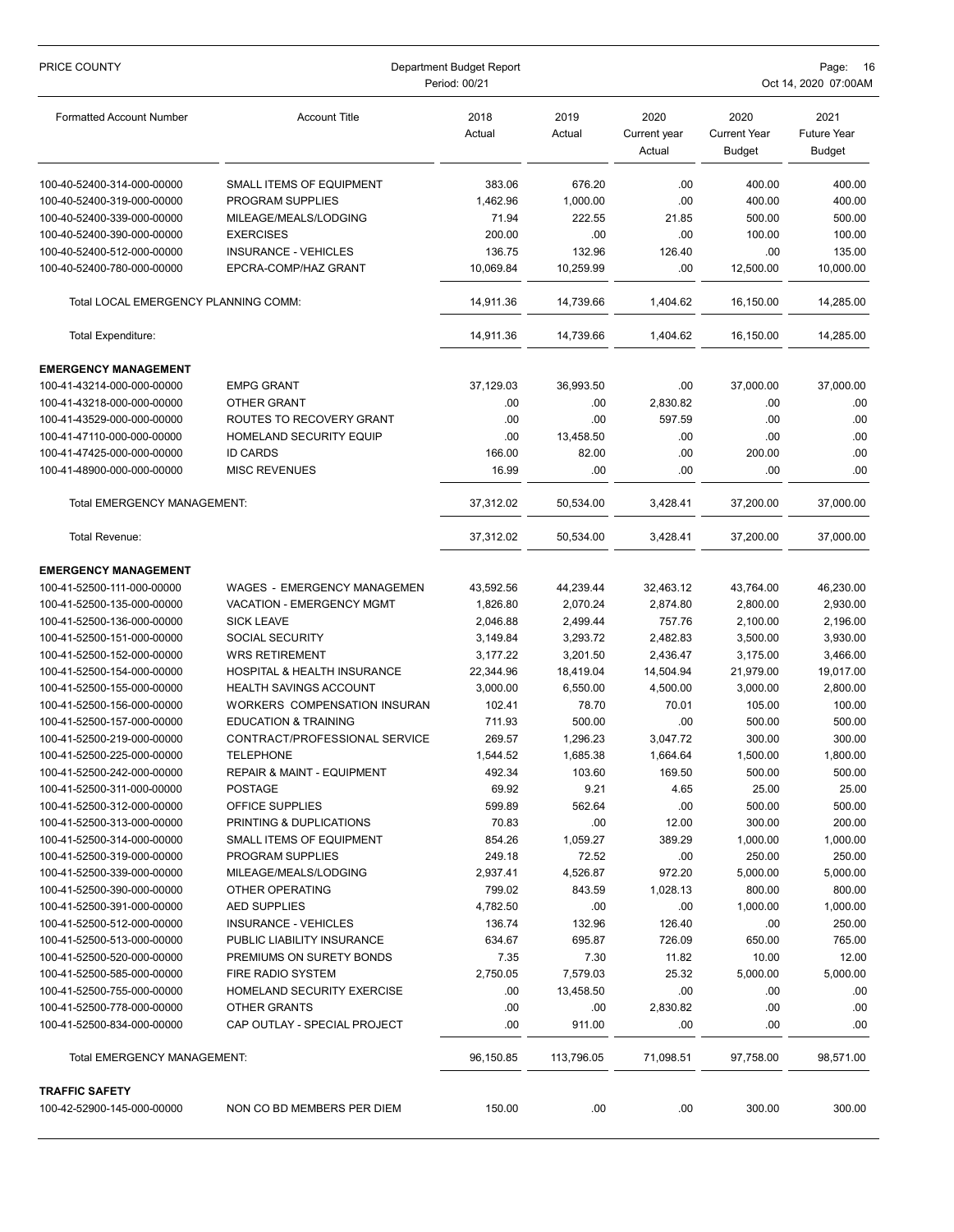| PRICE COUNTY                                             | Department Budget Report<br>Period: 00/21                        |                    |                      |                                | Page:<br>-16<br>Oct 14, 2020 07:00AM         |                                             |  |
|----------------------------------------------------------|------------------------------------------------------------------|--------------------|----------------------|--------------------------------|----------------------------------------------|---------------------------------------------|--|
| <b>Formatted Account Number</b>                          | <b>Account Title</b>                                             | 2018<br>Actual     | 2019<br>Actual       | 2020<br>Current year<br>Actual | 2020<br><b>Current Year</b><br><b>Budget</b> | 2021<br><b>Future Year</b><br><b>Budget</b> |  |
| 100-40-52400-314-000-00000                               | SMALL ITEMS OF EQUIPMENT                                         | 383.06             | 676.20               | .00                            | 400.00                                       | 400.00                                      |  |
| 100-40-52400-319-000-00000                               | PROGRAM SUPPLIES                                                 | 1,462.96           | 1,000.00             | .00                            | 400.00                                       | 400.00                                      |  |
| 100-40-52400-339-000-00000                               | MILEAGE/MEALS/LODGING                                            | 71.94              | 222.55               | 21.85                          | 500.00                                       | 500.00                                      |  |
| 100-40-52400-390-000-00000                               | <b>EXERCISES</b>                                                 | 200.00             | .00                  | .00                            | 100.00                                       | 100.00                                      |  |
| 100-40-52400-512-000-00000                               | <b>INSURANCE - VEHICLES</b>                                      | 136.75             | 132.96               | 126.40                         | .00                                          | 135.00                                      |  |
| 100-40-52400-780-000-00000                               | EPCRA-COMP/HAZ GRANT                                             | 10,069.84          | 10,259.99            | .00                            | 12,500.00                                    | 10,000.00                                   |  |
| Total LOCAL EMERGENCY PLANNING COMM:                     |                                                                  | 14,911.36          | 14,739.66            | 1,404.62                       | 16,150.00                                    | 14,285.00                                   |  |
| Total Expenditure:                                       |                                                                  | 14,911.36          | 14,739.66            | 1,404.62                       | 16,150.00                                    | 14,285.00                                   |  |
| <b>EMERGENCY MANAGEMENT</b>                              |                                                                  |                    |                      |                                |                                              |                                             |  |
| 100-41-43214-000-000-00000                               | <b>EMPG GRANT</b>                                                | 37,129.03          | 36,993.50            | .00                            | 37,000.00                                    | 37,000.00                                   |  |
| 100-41-43218-000-000-00000                               | OTHER GRANT                                                      | .00                | .00                  | 2,830.82                       | .00                                          | .00                                         |  |
| 100-41-43529-000-000-00000                               | ROUTES TO RECOVERY GRANT                                         | .00                | .00                  | 597.59                         | .00                                          | .00                                         |  |
| 100-41-47110-000-000-00000                               | <b>HOMELAND SECURITY EQUIP</b>                                   | .00                | 13,458.50            | .00                            | .00                                          | .00                                         |  |
| 100-41-47425-000-000-00000<br>100-41-48900-000-000-00000 | <b>ID CARDS</b><br><b>MISC REVENUES</b>                          | 166.00<br>16.99    | 82.00<br>.00         | .00<br>.00                     | 200.00<br>.00                                | .00<br>.00                                  |  |
| Total EMERGENCY MANAGEMENT:                              |                                                                  | 37,312.02          | 50,534.00            | 3,428.41                       | 37,200.00                                    | 37,000.00                                   |  |
|                                                          |                                                                  |                    |                      |                                |                                              |                                             |  |
| Total Revenue:                                           |                                                                  | 37,312.02          | 50,534.00            | 3,428.41                       | 37,200.00                                    | 37,000.00                                   |  |
| <b>EMERGENCY MANAGEMENT</b>                              |                                                                  |                    |                      |                                |                                              |                                             |  |
| 100-41-52500-111-000-00000                               | <b>WAGES - EMERGENCY MANAGEMEN</b>                               | 43,592.56          | 44,239.44            | 32,463.12                      | 43,764.00                                    | 46,230.00                                   |  |
| 100-41-52500-135-000-00000                               | <b>VACATION - EMERGENCY MGMT</b>                                 | 1,826.80           | 2,070.24             | 2,874.80                       | 2,800.00                                     | 2,930.00                                    |  |
| 100-41-52500-136-000-00000                               | <b>SICK LEAVE</b>                                                | 2,046.88           | 2,499.44             | 757.76                         | 2,100.00                                     | 2,196.00                                    |  |
| 100-41-52500-151-000-00000                               | SOCIAL SECURITY                                                  | 3,149.84           | 3,293.72             | 2,482.83                       | 3,500.00                                     | 3,930.00                                    |  |
| 100-41-52500-152-000-00000                               | <b>WRS RETIREMENT</b>                                            | 3,177.22           | 3,201.50             | 2,436.47                       | 3,175.00                                     | 3,466.00                                    |  |
| 100-41-52500-154-000-00000                               | HOSPITAL & HEALTH INSURANCE                                      | 22,344.96          | 18,419.04            | 14,504.94                      | 21,979.00                                    | 19,017.00                                   |  |
| 100-41-52500-155-000-00000                               | <b>HEALTH SAVINGS ACCOUNT</b>                                    | 3,000.00           | 6,550.00             | 4,500.00                       | 3,000.00                                     | 2,800.00                                    |  |
| 100-41-52500-156-000-00000                               | WORKERS COMPENSATION INSURAN                                     | 102.41             | 78.70                | 70.01                          | 105.00                                       | 100.00                                      |  |
| 100-41-52500-157-000-00000<br>100-41-52500-219-000-00000 | <b>EDUCATION &amp; TRAINING</b><br>CONTRACT/PROFESSIONAL SERVICE | 711.93<br>269.57   | 500.00               | .00                            | 500.00<br>300.00                             | 500.00                                      |  |
| 100-41-52500-225-000-00000                               | TELEPHONE                                                        |                    | 1,296.23<br>1,685.38 | 3,047.72<br>1,664.64           | 1,500.00                                     | 300.00<br>1,800.00                          |  |
| 100-41-52500-242-000-00000                               | <b>REPAIR &amp; MAINT - EQUIPMENT</b>                            | 1,544.52<br>492.34 | 103.60               | 169.50                         | 500.00                                       | 500.00                                      |  |
| 100-41-52500-311-000-00000                               | <b>POSTAGE</b>                                                   | 69.92              | 9.21                 | 4.65                           | 25.00                                        | 25.00                                       |  |
| 100-41-52500-312-000-00000                               | OFFICE SUPPLIES                                                  | 599.89             | 562.64               | .00                            | 500.00                                       | 500.00                                      |  |
| 100-41-52500-313-000-00000                               | PRINTING & DUPLICATIONS                                          | 70.83              | .00                  | 12.00                          | 300.00                                       | 200.00                                      |  |
| 100-41-52500-314-000-00000                               | SMALL ITEMS OF EQUIPMENT                                         | 854.26             | 1,059.27             | 389.29                         | 1,000.00                                     | 1,000.00                                    |  |
| 100-41-52500-319-000-00000                               | PROGRAM SUPPLIES                                                 | 249.18             | 72.52                | .00                            | 250.00                                       | 250.00                                      |  |
| 100-41-52500-339-000-00000                               | MILEAGE/MEALS/LODGING                                            | 2,937.41           | 4,526.87             | 972.20                         | 5,000.00                                     | 5,000.00                                    |  |
| 100-41-52500-390-000-00000                               | OTHER OPERATING                                                  | 799.02             | 843.59               | 1,028.13                       | 800.00                                       | 800.00                                      |  |
| 100-41-52500-391-000-00000                               | <b>AED SUPPLIES</b>                                              | 4,782.50           | .00                  | .00                            | 1,000.00                                     | 1,000.00                                    |  |
| 100-41-52500-512-000-00000                               | <b>INSURANCE - VEHICLES</b>                                      | 136.74             | 132.96               | 126.40                         | .00                                          | 250.00                                      |  |
| 100-41-52500-513-000-00000                               | PUBLIC LIABILITY INSURANCE                                       | 634.67             | 695.87               | 726.09                         | 650.00                                       | 765.00                                      |  |
| 100-41-52500-520-000-00000                               | PREMIUMS ON SURETY BONDS                                         | 7.35               | 7.30                 | 11.82                          | 10.00                                        | 12.00                                       |  |
| 100-41-52500-585-000-00000                               | <b>FIRE RADIO SYSTEM</b>                                         | 2,750.05           | 7,579.03             | 25.32                          | 5,000.00                                     | 5,000.00                                    |  |
| 100-41-52500-755-000-00000                               | HOMELAND SECURITY EXERCISE                                       | .00                | 13,458.50            | .00                            | .00                                          | .00                                         |  |
| 100-41-52500-778-000-00000                               | OTHER GRANTS                                                     | .00                | .00                  | 2,830.82                       | .00                                          | .00                                         |  |
| 100-41-52500-834-000-00000                               | CAP OUTLAY - SPECIAL PROJECT                                     | .00                | 911.00               | .00                            | .00                                          | .00.                                        |  |
| Total EMERGENCY MANAGEMENT:                              |                                                                  | 96,150.85          | 113,796.05           | 71,098.51                      | 97,758.00                                    | 98,571.00                                   |  |
| <b>TRAFFIC SAFETY</b>                                    |                                                                  |                    |                      |                                |                                              |                                             |  |
| 100-42-52900-145-000-00000                               | NON CO BD MEMBERS PER DIEM                                       | 150.00             | .00                  | .00.                           | 300.00                                       | 300.00                                      |  |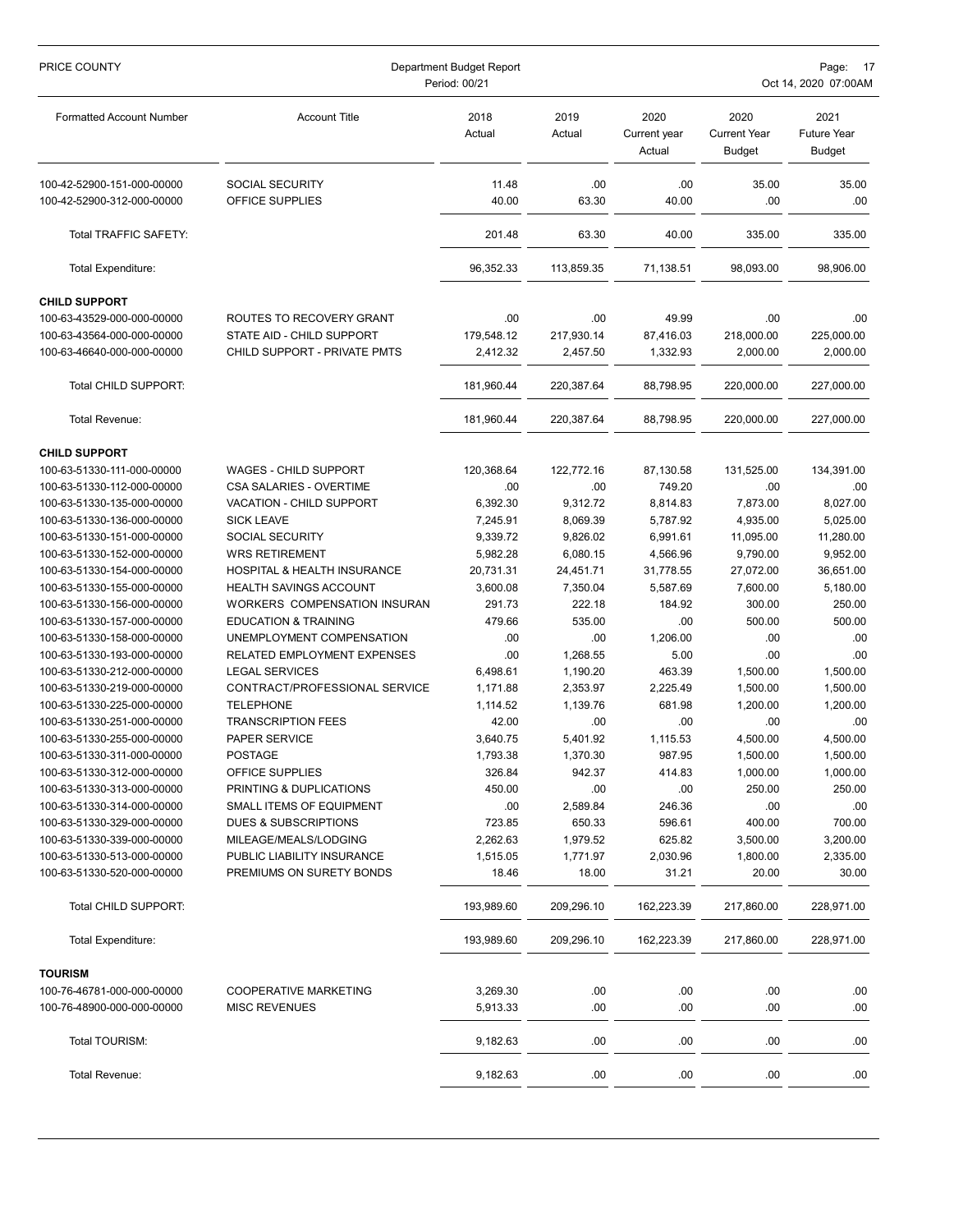| <b>Account Title</b><br>2018<br>2019<br>2020<br>2020<br>2021<br><b>Formatted Account Number</b><br><b>Current Year</b><br>Actual<br>Actual<br>Current year<br><b>Future Year</b><br>Actual<br><b>Budget</b><br><b>Budget</b><br>SOCIAL SECURITY<br>11.48<br>35.00<br>100-42-52900-151-000-00000<br>.00<br>.00<br>35.00<br>OFFICE SUPPLIES<br>40.00<br>63.30<br>40.00<br>.00<br>.00<br>100-42-52900-312-000-00000<br>63.30<br>40.00<br>335.00<br>335.00<br>Total TRAFFIC SAFETY:<br>201.48<br>Total Expenditure:<br>96,352.33<br>113,859.35<br>71,138.51<br>98.093.00<br>98,906.00<br><b>CHILD SUPPORT</b><br>49.99<br>.00<br>100-63-43529-000-000-00000<br>ROUTES TO RECOVERY GRANT<br>.00<br>.00<br>.00<br>179,548.12<br>217,930.14<br>218,000.00<br>100-63-43564-000-000-00000<br>STATE AID - CHILD SUPPORT<br>87,416.03<br>225,000.00<br>CHILD SUPPORT - PRIVATE PMTS<br>2,000.00<br>100-63-46640-000-000-00000<br>2,412.32<br>2,457.50<br>1,332.93<br>2,000.00<br>Total CHILD SUPPORT:<br>181,960.44<br>220,387.64<br>88,798.95<br>220,000.00<br>227,000.00<br><b>Total Revenue:</b><br>181,960.44<br>220,387.64<br>88,798.95<br>220,000.00<br>227,000.00<br><b>CHILD SUPPORT</b><br>WAGES - CHILD SUPPORT<br>120.368.64<br>122,772.16<br>87,130.58<br>131,525.00<br>134,391.00<br>100-63-51330-111-000-00000<br><b>CSA SALARIES - OVERTIME</b><br>749.20<br>100-63-51330-112-000-00000<br>.00<br>.00<br>.00<br>.00.<br>100-63-51330-135-000-00000<br>VACATION - CHILD SUPPORT<br>6,392.30<br>9,312.72<br>8,814.83<br>7,873.00<br>8,027.00<br>5,025.00<br>100-63-51330-136-000-00000<br><b>SICK LEAVE</b><br>7,245.91<br>8,069.39<br>5,787.92<br>4,935.00<br>SOCIAL SECURITY<br>9,339.72<br>9,826.02<br>11,095.00<br>11,280.00<br>100-63-51330-151-000-00000<br>6,991.61<br>5,982.28<br>6,080.15<br>9,790.00<br>9,952.00<br>100-63-51330-152-000-00000<br><b>WRS RETIREMENT</b><br>4,566.96<br>20,731.31<br>24,451.71<br>31,778.55<br>27,072.00<br>36,651.00<br>100-63-51330-154-000-00000<br>HOSPITAL & HEALTH INSURANCE<br>HEALTH SAVINGS ACCOUNT<br>7,350.04<br>7,600.00<br>5,180.00<br>100-63-51330-155-000-00000<br>3,600.08<br>5,587.69<br>WORKERS COMPENSATION INSURAN<br>222.18<br>300.00<br>250.00<br>100-63-51330-156-000-00000<br>291.73<br>184.92<br><b>EDUCATION &amp; TRAINING</b><br>479.66<br>535.00<br>.00<br>500.00<br>500.00<br>100-63-51330-157-000-00000<br>.00<br>1,206.00<br>.00<br>.00<br>100-63-51330-158-000-00000<br>UNEMPLOYMENT COMPENSATION<br>.00<br>.00<br>1.268.55<br>.00<br>.00<br>100-63-51330-193-000-00000<br>RELATED EMPLOYMENT EXPENSES<br>5.00<br><b>LEGAL SERVICES</b><br>6,498.61<br>463.39<br>1,500.00<br>100-63-51330-212-000-00000<br>1,190.20<br>1,500.00<br>CONTRACT/PROFESSIONAL SERVICE<br>100-63-51330-219-000-00000<br>1,171.88<br>2,353.97<br>2,225.49<br>1,500.00<br>1,500.00<br>681.98<br>1,200.00<br>1,200.00<br>100-63-51330-225-000-00000<br><b>TELEPHONE</b><br>1,114.52<br>1,139.76<br>100-63-51330-251-000-00000<br><b>TRANSCRIPTION FEES</b><br>42.00<br>.00<br>.00<br>.00<br>.00.<br>4,500.00<br>100-63-51330-255-000-00000<br>PAPER SERVICE<br>3,640.75<br>5,401.92<br>1,115.53<br>4,500.00<br>100-63-51330-311-000-00000<br><b>POSTAGE</b><br>1,793.38<br>1,370.30<br>987.95<br>1,500.00<br>1,500.00<br>326.84<br>942.37<br>1,000.00<br>1,000.00<br>100-63-51330-312-000-00000<br>OFFICE SUPPLIES<br>414.83<br>100-63-51330-313-000-00000<br>450.00<br>.00<br>.00<br>250.00<br>250.00<br>PRINTING & DUPLICATIONS<br>2,589.84<br>100-63-51330-314-000-00000<br>SMALL ITEMS OF EQUIPMENT<br>.00<br>246.36<br>.00<br>.00<br>723.85<br>700.00<br>100-63-51330-329-000-00000<br>DUES & SUBSCRIPTIONS<br>650.33<br>596.61<br>400.00<br>3,200.00<br>100-63-51330-339-000-00000<br>MILEAGE/MEALS/LODGING<br>2,262.63<br>1,979.52<br>625.82<br>3,500.00<br>100-63-51330-513-000-00000<br>PUBLIC LIABILITY INSURANCE<br>2,030.96<br>2,335.00<br>1,515.05<br>1,771.97<br>1,800.00<br>100-63-51330-520-000-00000<br>PREMIUMS ON SURETY BONDS<br>18.46<br>31.21<br>20.00<br>30.00<br>18.00<br>217,860.00<br>228,971.00<br>Total CHILD SUPPORT:<br>193,989.60<br>209,296.10<br>162,223.39<br>193,989.60<br>209,296.10<br>162,223.39<br>217,860.00<br>228,971.00<br>Total Expenditure:<br><b>TOURISM</b><br>.00<br>.00<br>.00<br>100-76-46781-000-000-00000<br><b>COOPERATIVE MARKETING</b><br>3,269.30<br>.00<br>.00<br>.00.<br>100-76-48900-000-000-00000<br><b>MISC REVENUES</b><br>5,913.33<br>.00<br>.00<br>.00<br>Total TOURISM:<br>9,182.63<br>.00<br>.00<br>.00<br>.00<br>Total Revenue:<br>9,182.63<br>.00<br>.00<br>.00 | PRICE COUNTY | Department Budget Report<br>Period: 00/21 |  |  |  | Page: 17<br>Oct 14, 2020 07:00AM |  |  |  |
|----------------------------------------------------------------------------------------------------------------------------------------------------------------------------------------------------------------------------------------------------------------------------------------------------------------------------------------------------------------------------------------------------------------------------------------------------------------------------------------------------------------------------------------------------------------------------------------------------------------------------------------------------------------------------------------------------------------------------------------------------------------------------------------------------------------------------------------------------------------------------------------------------------------------------------------------------------------------------------------------------------------------------------------------------------------------------------------------------------------------------------------------------------------------------------------------------------------------------------------------------------------------------------------------------------------------------------------------------------------------------------------------------------------------------------------------------------------------------------------------------------------------------------------------------------------------------------------------------------------------------------------------------------------------------------------------------------------------------------------------------------------------------------------------------------------------------------------------------------------------------------------------------------------------------------------------------------------------------------------------------------------------------------------------------------------------------------------------------------------------------------------------------------------------------------------------------------------------------------------------------------------------------------------------------------------------------------------------------------------------------------------------------------------------------------------------------------------------------------------------------------------------------------------------------------------------------------------------------------------------------------------------------------------------------------------------------------------------------------------------------------------------------------------------------------------------------------------------------------------------------------------------------------------------------------------------------------------------------------------------------------------------------------------------------------------------------------------------------------------------------------------------------------------------------------------------------------------------------------------------------------------------------------------------------------------------------------------------------------------------------------------------------------------------------------------------------------------------------------------------------------------------------------------------------------------------------------------------------------------------------------------------------------------------------------------------------------------------------------------------------------------------------------------------------------------------------------------------------------------------------------------------------------------------------------------------------------------------------------------------------------------------------------------------------------------------------------------------------------------------------------------------------------------------------------------------------------------------------------------------------------------------------------------------------------------------------------------------------------------------------------------------------------------------------------------------------------------------------------------------------------------------------------------------------------------------------------------|--------------|-------------------------------------------|--|--|--|----------------------------------|--|--|--|
|                                                                                                                                                                                                                                                                                                                                                                                                                                                                                                                                                                                                                                                                                                                                                                                                                                                                                                                                                                                                                                                                                                                                                                                                                                                                                                                                                                                                                                                                                                                                                                                                                                                                                                                                                                                                                                                                                                                                                                                                                                                                                                                                                                                                                                                                                                                                                                                                                                                                                                                                                                                                                                                                                                                                                                                                                                                                                                                                                                                                                                                                                                                                                                                                                                                                                                                                                                                                                                                                                                                                                                                                                                                                                                                                                                                                                                                                                                                                                                                                                                                                                                                                                                                                                                                                                                                                                                                                                                                                                                                                                                                        |              |                                           |  |  |  |                                  |  |  |  |
|                                                                                                                                                                                                                                                                                                                                                                                                                                                                                                                                                                                                                                                                                                                                                                                                                                                                                                                                                                                                                                                                                                                                                                                                                                                                                                                                                                                                                                                                                                                                                                                                                                                                                                                                                                                                                                                                                                                                                                                                                                                                                                                                                                                                                                                                                                                                                                                                                                                                                                                                                                                                                                                                                                                                                                                                                                                                                                                                                                                                                                                                                                                                                                                                                                                                                                                                                                                                                                                                                                                                                                                                                                                                                                                                                                                                                                                                                                                                                                                                                                                                                                                                                                                                                                                                                                                                                                                                                                                                                                                                                                                        |              |                                           |  |  |  |                                  |  |  |  |
|                                                                                                                                                                                                                                                                                                                                                                                                                                                                                                                                                                                                                                                                                                                                                                                                                                                                                                                                                                                                                                                                                                                                                                                                                                                                                                                                                                                                                                                                                                                                                                                                                                                                                                                                                                                                                                                                                                                                                                                                                                                                                                                                                                                                                                                                                                                                                                                                                                                                                                                                                                                                                                                                                                                                                                                                                                                                                                                                                                                                                                                                                                                                                                                                                                                                                                                                                                                                                                                                                                                                                                                                                                                                                                                                                                                                                                                                                                                                                                                                                                                                                                                                                                                                                                                                                                                                                                                                                                                                                                                                                                                        |              |                                           |  |  |  |                                  |  |  |  |
|                                                                                                                                                                                                                                                                                                                                                                                                                                                                                                                                                                                                                                                                                                                                                                                                                                                                                                                                                                                                                                                                                                                                                                                                                                                                                                                                                                                                                                                                                                                                                                                                                                                                                                                                                                                                                                                                                                                                                                                                                                                                                                                                                                                                                                                                                                                                                                                                                                                                                                                                                                                                                                                                                                                                                                                                                                                                                                                                                                                                                                                                                                                                                                                                                                                                                                                                                                                                                                                                                                                                                                                                                                                                                                                                                                                                                                                                                                                                                                                                                                                                                                                                                                                                                                                                                                                                                                                                                                                                                                                                                                                        |              |                                           |  |  |  |                                  |  |  |  |
|                                                                                                                                                                                                                                                                                                                                                                                                                                                                                                                                                                                                                                                                                                                                                                                                                                                                                                                                                                                                                                                                                                                                                                                                                                                                                                                                                                                                                                                                                                                                                                                                                                                                                                                                                                                                                                                                                                                                                                                                                                                                                                                                                                                                                                                                                                                                                                                                                                                                                                                                                                                                                                                                                                                                                                                                                                                                                                                                                                                                                                                                                                                                                                                                                                                                                                                                                                                                                                                                                                                                                                                                                                                                                                                                                                                                                                                                                                                                                                                                                                                                                                                                                                                                                                                                                                                                                                                                                                                                                                                                                                                        |              |                                           |  |  |  |                                  |  |  |  |
|                                                                                                                                                                                                                                                                                                                                                                                                                                                                                                                                                                                                                                                                                                                                                                                                                                                                                                                                                                                                                                                                                                                                                                                                                                                                                                                                                                                                                                                                                                                                                                                                                                                                                                                                                                                                                                                                                                                                                                                                                                                                                                                                                                                                                                                                                                                                                                                                                                                                                                                                                                                                                                                                                                                                                                                                                                                                                                                                                                                                                                                                                                                                                                                                                                                                                                                                                                                                                                                                                                                                                                                                                                                                                                                                                                                                                                                                                                                                                                                                                                                                                                                                                                                                                                                                                                                                                                                                                                                                                                                                                                                        |              |                                           |  |  |  |                                  |  |  |  |
|                                                                                                                                                                                                                                                                                                                                                                                                                                                                                                                                                                                                                                                                                                                                                                                                                                                                                                                                                                                                                                                                                                                                                                                                                                                                                                                                                                                                                                                                                                                                                                                                                                                                                                                                                                                                                                                                                                                                                                                                                                                                                                                                                                                                                                                                                                                                                                                                                                                                                                                                                                                                                                                                                                                                                                                                                                                                                                                                                                                                                                                                                                                                                                                                                                                                                                                                                                                                                                                                                                                                                                                                                                                                                                                                                                                                                                                                                                                                                                                                                                                                                                                                                                                                                                                                                                                                                                                                                                                                                                                                                                                        |              |                                           |  |  |  |                                  |  |  |  |
|                                                                                                                                                                                                                                                                                                                                                                                                                                                                                                                                                                                                                                                                                                                                                                                                                                                                                                                                                                                                                                                                                                                                                                                                                                                                                                                                                                                                                                                                                                                                                                                                                                                                                                                                                                                                                                                                                                                                                                                                                                                                                                                                                                                                                                                                                                                                                                                                                                                                                                                                                                                                                                                                                                                                                                                                                                                                                                                                                                                                                                                                                                                                                                                                                                                                                                                                                                                                                                                                                                                                                                                                                                                                                                                                                                                                                                                                                                                                                                                                                                                                                                                                                                                                                                                                                                                                                                                                                                                                                                                                                                                        |              |                                           |  |  |  |                                  |  |  |  |
|                                                                                                                                                                                                                                                                                                                                                                                                                                                                                                                                                                                                                                                                                                                                                                                                                                                                                                                                                                                                                                                                                                                                                                                                                                                                                                                                                                                                                                                                                                                                                                                                                                                                                                                                                                                                                                                                                                                                                                                                                                                                                                                                                                                                                                                                                                                                                                                                                                                                                                                                                                                                                                                                                                                                                                                                                                                                                                                                                                                                                                                                                                                                                                                                                                                                                                                                                                                                                                                                                                                                                                                                                                                                                                                                                                                                                                                                                                                                                                                                                                                                                                                                                                                                                                                                                                                                                                                                                                                                                                                                                                                        |              |                                           |  |  |  |                                  |  |  |  |
|                                                                                                                                                                                                                                                                                                                                                                                                                                                                                                                                                                                                                                                                                                                                                                                                                                                                                                                                                                                                                                                                                                                                                                                                                                                                                                                                                                                                                                                                                                                                                                                                                                                                                                                                                                                                                                                                                                                                                                                                                                                                                                                                                                                                                                                                                                                                                                                                                                                                                                                                                                                                                                                                                                                                                                                                                                                                                                                                                                                                                                                                                                                                                                                                                                                                                                                                                                                                                                                                                                                                                                                                                                                                                                                                                                                                                                                                                                                                                                                                                                                                                                                                                                                                                                                                                                                                                                                                                                                                                                                                                                                        |              |                                           |  |  |  |                                  |  |  |  |
|                                                                                                                                                                                                                                                                                                                                                                                                                                                                                                                                                                                                                                                                                                                                                                                                                                                                                                                                                                                                                                                                                                                                                                                                                                                                                                                                                                                                                                                                                                                                                                                                                                                                                                                                                                                                                                                                                                                                                                                                                                                                                                                                                                                                                                                                                                                                                                                                                                                                                                                                                                                                                                                                                                                                                                                                                                                                                                                                                                                                                                                                                                                                                                                                                                                                                                                                                                                                                                                                                                                                                                                                                                                                                                                                                                                                                                                                                                                                                                                                                                                                                                                                                                                                                                                                                                                                                                                                                                                                                                                                                                                        |              |                                           |  |  |  |                                  |  |  |  |
|                                                                                                                                                                                                                                                                                                                                                                                                                                                                                                                                                                                                                                                                                                                                                                                                                                                                                                                                                                                                                                                                                                                                                                                                                                                                                                                                                                                                                                                                                                                                                                                                                                                                                                                                                                                                                                                                                                                                                                                                                                                                                                                                                                                                                                                                                                                                                                                                                                                                                                                                                                                                                                                                                                                                                                                                                                                                                                                                                                                                                                                                                                                                                                                                                                                                                                                                                                                                                                                                                                                                                                                                                                                                                                                                                                                                                                                                                                                                                                                                                                                                                                                                                                                                                                                                                                                                                                                                                                                                                                                                                                                        |              |                                           |  |  |  |                                  |  |  |  |
|                                                                                                                                                                                                                                                                                                                                                                                                                                                                                                                                                                                                                                                                                                                                                                                                                                                                                                                                                                                                                                                                                                                                                                                                                                                                                                                                                                                                                                                                                                                                                                                                                                                                                                                                                                                                                                                                                                                                                                                                                                                                                                                                                                                                                                                                                                                                                                                                                                                                                                                                                                                                                                                                                                                                                                                                                                                                                                                                                                                                                                                                                                                                                                                                                                                                                                                                                                                                                                                                                                                                                                                                                                                                                                                                                                                                                                                                                                                                                                                                                                                                                                                                                                                                                                                                                                                                                                                                                                                                                                                                                                                        |              |                                           |  |  |  |                                  |  |  |  |
|                                                                                                                                                                                                                                                                                                                                                                                                                                                                                                                                                                                                                                                                                                                                                                                                                                                                                                                                                                                                                                                                                                                                                                                                                                                                                                                                                                                                                                                                                                                                                                                                                                                                                                                                                                                                                                                                                                                                                                                                                                                                                                                                                                                                                                                                                                                                                                                                                                                                                                                                                                                                                                                                                                                                                                                                                                                                                                                                                                                                                                                                                                                                                                                                                                                                                                                                                                                                                                                                                                                                                                                                                                                                                                                                                                                                                                                                                                                                                                                                                                                                                                                                                                                                                                                                                                                                                                                                                                                                                                                                                                                        |              |                                           |  |  |  |                                  |  |  |  |
|                                                                                                                                                                                                                                                                                                                                                                                                                                                                                                                                                                                                                                                                                                                                                                                                                                                                                                                                                                                                                                                                                                                                                                                                                                                                                                                                                                                                                                                                                                                                                                                                                                                                                                                                                                                                                                                                                                                                                                                                                                                                                                                                                                                                                                                                                                                                                                                                                                                                                                                                                                                                                                                                                                                                                                                                                                                                                                                                                                                                                                                                                                                                                                                                                                                                                                                                                                                                                                                                                                                                                                                                                                                                                                                                                                                                                                                                                                                                                                                                                                                                                                                                                                                                                                                                                                                                                                                                                                                                                                                                                                                        |              |                                           |  |  |  |                                  |  |  |  |
|                                                                                                                                                                                                                                                                                                                                                                                                                                                                                                                                                                                                                                                                                                                                                                                                                                                                                                                                                                                                                                                                                                                                                                                                                                                                                                                                                                                                                                                                                                                                                                                                                                                                                                                                                                                                                                                                                                                                                                                                                                                                                                                                                                                                                                                                                                                                                                                                                                                                                                                                                                                                                                                                                                                                                                                                                                                                                                                                                                                                                                                                                                                                                                                                                                                                                                                                                                                                                                                                                                                                                                                                                                                                                                                                                                                                                                                                                                                                                                                                                                                                                                                                                                                                                                                                                                                                                                                                                                                                                                                                                                                        |              |                                           |  |  |  |                                  |  |  |  |
|                                                                                                                                                                                                                                                                                                                                                                                                                                                                                                                                                                                                                                                                                                                                                                                                                                                                                                                                                                                                                                                                                                                                                                                                                                                                                                                                                                                                                                                                                                                                                                                                                                                                                                                                                                                                                                                                                                                                                                                                                                                                                                                                                                                                                                                                                                                                                                                                                                                                                                                                                                                                                                                                                                                                                                                                                                                                                                                                                                                                                                                                                                                                                                                                                                                                                                                                                                                                                                                                                                                                                                                                                                                                                                                                                                                                                                                                                                                                                                                                                                                                                                                                                                                                                                                                                                                                                                                                                                                                                                                                                                                        |              |                                           |  |  |  |                                  |  |  |  |
|                                                                                                                                                                                                                                                                                                                                                                                                                                                                                                                                                                                                                                                                                                                                                                                                                                                                                                                                                                                                                                                                                                                                                                                                                                                                                                                                                                                                                                                                                                                                                                                                                                                                                                                                                                                                                                                                                                                                                                                                                                                                                                                                                                                                                                                                                                                                                                                                                                                                                                                                                                                                                                                                                                                                                                                                                                                                                                                                                                                                                                                                                                                                                                                                                                                                                                                                                                                                                                                                                                                                                                                                                                                                                                                                                                                                                                                                                                                                                                                                                                                                                                                                                                                                                                                                                                                                                                                                                                                                                                                                                                                        |              |                                           |  |  |  |                                  |  |  |  |
|                                                                                                                                                                                                                                                                                                                                                                                                                                                                                                                                                                                                                                                                                                                                                                                                                                                                                                                                                                                                                                                                                                                                                                                                                                                                                                                                                                                                                                                                                                                                                                                                                                                                                                                                                                                                                                                                                                                                                                                                                                                                                                                                                                                                                                                                                                                                                                                                                                                                                                                                                                                                                                                                                                                                                                                                                                                                                                                                                                                                                                                                                                                                                                                                                                                                                                                                                                                                                                                                                                                                                                                                                                                                                                                                                                                                                                                                                                                                                                                                                                                                                                                                                                                                                                                                                                                                                                                                                                                                                                                                                                                        |              |                                           |  |  |  |                                  |  |  |  |
|                                                                                                                                                                                                                                                                                                                                                                                                                                                                                                                                                                                                                                                                                                                                                                                                                                                                                                                                                                                                                                                                                                                                                                                                                                                                                                                                                                                                                                                                                                                                                                                                                                                                                                                                                                                                                                                                                                                                                                                                                                                                                                                                                                                                                                                                                                                                                                                                                                                                                                                                                                                                                                                                                                                                                                                                                                                                                                                                                                                                                                                                                                                                                                                                                                                                                                                                                                                                                                                                                                                                                                                                                                                                                                                                                                                                                                                                                                                                                                                                                                                                                                                                                                                                                                                                                                                                                                                                                                                                                                                                                                                        |              |                                           |  |  |  |                                  |  |  |  |
|                                                                                                                                                                                                                                                                                                                                                                                                                                                                                                                                                                                                                                                                                                                                                                                                                                                                                                                                                                                                                                                                                                                                                                                                                                                                                                                                                                                                                                                                                                                                                                                                                                                                                                                                                                                                                                                                                                                                                                                                                                                                                                                                                                                                                                                                                                                                                                                                                                                                                                                                                                                                                                                                                                                                                                                                                                                                                                                                                                                                                                                                                                                                                                                                                                                                                                                                                                                                                                                                                                                                                                                                                                                                                                                                                                                                                                                                                                                                                                                                                                                                                                                                                                                                                                                                                                                                                                                                                                                                                                                                                                                        |              |                                           |  |  |  |                                  |  |  |  |
|                                                                                                                                                                                                                                                                                                                                                                                                                                                                                                                                                                                                                                                                                                                                                                                                                                                                                                                                                                                                                                                                                                                                                                                                                                                                                                                                                                                                                                                                                                                                                                                                                                                                                                                                                                                                                                                                                                                                                                                                                                                                                                                                                                                                                                                                                                                                                                                                                                                                                                                                                                                                                                                                                                                                                                                                                                                                                                                                                                                                                                                                                                                                                                                                                                                                                                                                                                                                                                                                                                                                                                                                                                                                                                                                                                                                                                                                                                                                                                                                                                                                                                                                                                                                                                                                                                                                                                                                                                                                                                                                                                                        |              |                                           |  |  |  |                                  |  |  |  |
|                                                                                                                                                                                                                                                                                                                                                                                                                                                                                                                                                                                                                                                                                                                                                                                                                                                                                                                                                                                                                                                                                                                                                                                                                                                                                                                                                                                                                                                                                                                                                                                                                                                                                                                                                                                                                                                                                                                                                                                                                                                                                                                                                                                                                                                                                                                                                                                                                                                                                                                                                                                                                                                                                                                                                                                                                                                                                                                                                                                                                                                                                                                                                                                                                                                                                                                                                                                                                                                                                                                                                                                                                                                                                                                                                                                                                                                                                                                                                                                                                                                                                                                                                                                                                                                                                                                                                                                                                                                                                                                                                                                        |              |                                           |  |  |  |                                  |  |  |  |
|                                                                                                                                                                                                                                                                                                                                                                                                                                                                                                                                                                                                                                                                                                                                                                                                                                                                                                                                                                                                                                                                                                                                                                                                                                                                                                                                                                                                                                                                                                                                                                                                                                                                                                                                                                                                                                                                                                                                                                                                                                                                                                                                                                                                                                                                                                                                                                                                                                                                                                                                                                                                                                                                                                                                                                                                                                                                                                                                                                                                                                                                                                                                                                                                                                                                                                                                                                                                                                                                                                                                                                                                                                                                                                                                                                                                                                                                                                                                                                                                                                                                                                                                                                                                                                                                                                                                                                                                                                                                                                                                                                                        |              |                                           |  |  |  |                                  |  |  |  |
|                                                                                                                                                                                                                                                                                                                                                                                                                                                                                                                                                                                                                                                                                                                                                                                                                                                                                                                                                                                                                                                                                                                                                                                                                                                                                                                                                                                                                                                                                                                                                                                                                                                                                                                                                                                                                                                                                                                                                                                                                                                                                                                                                                                                                                                                                                                                                                                                                                                                                                                                                                                                                                                                                                                                                                                                                                                                                                                                                                                                                                                                                                                                                                                                                                                                                                                                                                                                                                                                                                                                                                                                                                                                                                                                                                                                                                                                                                                                                                                                                                                                                                                                                                                                                                                                                                                                                                                                                                                                                                                                                                                        |              |                                           |  |  |  |                                  |  |  |  |
|                                                                                                                                                                                                                                                                                                                                                                                                                                                                                                                                                                                                                                                                                                                                                                                                                                                                                                                                                                                                                                                                                                                                                                                                                                                                                                                                                                                                                                                                                                                                                                                                                                                                                                                                                                                                                                                                                                                                                                                                                                                                                                                                                                                                                                                                                                                                                                                                                                                                                                                                                                                                                                                                                                                                                                                                                                                                                                                                                                                                                                                                                                                                                                                                                                                                                                                                                                                                                                                                                                                                                                                                                                                                                                                                                                                                                                                                                                                                                                                                                                                                                                                                                                                                                                                                                                                                                                                                                                                                                                                                                                                        |              |                                           |  |  |  |                                  |  |  |  |
|                                                                                                                                                                                                                                                                                                                                                                                                                                                                                                                                                                                                                                                                                                                                                                                                                                                                                                                                                                                                                                                                                                                                                                                                                                                                                                                                                                                                                                                                                                                                                                                                                                                                                                                                                                                                                                                                                                                                                                                                                                                                                                                                                                                                                                                                                                                                                                                                                                                                                                                                                                                                                                                                                                                                                                                                                                                                                                                                                                                                                                                                                                                                                                                                                                                                                                                                                                                                                                                                                                                                                                                                                                                                                                                                                                                                                                                                                                                                                                                                                                                                                                                                                                                                                                                                                                                                                                                                                                                                                                                                                                                        |              |                                           |  |  |  |                                  |  |  |  |
|                                                                                                                                                                                                                                                                                                                                                                                                                                                                                                                                                                                                                                                                                                                                                                                                                                                                                                                                                                                                                                                                                                                                                                                                                                                                                                                                                                                                                                                                                                                                                                                                                                                                                                                                                                                                                                                                                                                                                                                                                                                                                                                                                                                                                                                                                                                                                                                                                                                                                                                                                                                                                                                                                                                                                                                                                                                                                                                                                                                                                                                                                                                                                                                                                                                                                                                                                                                                                                                                                                                                                                                                                                                                                                                                                                                                                                                                                                                                                                                                                                                                                                                                                                                                                                                                                                                                                                                                                                                                                                                                                                                        |              |                                           |  |  |  |                                  |  |  |  |
|                                                                                                                                                                                                                                                                                                                                                                                                                                                                                                                                                                                                                                                                                                                                                                                                                                                                                                                                                                                                                                                                                                                                                                                                                                                                                                                                                                                                                                                                                                                                                                                                                                                                                                                                                                                                                                                                                                                                                                                                                                                                                                                                                                                                                                                                                                                                                                                                                                                                                                                                                                                                                                                                                                                                                                                                                                                                                                                                                                                                                                                                                                                                                                                                                                                                                                                                                                                                                                                                                                                                                                                                                                                                                                                                                                                                                                                                                                                                                                                                                                                                                                                                                                                                                                                                                                                                                                                                                                                                                                                                                                                        |              |                                           |  |  |  |                                  |  |  |  |
|                                                                                                                                                                                                                                                                                                                                                                                                                                                                                                                                                                                                                                                                                                                                                                                                                                                                                                                                                                                                                                                                                                                                                                                                                                                                                                                                                                                                                                                                                                                                                                                                                                                                                                                                                                                                                                                                                                                                                                                                                                                                                                                                                                                                                                                                                                                                                                                                                                                                                                                                                                                                                                                                                                                                                                                                                                                                                                                                                                                                                                                                                                                                                                                                                                                                                                                                                                                                                                                                                                                                                                                                                                                                                                                                                                                                                                                                                                                                                                                                                                                                                                                                                                                                                                                                                                                                                                                                                                                                                                                                                                                        |              |                                           |  |  |  |                                  |  |  |  |
|                                                                                                                                                                                                                                                                                                                                                                                                                                                                                                                                                                                                                                                                                                                                                                                                                                                                                                                                                                                                                                                                                                                                                                                                                                                                                                                                                                                                                                                                                                                                                                                                                                                                                                                                                                                                                                                                                                                                                                                                                                                                                                                                                                                                                                                                                                                                                                                                                                                                                                                                                                                                                                                                                                                                                                                                                                                                                                                                                                                                                                                                                                                                                                                                                                                                                                                                                                                                                                                                                                                                                                                                                                                                                                                                                                                                                                                                                                                                                                                                                                                                                                                                                                                                                                                                                                                                                                                                                                                                                                                                                                                        |              |                                           |  |  |  |                                  |  |  |  |
|                                                                                                                                                                                                                                                                                                                                                                                                                                                                                                                                                                                                                                                                                                                                                                                                                                                                                                                                                                                                                                                                                                                                                                                                                                                                                                                                                                                                                                                                                                                                                                                                                                                                                                                                                                                                                                                                                                                                                                                                                                                                                                                                                                                                                                                                                                                                                                                                                                                                                                                                                                                                                                                                                                                                                                                                                                                                                                                                                                                                                                                                                                                                                                                                                                                                                                                                                                                                                                                                                                                                                                                                                                                                                                                                                                                                                                                                                                                                                                                                                                                                                                                                                                                                                                                                                                                                                                                                                                                                                                                                                                                        |              |                                           |  |  |  |                                  |  |  |  |
|                                                                                                                                                                                                                                                                                                                                                                                                                                                                                                                                                                                                                                                                                                                                                                                                                                                                                                                                                                                                                                                                                                                                                                                                                                                                                                                                                                                                                                                                                                                                                                                                                                                                                                                                                                                                                                                                                                                                                                                                                                                                                                                                                                                                                                                                                                                                                                                                                                                                                                                                                                                                                                                                                                                                                                                                                                                                                                                                                                                                                                                                                                                                                                                                                                                                                                                                                                                                                                                                                                                                                                                                                                                                                                                                                                                                                                                                                                                                                                                                                                                                                                                                                                                                                                                                                                                                                                                                                                                                                                                                                                                        |              |                                           |  |  |  |                                  |  |  |  |
|                                                                                                                                                                                                                                                                                                                                                                                                                                                                                                                                                                                                                                                                                                                                                                                                                                                                                                                                                                                                                                                                                                                                                                                                                                                                                                                                                                                                                                                                                                                                                                                                                                                                                                                                                                                                                                                                                                                                                                                                                                                                                                                                                                                                                                                                                                                                                                                                                                                                                                                                                                                                                                                                                                                                                                                                                                                                                                                                                                                                                                                                                                                                                                                                                                                                                                                                                                                                                                                                                                                                                                                                                                                                                                                                                                                                                                                                                                                                                                                                                                                                                                                                                                                                                                                                                                                                                                                                                                                                                                                                                                                        |              |                                           |  |  |  |                                  |  |  |  |
|                                                                                                                                                                                                                                                                                                                                                                                                                                                                                                                                                                                                                                                                                                                                                                                                                                                                                                                                                                                                                                                                                                                                                                                                                                                                                                                                                                                                                                                                                                                                                                                                                                                                                                                                                                                                                                                                                                                                                                                                                                                                                                                                                                                                                                                                                                                                                                                                                                                                                                                                                                                                                                                                                                                                                                                                                                                                                                                                                                                                                                                                                                                                                                                                                                                                                                                                                                                                                                                                                                                                                                                                                                                                                                                                                                                                                                                                                                                                                                                                                                                                                                                                                                                                                                                                                                                                                                                                                                                                                                                                                                                        |              |                                           |  |  |  |                                  |  |  |  |
|                                                                                                                                                                                                                                                                                                                                                                                                                                                                                                                                                                                                                                                                                                                                                                                                                                                                                                                                                                                                                                                                                                                                                                                                                                                                                                                                                                                                                                                                                                                                                                                                                                                                                                                                                                                                                                                                                                                                                                                                                                                                                                                                                                                                                                                                                                                                                                                                                                                                                                                                                                                                                                                                                                                                                                                                                                                                                                                                                                                                                                                                                                                                                                                                                                                                                                                                                                                                                                                                                                                                                                                                                                                                                                                                                                                                                                                                                                                                                                                                                                                                                                                                                                                                                                                                                                                                                                                                                                                                                                                                                                                        |              |                                           |  |  |  |                                  |  |  |  |
|                                                                                                                                                                                                                                                                                                                                                                                                                                                                                                                                                                                                                                                                                                                                                                                                                                                                                                                                                                                                                                                                                                                                                                                                                                                                                                                                                                                                                                                                                                                                                                                                                                                                                                                                                                                                                                                                                                                                                                                                                                                                                                                                                                                                                                                                                                                                                                                                                                                                                                                                                                                                                                                                                                                                                                                                                                                                                                                                                                                                                                                                                                                                                                                                                                                                                                                                                                                                                                                                                                                                                                                                                                                                                                                                                                                                                                                                                                                                                                                                                                                                                                                                                                                                                                                                                                                                                                                                                                                                                                                                                                                        |              |                                           |  |  |  |                                  |  |  |  |
|                                                                                                                                                                                                                                                                                                                                                                                                                                                                                                                                                                                                                                                                                                                                                                                                                                                                                                                                                                                                                                                                                                                                                                                                                                                                                                                                                                                                                                                                                                                                                                                                                                                                                                                                                                                                                                                                                                                                                                                                                                                                                                                                                                                                                                                                                                                                                                                                                                                                                                                                                                                                                                                                                                                                                                                                                                                                                                                                                                                                                                                                                                                                                                                                                                                                                                                                                                                                                                                                                                                                                                                                                                                                                                                                                                                                                                                                                                                                                                                                                                                                                                                                                                                                                                                                                                                                                                                                                                                                                                                                                                                        |              |                                           |  |  |  |                                  |  |  |  |
|                                                                                                                                                                                                                                                                                                                                                                                                                                                                                                                                                                                                                                                                                                                                                                                                                                                                                                                                                                                                                                                                                                                                                                                                                                                                                                                                                                                                                                                                                                                                                                                                                                                                                                                                                                                                                                                                                                                                                                                                                                                                                                                                                                                                                                                                                                                                                                                                                                                                                                                                                                                                                                                                                                                                                                                                                                                                                                                                                                                                                                                                                                                                                                                                                                                                                                                                                                                                                                                                                                                                                                                                                                                                                                                                                                                                                                                                                                                                                                                                                                                                                                                                                                                                                                                                                                                                                                                                                                                                                                                                                                                        |              |                                           |  |  |  |                                  |  |  |  |
|                                                                                                                                                                                                                                                                                                                                                                                                                                                                                                                                                                                                                                                                                                                                                                                                                                                                                                                                                                                                                                                                                                                                                                                                                                                                                                                                                                                                                                                                                                                                                                                                                                                                                                                                                                                                                                                                                                                                                                                                                                                                                                                                                                                                                                                                                                                                                                                                                                                                                                                                                                                                                                                                                                                                                                                                                                                                                                                                                                                                                                                                                                                                                                                                                                                                                                                                                                                                                                                                                                                                                                                                                                                                                                                                                                                                                                                                                                                                                                                                                                                                                                                                                                                                                                                                                                                                                                                                                                                                                                                                                                                        |              |                                           |  |  |  |                                  |  |  |  |
|                                                                                                                                                                                                                                                                                                                                                                                                                                                                                                                                                                                                                                                                                                                                                                                                                                                                                                                                                                                                                                                                                                                                                                                                                                                                                                                                                                                                                                                                                                                                                                                                                                                                                                                                                                                                                                                                                                                                                                                                                                                                                                                                                                                                                                                                                                                                                                                                                                                                                                                                                                                                                                                                                                                                                                                                                                                                                                                                                                                                                                                                                                                                                                                                                                                                                                                                                                                                                                                                                                                                                                                                                                                                                                                                                                                                                                                                                                                                                                                                                                                                                                                                                                                                                                                                                                                                                                                                                                                                                                                                                                                        |              |                                           |  |  |  |                                  |  |  |  |
|                                                                                                                                                                                                                                                                                                                                                                                                                                                                                                                                                                                                                                                                                                                                                                                                                                                                                                                                                                                                                                                                                                                                                                                                                                                                                                                                                                                                                                                                                                                                                                                                                                                                                                                                                                                                                                                                                                                                                                                                                                                                                                                                                                                                                                                                                                                                                                                                                                                                                                                                                                                                                                                                                                                                                                                                                                                                                                                                                                                                                                                                                                                                                                                                                                                                                                                                                                                                                                                                                                                                                                                                                                                                                                                                                                                                                                                                                                                                                                                                                                                                                                                                                                                                                                                                                                                                                                                                                                                                                                                                                                                        |              |                                           |  |  |  |                                  |  |  |  |
|                                                                                                                                                                                                                                                                                                                                                                                                                                                                                                                                                                                                                                                                                                                                                                                                                                                                                                                                                                                                                                                                                                                                                                                                                                                                                                                                                                                                                                                                                                                                                                                                                                                                                                                                                                                                                                                                                                                                                                                                                                                                                                                                                                                                                                                                                                                                                                                                                                                                                                                                                                                                                                                                                                                                                                                                                                                                                                                                                                                                                                                                                                                                                                                                                                                                                                                                                                                                                                                                                                                                                                                                                                                                                                                                                                                                                                                                                                                                                                                                                                                                                                                                                                                                                                                                                                                                                                                                                                                                                                                                                                                        |              |                                           |  |  |  |                                  |  |  |  |
|                                                                                                                                                                                                                                                                                                                                                                                                                                                                                                                                                                                                                                                                                                                                                                                                                                                                                                                                                                                                                                                                                                                                                                                                                                                                                                                                                                                                                                                                                                                                                                                                                                                                                                                                                                                                                                                                                                                                                                                                                                                                                                                                                                                                                                                                                                                                                                                                                                                                                                                                                                                                                                                                                                                                                                                                                                                                                                                                                                                                                                                                                                                                                                                                                                                                                                                                                                                                                                                                                                                                                                                                                                                                                                                                                                                                                                                                                                                                                                                                                                                                                                                                                                                                                                                                                                                                                                                                                                                                                                                                                                                        |              |                                           |  |  |  |                                  |  |  |  |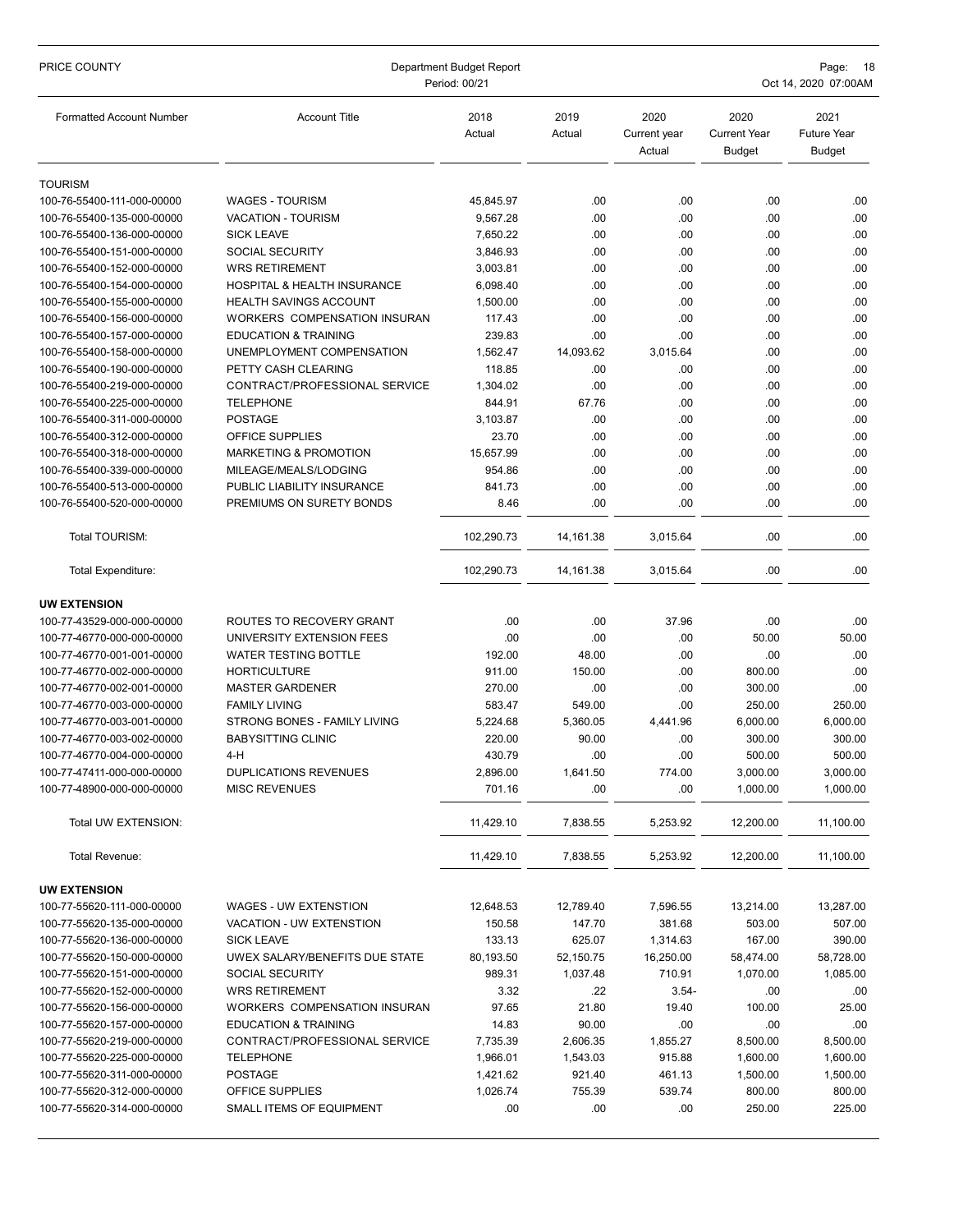| PRICE COUNTY                                             | Department Budget Report<br>Period: 00/21        |                    |                  |                                | Page:<br>Oct 14, 2020 07:00AM                |                                      |  |  |
|----------------------------------------------------------|--------------------------------------------------|--------------------|------------------|--------------------------------|----------------------------------------------|--------------------------------------|--|--|
| <b>Formatted Account Number</b>                          | <b>Account Title</b>                             | 2018<br>Actual     | 2019<br>Actual   | 2020<br>Current year<br>Actual | 2020<br><b>Current Year</b><br><b>Budget</b> | 2021<br><b>Future Year</b><br>Budget |  |  |
| <b>TOURISM</b>                                           |                                                  |                    |                  |                                |                                              |                                      |  |  |
| 100-76-55400-111-000-00000                               | <b>WAGES - TOURISM</b>                           | 45,845.97          | .00              | .00                            | .00                                          | .00                                  |  |  |
| 100-76-55400-135-000-00000                               | <b>VACATION - TOURISM</b>                        | 9.567.28           | .00              | .00                            | .00                                          | .00                                  |  |  |
| 100-76-55400-136-000-00000                               | <b>SICK LEAVE</b>                                | 7,650.22           | .00              | .00                            | .00                                          | .00                                  |  |  |
| 100-76-55400-151-000-00000                               | <b>SOCIAL SECURITY</b>                           | 3,846.93           | .00              | .00                            | .00                                          | .00                                  |  |  |
| 100-76-55400-152-000-00000                               | <b>WRS RETIREMENT</b>                            | 3,003.81           | .00              | .00                            | .00                                          | .00                                  |  |  |
| 100-76-55400-154-000-00000                               | HOSPITAL & HEALTH INSURANCE                      | 6,098.40           | .00              | .00                            | .00                                          | .00                                  |  |  |
| 100-76-55400-155-000-00000                               | <b>HEALTH SAVINGS ACCOUNT</b>                    | 1,500.00           | .00              | .00                            | .00                                          | .00                                  |  |  |
| 100-76-55400-156-000-00000                               | WORKERS COMPENSATION INSURAN                     | 117.43             | .00              | .00                            | .00                                          | .00                                  |  |  |
| 100-76-55400-157-000-00000                               | <b>EDUCATION &amp; TRAINING</b>                  | 239.83             | .00              | .00                            | .00                                          | .00                                  |  |  |
| 100-76-55400-158-000-00000<br>100-76-55400-190-000-00000 | UNEMPLOYMENT COMPENSATION<br>PETTY CASH CLEARING | 1,562.47<br>118.85 | 14,093.62<br>.00 | 3,015.64<br>.00                | .00<br>.00                                   | .00<br>.00                           |  |  |
| 100-76-55400-219-000-00000                               | CONTRACT/PROFESSIONAL SERVICE                    | 1,304.02           | .00              | .00                            | .00                                          | .00                                  |  |  |
| 100-76-55400-225-000-00000                               | <b>TELEPHONE</b>                                 | 844.91             | 67.76            | .00                            | .00                                          | .00                                  |  |  |
| 100-76-55400-311-000-00000                               | <b>POSTAGE</b>                                   | 3,103.87           | .00              | .00                            | .00                                          | .00                                  |  |  |
| 100-76-55400-312-000-00000                               | OFFICE SUPPLIES                                  | 23.70              | .00              | .00                            | .00                                          | .00                                  |  |  |
| 100-76-55400-318-000-00000                               | <b>MARKETING &amp; PROMOTION</b>                 | 15,657.99          | .00              | .00                            | .00                                          | .00                                  |  |  |
| 100-76-55400-339-000-00000                               | MILEAGE/MEALS/LODGING                            | 954.86             | .00              | .00                            | .00                                          | .00                                  |  |  |
| 100-76-55400-513-000-00000                               | PUBLIC LIABILITY INSURANCE                       | 841.73             | .00              | .00                            | .00                                          | .00                                  |  |  |
| 100-76-55400-520-000-00000                               | PREMIUMS ON SURETY BONDS                         | 8.46               | .00              | .00                            | .00                                          | .00                                  |  |  |
| Total TOURISM:                                           |                                                  | 102,290.73         | 14, 161.38       | 3,015.64                       | .00                                          | .00                                  |  |  |
| Total Expenditure:                                       |                                                  | 102,290.73         | 14, 161. 38      | 3,015.64                       | .00                                          | .00                                  |  |  |
| <b>UW EXTENSION</b>                                      |                                                  |                    |                  |                                |                                              |                                      |  |  |
| 100-77-43529-000-000-00000                               | ROUTES TO RECOVERY GRANT                         | .00                | .00              | 37.96                          | .00                                          | .00                                  |  |  |
| 100-77-46770-000-000-00000                               | UNIVERSITY EXTENSION FEES                        | .00                | .00              | .00                            | 50.00                                        | 50.00                                |  |  |
| 100-77-46770-001-001-00000                               | <b>WATER TESTING BOTTLE</b>                      | 192.00             | 48.00            | .00                            | .00                                          | .00                                  |  |  |
| 100-77-46770-002-000-00000                               | <b>HORTICULTURE</b>                              | 911.00             | 150.00           | .00                            | 800.00                                       | .00                                  |  |  |
| 100-77-46770-002-001-00000                               | <b>MASTER GARDENER</b>                           | 270.00             | .00              | .00                            | 300.00                                       | .00                                  |  |  |
| 100-77-46770-003-000-00000                               | <b>FAMILY LIVING</b>                             | 583.47             | 549.00           | .00                            | 250.00                                       | 250.00                               |  |  |
| 100-77-46770-003-001-00000                               | STRONG BONES - FAMILY LIVING                     | 5,224.68           | 5,360.05         | 4.441.96                       | 6,000.00                                     | 6,000.00                             |  |  |
| 100-77-46770-003-002-00000                               | <b>BABYSITTING CLINIC</b>                        | 220.00             | 90.00            | .00                            | 300.00                                       | 300.00                               |  |  |
| 100-77-46770-004-000-00000                               | 4-H                                              | 430.79             | .00              | .00                            | 500.00                                       | 500.00                               |  |  |
| 100-77-47411-000-000-00000                               | DUPLICATIONS REVENUES                            | 2,896.00           | 1,641.50         | 774.00                         | 3,000.00                                     | 3,000.00                             |  |  |
| 100-77-48900-000-000-00000                               | <b>MISC REVENUES</b>                             | 701.16             | .00              | .00                            | 1,000.00                                     | 1,000.00                             |  |  |
| Total UW EXTENSION:                                      |                                                  | 11,429.10          | 7,838.55         | 5,253.92                       | 12,200.00                                    | 11,100.00                            |  |  |
| Total Revenue:                                           |                                                  | 11,429.10          | 7,838.55         | 5,253.92                       | 12,200.00                                    | 11,100.00                            |  |  |
| <b>UW EXTENSION</b>                                      |                                                  |                    |                  |                                |                                              |                                      |  |  |
| 100-77-55620-111-000-00000                               | WAGES - UW EXTENSTION                            | 12,648.53          | 12,789.40        | 7,596.55                       | 13,214.00                                    | 13,287.00                            |  |  |
| 100-77-55620-135-000-00000                               | VACATION - UW EXTENSTION                         | 150.58             | 147.70           | 381.68                         | 503.00                                       | 507.00                               |  |  |
| 100-77-55620-136-000-00000                               | <b>SICK LEAVE</b>                                | 133.13             | 625.07           | 1,314.63                       | 167.00                                       | 390.00                               |  |  |
| 100-77-55620-150-000-00000                               | UWEX SALARY/BENEFITS DUE STATE                   | 80,193.50          | 52,150.75        | 16,250.00                      | 58,474.00                                    | 58,728.00                            |  |  |
| 100-77-55620-151-000-00000                               | <b>SOCIAL SECURITY</b>                           | 989.31             | 1,037.48         | 710.91                         | 1,070.00                                     | 1,085.00                             |  |  |
| 100-77-55620-152-000-00000                               | <b>WRS RETIREMENT</b>                            | 3.32               | .22              | $3.54 -$                       | .00                                          | .00                                  |  |  |
| 100-77-55620-156-000-00000                               | WORKERS COMPENSATION INSURAN                     | 97.65              | 21.80            | 19.40                          | 100.00                                       | 25.00                                |  |  |
| 100-77-55620-157-000-00000                               | <b>EDUCATION &amp; TRAINING</b>                  | 14.83              | 90.00            | .00                            | .00                                          | .00                                  |  |  |
| 100-77-55620-219-000-00000                               | CONTRACT/PROFESSIONAL SERVICE                    | 7,735.39           | 2,606.35         | 1,855.27                       | 8,500.00                                     | 8,500.00                             |  |  |
| 100-77-55620-225-000-00000                               | <b>TELEPHONE</b>                                 | 1,966.01           | 1,543.03         | 915.88                         | 1,600.00                                     | 1,600.00                             |  |  |
| 100-77-55620-311-000-00000                               | <b>POSTAGE</b>                                   | 1,421.62           | 921.40           | 461.13                         | 1,500.00                                     | 1,500.00                             |  |  |
| 100-77-55620-312-000-00000<br>100-77-55620-314-000-00000 | OFFICE SUPPLIES<br>SMALL ITEMS OF EQUIPMENT      | 1,026.74<br>.00    | 755.39<br>.00.   | 539.74<br>.00                  | 800.00<br>250.00                             | 800.00<br>225.00                     |  |  |
|                                                          |                                                  |                    |                  |                                |                                              |                                      |  |  |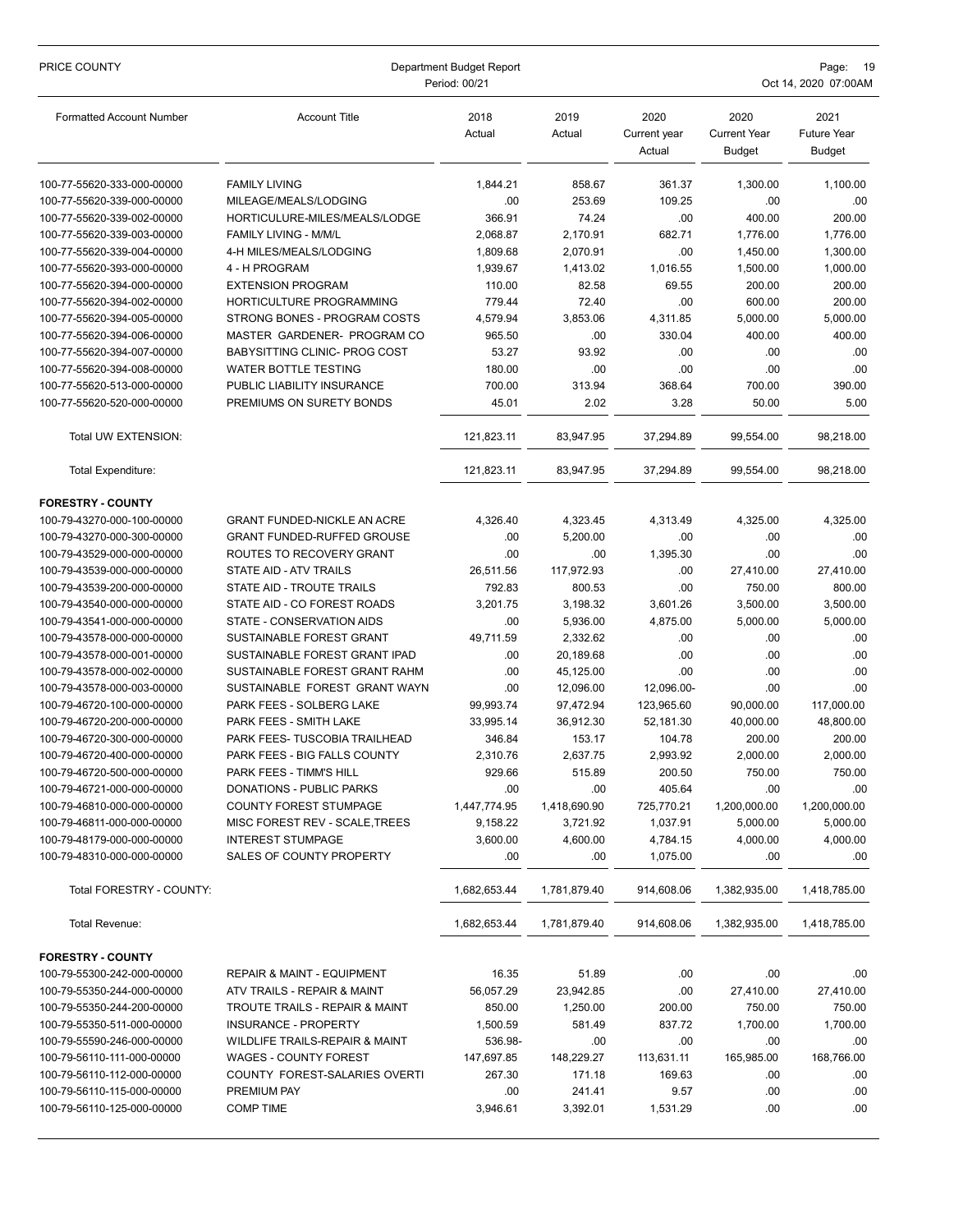| PRICE COUNTY                                             | Department Budget Report<br>Period: 00/21                      |                |                        |                                | Page:<br>19<br>Oct 14, 2020 07:00AM          |                                             |  |
|----------------------------------------------------------|----------------------------------------------------------------|----------------|------------------------|--------------------------------|----------------------------------------------|---------------------------------------------|--|
| <b>Formatted Account Number</b>                          | <b>Account Title</b>                                           | 2018<br>Actual | 2019<br>Actual         | 2020<br>Current year<br>Actual | 2020<br><b>Current Year</b><br><b>Budget</b> | 2021<br><b>Future Year</b><br><b>Budget</b> |  |
| 100-77-55620-333-000-00000                               | <b>FAMILY LIVING</b>                                           | 1,844.21       | 858.67                 | 361.37                         | 1,300.00                                     | 1,100.00                                    |  |
| 100-77-55620-339-000-00000                               | MILEAGE/MEALS/LODGING                                          | .00            | 253.69                 | 109.25                         | .00                                          | .00                                         |  |
| 100-77-55620-339-002-00000                               | HORTICULURE-MILES/MEALS/LODGE                                  | 366.91         | 74.24                  | .00                            | 400.00                                       | 200.00                                      |  |
| 100-77-55620-339-003-00000                               | <b>FAMILY LIVING - M/M/L</b>                                   | 2,068.87       | 2,170.91               | 682.71                         | 1,776.00                                     | 1,776.00                                    |  |
| 100-77-55620-339-004-00000                               | 4-H MILES/MEALS/LODGING                                        | 1,809.68       | 2,070.91               | .00                            | 1,450.00                                     | 1,300.00                                    |  |
| 100-77-55620-393-000-00000                               | 4 - H PROGRAM                                                  | 1,939.67       | 1,413.02               | 1.016.55                       | 1,500.00                                     | 1,000.00                                    |  |
| 100-77-55620-394-000-00000                               | <b>EXTENSION PROGRAM</b>                                       | 110.00         | 82.58                  | 69.55                          | 200.00                                       | 200.00                                      |  |
| 100-77-55620-394-002-00000                               | HORTICULTURE PROGRAMMING                                       | 779.44         | 72.40                  | .00                            | 600.00                                       | 200.00                                      |  |
| 100-77-55620-394-005-00000                               | STRONG BONES - PROGRAM COSTS                                   | 4,579.94       | 3,853.06               | 4,311.85                       | 5,000.00                                     | 5,000.00                                    |  |
| 100-77-55620-394-006-00000                               | MASTER GARDENER- PROGRAM CO                                    | 965.50         | .00                    | 330.04                         | 400.00                                       | 400.00                                      |  |
| 100-77-55620-394-007-00000                               | BABYSITTING CLINIC- PROG COST                                  | 53.27          | 93.92                  | .00                            | .00                                          | .00                                         |  |
| 100-77-55620-394-008-00000                               | <b>WATER BOTTLE TESTING</b>                                    | 180.00         | .00                    | .00                            | .00                                          | .00                                         |  |
| 100-77-55620-513-000-00000                               | PUBLIC LIABILITY INSURANCE                                     | 700.00         | 313.94                 | 368.64                         | 700.00                                       | 390.00                                      |  |
| 100-77-55620-520-000-00000                               | PREMIUMS ON SURETY BONDS                                       | 45.01          | 2.02                   | 3.28                           | 50.00                                        | 5.00                                        |  |
| Total UW EXTENSION:                                      |                                                                | 121,823.11     | 83,947.95              | 37.294.89                      | 99,554.00                                    | 98,218.00                                   |  |
| <b>Total Expenditure:</b>                                |                                                                | 121,823.11     | 83,947.95              | 37,294.89                      | 99,554.00                                    | 98,218.00                                   |  |
| <b>FORESTRY - COUNTY</b>                                 |                                                                |                |                        |                                |                                              |                                             |  |
| 100-79-43270-000-100-00000                               | <b>GRANT FUNDED-NICKLE AN ACRE</b>                             | 4,326.40       | 4,323.45               | 4,313.49                       | 4,325.00                                     | 4,325.00                                    |  |
| 100-79-43270-000-300-00000                               | <b>GRANT FUNDED-RUFFED GROUSE</b>                              | .00            | 5,200.00               | .00                            | .00                                          | .00                                         |  |
| 100-79-43529-000-000-00000                               | ROUTES TO RECOVERY GRANT                                       | .00            | .00                    | 1,395.30                       | .00                                          | .00                                         |  |
| 100-79-43539-000-000-00000                               | <b>STATE AID - ATV TRAILS</b>                                  | 26,511.56      | 117,972.93             | .00                            | 27,410.00                                    | 27,410.00                                   |  |
| 100-79-43539-200-000-00000                               | STATE AID - TROUTE TRAILS                                      | 792.83         | 800.53                 | .00                            | 750.00                                       | 800.00                                      |  |
| 100-79-43540-000-000-00000                               | STATE AID - CO FOREST ROADS                                    | 3,201.75       | 3,198.32               | 3,601.26                       | 3,500.00                                     | 3,500.00                                    |  |
| 100-79-43541-000-000-00000                               | STATE - CONSERVATION AIDS                                      | .00            | 5,936.00               | 4,875.00                       | 5,000.00                                     | 5,000.00                                    |  |
| 100-79-43578-000-000-00000                               | SUSTAINABLE FOREST GRANT                                       | 49,711.59      | 2,332.62               | .00                            | .00                                          | .00                                         |  |
| 100-79-43578-000-001-00000<br>100-79-43578-000-002-00000 | SUSTAINABLE FOREST GRANT IPAD<br>SUSTAINABLE FOREST GRANT RAHM | .00            | 20,189.68              | .00                            | .00                                          | .00<br>.00                                  |  |
| 100-79-43578-000-003-00000                               | SUSTAINABLE FOREST GRANT WAYN                                  | .00<br>.00     | 45,125.00<br>12,096.00 | .00<br>12.096.00-              | .00<br>.00                                   | .00                                         |  |
| 100-79-46720-100-000-00000                               | PARK FEES - SOLBERG LAKE                                       | 99,993.74      | 97,472.94              | 123.965.60                     | 90,000.00                                    | 117,000.00                                  |  |
| 100-79-46720-200-000-00000                               | PARK FEES - SMITH LAKE                                         | 33,995.14      | 36,912.30              | 52,181.30                      | 40,000.00                                    | 48,800.00                                   |  |
| 100-79-46720-300-000-00000                               | PARK FEES- TUSCOBIA TRAILHEAD                                  | 346.84         | 153.17                 | 104.78                         | 200.00                                       | 200.00                                      |  |
| 100-79-46720-400-000-00000                               | PARK FEES - BIG FALLS COUNTY                                   | 2,310.76       | 2,637.75               | 2,993.92                       | 2,000.00                                     | 2,000.00                                    |  |
| 100-79-46720-500-000-00000                               | PARK FEES - TIMM'S HILL                                        | 929.66         | 515.89                 | 200.50                         | 750.00                                       | 750.00                                      |  |
| 100-79-46721-000-000-00000                               | DONATIONS - PUBLIC PARKS                                       | .00            | .00                    | 405.64                         | .00                                          | .00.                                        |  |
| 100-79-46810-000-000-00000                               | <b>COUNTY FOREST STUMPAGE</b>                                  | 1,447,774.95   | 1,418,690.90           | 725,770.21                     | 1,200,000.00                                 | 1,200,000.00                                |  |
| 100-79-46811-000-000-00000                               | MISC FOREST REV - SCALE, TREES                                 | 9,158.22       | 3,721.92               | 1,037.91                       | 5,000.00                                     | 5,000.00                                    |  |
| 100-79-48179-000-000-00000                               | <b>INTEREST STUMPAGE</b>                                       | 3,600.00       | 4,600.00               | 4,784.15                       | 4,000.00                                     | 4,000.00                                    |  |
| 100-79-48310-000-000-00000                               | SALES OF COUNTY PROPERTY                                       | .00            | .00                    | 1,075.00                       | .00                                          | .00.                                        |  |
| Total FORESTRY - COUNTY:                                 |                                                                | 1,682,653.44   | 1,781,879.40           | 914,608.06                     | 1,382,935.00                                 | 1,418,785.00                                |  |
| Total Revenue:                                           |                                                                | 1,682,653.44   | 1,781,879.40           | 914,608.06                     | 1,382,935.00                                 | 1,418,785.00                                |  |
| <b>FORESTRY - COUNTY</b>                                 |                                                                |                |                        |                                |                                              |                                             |  |
| 100-79-55300-242-000-00000                               | <b>REPAIR &amp; MAINT - EQUIPMENT</b>                          | 16.35          | 51.89                  | .00                            | .00                                          | .00                                         |  |
| 100-79-55350-244-000-00000                               | ATV TRAILS - REPAIR & MAINT                                    | 56,057.29      | 23,942.85              | .00                            | 27,410.00                                    | 27,410.00                                   |  |
| 100-79-55350-244-200-00000                               | TROUTE TRAILS - REPAIR & MAINT                                 | 850.00         | 1,250.00               | 200.00                         | 750.00                                       | 750.00                                      |  |
| 100-79-55350-511-000-00000                               | <b>INSURANCE - PROPERTY</b>                                    | 1,500.59       | 581.49                 | 837.72                         | 1,700.00                                     | 1,700.00                                    |  |
| 100-79-55590-246-000-00000                               | WILDLIFE TRAILS-REPAIR & MAINT                                 | 536.98-        | .00                    | .00                            | .00                                          | .00                                         |  |
| 100-79-56110-111-000-00000                               | <b>WAGES - COUNTY FOREST</b>                                   | 147,697.85     | 148,229.27             | 113,631.11                     | 165,985.00                                   | 168,766.00                                  |  |
| 100-79-56110-112-000-00000                               | COUNTY FOREST-SALARIES OVERTI                                  | 267.30         | 171.18                 | 169.63                         | .00                                          | .00                                         |  |
| 100-79-56110-115-000-00000                               | PREMIUM PAY                                                    | .00            | 241.41                 | 9.57                           | .00                                          | .00                                         |  |
| 100-79-56110-125-000-00000                               | <b>COMP TIME</b>                                               | 3,946.61       | 3,392.01               | 1,531.29                       | .00                                          | .00.                                        |  |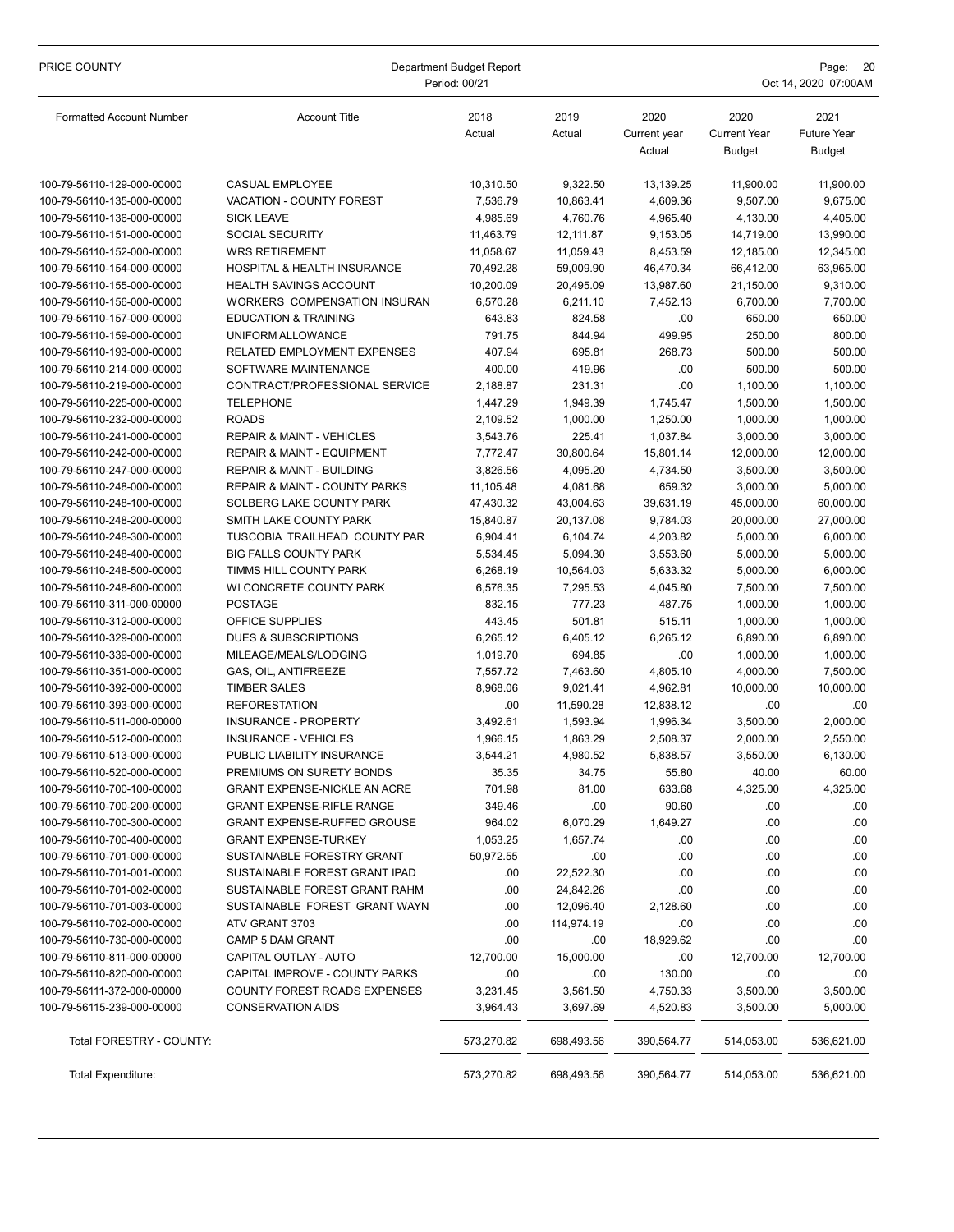| PRICE COUNTY                                             | Department Budget Report<br>Period: 00/21                       |                 |                |                                | Page: 20<br>Oct 14, 2020 07:00AM             |                                             |  |
|----------------------------------------------------------|-----------------------------------------------------------------|-----------------|----------------|--------------------------------|----------------------------------------------|---------------------------------------------|--|
| <b>Formatted Account Number</b>                          | <b>Account Title</b>                                            | 2018<br>Actual  | 2019<br>Actual | 2020<br>Current year<br>Actual | 2020<br><b>Current Year</b><br><b>Budget</b> | 2021<br><b>Future Year</b><br><b>Budget</b> |  |
| 100-79-56110-129-000-00000                               | CASUAL EMPLOYEE                                                 | 10,310.50       | 9,322.50       | 13,139.25                      | 11,900.00                                    | 11,900.00                                   |  |
| 100-79-56110-135-000-00000                               | VACATION - COUNTY FOREST                                        | 7,536.79        | 10,863.41      | 4,609.36                       | 9,507.00                                     | 9,675.00                                    |  |
| 100-79-56110-136-000-00000                               | <b>SICK LEAVE</b>                                               | 4,985.69        | 4,760.76       | 4,965.40                       | 4,130.00                                     | 4,405.00                                    |  |
| 100-79-56110-151-000-00000                               | SOCIAL SECURITY                                                 | 11,463.79       | 12,111.87      | 9,153.05                       | 14,719.00                                    | 13,990.00                                   |  |
| 100-79-56110-152-000-00000                               | <b>WRS RETIREMENT</b>                                           | 11,058.67       | 11,059.43      | 8,453.59                       | 12,185.00                                    | 12,345.00                                   |  |
| 100-79-56110-154-000-00000                               | HOSPITAL & HEALTH INSURANCE                                     | 70,492.28       | 59,009.90      | 46,470.34                      | 66,412.00                                    | 63,965.00                                   |  |
| 100-79-56110-155-000-00000                               | HEALTH SAVINGS ACCOUNT                                          | 10,200.09       | 20,495.09      | 13,987.60                      | 21,150.00                                    | 9,310.00                                    |  |
| 100-79-56110-156-000-00000                               | WORKERS COMPENSATION INSURAN                                    | 6,570.28        | 6,211.10       | 7,452.13                       | 6,700.00                                     | 7,700.00                                    |  |
| 100-79-56110-157-000-00000                               | <b>EDUCATION &amp; TRAINING</b>                                 | 643.83          | 824.58         | .00                            | 650.00                                       | 650.00                                      |  |
| 100-79-56110-159-000-00000                               | UNIFORM ALLOWANCE                                               | 791.75          | 844.94         | 499.95                         | 250.00                                       | 800.00                                      |  |
| 100-79-56110-193-000-00000                               | RELATED EMPLOYMENT EXPENSES                                     | 407.94          | 695.81         | 268.73                         | 500.00                                       | 500.00                                      |  |
| 100-79-56110-214-000-00000                               | SOFTWARE MAINTENANCE                                            | 400.00          | 419.96         | .00                            | 500.00                                       | 500.00                                      |  |
| 100-79-56110-219-000-00000                               | CONTRACT/PROFESSIONAL SERVICE                                   | 2,188.87        | 231.31         | .00                            | 1,100.00                                     | 1,100.00                                    |  |
| 100-79-56110-225-000-00000                               | <b>TELEPHONE</b>                                                | 1,447.29        | 1,949.39       | 1,745.47                       | 1,500.00                                     | 1,500.00                                    |  |
| 100-79-56110-232-000-00000                               | <b>ROADS</b>                                                    | 2,109.52        | 1,000.00       | 1,250.00                       | 1,000.00                                     | 1,000.00                                    |  |
| 100-79-56110-241-000-00000                               | <b>REPAIR &amp; MAINT - VEHICLES</b>                            | 3,543.76        | 225.41         | 1,037.84                       | 3,000.00                                     | 3,000.00                                    |  |
| 100-79-56110-242-000-00000                               | <b>REPAIR &amp; MAINT - EQUIPMENT</b>                           | 7,772.47        | 30,800.64      | 15,801.14                      | 12,000.00                                    | 12,000.00                                   |  |
| 100-79-56110-247-000-00000                               | <b>REPAIR &amp; MAINT - BUILDING</b>                            | 3,826.56        | 4,095.20       | 4,734.50                       | 3,500.00                                     | 3,500.00                                    |  |
| 100-79-56110-248-000-00000                               | <b>REPAIR &amp; MAINT - COUNTY PARKS</b>                        | 11,105.48       | 4,081.68       | 659.32                         | 3,000.00                                     | 5,000.00                                    |  |
| 100-79-56110-248-100-00000                               | SOLBERG LAKE COUNTY PARK                                        | 47,430.32       | 43,004.63      | 39,631.19                      | 45,000.00                                    | 60,000.00                                   |  |
| 100-79-56110-248-200-00000                               | SMITH LAKE COUNTY PARK                                          | 15,840.87       | 20,137.08      | 9,784.03                       | 20,000.00                                    | 27,000.00                                   |  |
| 100-79-56110-248-300-00000                               | TUSCOBIA TRAILHEAD COUNTY PAR                                   | 6,904.41        | 6,104.74       | 4,203.82                       | 5,000.00                                     | 6,000.00                                    |  |
| 100-79-56110-248-400-00000                               | <b>BIG FALLS COUNTY PARK</b>                                    | 5,534.45        | 5,094.30       | 3,553.60                       | 5,000.00                                     | 5,000.00                                    |  |
| 100-79-56110-248-500-00000                               | TIMMS HILL COUNTY PARK                                          | 6,268.19        | 10,564.03      | 5,633.32                       | 5,000.00                                     | 6,000.00                                    |  |
| 100-79-56110-248-600-00000                               | WI CONCRETE COUNTY PARK                                         | 6,576.35        | 7,295.53       | 4,045.80                       | 7,500.00                                     | 7,500.00                                    |  |
| 100-79-56110-311-000-00000                               | <b>POSTAGE</b>                                                  | 832.15          | 777.23         | 487.75                         | 1,000.00                                     | 1,000.00                                    |  |
| 100-79-56110-312-000-00000                               | OFFICE SUPPLIES                                                 | 443.45          | 501.81         | 515.11                         | 1,000.00                                     | 1,000.00                                    |  |
| 100-79-56110-329-000-00000                               | DUES & SUBSCRIPTIONS                                            | 6,265.12        | 6,405.12       | 6,265.12                       | 6,890.00                                     | 6,890.00                                    |  |
| 100-79-56110-339-000-00000                               | MILEAGE/MEALS/LODGING                                           | 1,019.70        | 694.85         | .00                            | 1,000.00                                     | 1,000.00                                    |  |
| 100-79-56110-351-000-00000                               | GAS, OIL, ANTIFREEZE                                            | 7,557.72        | 7,463.60       | 4,805.10                       | 4,000.00                                     | 7,500.00                                    |  |
| 100-79-56110-392-000-00000                               | <b>TIMBER SALES</b>                                             | 8,968.06        | 9,021.41       | 4,962.81                       | 10,000.00                                    | 10,000.00                                   |  |
| 100-79-56110-393-000-00000                               | <b>REFORESTATION</b>                                            | .00             | 11,590.28      | 12,838.12                      | .00                                          | .00                                         |  |
| 100-79-56110-511-000-00000                               | <b>INSURANCE - PROPERTY</b>                                     | 3,492.61        | 1,593.94       | 1,996.34                       | 3,500.00                                     | 2,000.00                                    |  |
| 100-79-56110-512-000-00000                               | INSURANCE - VEHICLES                                            | 1,966.15        | 1,863.29       | 2,508.37                       | 2.000.00                                     | 2,550.00                                    |  |
| 100-79-56110-513-000-00000                               | PUBLIC LIABILITY INSURANCE                                      | 3,544.21        | 4,980.52       | 5,838.57                       | 3,550.00                                     | 6,130.00                                    |  |
| 100-79-56110-520-000-00000<br>100-79-56110-700-100-00000 | PREMIUMS ON SURETY BONDS<br><b>GRANT EXPENSE-NICKLE AN ACRE</b> | 35.35<br>701.98 | 34.75<br>81.00 | 55.80<br>633.68                | 40.00<br>4,325.00                            | 60.00<br>4,325.00                           |  |
| 100-79-56110-700-200-00000                               | <b>GRANT EXPENSE-RIFLE RANGE</b>                                | 349.46          | .00            | 90.60                          | .00                                          | .00                                         |  |
| 100-79-56110-700-300-00000                               | <b>GRANT EXPENSE-RUFFED GROUSE</b>                              | 964.02          | 6,070.29       | 1,649.27                       | .00                                          | .00                                         |  |
| 100-79-56110-700-400-00000                               | <b>GRANT EXPENSE-TURKEY</b>                                     | 1,053.25        | 1,657.74       | .00                            | .00                                          | .00                                         |  |
| 100-79-56110-701-000-00000                               | SUSTAINABLE FORESTRY GRANT                                      | 50,972.55       | .00            | .00                            | .00                                          | .00                                         |  |
| 100-79-56110-701-001-00000                               | SUSTAINABLE FOREST GRANT IPAD                                   | .00             | 22,522.30      | .00                            | .00                                          | .00                                         |  |
| 100-79-56110-701-002-00000                               | SUSTAINABLE FOREST GRANT RAHM                                   | .00             | 24,842.26      | .00                            | .00                                          | .00                                         |  |
| 100-79-56110-701-003-00000                               | SUSTAINABLE FOREST GRANT WAYN                                   | .00             | 12,096.40      | 2,128.60                       | .00                                          | .00                                         |  |
| 100-79-56110-702-000-00000                               | ATV GRANT 3703                                                  | .00             | 114,974.19     | .00                            | .00                                          | .00                                         |  |
| 100-79-56110-730-000-00000                               | CAMP 5 DAM GRANT                                                | .00             | .00            | 18,929.62                      | .00                                          | .00                                         |  |
| 100-79-56110-811-000-00000                               | CAPITAL OUTLAY - AUTO                                           | 12,700.00       | 15,000.00      | .00                            | 12,700.00                                    | 12,700.00                                   |  |
| 100-79-56110-820-000-00000                               | CAPITAL IMPROVE - COUNTY PARKS                                  | .00             | .00            | 130.00                         | .00                                          | .00                                         |  |
| 100-79-56111-372-000-00000                               | <b>COUNTY FOREST ROADS EXPENSES</b>                             | 3,231.45        | 3,561.50       | 4,750.33                       | 3,500.00                                     | 3,500.00                                    |  |
| 100-79-56115-239-000-00000                               | <b>CONSERVATION AIDS</b>                                        | 3,964.43        | 3,697.69       | 4,520.83                       | 3,500.00                                     | 5,000.00                                    |  |
| Total FORESTRY - COUNTY:                                 |                                                                 | 573,270.82      | 698,493.56     | 390,564.77                     | 514,053.00                                   | 536,621.00                                  |  |
|                                                          |                                                                 |                 |                |                                |                                              |                                             |  |
| Total Expenditure:                                       |                                                                 | 573,270.82      | 698,493.56     | 390,564.77                     | 514,053.00                                   | 536,621.00                                  |  |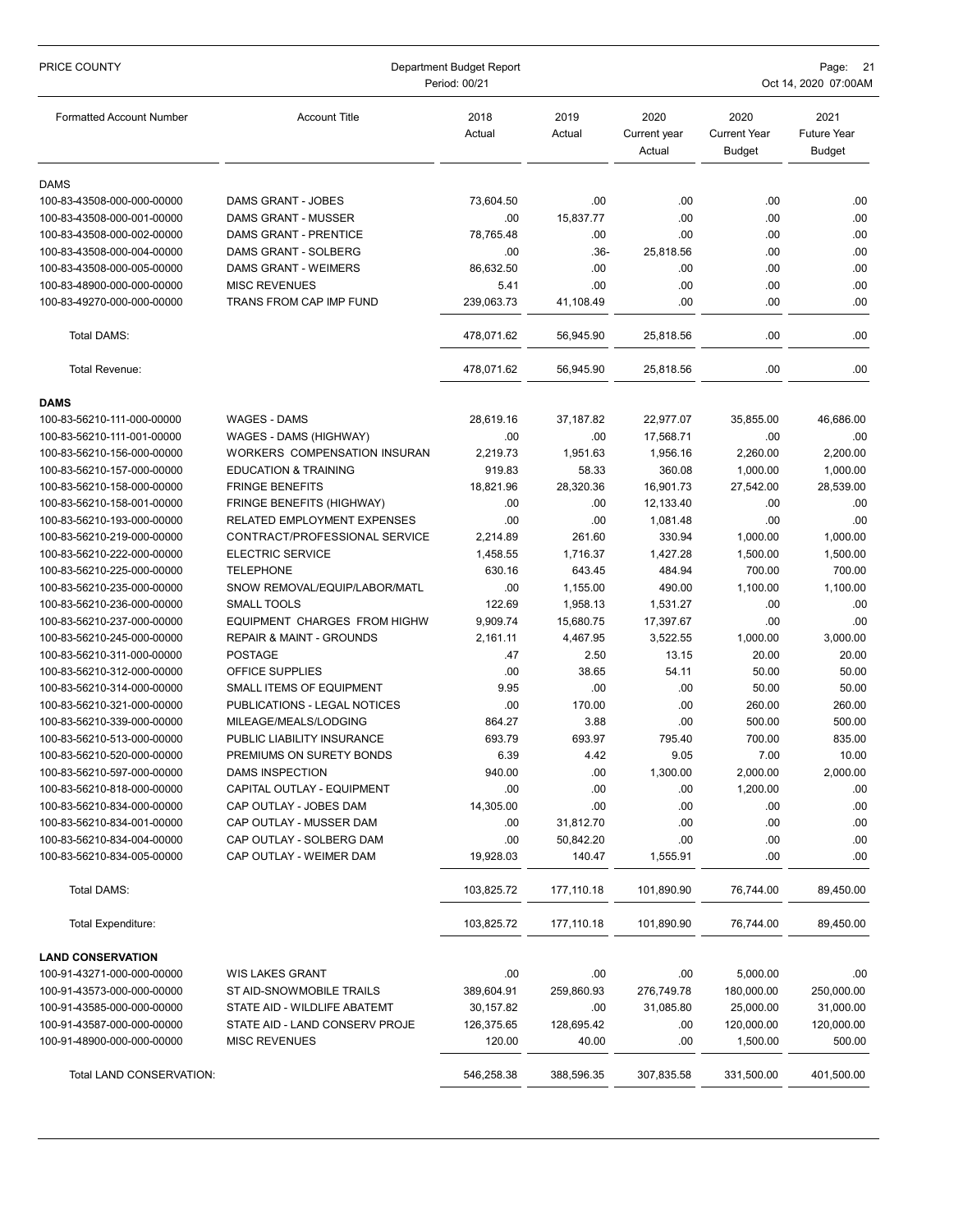| PRICE COUNTY                                             | Department Budget Report<br>Period: 00/21 |                |                |                                | Page: 21<br>Oct 14, 2020 07:00AM             |                                             |  |
|----------------------------------------------------------|-------------------------------------------|----------------|----------------|--------------------------------|----------------------------------------------|---------------------------------------------|--|
| <b>Formatted Account Number</b>                          | <b>Account Title</b>                      | 2018<br>Actual | 2019<br>Actual | 2020<br>Current year<br>Actual | 2020<br><b>Current Year</b><br><b>Budget</b> | 2021<br><b>Future Year</b><br><b>Budget</b> |  |
| <b>DAMS</b>                                              |                                           |                |                |                                |                                              |                                             |  |
| 100-83-43508-000-000-00000                               | DAMS GRANT - JOBES                        | 73,604.50      | .00            | .00                            | .00                                          | .00.                                        |  |
| 100-83-43508-000-001-00000                               | DAMS GRANT - MUSSER                       | .00            | 15,837.77      | .00                            | .00                                          | .00                                         |  |
| 100-83-43508-000-002-00000                               | <b>DAMS GRANT - PRENTICE</b>              | 78,765.48      | .00            | .00                            | .00                                          | .00                                         |  |
| 100-83-43508-000-004-00000                               | DAMS GRANT - SOLBERG                      | .00            | .36-           | 25,818.56                      | .00                                          | .00                                         |  |
| 100-83-43508-000-005-00000                               | DAMS GRANT - WEIMERS                      | 86,632.50      | .00            | .00                            | .00                                          | .00                                         |  |
| 100-83-48900-000-000-00000                               | <b>MISC REVENUES</b>                      | 5.41           | .00            | .00                            | .00                                          | .00                                         |  |
| 100-83-49270-000-000-00000                               | TRANS FROM CAP IMP FUND                   | 239,063.73     | 41,108.49      | .00                            | .00                                          | .00                                         |  |
| Total DAMS:                                              |                                           | 478,071.62     | 56,945.90      | 25,818.56                      | .00                                          | .00.                                        |  |
| Total Revenue:                                           |                                           | 478,071.62     | 56.945.90      | 25.818.56                      | .00                                          | .00.                                        |  |
| <b>DAMS</b>                                              |                                           |                |                |                                |                                              |                                             |  |
| 100-83-56210-111-000-00000                               | <b>WAGES - DAMS</b>                       | 28,619.16      | 37,187.82      | 22,977.07                      | 35,855.00                                    | 46,686.00                                   |  |
| 100-83-56210-111-001-00000                               | WAGES - DAMS (HIGHWAY)                    | .00            | .00            | 17,568.71                      | .00                                          | .00.                                        |  |
| 100-83-56210-156-000-00000                               | WORKERS COMPENSATION INSURAN              | 2,219.73       | 1,951.63       | 1,956.16                       | 2,260.00                                     | 2,200.00                                    |  |
| 100-83-56210-157-000-00000                               | <b>EDUCATION &amp; TRAINING</b>           | 919.83         | 58.33          | 360.08                         | 1,000.00                                     | 1,000.00                                    |  |
| 100-83-56210-158-000-00000                               | <b>FRINGE BENEFITS</b>                    | 18,821.96      | 28,320.36      | 16,901.73                      | 27,542.00                                    | 28,539.00                                   |  |
| 100-83-56210-158-001-00000                               | <b>FRINGE BENEFITS (HIGHWAY)</b>          | .00            | .00            | 12,133.40                      | .00                                          | .00                                         |  |
| 100-83-56210-193-000-00000                               | RELATED EMPLOYMENT EXPENSES               | .00            | .00            | 1,081.48                       | .00                                          | .00                                         |  |
| 100-83-56210-219-000-00000                               | CONTRACT/PROFESSIONAL SERVICE             | 2,214.89       | 261.60         | 330.94                         | 1,000.00                                     | 1,000.00                                    |  |
| 100-83-56210-222-000-00000                               | <b>ELECTRIC SERVICE</b>                   | 1,458.55       | 1,716.37       | 1,427.28                       | 1,500.00                                     | 1,500.00                                    |  |
| 100-83-56210-225-000-00000                               | <b>TELEPHONE</b>                          | 630.16         | 643.45         | 484.94                         | 700.00                                       | 700.00                                      |  |
| 100-83-56210-235-000-00000                               | SNOW REMOVAL/EQUIP/LABOR/MATL             | .00            | 1,155.00       | 490.00                         | 1,100.00                                     | 1,100.00                                    |  |
| 100-83-56210-236-000-00000                               | SMALL TOOLS                               | 122.69         | 1,958.13       | 1,531.27                       | .00                                          | .00                                         |  |
| 100-83-56210-237-000-00000                               | EQUIPMENT CHARGES FROM HIGHW              | 9,909.74       | 15,680.75      | 17,397.67                      | .00                                          | .00                                         |  |
| 100-83-56210-245-000-00000                               | <b>REPAIR &amp; MAINT - GROUNDS</b>       | 2,161.11       | 4,467.95       | 3,522.55                       | 1,000.00                                     | 3,000.00                                    |  |
| 100-83-56210-311-000-00000                               | <b>POSTAGE</b><br><b>OFFICE SUPPLIES</b>  | .47            | 2.50           | 13.15                          | 20.00                                        | 20.00                                       |  |
| 100-83-56210-312-000-00000<br>100-83-56210-314-000-00000 | SMALL ITEMS OF EQUIPMENT                  | .00<br>9.95    | 38.65<br>.00   | 54.11<br>.00                   | 50.00<br>50.00                               | 50.00<br>50.00                              |  |
| 100-83-56210-321-000-00000                               | PUBLICATIONS - LEGAL NOTICES              | .00            | 170.00         | .00                            | 260.00                                       | 260.00                                      |  |
| 100-83-56210-339-000-00000                               | MILEAGE/MEALS/LODGING                     | 864.27         | 3.88           | .00                            | 500.00                                       | 500.00                                      |  |
| 100-83-56210-513-000-00000                               | PUBLIC LIABILITY INSURANCE                | 693.79         | 693.97         | 795.40                         | 700.00                                       | 835.00                                      |  |
| 100-83-56210-520-000-00000                               | PREMIUMS ON SURETY BONDS                  | 6.39           | 4.42           | 9.05                           | 7.00                                         | 10.00                                       |  |
| 100-83-56210-597-000-00000                               | <b>DAMS INSPECTION</b>                    | 940.00         | .00            | 1,300.00                       | 2,000.00                                     | 2,000.00                                    |  |
| 100-83-56210-818-000-00000                               | CAPITAL OUTLAY - EQUIPMENT                | .00            | .00            | .00                            | 1,200.00                                     | .00                                         |  |
| 100-83-56210-834-000-00000                               | CAP OUTLAY - JOBES DAM                    | 14,305.00      | .00            | .00                            | .00                                          | .00                                         |  |
| 100-83-56210-834-001-00000                               | CAP OUTLAY - MUSSER DAM                   | .00            | 31,812.70      | .00                            | .00                                          | .00                                         |  |
| 100-83-56210-834-004-00000                               | CAP OUTLAY - SOLBERG DAM                  | .00            | 50,842.20      | .00                            | .00                                          | .00                                         |  |
| 100-83-56210-834-005-00000                               | CAP OUTLAY - WEIMER DAM                   | 19,928.03      | 140.47         | 1,555.91                       | .00                                          | .00.                                        |  |
| Total DAMS:                                              |                                           | 103,825.72     | 177,110.18     | 101,890.90                     | 76,744.00                                    | 89,450.00                                   |  |
| Total Expenditure:                                       |                                           | 103,825.72     | 177,110.18     | 101,890.90                     | 76,744.00                                    | 89,450.00                                   |  |
| <b>LAND CONSERVATION</b>                                 |                                           |                |                |                                |                                              |                                             |  |
| 100-91-43271-000-000-00000                               | WIS LAKES GRANT                           | .00            | .00            | .00                            | 5,000.00                                     | .00                                         |  |
| 100-91-43573-000-000-00000                               | ST AID-SNOWMOBILE TRAILS                  | 389,604.91     | 259,860.93     | 276,749.78                     | 180,000.00                                   | 250,000.00                                  |  |
| 100-91-43585-000-000-00000                               | STATE AID - WILDLIFE ABATEMT              | 30,157.82      | .00            | 31,085.80                      | 25,000.00                                    | 31,000.00                                   |  |
| 100-91-43587-000-000-00000                               | STATE AID - LAND CONSERV PROJE            | 126,375.65     | 128,695.42     | .00                            | 120,000.00                                   | 120,000.00                                  |  |
| 100-91-48900-000-000-00000                               | <b>MISC REVENUES</b>                      | 120.00         | 40.00          | .00                            | 1,500.00                                     | 500.00                                      |  |
| Total LAND CONSERVATION:                                 |                                           | 546,258.38     | 388,596.35     | 307,835.58                     | 331,500.00                                   | 401,500.00                                  |  |
|                                                          |                                           |                |                |                                |                                              |                                             |  |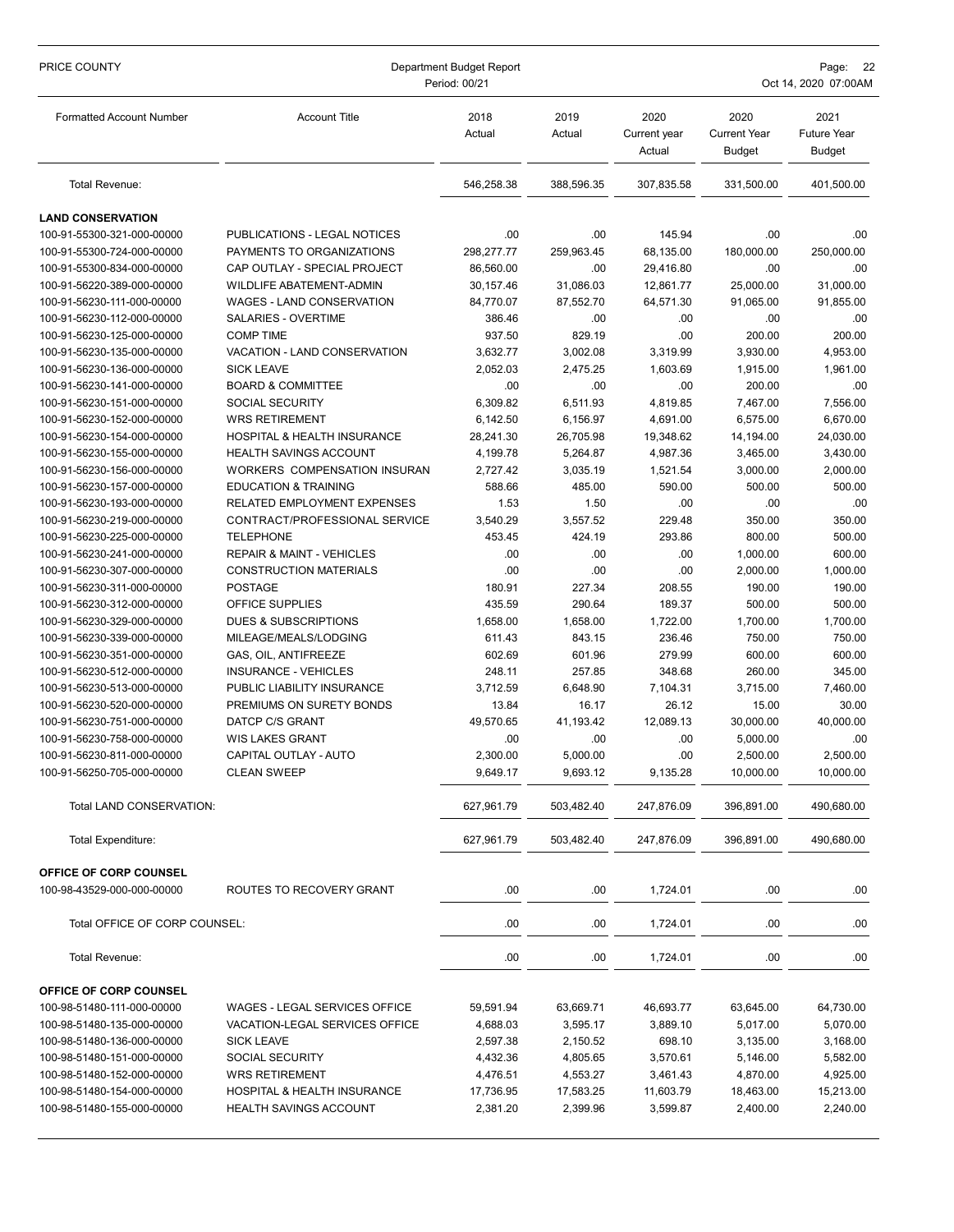| PRICE COUNTY                                             | Department Budget Report<br>Period: 00/21            |                       |                       |                                | Page: 22<br>Oct 14, 2020 07:00AM      |                                      |  |
|----------------------------------------------------------|------------------------------------------------------|-----------------------|-----------------------|--------------------------------|---------------------------------------|--------------------------------------|--|
| <b>Formatted Account Number</b>                          | <b>Account Title</b>                                 | 2018<br>Actual        | 2019<br>Actual        | 2020<br>Current year<br>Actual | 2020<br><b>Current Year</b><br>Budget | 2021<br><b>Future Year</b><br>Budget |  |
| Total Revenue:                                           |                                                      | 546,258.38            | 388,596.35            | 307,835.58                     | 331,500.00                            | 401,500.00                           |  |
| <b>LAND CONSERVATION</b>                                 |                                                      |                       |                       |                                |                                       |                                      |  |
| 100-91-55300-321-000-00000                               | PUBLICATIONS - LEGAL NOTICES                         | .00                   | .00                   | 145.94                         | .00                                   | .00                                  |  |
| 100-91-55300-724-000-00000                               | PAYMENTS TO ORGANIZATIONS                            | 298,277.77            | 259,963.45            | 68,135.00                      | 180,000.00                            | 250,000.00                           |  |
| 100-91-55300-834-000-00000                               | CAP OUTLAY - SPECIAL PROJECT                         | 86,560.00             | .00                   | 29,416.80                      | .00                                   | .00                                  |  |
| 100-91-56220-389-000-00000                               | <b>WILDLIFE ABATEMENT-ADMIN</b>                      | 30,157.46             | 31,086.03             | 12,861.77                      | 25,000.00                             | 31,000.00                            |  |
| 100-91-56230-111-000-00000                               | <b>WAGES - LAND CONSERVATION</b>                     | 84,770.07             | 87,552.70             | 64,571.30                      | 91,065.00                             | 91,855.00                            |  |
| 100-91-56230-112-000-00000                               | <b>SALARIES - OVERTIME</b>                           | 386.46                | .00                   | .00                            | .00                                   | .00                                  |  |
| 100-91-56230-125-000-00000                               | <b>COMP TIME</b>                                     | 937.50                | 829.19                | .00                            | 200.00                                | 200.00                               |  |
| 100-91-56230-135-000-00000                               | VACATION - LAND CONSERVATION                         | 3,632.77              | 3,002.08              | 3,319.99                       | 3,930.00                              | 4,953.00                             |  |
| 100-91-56230-136-000-00000                               | <b>SICK LEAVE</b>                                    | 2,052.03              | 2,475.25              | 1.603.69                       | 1,915.00                              | 1,961.00                             |  |
| 100-91-56230-141-000-00000                               | <b>BOARD &amp; COMMITTEE</b>                         | .00                   | .00                   | .00                            | 200.00                                | .00                                  |  |
| 100-91-56230-151-000-00000                               | SOCIAL SECURITY                                      | 6,309.82              | 6,511.93              | 4,819.85                       | 7,467.00                              | 7,556.00                             |  |
| 100-91-56230-152-000-00000<br>100-91-56230-154-000-00000 | <b>WRS RETIREMENT</b><br>HOSPITAL & HEALTH INSURANCE | 6,142.50<br>28,241.30 | 6,156.97              | 4,691.00                       | 6,575.00                              | 6,670.00<br>24,030.00                |  |
| 100-91-56230-155-000-00000                               | <b>HEALTH SAVINGS ACCOUNT</b>                        | 4,199.78              | 26,705.98<br>5,264.87 | 19,348.62<br>4,987.36          | 14,194.00<br>3,465.00                 | 3,430.00                             |  |
| 100-91-56230-156-000-00000                               | WORKERS COMPENSATION INSURAN                         | 2,727.42              | 3,035.19              | 1,521.54                       | 3,000.00                              | 2,000.00                             |  |
| 100-91-56230-157-000-00000                               | <b>EDUCATION &amp; TRAINING</b>                      | 588.66                | 485.00                | 590.00                         | 500.00                                | 500.00                               |  |
| 100-91-56230-193-000-00000                               | RELATED EMPLOYMENT EXPENSES                          | 1.53                  | 1.50                  | .00                            | .00                                   | .00                                  |  |
| 100-91-56230-219-000-00000                               | CONTRACT/PROFESSIONAL SERVICE                        | 3,540.29              | 3,557.52              | 229.48                         | 350.00                                | 350.00                               |  |
| 100-91-56230-225-000-00000                               | <b>TELEPHONE</b>                                     | 453.45                | 424.19                | 293.86                         | 800.00                                | 500.00                               |  |
| 100-91-56230-241-000-00000                               | <b>REPAIR &amp; MAINT - VEHICLES</b>                 | .00                   | .00                   | .00                            | 1,000.00                              | 600.00                               |  |
| 100-91-56230-307-000-00000                               | <b>CONSTRUCTION MATERIALS</b>                        | .00                   | .00                   | .00                            | 2,000.00                              | 1,000.00                             |  |
| 100-91-56230-311-000-00000                               | <b>POSTAGE</b>                                       | 180.91                | 227.34                | 208.55                         | 190.00                                | 190.00                               |  |
| 100-91-56230-312-000-00000                               | OFFICE SUPPLIES                                      | 435.59                | 290.64                | 189.37                         | 500.00                                | 500.00                               |  |
| 100-91-56230-329-000-00000                               | <b>DUES &amp; SUBSCRIPTIONS</b>                      | 1,658.00              | 1,658.00              | 1,722.00                       | 1,700.00                              | 1,700.00                             |  |
| 100-91-56230-339-000-00000                               | MILEAGE/MEALS/LODGING                                | 611.43                | 843.15                | 236.46                         | 750.00                                | 750.00                               |  |
| 100-91-56230-351-000-00000                               | GAS, OIL, ANTIFREEZE                                 | 602.69                | 601.96                | 279.99                         | 600.00                                | 600.00                               |  |
| 100-91-56230-512-000-00000                               | INSURANCE - VEHICLES                                 | 248.11                | 257.85                | 348.68                         | 260.00                                | 345.00                               |  |
| 100-91-56230-513-000-00000                               | PUBLIC LIABILITY INSURANCE                           | 3,712.59              | 6,648.90              | 7,104.31                       | 3,715.00                              | 7,460.00                             |  |
| 100-91-56230-520-000-00000<br>100-91-56230-751-000-00000 | PREMIUMS ON SURETY BONDS<br>DATCP C/S GRANT          | 13.84                 | 16.17<br>41,193.42    | 26.12<br>12,089.13             | 15.00<br>30,000.00                    | 30.00<br>40,000.00                   |  |
| 100-91-56230-758-000-00000                               | <b>WIS LAKES GRANT</b>                               | 49,570.65<br>.00      | .00                   | .00                            | 5,000.00                              | .00                                  |  |
| 100-91-56230-811-000-00000                               | CAPITAL OUTLAY - AUTO                                | 2,300.00              | 5,000.00              | .00.                           | 2,500.00                              | 2,500.00                             |  |
| 100-91-56250-705-000-00000                               | <b>CLEAN SWEEP</b>                                   | 9,649.17              | 9,693.12              | 9,135.28                       | 10,000.00                             | 10,000.00                            |  |
|                                                          |                                                      |                       |                       |                                |                                       |                                      |  |
| Total LAND CONSERVATION:                                 |                                                      | 627,961.79            | 503,482.40            | 247,876.09                     | 396,891.00                            | 490,680.00                           |  |
| <b>Total Expenditure:</b>                                |                                                      | 627,961.79            | 503,482.40            | 247,876.09                     | 396,891.00                            | 490,680.00                           |  |
| OFFICE OF CORP COUNSEL                                   |                                                      |                       |                       |                                |                                       |                                      |  |
| 100-98-43529-000-000-00000                               | ROUTES TO RECOVERY GRANT                             | .00                   | .00.                  | 1,724.01                       | .00                                   | .00                                  |  |
| Total OFFICE OF CORP COUNSEL:                            |                                                      | .00                   | .00                   | 1,724.01                       | .00                                   | .00                                  |  |
| Total Revenue:                                           |                                                      | .00                   | .00                   | 1,724.01                       | .00                                   | .00                                  |  |
| OFFICE OF CORP COUNSEL                                   |                                                      |                       |                       |                                |                                       |                                      |  |
| 100-98-51480-111-000-00000                               | WAGES - LEGAL SERVICES OFFICE                        | 59,591.94             | 63,669.71             | 46,693.77                      | 63,645.00                             | 64,730.00                            |  |
| 100-98-51480-135-000-00000                               | VACATION-LEGAL SERVICES OFFICE                       | 4,688.03              | 3,595.17              | 3,889.10                       | 5,017.00                              | 5,070.00                             |  |
| 100-98-51480-136-000-00000                               | <b>SICK LEAVE</b>                                    | 2,597.38              | 2,150.52              | 698.10                         | 3,135.00                              | 3,168.00                             |  |
| 100-98-51480-151-000-00000                               | SOCIAL SECURITY                                      | 4,432.36              | 4,805.65              | 3,570.61                       | 5,146.00                              | 5,582.00                             |  |
| 100-98-51480-152-000-00000                               | <b>WRS RETIREMENT</b>                                | 4,476.51              | 4,553.27              | 3,461.43                       | 4,870.00                              | 4,925.00                             |  |
| 100-98-51480-154-000-00000                               | HOSPITAL & HEALTH INSURANCE                          | 17,736.95             | 17,583.25             | 11,603.79                      | 18,463.00                             | 15,213.00                            |  |
| 100-98-51480-155-000-00000                               | <b>HEALTH SAVINGS ACCOUNT</b>                        | 2,381.20              | 2,399.96              | 3,599.87                       | 2,400.00                              | 2,240.00                             |  |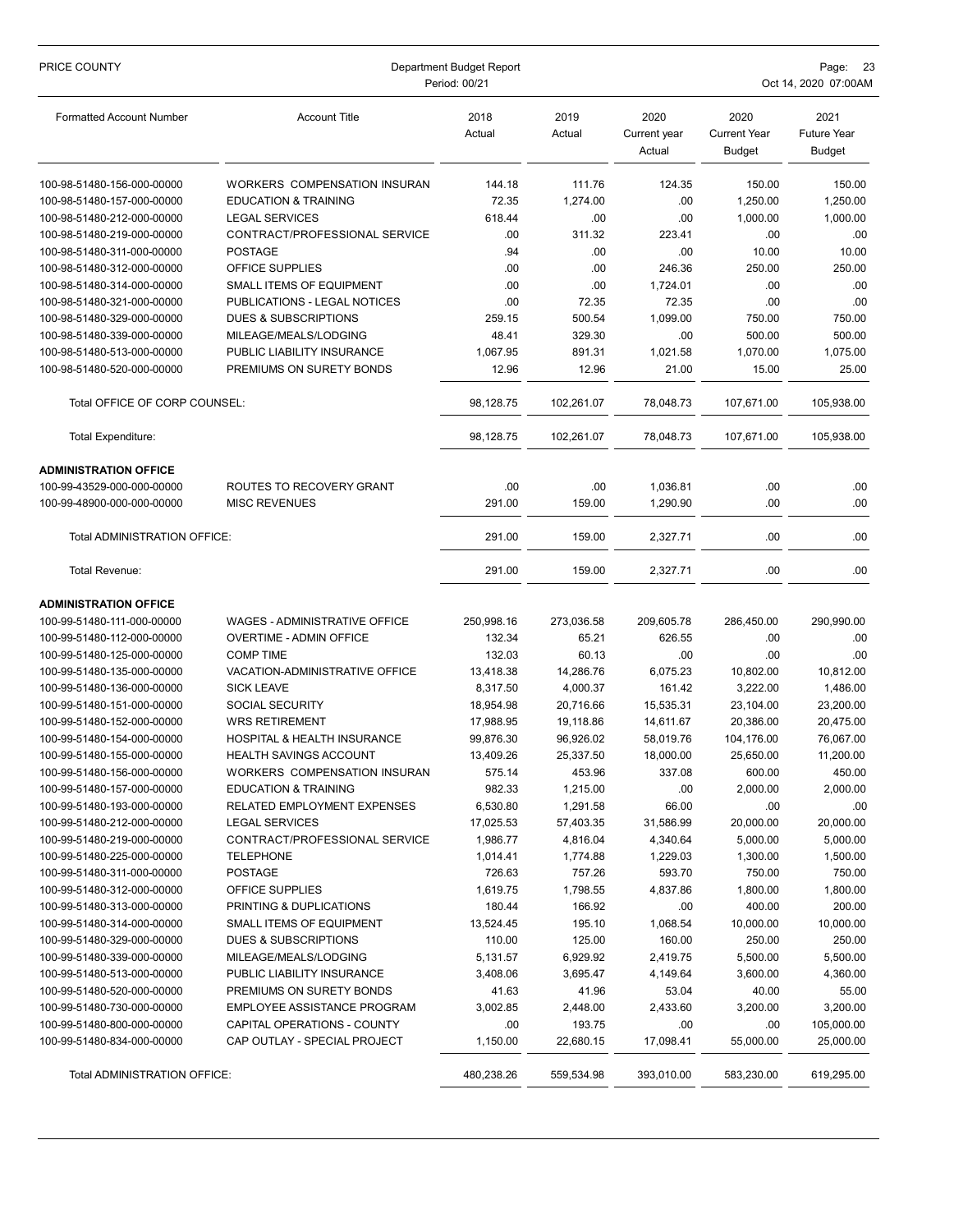| PRICE COUNTY                                             | Department Budget Report<br>Period: 00/21              |                   |                   |                                |                                              | Page:<br>-23<br>Oct 14, 2020 07:00AM        |  |  |
|----------------------------------------------------------|--------------------------------------------------------|-------------------|-------------------|--------------------------------|----------------------------------------------|---------------------------------------------|--|--|
| <b>Formatted Account Number</b>                          | <b>Account Title</b>                                   | 2018<br>Actual    | 2019<br>Actual    | 2020<br>Current year<br>Actual | 2020<br><b>Current Year</b><br><b>Budget</b> | 2021<br><b>Future Year</b><br><b>Budget</b> |  |  |
| 100-98-51480-156-000-00000                               | WORKERS COMPENSATION INSURAN                           | 144.18            | 111.76            | 124.35                         | 150.00                                       | 150.00                                      |  |  |
| 100-98-51480-157-000-00000                               | <b>EDUCATION &amp; TRAINING</b>                        | 72.35             | 1,274.00          | .00                            | 1,250.00                                     | 1,250.00                                    |  |  |
| 100-98-51480-212-000-00000                               | <b>LEGAL SERVICES</b>                                  | 618.44            | .00               | .00                            | 1,000.00                                     | 1,000.00                                    |  |  |
| 100-98-51480-219-000-00000                               | CONTRACT/PROFESSIONAL SERVICE                          | .00               | 311.32            | 223.41                         | .00                                          | .00                                         |  |  |
| 100-98-51480-311-000-00000                               | <b>POSTAGE</b>                                         | .94               | .00               | .00                            | 10.00                                        | 10.00                                       |  |  |
| 100-98-51480-312-000-00000                               | OFFICE SUPPLIES                                        | .00               | .00               | 246.36                         | 250.00                                       | 250.00                                      |  |  |
| 100-98-51480-314-000-00000                               | SMALL ITEMS OF EQUIPMENT                               | .00               | .00               | 1,724.01                       | .00                                          | .00                                         |  |  |
| 100-98-51480-321-000-00000                               | PUBLICATIONS - LEGAL NOTICES                           | .00               | 72.35             | 72.35                          | .00                                          | .00                                         |  |  |
| 100-98-51480-329-000-00000                               | <b>DUES &amp; SUBSCRIPTIONS</b>                        | 259.15            | 500.54            | 1,099.00                       | 750.00                                       | 750.00                                      |  |  |
| 100-98-51480-339-000-00000                               | MILEAGE/MEALS/LODGING                                  | 48.41             | 329.30            | .00                            | 500.00                                       | 500.00                                      |  |  |
| 100-98-51480-513-000-00000                               | PUBLIC LIABILITY INSURANCE                             | 1,067.95          | 891.31            | 1,021.58                       | 1,070.00                                     | 1,075.00                                    |  |  |
| 100-98-51480-520-000-00000                               | PREMIUMS ON SURETY BONDS                               | 12.96             | 12.96             | 21.00                          | 15.00                                        | 25.00                                       |  |  |
| Total OFFICE OF CORP COUNSEL:                            |                                                        | 98,128.75         | 102,261.07        | 78,048.73                      | 107,671.00                                   | 105,938.00                                  |  |  |
| Total Expenditure:                                       |                                                        | 98.128.75         | 102,261.07        | 78,048.73                      | 107,671.00                                   | 105,938.00                                  |  |  |
| <b>ADMINISTRATION OFFICE</b>                             |                                                        |                   |                   |                                |                                              |                                             |  |  |
| 100-99-43529-000-000-00000                               | ROUTES TO RECOVERY GRANT                               | .00               | .00               | 1,036.81                       | .00                                          | .00                                         |  |  |
| 100-99-48900-000-000-00000                               | <b>MISC REVENUES</b>                                   | 291.00            | 159.00            | 1,290.90                       | .00                                          | .00                                         |  |  |
| Total ADMINISTRATION OFFICE:                             |                                                        | 291.00            | 159.00            | 2,327.71                       | .00                                          | .00                                         |  |  |
| Total Revenue:                                           |                                                        | 291.00            | 159.00            | 2,327.71                       | .00                                          | .00.                                        |  |  |
| <b>ADMINISTRATION OFFICE</b>                             |                                                        |                   |                   |                                |                                              |                                             |  |  |
| 100-99-51480-111-000-00000                               | <b>WAGES - ADMINISTRATIVE OFFICE</b>                   | 250,998.16        | 273,036.58        | 209,605.78                     | 286,450.00                                   | 290,990.00                                  |  |  |
| 100-99-51480-112-000-00000                               | <b>OVERTIME - ADMIN OFFICE</b>                         | 132.34            | 65.21             | 626.55                         | .00                                          | .00                                         |  |  |
| 100-99-51480-125-000-00000                               | <b>COMP TIME</b>                                       | 132.03            | 60.13             | .00                            | .00                                          | .00                                         |  |  |
| 100-99-51480-135-000-00000                               | VACATION-ADMINISTRATIVE OFFICE                         | 13,418.38         | 14,286.76         | 6,075.23                       | 10,802.00                                    | 10,812.00                                   |  |  |
| 100-99-51480-136-000-00000                               | <b>SICK LEAVE</b>                                      | 8,317.50          | 4,000.37          | 161.42                         | 3,222.00                                     | 1,486.00                                    |  |  |
| 100-99-51480-151-000-00000                               | SOCIAL SECURITY                                        | 18,954.98         | 20,716.66         | 15,535.31                      | 23,104.00                                    | 23,200.00                                   |  |  |
| 100-99-51480-152-000-00000                               | <b>WRS RETIREMENT</b>                                  | 17,988.95         | 19,118.86         | 14,611.67                      | 20,386.00                                    | 20,475.00                                   |  |  |
| 100-99-51480-154-000-00000                               | <b>HOSPITAL &amp; HEALTH INSURANCE</b>                 | 99,876.30         | 96,926.02         | 58,019.76                      | 104,176.00                                   | 76,067.00                                   |  |  |
| 100-99-51480-155-000-00000                               | <b>HEALTH SAVINGS ACCOUNT</b>                          | 13,409.26         | 25,337.50         | 18,000.00                      | 25,650.00                                    | 11,200.00                                   |  |  |
| 100-99-51480-156-000-00000                               | WORKERS COMPENSATION INSURAN                           | 575.14            | 453.96            | 337.08                         | 600.00                                       | 450.00                                      |  |  |
| 100-99-51480-157-000-00000                               | <b>EDUCATION &amp; TRAINING</b>                        | 982.33            | 1,215.00          | .00                            | 2,000.00                                     | 2,000.00                                    |  |  |
| 100-99-51480-193-000-00000                               | RELATED EMPLOYMENT EXPENSES                            | 6,530.80          | 1,291.58          | 66.00                          | .00                                          | .00                                         |  |  |
| 100-99-51480-212-000-00000                               | <b>LEGAL SERVICES</b>                                  | 17,025.53         | 57,403.35         | 31,586.99                      | 20,000.00                                    | 20,000.00                                   |  |  |
| 100-99-51480-219-000-00000                               | CONTRACT/PROFESSIONAL SERVICE                          | 1,986.77          | 4,816.04          | 4,340.64                       | 5,000.00                                     | 5,000.00                                    |  |  |
| 100-99-51480-225-000-00000                               | <b>TELEPHONE</b>                                       | 1,014.41          | 1,774.88          | 1,229.03                       | 1,300.00                                     | 1,500.00                                    |  |  |
| 100-99-51480-311-000-00000                               | POSTAGE                                                | 726.63            | 757.26            | 593.70                         | 750.00                                       | 750.00                                      |  |  |
| 100-99-51480-312-000-00000                               | <b>OFFICE SUPPLIES</b>                                 | 1,619.75          | 1,798.55          | 4,837.86                       | 1,800.00                                     | 1,800.00                                    |  |  |
| 100-99-51480-313-000-00000                               | PRINTING & DUPLICATIONS                                | 180.44            | 166.92            | .00                            | 400.00                                       | 200.00                                      |  |  |
| 100-99-51480-314-000-00000                               | SMALL ITEMS OF EQUIPMENT                               | 13,524.45         | 195.10            | 1,068.54                       | 10,000.00                                    | 10,000.00                                   |  |  |
| 100-99-51480-329-000-00000                               | <b>DUES &amp; SUBSCRIPTIONS</b>                        | 110.00            | 125.00            | 160.00                         | 250.00                                       | 250.00                                      |  |  |
| 100-99-51480-339-000-00000                               | MILEAGE/MEALS/LODGING                                  | 5,131.57          | 6,929.92          | 2,419.75                       | 5,500.00                                     | 5,500.00                                    |  |  |
| 100-99-51480-513-000-00000<br>100-99-51480-520-000-00000 | PUBLIC LIABILITY INSURANCE<br>PREMIUMS ON SURETY BONDS | 3,408.06<br>41.63 | 3,695.47<br>41.96 | 4,149.64<br>53.04              | 3,600.00<br>40.00                            | 4,360.00<br>55.00                           |  |  |
| 100-99-51480-730-000-00000                               | EMPLOYEE ASSISTANCE PROGRAM                            | 3,002.85          | 2,448.00          | 2,433.60                       | 3,200.00                                     | 3,200.00                                    |  |  |
| 100-99-51480-800-000-00000                               | CAPITAL OPERATIONS - COUNTY                            | .00               | 193.75            | .00                            | .00                                          | 105,000.00                                  |  |  |
| 100-99-51480-834-000-00000                               | CAP OUTLAY - SPECIAL PROJECT                           | 1,150.00          | 22,680.15         | 17,098.41                      | 55,000.00                                    | 25,000.00                                   |  |  |
| Total ADMINISTRATION OFFICE:                             |                                                        | 480,238.26        | 559,534.98        | 393,010.00                     | 583,230.00                                   | 619,295.00                                  |  |  |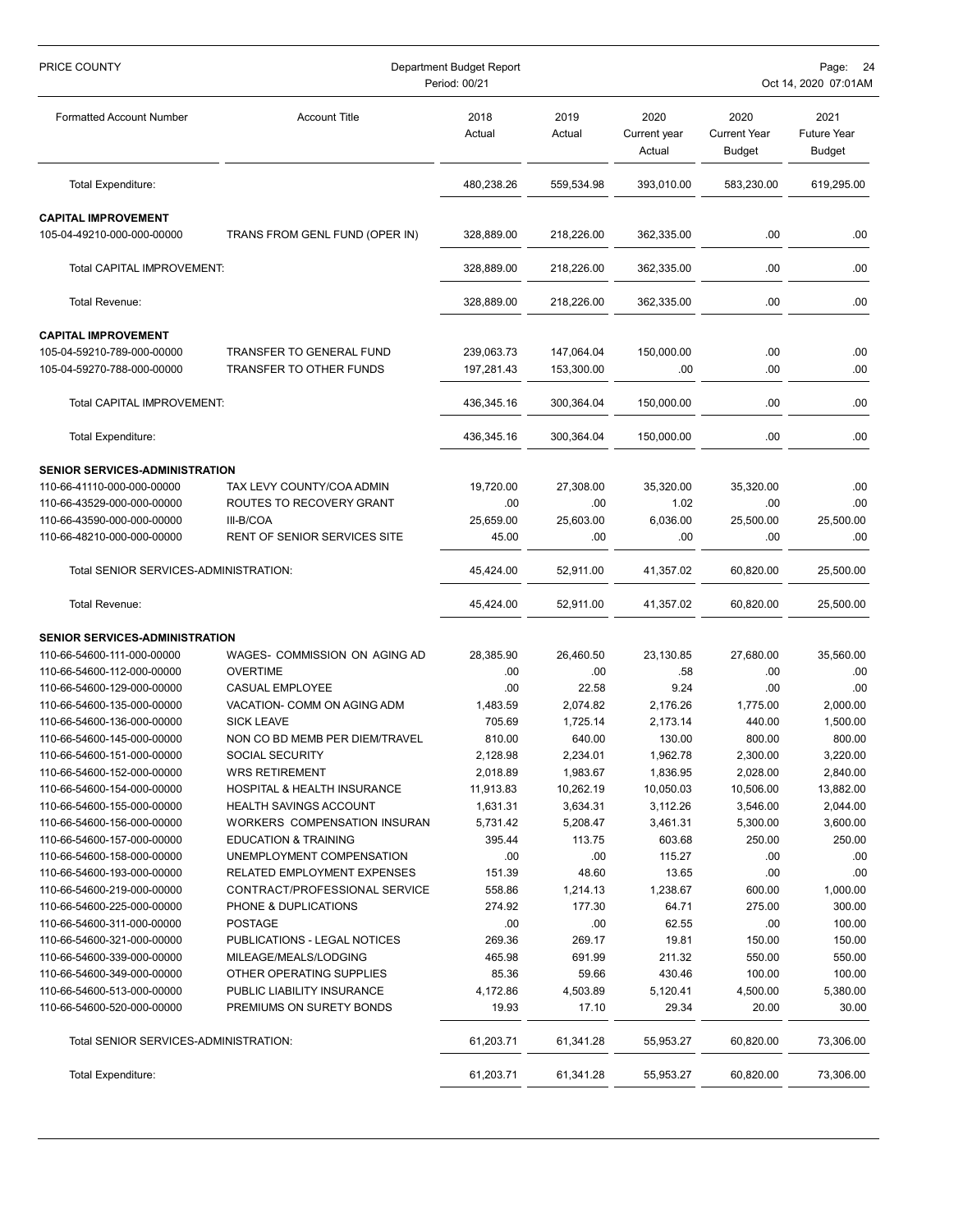| PRICE COUNTY                                             | Department Budget Report<br>Period: 00/21             |                  |                  |                                | Page: 24<br>Oct 14, 2020 07:01AM             |                                             |  |
|----------------------------------------------------------|-------------------------------------------------------|------------------|------------------|--------------------------------|----------------------------------------------|---------------------------------------------|--|
| <b>Formatted Account Number</b>                          | <b>Account Title</b>                                  | 2018<br>Actual   | 2019<br>Actual   | 2020<br>Current year<br>Actual | 2020<br><b>Current Year</b><br><b>Budget</b> | 2021<br><b>Future Year</b><br><b>Budget</b> |  |
| <b>Total Expenditure:</b>                                |                                                       | 480,238.26       | 559,534.98       | 393,010.00                     | 583,230.00                                   | 619,295.00                                  |  |
| <b>CAPITAL IMPROVEMENT</b>                               |                                                       |                  |                  |                                |                                              |                                             |  |
| 105-04-49210-000-000-00000                               | TRANS FROM GENL FUND (OPER IN)                        | 328,889.00       | 218,226.00       | 362,335.00                     | .00                                          | .00.                                        |  |
| Total CAPITAL IMPROVEMENT:                               |                                                       | 328,889.00       | 218,226.00       | 362,335.00                     | .00                                          | .00.                                        |  |
| Total Revenue:                                           |                                                       | 328,889.00       | 218,226.00       | 362,335.00                     | .00                                          | .00.                                        |  |
| <b>CAPITAL IMPROVEMENT</b>                               |                                                       |                  |                  |                                |                                              |                                             |  |
| 105-04-59210-789-000-00000                               | <b>TRANSFER TO GENERAL FUND</b>                       | 239,063.73       | 147,064.04       | 150,000.00                     | .00                                          | .00                                         |  |
| 105-04-59270-788-000-00000                               | TRANSFER TO OTHER FUNDS                               | 197,281.43       | 153,300.00       | .00                            | .00                                          | .00.                                        |  |
| Total CAPITAL IMPROVEMENT:                               |                                                       | 436,345.16       | 300,364.04       | 150.000.00                     | .00                                          | .00                                         |  |
| <b>Total Expenditure:</b>                                |                                                       | 436,345.16       | 300,364.04       | 150,000.00                     | .00                                          | .00.                                        |  |
| <b>SENIOR SERVICES-ADMINISTRATION</b>                    |                                                       |                  |                  |                                |                                              |                                             |  |
| 110-66-41110-000-000-00000                               | TAX LEVY COUNTY/COA ADMIN                             | 19,720.00        | 27,308.00        | 35,320.00                      | 35,320.00                                    | .00                                         |  |
| 110-66-43529-000-000-00000                               | ROUTES TO RECOVERY GRANT                              | .00              | .00              | 1.02                           | .00                                          | .00                                         |  |
| 110-66-43590-000-000-00000                               | III-B/COA                                             | 25,659.00        | 25,603.00        | 6,036.00                       | 25,500.00                                    | 25,500.00                                   |  |
| 110-66-48210-000-000-00000                               | <b>RENT OF SENIOR SERVICES SITE</b>                   | 45.00            | .00              | .00                            | .00                                          | .00                                         |  |
| Total SENIOR SERVICES-ADMINISTRATION:                    |                                                       | 45,424.00        | 52,911.00        | 41,357.02                      | 60,820.00                                    | 25,500.00                                   |  |
| Total Revenue:                                           |                                                       | 45,424.00        | 52,911.00        | 41,357.02                      | 60,820.00                                    | 25,500.00                                   |  |
| <b>SENIOR SERVICES-ADMINISTRATION</b>                    |                                                       |                  |                  |                                |                                              |                                             |  |
| 110-66-54600-111-000-00000                               | WAGES- COMMISSION ON AGING AD                         | 28,385.90        | 26,460.50        | 23,130.85                      | 27,680.00                                    | 35,560.00                                   |  |
| 110-66-54600-112-000-00000                               | <b>OVERTIME</b>                                       | .00              | .00              | .58                            | .00                                          | .00                                         |  |
| 110-66-54600-129-000-00000                               | CASUAL EMPLOYEE                                       | .00              | 22.58            | 9.24                           | .00                                          | .00                                         |  |
| 110-66-54600-135-000-00000                               | VACATION- COMM ON AGING ADM                           | 1,483.59         | 2,074.82         | 2,176.26                       | 1,775.00                                     | 2,000.00                                    |  |
| 110-66-54600-136-000-00000                               | <b>SICK LEAVE</b>                                     | 705.69           | 1,725.14         | 2,173.14                       | 440.00                                       | 1,500.00                                    |  |
| 110-66-54600-145-000-00000                               | NON CO BD MEMB PER DIEM/TRAVEL                        | 810.00           | 640.00           | 130.00                         | 800.00                                       | 800.00                                      |  |
| 110-66-54600-151-000-00000                               | SOCIAL SECURITY                                       | 2,128.98         | 2,234.01         | 1,962.78                       | 2,300.00                                     | 3,220.00                                    |  |
| 110-66-54600-152-000-00000                               | <b>WRS RETIREMENT</b>                                 | 2,018.89         | 1,983.67         | 1,836.95                       | 2,028.00                                     | 2,840.00                                    |  |
| 110-66-54600-154-000-00000                               | HOSPITAL & HEALTH INSURANCE                           | 11,913.83        | 10,262.19        | 10,050.03                      | 10,506.00                                    | 13,882.00                                   |  |
| 110-66-54600-155-000-00000                               | HEALTH SAVINGS ACCOUNT                                | 1,631.31         | 3,634.31         | 3,112.26                       | 3,546.00                                     | 2,044.00                                    |  |
| 110-66-54600-156-000-00000                               | WORKERS COMPENSATION INSURAN                          | 5,731.42         | 5,208.47         | 3,461.31                       | 5,300.00                                     | 3,600.00                                    |  |
| 110-66-54600-157-000-00000                               | <b>EDUCATION &amp; TRAINING</b>                       | 395.44           | 113.75           | 603.68                         | 250.00                                       | 250.00                                      |  |
| 110-66-54600-158-000-00000                               | UNEMPLOYMENT COMPENSATION                             | .00              | .00              | 115.27                         | .00                                          | .00                                         |  |
| 110-66-54600-193-000-00000                               | RELATED EMPLOYMENT EXPENSES                           | 151.39           | 48.60            | 13.65                          | .00                                          | .00                                         |  |
| 110-66-54600-219-000-00000                               | CONTRACT/PROFESSIONAL SERVICE                         | 558.86           | 1,214.13         | 1,238.67                       | 600.00                                       | 1,000.00                                    |  |
| 110-66-54600-225-000-00000                               | PHONE & DUPLICATIONS                                  | 274.92           | 177.30           | 64.71                          | 275.00                                       | 300.00                                      |  |
| 110-66-54600-311-000-00000                               | <b>POSTAGE</b>                                        | .00              | .00              | 62.55                          | .00                                          | 100.00                                      |  |
| 110-66-54600-321-000-00000<br>110-66-54600-339-000-00000 | PUBLICATIONS - LEGAL NOTICES<br>MILEAGE/MEALS/LODGING | 269.36<br>465.98 | 269.17<br>691.99 | 19.81<br>211.32                | 150.00<br>550.00                             | 150.00<br>550.00                            |  |
| 110-66-54600-349-000-00000                               | OTHER OPERATING SUPPLIES                              | 85.36            | 59.66            | 430.46                         | 100.00                                       | 100.00                                      |  |
| 110-66-54600-513-000-00000                               | PUBLIC LIABILITY INSURANCE                            | 4,172.86         | 4,503.89         | 5,120.41                       | 4,500.00                                     | 5,380.00                                    |  |
| 110-66-54600-520-000-00000                               | PREMIUMS ON SURETY BONDS                              | 19.93            | 17.10            | 29.34                          | 20.00                                        | 30.00                                       |  |
|                                                          |                                                       |                  |                  |                                |                                              |                                             |  |
| Total SENIOR SERVICES-ADMINISTRATION:                    |                                                       | 61,203.71        | 61,341.28        | 55,953.27                      | 60,820.00                                    | 73,306.00                                   |  |
| Total Expenditure:                                       |                                                       | 61,203.71        | 61,341.28        | 55,953.27                      | 60,820.00                                    | 73,306.00                                   |  |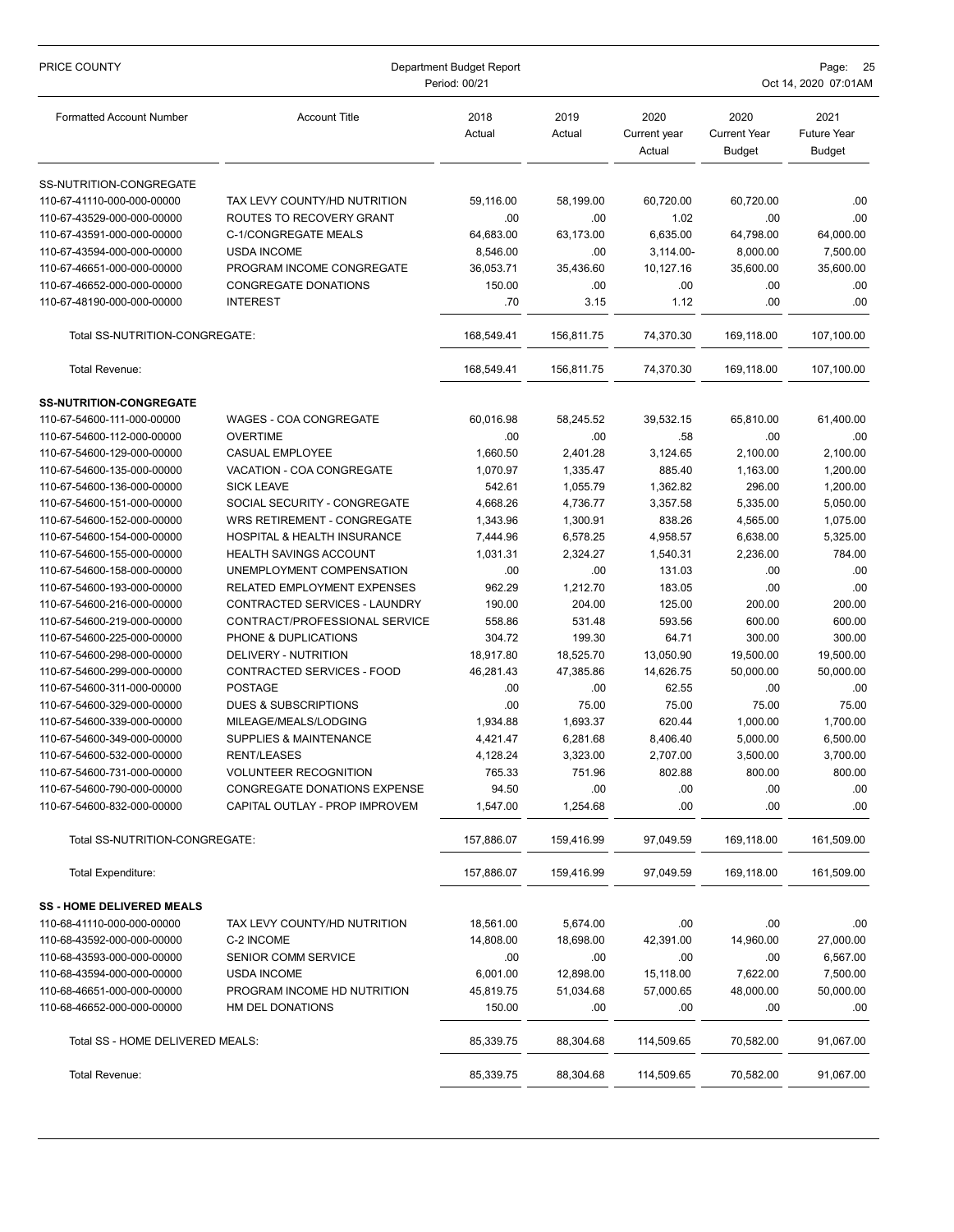| PRICE COUNTY                                             | Department Budget Report<br>Period: 00/21                    |                 |                |                                |                                              | Page:<br>25<br>Oct 14, 2020 07:01AM         |  |  |
|----------------------------------------------------------|--------------------------------------------------------------|-----------------|----------------|--------------------------------|----------------------------------------------|---------------------------------------------|--|--|
| <b>Formatted Account Number</b>                          | <b>Account Title</b>                                         | 2018<br>Actual  | 2019<br>Actual | 2020<br>Current year<br>Actual | 2020<br><b>Current Year</b><br><b>Budget</b> | 2021<br><b>Future Year</b><br><b>Budget</b> |  |  |
| SS-NUTRITION-CONGREGATE                                  |                                                              |                 |                |                                |                                              |                                             |  |  |
| 110-67-41110-000-000-00000                               | TAX LEVY COUNTY/HD NUTRITION                                 | 59,116.00       | 58,199.00      | 60,720.00                      | 60,720.00                                    | .00                                         |  |  |
| 110-67-43529-000-000-00000                               | ROUTES TO RECOVERY GRANT                                     | .00             | .00            | 1.02                           | .00                                          | .00                                         |  |  |
| 110-67-43591-000-000-00000                               | C-1/CONGREGATE MEALS                                         | 64,683.00       | 63.173.00      | 6,635.00                       | 64,798.00                                    | 64,000.00                                   |  |  |
| 110-67-43594-000-000-00000                               | <b>USDA INCOME</b>                                           | 8,546.00        | .00            | 3,114.00-                      | 8,000.00                                     | 7,500.00                                    |  |  |
| 110-67-46651-000-000-00000                               | PROGRAM INCOME CONGREGATE                                    | 36,053.71       | 35.436.60      | 10,127.16                      | 35,600.00                                    | 35,600.00                                   |  |  |
| 110-67-46652-000-000-00000                               | CONGREGATE DONATIONS                                         | 150.00          | .00            | .00                            | .00                                          | .00                                         |  |  |
| 110-67-48190-000-000-00000                               | <b>INTEREST</b>                                              | .70             | 3.15           | 1.12                           | .00                                          | .00                                         |  |  |
| Total SS-NUTRITION-CONGREGATE:                           |                                                              | 168,549.41      | 156,811.75     | 74,370.30                      | 169,118.00                                   | 107,100.00                                  |  |  |
| Total Revenue:                                           |                                                              | 168,549.41      | 156,811.75     | 74,370.30                      | 169,118.00                                   | 107,100.00                                  |  |  |
| <b>SS-NUTRITION-CONGREGATE</b>                           |                                                              |                 |                |                                |                                              |                                             |  |  |
| 110-67-54600-111-000-00000                               | WAGES - COA CONGREGATE                                       | 60,016.98       | 58,245.52      | 39,532.15                      | 65.810.00                                    | 61,400.00                                   |  |  |
| 110-67-54600-112-000-00000                               | <b>OVERTIME</b>                                              | .00             | .00            | .58                            | .00                                          | .00                                         |  |  |
| 110-67-54600-129-000-00000                               | <b>CASUAL EMPLOYEE</b>                                       | 1,660.50        | 2,401.28       | 3,124.65                       | 2,100.00                                     | 2,100.00                                    |  |  |
| 110-67-54600-135-000-00000                               | VACATION - COA CONGREGATE                                    | 1,070.97        | 1,335.47       | 885.40                         | 1,163.00                                     | 1,200.00                                    |  |  |
| 110-67-54600-136-000-00000                               | <b>SICK LEAVE</b>                                            | 542.61          | 1,055.79       | 1,362.82                       | 296.00                                       | 1,200.00                                    |  |  |
| 110-67-54600-151-000-00000                               | SOCIAL SECURITY - CONGREGATE                                 | 4,668.26        | 4,736.77       | 3,357.58                       | 5,335.00                                     | 5,050.00                                    |  |  |
| 110-67-54600-152-000-00000                               | WRS RETIREMENT - CONGREGATE                                  | 1,343.96        | 1,300.91       | 838.26                         | 4,565.00                                     | 1,075.00                                    |  |  |
| 110-67-54600-154-000-00000                               | HOSPITAL & HEALTH INSURANCE                                  | 7,444.96        | 6,578.25       | 4,958.57                       | 6,638.00                                     | 5,325.00                                    |  |  |
| 110-67-54600-155-000-00000                               | HEALTH SAVINGS ACCOUNT                                       | 1,031.31        | 2,324.27       | 1,540.31                       | 2,236.00                                     | 784.00                                      |  |  |
| 110-67-54600-158-000-00000                               | UNEMPLOYMENT COMPENSATION                                    | .00             | .00            | 131.03                         | .00                                          | .00                                         |  |  |
| 110-67-54600-193-000-00000                               | RELATED EMPLOYMENT EXPENSES                                  | 962.29          | 1,212.70       | 183.05                         | .00                                          | .00                                         |  |  |
| 110-67-54600-216-000-00000                               | CONTRACTED SERVICES - LAUNDRY                                | 190.00          | 204.00         | 125.00                         | 200.00                                       | 200.00                                      |  |  |
| 110-67-54600-219-000-00000                               | CONTRACT/PROFESSIONAL SERVICE                                | 558.86          | 531.48         | 593.56                         | 600.00                                       | 600.00                                      |  |  |
| 110-67-54600-225-000-00000                               | PHONE & DUPLICATIONS                                         | 304.72          | 199.30         | 64.71                          | 300.00                                       | 300.00                                      |  |  |
| 110-67-54600-298-000-00000                               | DELIVERY - NUTRITION                                         | 18,917.80       | 18,525.70      | 13,050.90                      | 19,500.00                                    | 19,500.00                                   |  |  |
| 110-67-54600-299-000-00000                               | CONTRACTED SERVICES - FOOD                                   | 46,281.43       | 47,385.86      | 14,626.75                      | 50,000.00                                    | 50,000.00                                   |  |  |
| 110-67-54600-311-000-00000                               | <b>POSTAGE</b>                                               | .00             | .00            | 62.55                          | .00                                          | .00                                         |  |  |
| 110-67-54600-329-000-00000                               | <b>DUES &amp; SUBSCRIPTIONS</b>                              | .00             | 75.00          | 75.00                          | 75.00                                        | 75.00                                       |  |  |
| 110-67-54600-339-000-00000                               | MILEAGE/MEALS/LODGING<br><b>SUPPLIES &amp; MAINTENANCE</b>   | 1,934.88        | 1,693.37       | 620.44<br>8.406.40             | 1,000.00<br>5.000.00                         | 1,700.00                                    |  |  |
| 110-67-54600-349-000-00000                               |                                                              | 4,421.47        | 6,281.68       |                                |                                              | 6,500.00                                    |  |  |
| 110-67-54600-532-000-00000                               | RENT/LEASES                                                  | 4,128.24        | 3,323.00       | 2,707.00                       | 3,500.00                                     | 3,700.00<br>800.00                          |  |  |
| 110-67-54600-731-000-00000<br>110-67-54600-790-000-00000 | <b>VOLUNTEER RECOGNITION</b><br>CONGREGATE DONATIONS EXPENSE | 765.33<br>94.50 | 751.96<br>.00  | 802.88<br>.00                  | 800.00<br>.00                                | .00.                                        |  |  |
| 110-67-54600-832-000-00000                               | CAPITAL OUTLAY - PROP IMPROVEM                               | 1,547.00        | 1,254.68       | .00                            | .00                                          | .00                                         |  |  |
| Total SS-NUTRITION-CONGREGATE:                           |                                                              | 157,886.07      | 159,416.99     | 97,049.59                      | 169,118.00                                   | 161,509.00                                  |  |  |
| <b>Total Expenditure:</b>                                |                                                              | 157,886.07      | 159,416.99     | 97,049.59                      | 169,118.00                                   | 161,509.00                                  |  |  |
| <b>SS - HOME DELIVERED MEALS</b>                         |                                                              |                 |                |                                |                                              |                                             |  |  |
| 110-68-41110-000-000-00000                               | TAX LEVY COUNTY/HD NUTRITION                                 | 18,561.00       | 5,674.00       | .00                            | .00                                          | .00                                         |  |  |
| 110-68-43592-000-000-00000                               | C-2 INCOME                                                   | 14,808.00       | 18,698.00      | 42,391.00                      | 14,960.00                                    | 27,000.00                                   |  |  |
| 110-68-43593-000-000-00000                               | SENIOR COMM SERVICE                                          | .00             | .00            | .00                            | .00                                          | 6,567.00                                    |  |  |
| 110-68-43594-000-000-00000                               | <b>USDA INCOME</b>                                           | 6,001.00        | 12,898.00      | 15,118.00                      | 7,622.00                                     | 7,500.00                                    |  |  |
| 110-68-46651-000-000-00000                               | PROGRAM INCOME HD NUTRITION                                  | 45,819.75       | 51,034.68      | 57,000.65                      | 48,000.00                                    | 50,000.00                                   |  |  |
| 110-68-46652-000-000-00000                               | HM DEL DONATIONS                                             | 150.00          | .00            | .00                            | .00                                          | .00                                         |  |  |
| Total SS - HOME DELIVERED MEALS:                         |                                                              | 85,339.75       | 88,304.68      | 114,509.65                     | 70,582.00                                    | 91,067.00                                   |  |  |
| Total Revenue:                                           |                                                              | 85,339.75       | 88,304.68      | 114,509.65                     | 70,582.00                                    | 91,067.00                                   |  |  |
|                                                          |                                                              |                 |                |                                |                                              |                                             |  |  |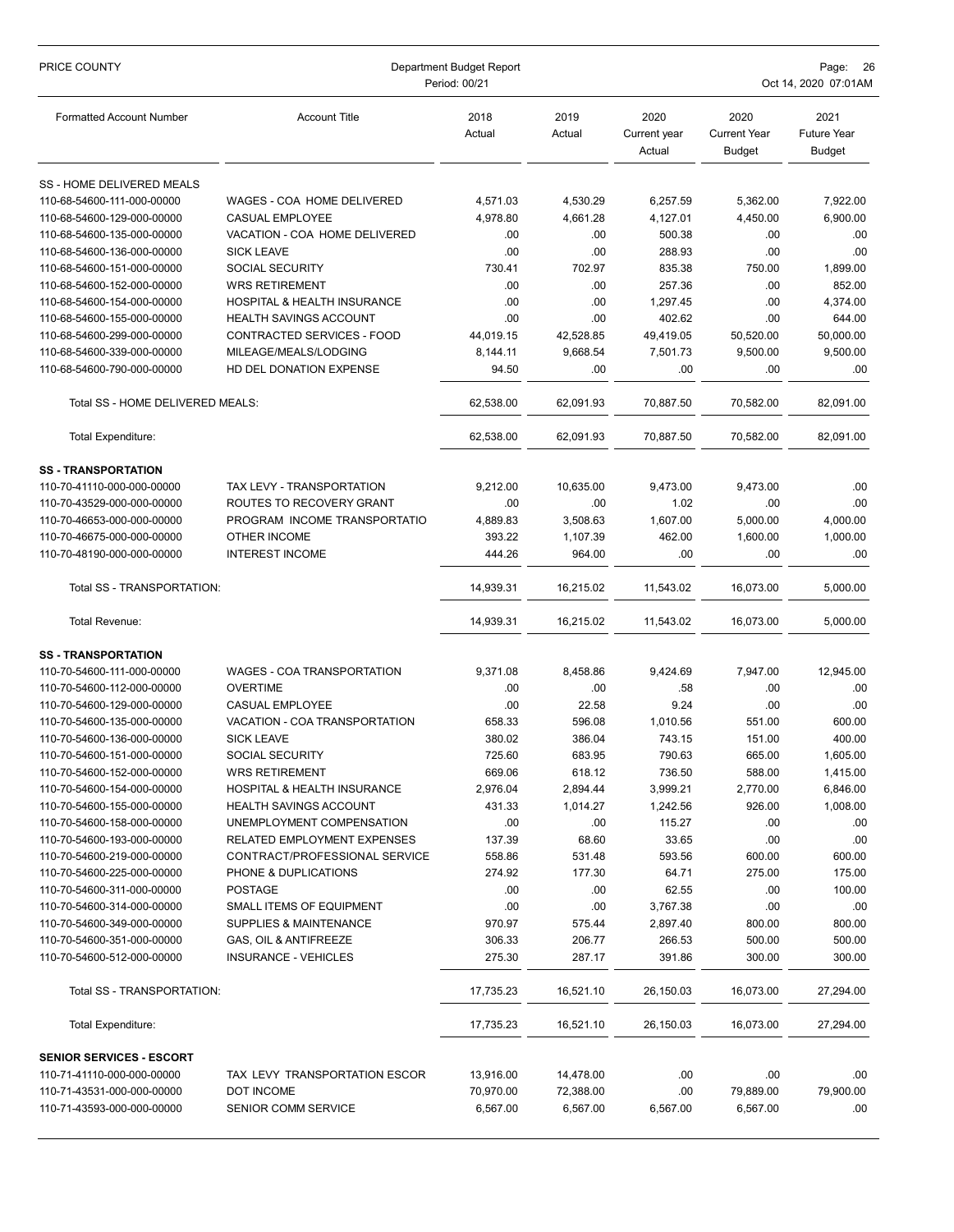| PRICE COUNTY                     | Department Budget Report<br>Period: 00/21 |                |                |                                | - 26<br>Page:<br>Oct 14, 2020 07:01AM        |                                             |  |
|----------------------------------|-------------------------------------------|----------------|----------------|--------------------------------|----------------------------------------------|---------------------------------------------|--|
| <b>Formatted Account Number</b>  | <b>Account Title</b>                      | 2018<br>Actual | 2019<br>Actual | 2020<br>Current year<br>Actual | 2020<br><b>Current Year</b><br><b>Budget</b> | 2021<br><b>Future Year</b><br><b>Budget</b> |  |
| SS - HOME DELIVERED MEALS        |                                           |                |                |                                |                                              |                                             |  |
| 110-68-54600-111-000-00000       | WAGES - COA HOME DELIVERED                | 4,571.03       | 4,530.29       | 6,257.59                       | 5,362.00                                     | 7,922.00                                    |  |
| 110-68-54600-129-000-00000       | CASUAL EMPLOYEE                           | 4,978.80       | 4,661.28       | 4,127.01                       | 4,450.00                                     | 6,900.00                                    |  |
| 110-68-54600-135-000-00000       | VACATION - COA HOME DELIVERED             | .00            | .00            | 500.38                         | .00.                                         | .00                                         |  |
| 110-68-54600-136-000-00000       | <b>SICK LEAVE</b>                         | .00            | .00            | 288.93                         | .00                                          | .00                                         |  |
| 110-68-54600-151-000-00000       | SOCIAL SECURITY                           | 730.41         | 702.97         | 835.38                         | 750.00                                       | 1,899.00                                    |  |
| 110-68-54600-152-000-00000       | <b>WRS RETIREMENT</b>                     | .00            | .00            | 257.36                         | .00                                          | 852.00                                      |  |
| 110-68-54600-154-000-00000       | <b>HOSPITAL &amp; HEALTH INSURANCE</b>    | .00            | .00            | 1,297.45                       | .00                                          | 4,374.00                                    |  |
| 110-68-54600-155-000-00000       | HEALTH SAVINGS ACCOUNT                    | .00            | .00            | 402.62                         | .00                                          | 644.00                                      |  |
| 110-68-54600-299-000-00000       | CONTRACTED SERVICES - FOOD                | 44,019.15      | 42,528.85      | 49,419.05                      | 50,520.00                                    | 50,000.00                                   |  |
| 110-68-54600-339-000-00000       | MILEAGE/MEALS/LODGING                     | 8,144.11       | 9,668.54       | 7,501.73                       | 9,500.00                                     | 9,500.00                                    |  |
| 110-68-54600-790-000-00000       | HD DEL DONATION EXPENSE                   | 94.50          | .00            | .00                            | .00                                          | .00                                         |  |
| Total SS - HOME DELIVERED MEALS: |                                           | 62,538.00      | 62,091.93      | 70,887.50                      | 70,582.00                                    | 82,091.00                                   |  |
| Total Expenditure:               |                                           | 62,538.00      | 62,091.93      | 70,887.50                      | 70,582.00                                    | 82.091.00                                   |  |
| <b>SS-TRANSPORTATION</b>         |                                           |                |                |                                |                                              |                                             |  |
| 110-70-41110-000-000-00000       | TAX LEVY - TRANSPORTATION                 | 9,212.00       | 10,635.00      | 9,473.00                       | 9,473.00                                     | .00.                                        |  |
| 110-70-43529-000-000-00000       | ROUTES TO RECOVERY GRANT                  | .00            | .00            | 1.02                           | .00                                          | .00                                         |  |
| 110-70-46653-000-000-00000       | PROGRAM INCOME TRANSPORTATIO              | 4,889.83       | 3,508.63       | 1,607.00                       | 5,000.00                                     | 4,000.00                                    |  |
| 110-70-46675-000-000-00000       | OTHER INCOME                              | 393.22         | 1,107.39       | 462.00                         | 1,600.00                                     | 1,000.00                                    |  |
| 110-70-48190-000-000-00000       | <b>INTEREST INCOME</b>                    | 444.26         | 964.00         | .00                            | .00                                          | .00                                         |  |
| Total SS - TRANSPORTATION:       |                                           | 14,939.31      | 16,215.02      | 11,543.02                      | 16,073.00                                    | 5,000.00                                    |  |
| Total Revenue:                   |                                           | 14,939.31      | 16,215.02      | 11,543.02                      | 16,073.00                                    | 5,000.00                                    |  |
| <b>SS-TRANSPORTATION</b>         |                                           |                |                |                                |                                              |                                             |  |
| 110-70-54600-111-000-00000       | WAGES - COA TRANSPORTATION                | 9,371.08       | 8,458.86       | 9,424.69                       | 7,947.00                                     | 12,945.00                                   |  |
| 110-70-54600-112-000-00000       | <b>OVERTIME</b>                           | .00            | .00            | .58                            | .00                                          | .00                                         |  |
| 110-70-54600-129-000-00000       | CASUAL EMPLOYEE                           | .00            | 22.58          | 9.24                           | .00                                          | .00                                         |  |
| 110-70-54600-135-000-00000       | VACATION - COA TRANSPORTATION             | 658.33         | 596.08         | 1,010.56                       | 551.00                                       | 600.00                                      |  |
| 110-70-54600-136-000-00000       | <b>SICK LEAVE</b>                         | 380.02         | 386.04         | 743.15                         | 151.00                                       | 400.00                                      |  |
| 110-70-54600-151-000-00000       | SOCIAL SECURITY                           | 725.60         | 683.95         | 790.63                         | 665.00                                       | 1,605.00                                    |  |
| 110-70-54600-152-000-00000       | <b>WRS RETIREMENT</b>                     | 669.06         | 618.12         | 736.50                         | 588.00                                       | 1,415.00                                    |  |
| 110-70-54600-154-000-00000       | HOSPITAL & HEALTH INSURANCE               | 2,976.04       | 2,894.44       | 3,999.21                       | 2,770.00                                     | 6,846.00                                    |  |
| 110-70-54600-155-000-00000       | <b>HEALTH SAVINGS ACCOUNT</b>             | 431.33         | 1,014.27       | 1,242.56                       | 926.00                                       | 1,008.00                                    |  |
| 110-70-54600-158-000-00000       | UNEMPLOYMENT COMPENSATION                 | .00            | .00            | 115.27                         | .00                                          | .00                                         |  |
| 110-70-54600-193-000-00000       | RELATED EMPLOYMENT EXPENSES               | 137.39         | 68.60          | 33.65                          | .00                                          | .00                                         |  |
| 110-70-54600-219-000-00000       | CONTRACT/PROFESSIONAL SERVICE             | 558.86         | 531.48         | 593.56                         | 600.00                                       | 600.00                                      |  |
| 110-70-54600-225-000-00000       | PHONE & DUPLICATIONS                      | 274.92         | 177.30         | 64.71                          | 275.00                                       | 175.00                                      |  |
| 110-70-54600-311-000-00000       | POSTAGE                                   | .00            | .00            | 62.55                          | .00                                          | 100.00                                      |  |
| 110-70-54600-314-000-00000       | SMALL ITEMS OF EQUIPMENT                  | .00            | .00            | 3,767.38                       | .00                                          | .00                                         |  |
| 110-70-54600-349-000-00000       | SUPPLIES & MAINTENANCE                    | 970.97         | 575.44         | 2,897.40                       | 800.00                                       | 800.00                                      |  |
| 110-70-54600-351-000-00000       | GAS, OIL & ANTIFREEZE                     | 306.33         | 206.77         | 266.53                         | 500.00                                       | 500.00                                      |  |
| 110-70-54600-512-000-00000       | <b>INSURANCE - VEHICLES</b>               | 275.30         | 287.17         | 391.86                         | 300.00                                       | 300.00                                      |  |
| Total SS - TRANSPORTATION:       |                                           | 17,735.23      | 16,521.10      | 26,150.03                      | 16,073.00                                    | 27,294.00                                   |  |
| Total Expenditure:               |                                           | 17,735.23      | 16,521.10      | 26,150.03                      | 16,073.00                                    | 27,294.00                                   |  |
| <b>SENIOR SERVICES - ESCORT</b>  |                                           |                |                |                                |                                              |                                             |  |
| 110-71-41110-000-000-00000       | TAX LEVY TRANSPORTATION ESCOR             | 13,916.00      | 14,478.00      | .00                            | .00                                          | .00                                         |  |
| 110-71-43531-000-000-00000       | <b>DOT INCOME</b>                         | 70,970.00      | 72,388.00      | .00                            | 79,889.00                                    | 79,900.00                                   |  |
| 110-71-43593-000-000-00000       | <b>SENIOR COMM SERVICE</b>                | 6,567.00       | 6,567.00       | 6,567.00                       | 6,567.00                                     | .00.                                        |  |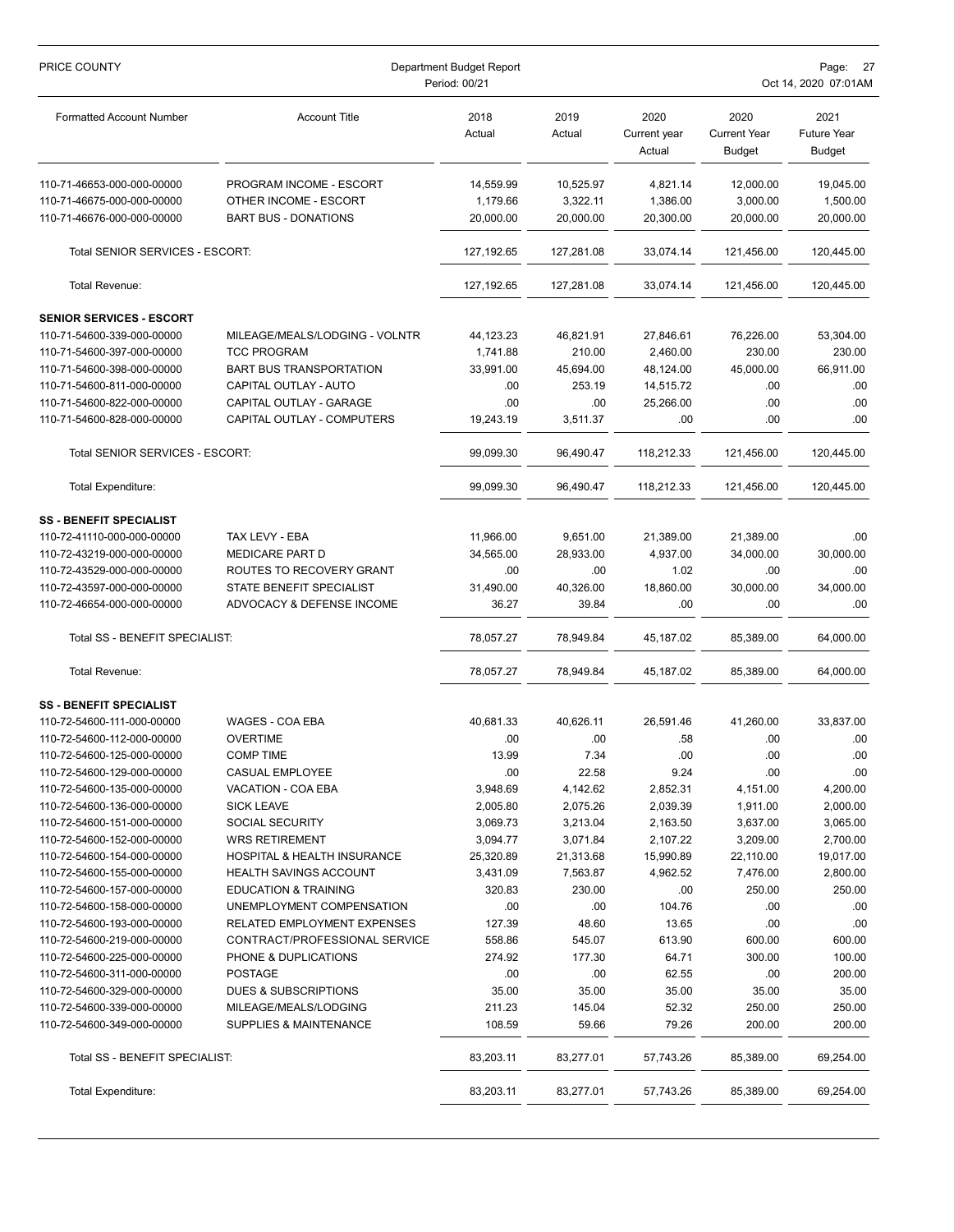| PRICE COUNTY                    | Department Budget Report<br>Period: 00/21 |                |                |                                |                                              | Page: 27<br>Oct 14, 2020 07:01AM            |  |  |
|---------------------------------|-------------------------------------------|----------------|----------------|--------------------------------|----------------------------------------------|---------------------------------------------|--|--|
| <b>Formatted Account Number</b> | <b>Account Title</b>                      | 2018<br>Actual | 2019<br>Actual | 2020<br>Current year<br>Actual | 2020<br><b>Current Year</b><br><b>Budget</b> | 2021<br><b>Future Year</b><br><b>Budget</b> |  |  |
| 110-71-46653-000-000-00000      | PROGRAM INCOME - ESCORT                   | 14,559.99      | 10,525.97      | 4,821.14                       | 12,000.00                                    | 19,045.00                                   |  |  |
| 110-71-46675-000-000-00000      | OTHER INCOME - ESCORT                     | 1,179.66       | 3,322.11       | 1,386.00                       | 3,000.00                                     | 1,500.00                                    |  |  |
| 110-71-46676-000-000-00000      | <b>BART BUS - DONATIONS</b>               | 20,000.00      | 20,000.00      | 20,300.00                      | 20,000.00                                    | 20,000.00                                   |  |  |
| Total SENIOR SERVICES - ESCORT: |                                           | 127,192.65     | 127,281.08     | 33,074.14                      | 121,456.00                                   | 120,445.00                                  |  |  |
| Total Revenue:                  |                                           | 127,192.65     | 127,281.08     | 33,074.14                      | 121,456.00                                   | 120,445.00                                  |  |  |
| <b>SENIOR SERVICES - ESCORT</b> |                                           |                |                |                                |                                              |                                             |  |  |
| 110-71-54600-339-000-00000      | MILEAGE/MEALS/LODGING - VOLNTR            | 44,123.23      | 46,821.91      | 27,846.61                      | 76,226.00                                    | 53,304.00                                   |  |  |
| 110-71-54600-397-000-00000      | <b>TCC PROGRAM</b>                        | 1,741.88       | 210.00         | 2,460.00                       | 230.00                                       | 230.00                                      |  |  |
| 110-71-54600-398-000-00000      | <b>BART BUS TRANSPORTATION</b>            | 33,991.00      | 45,694.00      | 48,124.00                      | 45,000.00                                    | 66,911.00                                   |  |  |
| 110-71-54600-811-000-00000      | CAPITAL OUTLAY - AUTO                     | .00            | 253.19         | 14,515.72                      | .00                                          | .00                                         |  |  |
| 110-71-54600-822-000-00000      | CAPITAL OUTLAY - GARAGE                   | .00            | .00            | 25,266.00                      | .00                                          | .00                                         |  |  |
| 110-71-54600-828-000-00000      | CAPITAL OUTLAY - COMPUTERS                | 19,243.19      | 3,511.37       | .00                            | .00                                          | .00                                         |  |  |
| Total SENIOR SERVICES - ESCORT: |                                           | 99,099.30      | 96,490.47      | 118,212.33                     | 121,456.00                                   | 120,445.00                                  |  |  |
| Total Expenditure:              |                                           | 99,099.30      | 96,490.47      | 118,212.33                     | 121,456.00                                   | 120,445.00                                  |  |  |
| <b>SS - BENEFIT SPECIALIST</b>  |                                           |                |                |                                |                                              |                                             |  |  |
| 110-72-41110-000-000-00000      | TAX LEVY - EBA                            | 11,966.00      | 9,651.00       | 21,389.00                      | 21,389.00                                    | .00                                         |  |  |
| 110-72-43219-000-000-00000      | <b>MEDICARE PART D</b>                    | 34,565.00      | 28,933.00      | 4,937.00                       | 34,000.00                                    | 30,000.00                                   |  |  |
| 110-72-43529-000-000-00000      | ROUTES TO RECOVERY GRANT                  | .00            | .00            | 1.02                           | .00                                          | .00                                         |  |  |
| 110-72-43597-000-000-00000      | STATE BENEFIT SPECIALIST                  | 31,490.00      | 40,326.00      | 18,860.00                      | 30,000.00                                    | 34,000.00                                   |  |  |
| 110-72-46654-000-000-00000      | ADVOCACY & DEFENSE INCOME                 | 36.27          | 39.84          | .00                            | .00                                          | .00                                         |  |  |
| Total SS - BENEFIT SPECIALIST:  |                                           | 78,057.27      | 78,949.84      | 45,187.02                      | 85,389.00                                    | 64,000.00                                   |  |  |
| Total Revenue:                  |                                           | 78,057.27      | 78,949.84      | 45,187.02                      | 85,389.00                                    | 64,000.00                                   |  |  |
| <b>SS - BENEFIT SPECIALIST</b>  |                                           |                |                |                                |                                              |                                             |  |  |
| 110-72-54600-111-000-00000      | WAGES - COA EBA                           | 40,681.33      | 40,626.11      | 26,591.46                      | 41,260.00                                    | 33,837.00                                   |  |  |
| 110-72-54600-112-000-00000      | <b>OVERTIME</b>                           | .00            | .00            | .58                            | .00                                          | .00                                         |  |  |
| 110-72-54600-125-000-00000      | <b>COMP TIME</b>                          | 13.99          | 7.34           | .00                            | 00.                                          | .00.                                        |  |  |
| 110-72-54600-129-000-00000      | CASUAL EMPLOYEE                           | .00            | 22.58          | 9.24                           | .00                                          | .00                                         |  |  |
| 110-72-54600-135-000-00000      | VACATION - COA EBA                        | 3,948.69       | 4,142.62       | 2,852.31                       | 4,151.00                                     | 4,200.00                                    |  |  |
| 110-72-54600-136-000-00000      | <b>SICK LEAVE</b>                         | 2,005.80       | 2,075.26       | 2,039.39                       | 1,911.00                                     | 2,000.00                                    |  |  |
| 110-72-54600-151-000-00000      | SOCIAL SECURITY                           | 3,069.73       | 3,213.04       | 2,163.50                       | 3,637.00                                     | 3,065.00                                    |  |  |
| 110-72-54600-152-000-00000      | <b>WRS RETIREMENT</b>                     | 3,094.77       | 3,071.84       | 2,107.22                       | 3,209.00                                     | 2,700.00                                    |  |  |
|                                 |                                           |                | 21,313.68      |                                |                                              |                                             |  |  |
| 110-72-54600-154-000-00000      | HOSPITAL & HEALTH INSURANCE               | 25,320.89      |                | 15,990.89                      | 22,110.00                                    | 19,017.00                                   |  |  |
| 110-72-54600-155-000-00000      | HEALTH SAVINGS ACCOUNT                    | 3,431.09       | 7,563.87       | 4,962.52                       | 7,476.00                                     | 2,800.00                                    |  |  |
| 110-72-54600-157-000-00000      | <b>EDUCATION &amp; TRAINING</b>           | 320.83         | 230.00         | .00                            | 250.00                                       | 250.00                                      |  |  |
| 110-72-54600-158-000-00000      | UNEMPLOYMENT COMPENSATION                 | .00            | .00            | 104.76                         | .00                                          | .00                                         |  |  |
| 110-72-54600-193-000-00000      | RELATED EMPLOYMENT EXPENSES               | 127.39         | 48.60          | 13.65                          | .00                                          | .00                                         |  |  |
| 110-72-54600-219-000-00000      | CONTRACT/PROFESSIONAL SERVICE             | 558.86         | 545.07         | 613.90                         | 600.00                                       | 600.00                                      |  |  |
| 110-72-54600-225-000-00000      | PHONE & DUPLICATIONS                      | 274.92         | 177.30         | 64.71                          | 300.00                                       | 100.00                                      |  |  |
| 110-72-54600-311-000-00000      | <b>POSTAGE</b>                            | .00            | .00            | 62.55                          | .00                                          | 200.00                                      |  |  |
| 110-72-54600-329-000-00000      | DUES & SUBSCRIPTIONS                      | 35.00          | 35.00          | 35.00                          | 35.00                                        | 35.00                                       |  |  |
| 110-72-54600-339-000-00000      | MILEAGE/MEALS/LODGING                     | 211.23         | 145.04         | 52.32                          | 250.00                                       | 250.00                                      |  |  |
| 110-72-54600-349-000-00000      | <b>SUPPLIES &amp; MAINTENANCE</b>         | 108.59         | 59.66          | 79.26                          | 200.00                                       | 200.00                                      |  |  |
| Total SS - BENEFIT SPECIALIST:  |                                           | 83,203.11      | 83,277.01      | 57,743.26                      | 85,389.00                                    | 69,254.00                                   |  |  |
| Total Expenditure:              |                                           | 83,203.11      | 83,277.01      | 57,743.26                      | 85,389.00                                    | 69,254.00                                   |  |  |
|                                 |                                           |                |                |                                |                                              |                                             |  |  |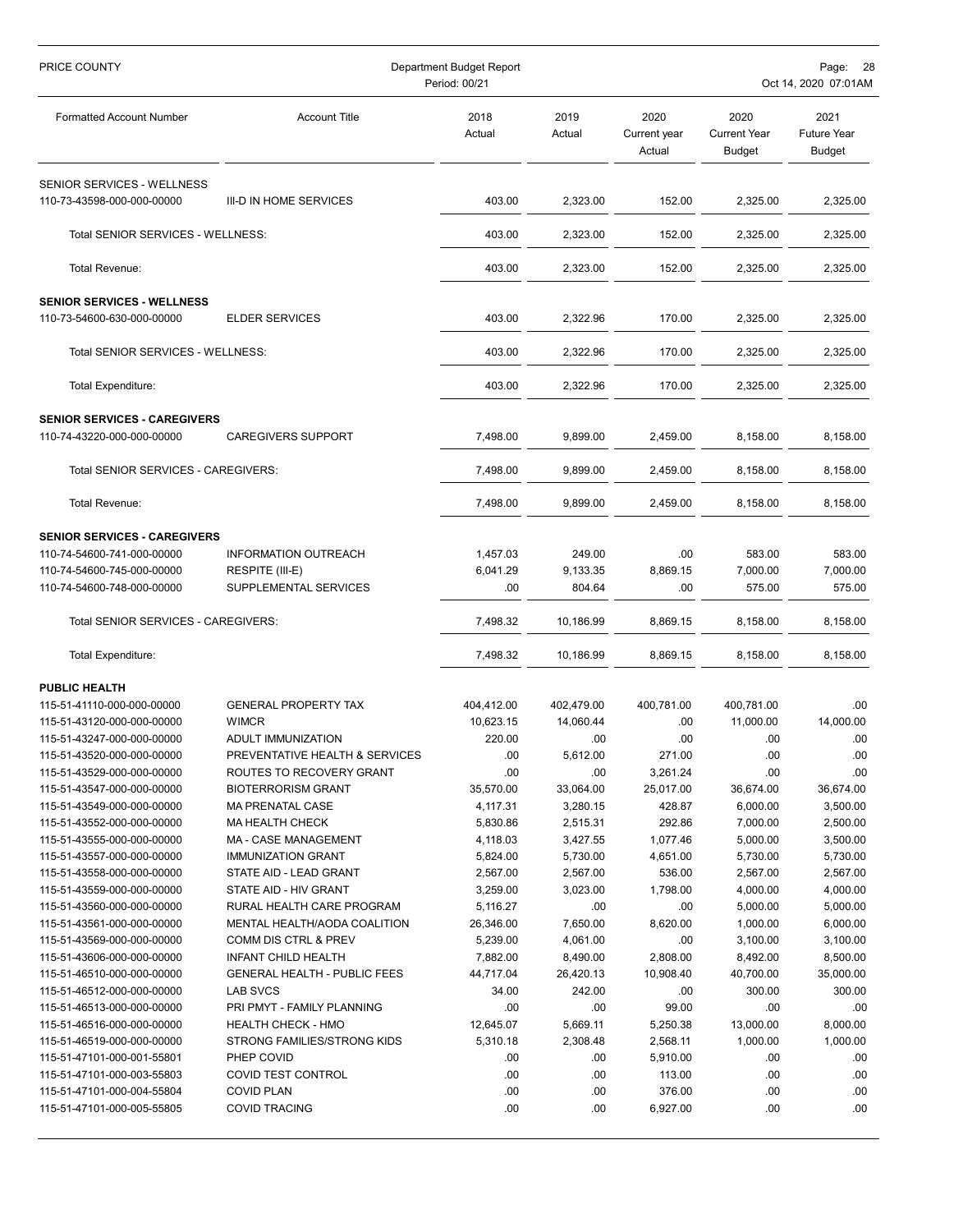| PRICE COUNTY                        | Department Budget Report<br>Period: 00/21 |                |                |                                |                                              | Page:<br>28<br>Oct 14, 2020 07:01AM  |  |  |
|-------------------------------------|-------------------------------------------|----------------|----------------|--------------------------------|----------------------------------------------|--------------------------------------|--|--|
| <b>Formatted Account Number</b>     | <b>Account Title</b>                      | 2018<br>Actual | 2019<br>Actual | 2020<br>Current year<br>Actual | 2020<br><b>Current Year</b><br><b>Budget</b> | 2021<br><b>Future Year</b><br>Budget |  |  |
| SENIOR SERVICES - WELLNESS          |                                           |                |                |                                |                                              |                                      |  |  |
| 110-73-43598-000-000-00000          | III-D IN HOME SERVICES                    | 403.00         | 2,323.00       | 152.00                         | 2,325.00                                     | 2,325.00                             |  |  |
| Total SENIOR SERVICES - WELLNESS:   |                                           | 403.00         | 2,323.00       | 152.00                         | 2,325.00                                     | 2,325.00                             |  |  |
| Total Revenue:                      |                                           | 403.00         | 2,323.00       | 152.00                         | 2,325.00                                     | 2,325.00                             |  |  |
| <b>SENIOR SERVICES - WELLNESS</b>   |                                           |                |                |                                |                                              |                                      |  |  |
| 110-73-54600-630-000-00000          | <b>ELDER SERVICES</b>                     | 403.00         | 2,322.96       | 170.00                         | 2,325.00                                     | 2,325.00                             |  |  |
| Total SENIOR SERVICES - WELLNESS:   |                                           | 403.00         | 2,322.96       | 170.00                         | 2,325.00                                     | 2,325.00                             |  |  |
| Total Expenditure:                  |                                           | 403.00         | 2,322.96       | 170.00                         | 2,325.00                                     | 2,325.00                             |  |  |
| <b>SENIOR SERVICES - CAREGIVERS</b> |                                           |                |                |                                |                                              |                                      |  |  |
| 110-74-43220-000-000-00000          | <b>CAREGIVERS SUPPORT</b>                 | 7,498.00       | 9,899.00       | 2,459.00                       | 8.158.00                                     | 8,158.00                             |  |  |
| Total SENIOR SERVICES - CAREGIVERS: |                                           | 7,498.00       | 9,899.00       | 2,459.00                       | 8,158.00                                     | 8,158.00                             |  |  |
| Total Revenue:                      |                                           | 7,498.00       | 9,899.00       | 2,459.00                       | 8,158.00                                     | 8,158.00                             |  |  |
| <b>SENIOR SERVICES - CAREGIVERS</b> |                                           |                |                |                                |                                              |                                      |  |  |
| 110-74-54600-741-000-00000          | <b>INFORMATION OUTREACH</b>               | 1,457.03       | 249.00         | .00                            | 583.00                                       | 583.00                               |  |  |
| 110-74-54600-745-000-00000          | RESPITE (III-E)                           | 6,041.29       | 9,133.35       | 8,869.15                       | 7,000.00                                     | 7,000.00                             |  |  |
| 110-74-54600-748-000-00000          | SUPPLEMENTAL SERVICES                     | .00            | 804.64         | .00                            | 575.00                                       | 575.00                               |  |  |
| Total SENIOR SERVICES - CAREGIVERS: |                                           | 7,498.32       | 10,186.99      | 8,869.15                       | 8,158.00                                     | 8,158.00                             |  |  |
| <b>Total Expenditure:</b>           |                                           | 7,498.32       | 10,186.99      | 8,869.15                       | 8,158.00                                     | 8,158.00                             |  |  |
| <b>PUBLIC HEALTH</b>                |                                           |                |                |                                |                                              |                                      |  |  |
| 115-51-41110-000-000-00000          | <b>GENERAL PROPERTY TAX</b>               | 404,412.00     | 402,479.00     | 400,781.00                     | 400,781.00                                   | .00                                  |  |  |
| 115-51-43120-000-000-00000          | <b>WIMCR</b>                              | 10,623.15      | 14,060.44      | .00                            | 11,000.00                                    | 14,000.00                            |  |  |
| 115-51-43247-000-000-00000          | ADULT IMMUNIZATION                        | 220.00         | .00            | .00                            | .00                                          | .00                                  |  |  |
| 115-51-43520-000-000-00000          | PREVENTATIVE HEALTH & SERVICES            | .00            | 5,612.00       | 271.00                         | .00                                          | .00                                  |  |  |
| 115-51-43529-000-000-00000          | ROUTES TO RECOVERY GRANT                  | .00            | .00            | 3,261.24                       | .00                                          | .00                                  |  |  |
| 115-51-43547-000-000-00000          | <b>BIOTERRORISM GRANT</b>                 | 35,570.00      | 33,064.00      | 25,017.00                      | 36,674.00                                    | 36,674.00                            |  |  |
| 115-51-43549-000-000-00000          | <b>MA PRENATAL CASE</b>                   | 4,117.31       | 3,280.15       | 428.87                         | 6,000.00                                     | 3,500.00                             |  |  |
| 115-51-43552-000-000-00000          | <b>MA HEALTH CHECK</b>                    | 5,830.86       | 2,515.31       | 292.86                         | 7,000.00                                     | 2,500.00                             |  |  |
| 115-51-43555-000-000-00000          | MA - CASE MANAGEMENT                      | 4,118.03       | 3,427.55       | 1,077.46                       | 5,000.00                                     | 3,500.00                             |  |  |
| 115-51-43557-000-000-00000          | <b>IMMUNIZATION GRANT</b>                 | 5,824.00       | 5,730.00       | 4,651.00                       | 5,730.00                                     | 5,730.00                             |  |  |
| 115-51-43558-000-000-00000          | STATE AID - LEAD GRANT                    | 2,567.00       | 2,567.00       | 536.00                         | 2,567.00                                     | 2,567.00                             |  |  |
| 115-51-43559-000-000-00000          | STATE AID - HIV GRANT                     | 3,259.00       | 3,023.00       | 1,798.00                       | 4,000.00                                     | 4,000.00                             |  |  |
| 115-51-43560-000-000-00000          | RURAL HEALTH CARE PROGRAM                 | 5,116.27       | .00            | .00                            | 5,000.00                                     | 5,000.00                             |  |  |
| 115-51-43561-000-000-00000          | MENTAL HEALTH/AODA COALITION              | 26,346.00      | 7,650.00       | 8,620.00                       | 1,000.00                                     | 6,000.00                             |  |  |
| 115-51-43569-000-000-00000          | COMM DIS CTRL & PREV                      | 5,239.00       | 4,061.00       | .00                            | 3,100.00                                     | 3,100.00                             |  |  |
| 115-51-43606-000-000-00000          | <b>INFANT CHILD HEALTH</b>                | 7,882.00       | 8,490.00       | 2,808.00                       | 8,492.00                                     | 8,500.00                             |  |  |
| 115-51-46510-000-000-00000          | <b>GENERAL HEALTH - PUBLIC FEES</b>       | 44,717.04      | 26,420.13      | 10,908.40                      | 40,700.00                                    | 35,000.00                            |  |  |
| 115-51-46512-000-000-00000          | LAB SVCS                                  | 34.00          | 242.00         | .00                            | 300.00                                       | 300.00                               |  |  |
| 115-51-46513-000-000-00000          | PRI PMYT - FAMILY PLANNING                | .00            | .00            | 99.00                          | .00                                          | .00                                  |  |  |
| 115-51-46516-000-000-00000          | <b>HEALTH CHECK - HMO</b>                 | 12,645.07      | 5,669.11       | 5,250.38                       | 13,000.00                                    | 8,000.00                             |  |  |
| 115-51-46519-000-000-00000          | STRONG FAMILIES/STRONG KIDS               | 5,310.18       | 2,308.48       | 2,568.11                       | 1,000.00                                     | 1,000.00                             |  |  |
| 115-51-47101-000-001-55801          | PHEP COVID                                | .00            | .00            | 5,910.00                       | .00                                          | .00                                  |  |  |
| 115-51-47101-000-003-55803          | <b>COVID TEST CONTROL</b>                 | .00            | .00            | 113.00                         | .00                                          | .00                                  |  |  |
| 115-51-47101-000-004-55804          | <b>COVID PLAN</b>                         | .00            | .00            | 376.00                         | .00                                          | .00                                  |  |  |
| 115-51-47101-000-005-55805          | <b>COVID TRACING</b>                      | .00            | .00            | 6,927.00                       | .00                                          | .00                                  |  |  |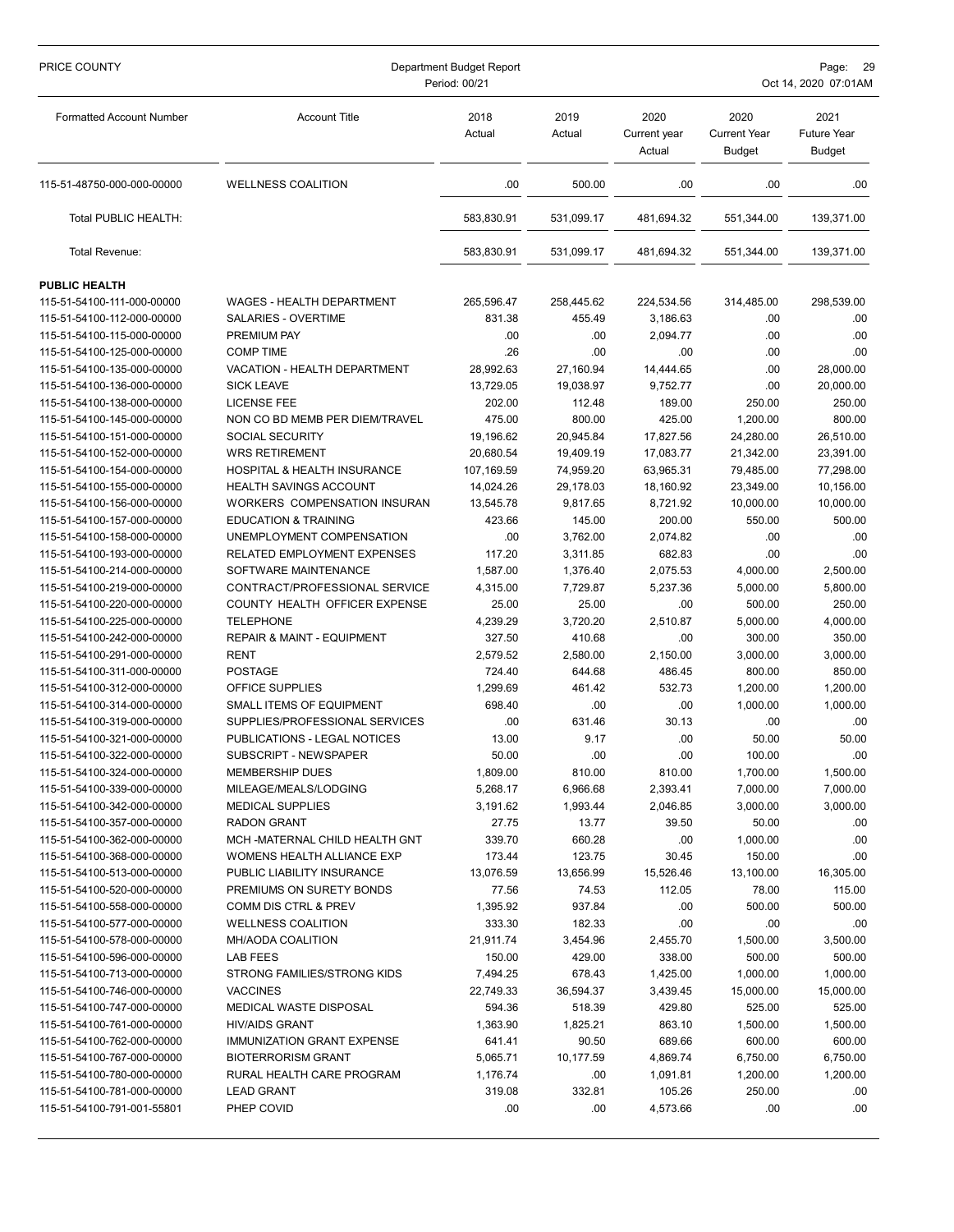| PRICE COUNTY                    | Department Budget Report<br>Period: 00/21 |                | Page:<br>- 29<br>Oct 14, 2020 07:01AM |                                |                                              |                                             |
|---------------------------------|-------------------------------------------|----------------|---------------------------------------|--------------------------------|----------------------------------------------|---------------------------------------------|
| <b>Formatted Account Number</b> | <b>Account Title</b>                      | 2018<br>Actual | 2019<br>Actual                        | 2020<br>Current year<br>Actual | 2020<br><b>Current Year</b><br><b>Budget</b> | 2021<br><b>Future Year</b><br><b>Budget</b> |
| 115-51-48750-000-000-00000      | <b>WELLNESS COALITION</b>                 | .00            | 500.00                                | .00                            | .00.                                         | .00                                         |
| <b>Total PUBLIC HEALTH:</b>     |                                           | 583.830.91     | 531,099.17                            | 481,694.32                     | 551,344.00                                   | 139,371.00                                  |
| Total Revenue:                  |                                           | 583,830.91     | 531,099.17                            | 481,694.32                     | 551,344.00                                   | 139,371.00                                  |
| <b>PUBLIC HEALTH</b>            |                                           |                |                                       |                                |                                              |                                             |
| 115-51-54100-111-000-00000      | WAGES - HEALTH DEPARTMENT                 | 265,596.47     | 258,445.62                            | 224,534.56                     | 314,485.00                                   | 298,539.00                                  |
| 115-51-54100-112-000-00000      | SALARIES - OVERTIME                       | 831.38         | 455.49                                | 3,186.63                       | .00.                                         | .00                                         |
| 115-51-54100-115-000-00000      | <b>PREMIUM PAY</b>                        | .00            | .00                                   | 2,094.77                       | .00.                                         | .00                                         |
| 115-51-54100-125-000-00000      | <b>COMP TIME</b>                          | .26            | .00                                   | .00                            | .00                                          | .00                                         |
| 115-51-54100-135-000-00000      | VACATION - HEALTH DEPARTMENT              | 28,992.63      | 27,160.94                             | 14,444.65                      | .00                                          | 28,000.00                                   |
| 115-51-54100-136-000-00000      | <b>SICK LEAVE</b>                         | 13,729.05      | 19,038.97                             | 9,752.77                       | .00.                                         | 20,000.00                                   |
| 115-51-54100-138-000-00000      | <b>LICENSE FEE</b>                        | 202.00         | 112.48                                | 189.00                         | 250.00                                       | 250.00                                      |
| 115-51-54100-145-000-00000      | NON CO BD MEMB PER DIEM/TRAVEL            | 475.00         | 800.00                                | 425.00                         | 1,200.00                                     | 800.00                                      |
| 115-51-54100-151-000-00000      | <b>SOCIAL SECURITY</b>                    | 19,196.62      | 20,945.84                             | 17,827.56                      | 24,280.00                                    | 26,510.00                                   |
| 115-51-54100-152-000-00000      | <b>WRS RETIREMENT</b>                     | 20,680.54      | 19,409.19                             | 17,083.77                      | 21,342.00                                    | 23,391.00                                   |
| 115-51-54100-154-000-00000      | <b>HOSPITAL &amp; HEALTH INSURANCE</b>    | 107,169.59     | 74,959.20                             | 63,965.31                      | 79,485.00                                    | 77,298.00                                   |
| 115-51-54100-155-000-00000      | <b>HEALTH SAVINGS ACCOUNT</b>             | 14,024.26      | 29,178.03                             | 18,160.92                      | 23,349.00                                    | 10,156.00                                   |
| 115-51-54100-156-000-00000      | <b>WORKERS COMPENSATION INSURAN</b>       | 13,545.78      | 9,817.65                              | 8,721.92                       | 10,000.00                                    | 10,000.00                                   |
| 115-51-54100-157-000-00000      | <b>EDUCATION &amp; TRAINING</b>           | 423.66         | 145.00                                | 200.00                         | 550.00                                       | 500.00                                      |
| 115-51-54100-158-000-00000      | UNEMPLOYMENT COMPENSATION                 | .00            | 3,762.00                              | 2,074.82                       | .00                                          | .00                                         |
| 115-51-54100-193-000-00000      | <b>RELATED EMPLOYMENT EXPENSES</b>        | 117.20         | 3,311.85                              | 682.83                         | .00                                          | .00                                         |
| 115-51-54100-214-000-00000      | SOFTWARE MAINTENANCE                      | 1,587.00       | 1,376.40                              | 2,075.53                       | 4,000.00                                     | 2,500.00                                    |
| 115-51-54100-219-000-00000      | CONTRACT/PROFESSIONAL SERVICE             | 4,315.00       | 7,729.87                              | 5,237.36                       | 5,000.00                                     | 5,800.00                                    |
| 115-51-54100-220-000-00000      | COUNTY HEALTH OFFICER EXPENSE             | 25.00          | 25.00                                 | .00.                           | 500.00                                       | 250.00                                      |
| 115-51-54100-225-000-00000      | <b>TELEPHONE</b>                          | 4,239.29       | 3,720.20                              | 2,510.87                       | 5,000.00                                     | 4,000.00                                    |
| 115-51-54100-242-000-00000      | <b>REPAIR &amp; MAINT - EQUIPMENT</b>     | 327.50         | 410.68                                | .00                            | 300.00                                       | 350.00                                      |
| 115-51-54100-291-000-00000      | <b>RENT</b>                               | 2,579.52       | 2,580.00                              | 2,150.00                       | 3,000.00                                     | 3,000.00                                    |
| 115-51-54100-311-000-00000      | <b>POSTAGE</b>                            | 724.40         | 644.68                                | 486.45                         | 800.00                                       | 850.00                                      |
| 115-51-54100-312-000-00000      | OFFICE SUPPLIES                           | 1,299.69       | 461.42                                | 532.73                         | 1,200.00                                     | 1,200.00                                    |
| 115-51-54100-314-000-00000      | SMALL ITEMS OF EQUIPMENT                  | 698.40         | .00                                   | .00                            | 1,000.00                                     | 1,000.00                                    |
| 115-51-54100-319-000-00000      | SUPPLIES/PROFESSIONAL SERVICES            | .00            | 631.46                                | 30.13                          | .00.                                         | .00                                         |
| 115-51-54100-321-000-00000      | PUBLICATIONS - LEGAL NOTICES              | 13.00          | 9.17                                  | .00                            | 50.00                                        | 50.00                                       |
| 115-51-54100-322-000-00000      | SUBSCRIPT - NEWSPAPER                     | 50.00          | .00                                   | .00                            | 100.00                                       | .00                                         |
| 115-51-54100-324-000-00000      | <b>MEMBERSHIP DUES</b>                    | 1,809.00       | 810.00                                | 810.00                         | 1,700.00                                     | 1,500.00                                    |
| 115-51-54100-339-000-00000      | MILEAGE/MEALS/LODGING                     | 5,268.17       | 6,966.68                              | 2,393.41                       | 7,000.00                                     | 7,000.00                                    |
| 115-51-54100-342-000-00000      | <b>MEDICAL SUPPLIES</b>                   | 3,191.62       | 1,993.44                              | 2,046.85                       | 3,000.00                                     | 3,000.00                                    |
| 115-51-54100-357-000-00000      | RADON GRANT                               | 27.75          | 13.77                                 | 39.50                          | 50.00                                        | .00                                         |
| 115-51-54100-362-000-00000      | MCH-MATERNAL CHILD HEALTH GNT             | 339.70         | 660.28                                | .00                            | 1,000.00                                     | .00                                         |
| 115-51-54100-368-000-00000      | WOMENS HEALTH ALLIANCE EXP                | 173.44         | 123.75                                | 30.45                          | 150.00                                       | .00                                         |
| 115-51-54100-513-000-00000      | PUBLIC LIABILITY INSURANCE                | 13,076.59      | 13,656.99                             | 15,526.46                      | 13,100.00                                    | 16,305.00                                   |
| 115-51-54100-520-000-00000      | PREMIUMS ON SURETY BONDS                  | 77.56          | 74.53                                 | 112.05                         | 78.00                                        | 115.00                                      |
| 115-51-54100-558-000-00000      | <b>COMM DIS CTRL &amp; PREV</b>           | 1,395.92       | 937.84                                | .00                            | 500.00                                       | 500.00                                      |
| 115-51-54100-577-000-00000      | <b>WELLNESS COALITION</b>                 | 333.30         | 182.33                                | .00                            | .00                                          | .00                                         |
| 115-51-54100-578-000-00000      | MH/AODA COALITION                         | 21,911.74      | 3,454.96                              | 2,455.70                       | 1,500.00                                     | 3,500.00                                    |
| 115-51-54100-596-000-00000      | LAB FEES                                  | 150.00         | 429.00                                | 338.00                         | 500.00                                       | 500.00                                      |
| 115-51-54100-713-000-00000      | STRONG FAMILIES/STRONG KIDS               | 7,494.25       | 678.43                                | 1,425.00                       | 1,000.00                                     | 1,000.00                                    |
| 115-51-54100-746-000-00000      | <b>VACCINES</b>                           | 22,749.33      | 36,594.37                             | 3,439.45                       | 15,000.00                                    | 15,000.00                                   |
| 115-51-54100-747-000-00000      | MEDICAL WASTE DISPOSAL                    | 594.36         | 518.39                                | 429.80                         | 525.00                                       | 525.00                                      |
| 115-51-54100-761-000-00000      | <b>HIV/AIDS GRANT</b>                     | 1,363.90       | 1,825.21                              | 863.10                         | 1,500.00                                     | 1,500.00                                    |
| 115-51-54100-762-000-00000      | <b>IMMUNIZATION GRANT EXPENSE</b>         | 641.41         | 90.50                                 | 689.66                         | 600.00                                       | 600.00                                      |
| 115-51-54100-767-000-00000      | <b>BIOTERRORISM GRANT</b>                 | 5,065.71       | 10,177.59                             | 4,869.74                       | 6,750.00                                     | 6,750.00                                    |
| 115-51-54100-780-000-00000      | RURAL HEALTH CARE PROGRAM                 | 1,176.74       | .00                                   | 1,091.81                       | 1,200.00                                     | 1,200.00                                    |
| 115-51-54100-781-000-00000      | <b>LEAD GRANT</b>                         | 319.08         | 332.81                                | 105.26                         | 250.00                                       | .00.                                        |
| 115-51-54100-791-001-55801      | PHEP COVID                                | .00            | .00                                   | 4,573.66                       | .00.                                         | .00.                                        |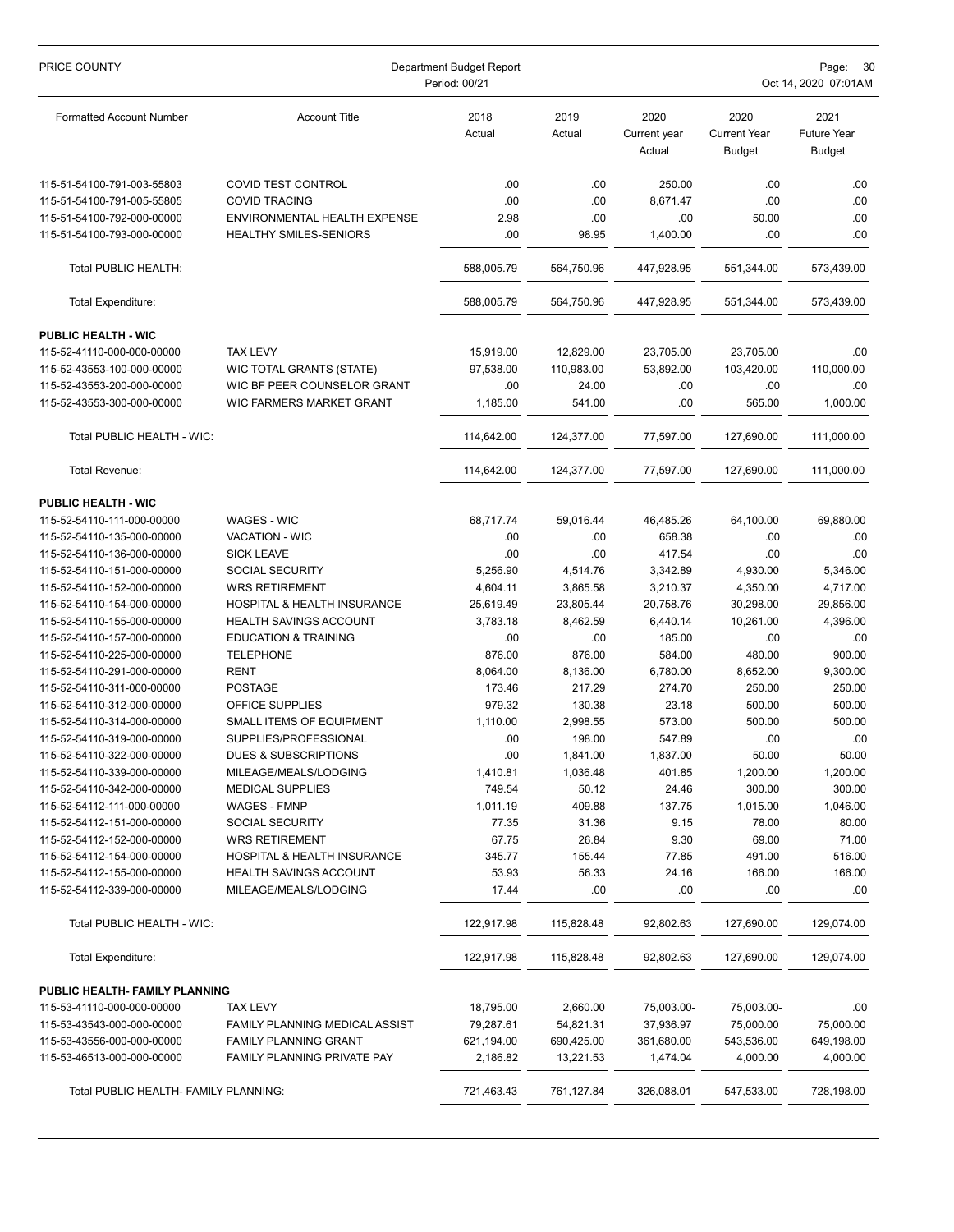| PRICE COUNTY                                             | Department Budget Report<br>Period: 00/21              |                |                |                                |                                       | Page:<br>30<br>Oct 14, 2020 07:01AM         |  |  |
|----------------------------------------------------------|--------------------------------------------------------|----------------|----------------|--------------------------------|---------------------------------------|---------------------------------------------|--|--|
| <b>Formatted Account Number</b>                          | <b>Account Title</b>                                   | 2018<br>Actual | 2019<br>Actual | 2020<br>Current year<br>Actual | 2020<br><b>Current Year</b><br>Budget | 2021<br><b>Future Year</b><br><b>Budget</b> |  |  |
| 115-51-54100-791-003-55803                               | <b>COVID TEST CONTROL</b>                              | .00            | .00            | 250.00                         | .00                                   | .00                                         |  |  |
| 115-51-54100-791-005-55805                               | <b>COVID TRACING</b>                                   | .00            | .00            | 8,671.47                       | .00                                   | .00                                         |  |  |
| 115-51-54100-792-000-00000                               | <b>ENVIRONMENTAL HEALTH EXPENSE</b>                    | 2.98           | .00            | .00                            | 50.00                                 | .00                                         |  |  |
| 115-51-54100-793-000-00000                               | <b>HEALTHY SMILES-SENIORS</b>                          | .00            | 98.95          | 1,400.00                       | .00                                   | .00                                         |  |  |
| Total PUBLIC HEALTH:                                     |                                                        | 588,005.79     | 564,750.96     | 447,928.95                     | 551,344.00                            | 573,439.00                                  |  |  |
| Total Expenditure:                                       |                                                        | 588,005.79     | 564,750.96     | 447,928.95                     | 551,344.00                            | 573,439.00                                  |  |  |
| PUBLIC HEALTH - WIC                                      |                                                        |                |                |                                |                                       |                                             |  |  |
| 115-52-41110-000-000-00000                               | <b>TAX LEVY</b>                                        | 15,919.00      | 12,829.00      | 23,705.00                      | 23,705.00                             | .00                                         |  |  |
| 115-52-43553-100-000-00000                               | WIC TOTAL GRANTS (STATE)                               | 97,538.00      | 110,983.00     | 53,892.00                      | 103,420.00                            | 110,000.00                                  |  |  |
| 115-52-43553-200-000-00000                               | WIC BF PEER COUNSELOR GRANT                            | .00            | 24.00          | .00                            | .00                                   | .00                                         |  |  |
| 115-52-43553-300-000-00000                               | <b>WIC FARMERS MARKET GRANT</b>                        | 1,185.00       | 541.00         | .00.                           | 565.00                                | 1,000.00                                    |  |  |
| Total PUBLIC HEALTH - WIC:                               |                                                        | 114,642.00     | 124,377.00     | 77.597.00                      | 127,690.00                            | 111,000.00                                  |  |  |
| Total Revenue:                                           |                                                        | 114,642.00     | 124,377.00     | 77,597.00                      | 127,690.00                            | 111,000.00                                  |  |  |
| <b>PUBLIC HEALTH - WIC</b>                               |                                                        |                |                |                                |                                       |                                             |  |  |
| 115-52-54110-111-000-00000                               | WAGES - WIC                                            | 68,717.74      | 59,016.44      | 46,485.26                      | 64,100.00                             | 69,880.00                                   |  |  |
| 115-52-54110-135-000-00000                               | VACATION - WIC                                         | .00            | .00            | 658.38                         | .00                                   | .00                                         |  |  |
| 115-52-54110-136-000-00000                               | <b>SICK LEAVE</b>                                      | .00            | .00            | 417.54                         | .00                                   | .00                                         |  |  |
| 115-52-54110-151-000-00000                               | SOCIAL SECURITY                                        | 5,256.90       | 4,514.76       | 3,342.89                       | 4,930.00                              | 5,346.00                                    |  |  |
| 115-52-54110-152-000-00000                               | <b>WRS RETIREMENT</b>                                  | 4,604.11       | 3,865.58       | 3,210.37                       | 4,350.00                              | 4,717.00                                    |  |  |
| 115-52-54110-154-000-00000                               | HOSPITAL & HEALTH INSURANCE                            | 25,619.49      | 23,805.44      | 20,758.76                      | 30,298.00                             | 29,856.00                                   |  |  |
| 115-52-54110-155-000-00000                               | <b>HEALTH SAVINGS ACCOUNT</b>                          | 3,783.18       | 8,462.59       | 6,440.14                       | 10,261.00                             | 4,396.00                                    |  |  |
| 115-52-54110-157-000-00000                               | <b>EDUCATION &amp; TRAINING</b>                        | .00            | .00            | 185.00                         | .00                                   | .00                                         |  |  |
| 115-52-54110-225-000-00000                               | <b>TELEPHONE</b>                                       | 876.00         | 876.00         | 584.00                         | 480.00                                | 900.00                                      |  |  |
| 115-52-54110-291-000-00000                               | <b>RENT</b>                                            | 8,064.00       | 8,136.00       | 6,780.00                       | 8,652.00                              | 9,300.00                                    |  |  |
| 115-52-54110-311-000-00000                               | POSTAGE                                                | 173.46         | 217.29         | 274.70                         | 250.00                                | 250.00                                      |  |  |
| 115-52-54110-312-000-00000                               | OFFICE SUPPLIES                                        | 979.32         | 130.38         | 23.18                          | 500.00                                | 500.00                                      |  |  |
| 115-52-54110-314-000-00000                               | SMALL ITEMS OF EQUIPMENT                               | 1,110.00       | 2,998.55       | 573.00                         | 500.00                                | 500.00                                      |  |  |
| 115-52-54110-319-000-00000                               | SUPPLIES/PROFESSIONAL                                  | .00            | 198.00         | 547.89                         | .00                                   | .00                                         |  |  |
| 115-52-54110-322-000-00000                               | DUES & SUBSCRIPTIONS                                   | .00            | 1,841.00       | 1,837.00                       | 50.00                                 | 50.00                                       |  |  |
| 115-52-54110-339-000-00000                               | MILEAGE/MEALS/LODGING                                  | 1,410.81       | 1,036.48       | 401.85                         | 1,200.00                              | 1,200.00                                    |  |  |
| 115-52-54110-342-000-00000                               | <b>MEDICAL SUPPLIES</b>                                | 749.54         | 50.12          | 24.46                          | 300.00                                | 300.00                                      |  |  |
| 115-52-54112-111-000-00000                               | <b>WAGES - FMNP</b>                                    | 1,011.19       | 409.88         | 137.75                         | 1,015.00                              | 1,046.00                                    |  |  |
| 115-52-54112-151-000-00000                               | <b>SOCIAL SECURITY</b>                                 | 77.35          | 31.36          | 9.15                           | 78.00                                 | 80.00                                       |  |  |
| 115-52-54112-152-000-00000                               | <b>WRS RETIREMENT</b>                                  | 67.75          | 26.84          | 9.30                           | 69.00                                 | 71.00                                       |  |  |
| 115-52-54112-154-000-00000                               | <b>HOSPITAL &amp; HEALTH INSURANCE</b>                 | 345.77         | 155.44         | 77.85                          | 491.00                                | 516.00                                      |  |  |
| 115-52-54112-155-000-00000<br>115-52-54112-339-000-00000 | <b>HEALTH SAVINGS ACCOUNT</b><br>MILEAGE/MEALS/LODGING | 53.93<br>17.44 | 56.33<br>.00   | 24.16<br>.00                   | 166.00<br>.00                         | 166.00<br>.00                               |  |  |
|                                                          |                                                        |                |                |                                |                                       |                                             |  |  |
| Total PUBLIC HEALTH - WIC:                               |                                                        | 122,917.98     | 115,828.48     | 92,802.63                      | 127,690.00                            | 129,074.00                                  |  |  |
| Total Expenditure:                                       |                                                        | 122,917.98     | 115,828.48     | 92,802.63                      | 127,690.00                            | 129,074.00                                  |  |  |
| PUBLIC HEALTH- FAMILY PLANNING                           |                                                        |                |                |                                |                                       |                                             |  |  |
| 115-53-41110-000-000-00000                               | <b>TAX LEVY</b>                                        | 18,795.00      | 2,660.00       | 75,003.00-                     | 75,003.00-                            | .00                                         |  |  |
| 115-53-43543-000-000-00000                               | FAMILY PLANNING MEDICAL ASSIST                         | 79,287.61      | 54,821.31      | 37,936.97                      | 75,000.00                             | 75,000.00                                   |  |  |
| 115-53-43556-000-000-00000                               | <b>FAMILY PLANNING GRANT</b>                           | 621,194.00     | 690,425.00     | 361,680.00                     | 543,536.00                            | 649,198.00                                  |  |  |
| 115-53-46513-000-000-00000                               | <b>FAMILY PLANNING PRIVATE PAY</b>                     | 2,186.82       | 13,221.53      | 1,474.04                       | 4,000.00                              | 4,000.00                                    |  |  |
| Total PUBLIC HEALTH- FAMILY PLANNING:                    |                                                        | 721,463.43     | 761,127.84     | 326,088.01                     | 547,533.00                            | 728,198.00                                  |  |  |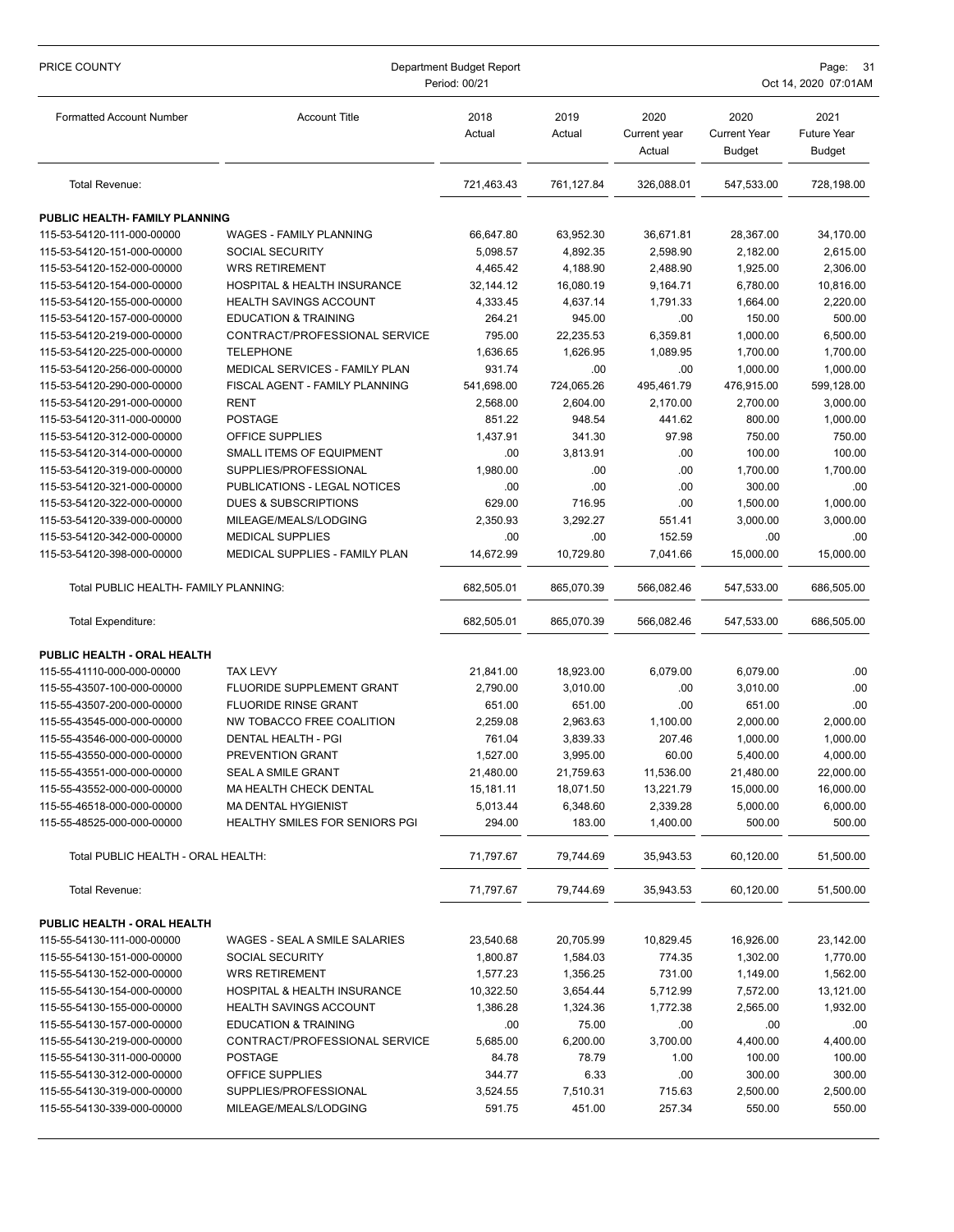| PRICE COUNTY                                  | Department Budget Report<br>Period: 00/21 |                |                |                                | Page: 31<br>Oct 14, 2020 07:01AM             |                                             |  |
|-----------------------------------------------|-------------------------------------------|----------------|----------------|--------------------------------|----------------------------------------------|---------------------------------------------|--|
| <b>Formatted Account Number</b>               | <b>Account Title</b>                      | 2018<br>Actual | 2019<br>Actual | 2020<br>Current year<br>Actual | 2020<br><b>Current Year</b><br><b>Budget</b> | 2021<br><b>Future Year</b><br><b>Budget</b> |  |
| Total Revenue:                                |                                           | 721,463.43     | 761,127.84     | 326,088.01                     | 547,533.00                                   | 728,198.00                                  |  |
| PUBLIC HEALTH- FAMILY PLANNING                |                                           |                |                |                                |                                              |                                             |  |
| 115-53-54120-111-000-00000                    | WAGES - FAMILY PLANNING                   | 66,647.80      | 63,952.30      | 36,671.81                      | 28,367.00                                    | 34,170.00                                   |  |
| 115-53-54120-151-000-00000                    | <b>SOCIAL SECURITY</b>                    | 5,098.57       | 4,892.35       | 2,598.90                       | 2,182.00                                     | 2,615.00                                    |  |
| 115-53-54120-152-000-00000                    | <b>WRS RETIREMENT</b>                     | 4,465.42       | 4,188.90       | 2,488.90                       | 1,925.00                                     | 2,306.00                                    |  |
| 115-53-54120-154-000-00000                    | HOSPITAL & HEALTH INSURANCE               | 32,144.12      | 16,080.19      | 9,164.71                       | 6,780.00                                     | 10,816.00                                   |  |
| 115-53-54120-155-000-00000                    | HEALTH SAVINGS ACCOUNT                    | 4,333.45       | 4,637.14       | 1,791.33                       | 1,664.00                                     | 2,220.00                                    |  |
| 115-53-54120-157-000-00000                    | <b>EDUCATION &amp; TRAINING</b>           | 264.21         | 945.00         | .00                            | 150.00                                       | 500.00                                      |  |
| 115-53-54120-219-000-00000                    | CONTRACT/PROFESSIONAL SERVICE             | 795.00         | 22,235.53      | 6,359.81                       | 1,000.00                                     | 6,500.00                                    |  |
| 115-53-54120-225-000-00000                    | <b>TELEPHONE</b>                          | 1,636.65       | 1,626.95       | 1,089.95                       | 1,700.00                                     | 1,700.00                                    |  |
| 115-53-54120-256-000-00000                    | <b>MEDICAL SERVICES - FAMILY PLAN</b>     | 931.74         | .00            | .00                            | 1,000.00                                     | 1,000.00                                    |  |
| 115-53-54120-290-000-00000                    | FISCAL AGENT - FAMILY PLANNING            | 541,698.00     | 724,065.26     | 495,461.79                     | 476,915.00                                   | 599,128.00                                  |  |
| 115-53-54120-291-000-00000<br><b>RENT</b>     |                                           | 2,568.00       | 2,604.00       | 2,170.00                       | 2,700.00                                     | 3,000.00                                    |  |
| 115-53-54120-311-000-00000<br>POSTAGE         |                                           | 851.22         | 948.54         | 441.62                         | 800.00                                       | 1,000.00                                    |  |
| 115-53-54120-312-000-00000                    | OFFICE SUPPLIES                           | 1,437.91       | 341.30         | 97.98                          | 750.00                                       | 750.00                                      |  |
| 115-53-54120-314-000-00000                    | SMALL ITEMS OF EQUIPMENT                  | .00            | 3,813.91       | .00                            | 100.00                                       | 100.00                                      |  |
| 115-53-54120-319-000-00000                    | SUPPLIES/PROFESSIONAL                     | 1,980.00       | .00            | .00                            | 1,700.00                                     | 1,700.00                                    |  |
| 115-53-54120-321-000-00000                    | PUBLICATIONS - LEGAL NOTICES              | .00            | .00            | .00                            | 300.00                                       | .00                                         |  |
| 115-53-54120-322-000-00000                    | DUES & SUBSCRIPTIONS                      | 629.00         | 716.95         | .00                            | 1,500.00                                     | 1,000.00                                    |  |
| 115-53-54120-339-000-00000                    | MILEAGE/MEALS/LODGING                     | 2,350.93       | 3,292.27       | 551.41                         | 3,000.00                                     | 3,000.00                                    |  |
| 115-53-54120-342-000-00000                    | <b>MEDICAL SUPPLIES</b>                   | .00            | .00            | 152.59                         | .00                                          | .00                                         |  |
| 115-53-54120-398-000-00000                    | MEDICAL SUPPLIES - FAMILY PLAN            | 14,672.99      | 10,729.80      | 7,041.66                       | 15,000.00                                    | 15,000.00                                   |  |
| Total PUBLIC HEALTH- FAMILY PLANNING:         |                                           | 682,505.01     | 865,070.39     | 566,082.46                     | 547,533.00                                   | 686,505.00                                  |  |
| Total Expenditure:                            |                                           | 682,505.01     | 865,070.39     | 566,082.46                     | 547,533.00                                   | 686,505.00                                  |  |
| PUBLIC HEALTH - ORAL HEALTH                   |                                           |                |                |                                |                                              |                                             |  |
| 115-55-41110-000-000-00000<br><b>TAX LEVY</b> |                                           | 21,841.00      | 18,923.00      | 6,079.00                       | 6,079.00                                     | .00                                         |  |
| 115-55-43507-100-000-00000                    | <b>FLUORIDE SUPPLEMENT GRANT</b>          | 2,790.00       | 3,010.00       | .00                            | 3,010.00                                     | .00                                         |  |
| 115-55-43507-200-000-00000                    | <b>FLUORIDE RINSE GRANT</b>               | 651.00         | 651.00         | .00                            | 651.00                                       | .00                                         |  |
| 115-55-43545-000-000-00000                    | NW TOBACCO FREE COALITION                 | 2,259.08       | 2,963.63       | 1,100.00                       | 2,000.00                                     | 2,000.00                                    |  |
| 115-55-43546-000-000-00000                    | DENTAL HEALTH - PGI                       | 761.04         | 3,839.33       | 207.46                         | 1,000.00                                     | 1,000.00                                    |  |
| 115-55-43550-000-000-00000                    | PREVENTION GRANT                          | 1,527.00       | 3,995.00       | 60.00                          | 5,400.00                                     | 4,000.00                                    |  |
| 115-55-43551-000-000-00000                    | <b>SEAL A SMILE GRANT</b>                 | 21,480.00      | 21,759.63      | 11,536.00                      | 21,480.00                                    | 22,000.00                                   |  |
| 115-55-43552-000-000-00000                    | <b>MA HEALTH CHECK DENTAL</b>             | 15,181.11      | 18,071.50      | 13,221.79                      | 15,000.00                                    | 16,000.00                                   |  |
| 115-55-46518-000-000-00000                    | MA DENTAL HYGIENIST                       | 5,013.44       | 6,348.60       | 2,339.28                       | 5,000.00                                     | 6,000.00                                    |  |
| 115-55-48525-000-000-00000                    | <b>HEALTHY SMILES FOR SENIORS PGI</b>     | 294.00         | 183.00         | 1,400.00                       | 500.00                                       | 500.00                                      |  |
| Total PUBLIC HEALTH - ORAL HEALTH:            |                                           | 71,797.67      | 79,744.69      | 35,943.53                      | 60.120.00                                    | 51,500.00                                   |  |
| Total Revenue:                                |                                           | 71,797.67      | 79,744.69      | 35,943.53                      | 60,120.00                                    | 51,500.00                                   |  |
| PUBLIC HEALTH - ORAL HEALTH                   |                                           |                |                |                                |                                              |                                             |  |
| 115-55-54130-111-000-00000                    | WAGES - SEAL A SMILE SALARIES             | 23,540.68      | 20,705.99      | 10,829.45                      | 16,926.00                                    | 23,142.00                                   |  |
| 115-55-54130-151-000-00000                    | <b>SOCIAL SECURITY</b>                    | 1,800.87       | 1,584.03       | 774.35                         | 1,302.00                                     | 1,770.00                                    |  |
| 115-55-54130-152-000-00000                    | <b>WRS RETIREMENT</b>                     | 1,577.23       | 1,356.25       | 731.00                         | 1,149.00                                     | 1,562.00                                    |  |
| 115-55-54130-154-000-00000                    | HOSPITAL & HEALTH INSURANCE               | 10,322.50      | 3,654.44       | 5,712.99                       | 7,572.00                                     | 13,121.00                                   |  |
| 115-55-54130-155-000-00000                    | <b>HEALTH SAVINGS ACCOUNT</b>             | 1,386.28       | 1,324.36       | 1,772.38                       | 2,565.00                                     | 1,932.00                                    |  |
| 115-55-54130-157-000-00000                    | <b>EDUCATION &amp; TRAINING</b>           | .00            | 75.00          | .00                            | .00                                          | .00.                                        |  |
| 115-55-54130-219-000-00000                    | CONTRACT/PROFESSIONAL SERVICE             | 5,685.00       | 6,200.00       | 3,700.00                       | 4,400.00                                     | 4,400.00                                    |  |
| <b>POSTAGE</b><br>115-55-54130-311-000-00000  |                                           | 84.78          | 78.79          | 1.00                           | 100.00                                       | 100.00                                      |  |
| 115-55-54130-312-000-00000                    | OFFICE SUPPLIES                           | 344.77         | 6.33           | .00                            | 300.00                                       | 300.00                                      |  |
| 115-55-54130-319-000-00000                    | SUPPLIES/PROFESSIONAL                     | 3,524.55       | 7,510.31       | 715.63                         | 2,500.00                                     | 2,500.00                                    |  |
| 115-55-54130-339-000-00000                    | MILEAGE/MEALS/LODGING                     | 591.75         | 451.00         | 257.34                         | 550.00                                       | 550.00                                      |  |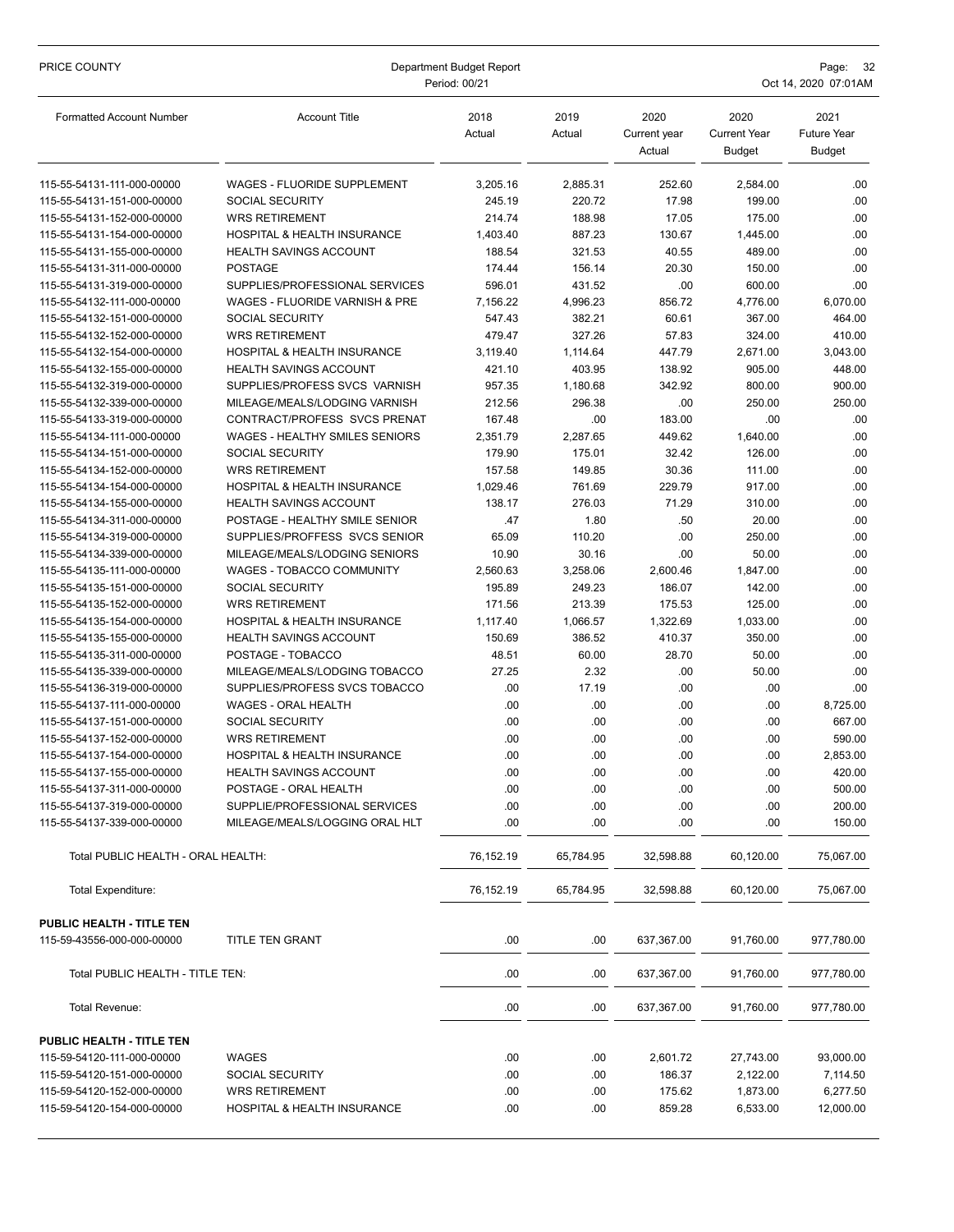| PRICE COUNTY                                             | Department Budget Report<br>Period: 00/21                       |                |                |                                | Page:<br>-32<br>Oct 14, 2020 07:01AM         |                                             |  |
|----------------------------------------------------------|-----------------------------------------------------------------|----------------|----------------|--------------------------------|----------------------------------------------|---------------------------------------------|--|
| <b>Formatted Account Number</b>                          | <b>Account Title</b>                                            | 2018<br>Actual | 2019<br>Actual | 2020<br>Current year<br>Actual | 2020<br><b>Current Year</b><br><b>Budget</b> | 2021<br><b>Future Year</b><br><b>Budget</b> |  |
| 115-55-54131-111-000-00000                               | WAGES - FLUORIDE SUPPLEMENT                                     | 3,205.16       | 2,885.31       | 252.60                         | 2,584.00                                     | .00.                                        |  |
| 115-55-54131-151-000-00000                               | SOCIAL SECURITY                                                 | 245.19         | 220.72         | 17.98                          | 199.00                                       | .00                                         |  |
| 115-55-54131-152-000-00000                               | <b>WRS RETIREMENT</b>                                           | 214.74         | 188.98         | 17.05                          | 175.00                                       | .00                                         |  |
| 115-55-54131-154-000-00000                               | <b>HOSPITAL &amp; HEALTH INSURANCE</b>                          | 1,403.40       | 887.23         | 130.67                         | 1,445.00                                     | .00                                         |  |
| 115-55-54131-155-000-00000                               | <b>HEALTH SAVINGS ACCOUNT</b>                                   | 188.54         | 321.53         | 40.55                          | 489.00                                       | .00                                         |  |
| 115-55-54131-311-000-00000                               | <b>POSTAGE</b>                                                  | 174.44         | 156.14         | 20.30                          | 150.00                                       | .00                                         |  |
| 115-55-54131-319-000-00000                               | SUPPLIES/PROFESSIONAL SERVICES                                  | 596.01         | 431.52         | .00                            | 600.00                                       | .00                                         |  |
| 115-55-54132-111-000-00000                               | WAGES - FLUORIDE VARNISH & PRE                                  | 7,156.22       | 4,996.23       | 856.72                         | 4,776.00                                     | 6,070.00                                    |  |
| 115-55-54132-151-000-00000                               | SOCIAL SECURITY                                                 | 547.43         | 382.21         | 60.61                          | 367.00                                       | 464.00                                      |  |
| 115-55-54132-152-000-00000                               | <b>WRS RETIREMENT</b>                                           | 479.47         | 327.26         | 57.83                          | 324.00                                       | 410.00                                      |  |
| 115-55-54132-154-000-00000                               | <b>HOSPITAL &amp; HEALTH INSURANCE</b>                          | 3,119.40       | 1,114.64       | 447.79                         | 2,671.00                                     | 3,043.00                                    |  |
| 115-55-54132-155-000-00000                               | <b>HEALTH SAVINGS ACCOUNT</b>                                   | 421.10         | 403.95         | 138.92                         | 905.00                                       | 448.00                                      |  |
| 115-55-54132-319-000-00000                               | SUPPLIES/PROFESS SVCS VARNISH                                   | 957.35         | 1,180.68       | 342.92                         | 800.00                                       | 900.00                                      |  |
| 115-55-54132-339-000-00000                               | MILEAGE/MEALS/LODGING VARNISH                                   | 212.56         | 296.38         | .00                            | 250.00                                       | 250.00                                      |  |
| 115-55-54133-319-000-00000                               | CONTRACT/PROFESS SVCS PRENAT                                    | 167.48         | .00            | 183.00                         | .00                                          | .00                                         |  |
| 115-55-54134-111-000-00000                               | WAGES - HEALTHY SMILES SENIORS                                  | 2.351.79       | 2,287.65       | 449.62                         | 1,640.00                                     | .00                                         |  |
| 115-55-54134-151-000-00000                               | <b>SOCIAL SECURITY</b>                                          | 179.90         | 175.01         | 32.42                          | 126.00                                       | .00                                         |  |
| 115-55-54134-152-000-00000                               | <b>WRS RETIREMENT</b>                                           | 157.58         | 149.85         | 30.36                          | 111.00                                       | .00                                         |  |
| 115-55-54134-154-000-00000                               | <b>HOSPITAL &amp; HEALTH INSURANCE</b>                          | 1,029.46       | 761.69         | 229.79                         | 917.00                                       | .00                                         |  |
| 115-55-54134-155-000-00000                               | <b>HEALTH SAVINGS ACCOUNT</b>                                   | 138.17         | 276.03         | 71.29                          | 310.00                                       | .00                                         |  |
| 115-55-54134-311-000-00000                               | POSTAGE - HEALTHY SMILE SENIOR<br>SUPPLIES/PROFFESS SVCS SENIOR | .47<br>65.09   | 1.80<br>110.20 | .50<br>.00                     | 20.00<br>250.00                              | .00<br>.00                                  |  |
| 115-55-54134-319-000-00000<br>115-55-54134-339-000-00000 | MILEAGE/MEALS/LODGING SENIORS                                   | 10.90          | 30.16          | .00                            | 50.00                                        | .00                                         |  |
| 115-55-54135-111-000-00000                               | WAGES - TOBACCO COMMUNITY                                       | 2,560.63       | 3,258.06       | 2,600.46                       | 1,847.00                                     | .00                                         |  |
| 115-55-54135-151-000-00000                               | SOCIAL SECURITY                                                 | 195.89         | 249.23         | 186.07                         | 142.00                                       | .00                                         |  |
| 115-55-54135-152-000-00000                               | <b>WRS RETIREMENT</b>                                           | 171.56         | 213.39         | 175.53                         | 125.00                                       | .00                                         |  |
| 115-55-54135-154-000-00000                               | HOSPITAL & HEALTH INSURANCE                                     | 1,117.40       | 1,066.57       | 1,322.69                       | 1,033.00                                     | .00                                         |  |
| 115-55-54135-155-000-00000                               | <b>HEALTH SAVINGS ACCOUNT</b>                                   | 150.69         | 386.52         | 410.37                         | 350.00                                       | .00                                         |  |
| 115-55-54135-311-000-00000                               | POSTAGE - TOBACCO                                               | 48.51          | 60.00          | 28.70                          | 50.00                                        | .00                                         |  |
| 115-55-54135-339-000-00000                               | MILEAGE/MEALS/LODGING TOBACCO                                   | 27.25          | 2.32           | .00.                           | 50.00                                        | .00                                         |  |
| 115-55-54136-319-000-00000                               | SUPPLIES/PROFESS SVCS TOBACCO                                   | .00            | 17.19          | .00                            | .00                                          | .00                                         |  |
| 115-55-54137-111-000-00000                               | WAGES - ORAL HEALTH                                             | .00            | .00            | .00                            | .00                                          | 8,725.00                                    |  |
| 115-55-54137-151-000-00000                               | SOCIAL SECURITY                                                 | .00            | .00            | .00                            | .00                                          | 667.00                                      |  |
| 115-55-54137-152-000-00000                               | <b>WRS RETIREMENT</b>                                           | .00            | .00            | .00                            | .00                                          | 590.00                                      |  |
| 115-55-54137-154-000-00000                               | HOSPITAL & HEALTH INSURANCE                                     | .00.           | .00            | .00                            | .00                                          | 2,853.00                                    |  |
| 115-55-54137-155-000-00000                               | <b>HEALTH SAVINGS ACCOUNT</b>                                   | .00            | .00.           | .00                            | .00                                          | 420.00                                      |  |
| 115-55-54137-311-000-00000                               | POSTAGE - ORAL HEALTH                                           | .00            | .00            | .00                            | .00                                          | 500.00                                      |  |
| 115-55-54137-319-000-00000                               | SUPPLIE/PROFESSIONAL SERVICES                                   | .00            | .00            | .00                            | .00                                          | 200.00                                      |  |
| 115-55-54137-339-000-00000                               | MILEAGE/MEALS/LOGGING ORAL HLT                                  | .00            | .00            | .00                            | .00                                          | 150.00                                      |  |
| Total PUBLIC HEALTH - ORAL HEALTH:                       |                                                                 | 76,152.19      | 65,784.95      | 32,598.88                      | 60,120.00                                    | 75.067.00                                   |  |
| <b>Total Expenditure:</b>                                |                                                                 | 76,152.19      | 65,784.95      | 32,598.88                      | 60,120.00                                    | 75,067.00                                   |  |
| <b>PUBLIC HEALTH - TITLE TEN</b>                         |                                                                 |                |                |                                |                                              |                                             |  |
| 115-59-43556-000-000-00000                               | TITLE TEN GRANT                                                 | .00.           | .00.           | 637,367.00                     | 91,760.00                                    | 977,780.00                                  |  |
| Total PUBLIC HEALTH - TITLE TEN:                         |                                                                 | .00            | .00            | 637,367.00                     | 91,760.00                                    | 977,780.00                                  |  |
| Total Revenue:                                           |                                                                 | .00            | .00            | 637,367.00                     | 91,760.00                                    | 977,780.00                                  |  |
| PUBLIC HEALTH - TITLE TEN                                |                                                                 |                |                |                                |                                              |                                             |  |
| 115-59-54120-111-000-00000                               | WAGES                                                           | .00.           | .00            | 2,601.72                       | 27,743.00                                    | 93,000.00                                   |  |
| 115-59-54120-151-000-00000                               | SOCIAL SECURITY                                                 | .00            | .00            | 186.37                         | 2,122.00                                     | 7,114.50                                    |  |
| 115-59-54120-152-000-00000                               | <b>WRS RETIREMENT</b>                                           | .00            | .00            | 175.62                         | 1,873.00                                     | 6,277.50                                    |  |
| 115-59-54120-154-000-00000                               | <b>HOSPITAL &amp; HEALTH INSURANCE</b>                          | .00.           | .00            | 859.28                         | 6,533.00                                     | 12,000.00                                   |  |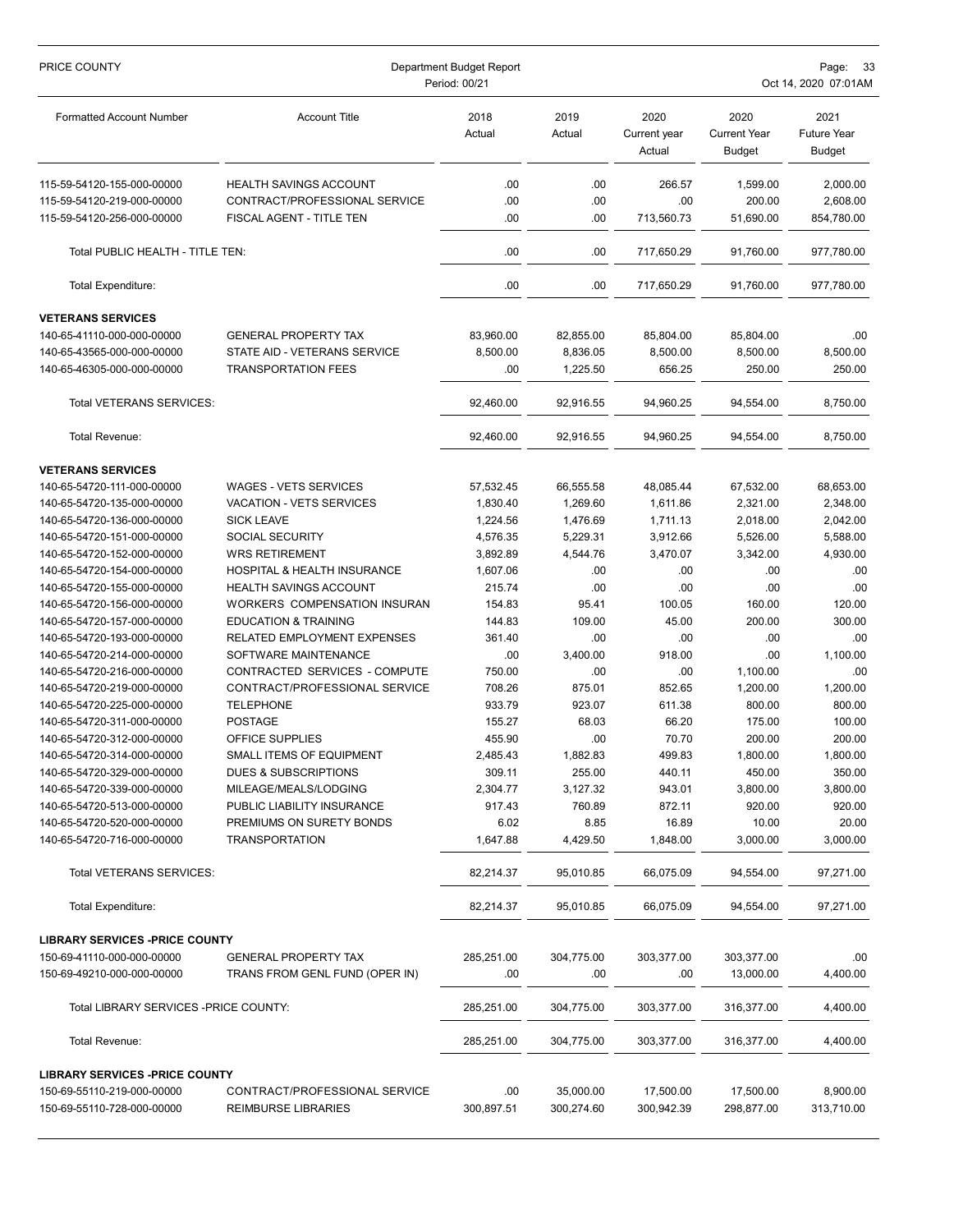| PRICE COUNTY                          | Department Budget Report<br>Period: 00/21 |                |                |                                | Page:<br>33<br>Oct 14, 2020 07:01AM   |                                             |  |
|---------------------------------------|-------------------------------------------|----------------|----------------|--------------------------------|---------------------------------------|---------------------------------------------|--|
| <b>Formatted Account Number</b>       | <b>Account Title</b>                      | 2018<br>Actual | 2019<br>Actual | 2020<br>Current year<br>Actual | 2020<br><b>Current Year</b><br>Budget | 2021<br><b>Future Year</b><br><b>Budget</b> |  |
| 115-59-54120-155-000-00000            | HEALTH SAVINGS ACCOUNT                    | .00            | .00            | 266.57                         | 1,599.00                              | 2,000.00                                    |  |
| 115-59-54120-219-000-00000            | CONTRACT/PROFESSIONAL SERVICE             | .00            | .00            | .00                            | 200.00                                | 2,608.00                                    |  |
| 115-59-54120-256-000-00000            | FISCAL AGENT - TITLE TEN                  | .00            | .00            | 713,560.73                     | 51,690.00                             | 854,780.00                                  |  |
| Total PUBLIC HEALTH - TITLE TEN:      |                                           | .00            | .00            | 717,650.29                     | 91,760.00                             | 977,780.00                                  |  |
| <b>Total Expenditure:</b>             |                                           | .00            | .00            | 717,650.29                     | 91,760.00                             | 977,780.00                                  |  |
| <b>VETERANS SERVICES</b>              |                                           |                |                |                                |                                       |                                             |  |
| 140-65-41110-000-000-00000            | <b>GENERAL PROPERTY TAX</b>               | 83,960.00      | 82,855.00      | 85,804.00                      | 85,804.00                             | .00                                         |  |
| 140-65-43565-000-000-00000            | STATE AID - VETERANS SERVICE              | 8,500.00       | 8,836.05       | 8,500.00                       | 8,500.00                              | 8,500.00                                    |  |
| 140-65-46305-000-000-00000            | <b>TRANSPORTATION FEES</b>                | .00            | 1,225.50       | 656.25                         | 250.00                                | 250.00                                      |  |
| <b>Total VETERANS SERVICES:</b>       |                                           | 92,460.00      | 92,916.55      | 94.960.25                      | 94.554.00                             | 8.750.00                                    |  |
| Total Revenue:                        |                                           | 92.460.00      | 92,916.55      | 94,960.25                      | 94,554.00                             | 8,750.00                                    |  |
| <b>VETERANS SERVICES</b>              |                                           |                |                |                                |                                       |                                             |  |
| 140-65-54720-111-000-00000            | <b>WAGES - VETS SERVICES</b>              | 57,532.45      | 66,555.58      | 48.085.44                      | 67,532.00                             | 68,653.00                                   |  |
| 140-65-54720-135-000-00000            | VACATION - VETS SERVICES                  | 1,830.40       | 1,269.60       | 1,611.86                       | 2,321.00                              | 2,348.00                                    |  |
| 140-65-54720-136-000-00000            | <b>SICK LEAVE</b>                         | 1,224.56       | 1,476.69       | 1,711.13                       | 2,018.00                              | 2,042.00                                    |  |
| 140-65-54720-151-000-00000            | <b>SOCIAL SECURITY</b>                    | 4,576.35       | 5,229.31       | 3,912.66                       | 5,526.00                              | 5,588.00                                    |  |
| 140-65-54720-152-000-00000            | <b>WRS RETIREMENT</b>                     | 3,892.89       | 4,544.76       | 3,470.07                       | 3,342.00                              | 4,930.00                                    |  |
| 140-65-54720-154-000-00000            | HOSPITAL & HEALTH INSURANCE               | 1,607.06       | .00            | .00                            | .00                                   | .00                                         |  |
| 140-65-54720-155-000-00000            | HEALTH SAVINGS ACCOUNT                    | 215.74         | .00            | .00                            | .00                                   | .00                                         |  |
| 140-65-54720-156-000-00000            | WORKERS COMPENSATION INSURAN              | 154.83         | 95.41          | 100.05                         | 160.00                                | 120.00                                      |  |
| 140-65-54720-157-000-00000            | <b>EDUCATION &amp; TRAINING</b>           | 144.83         | 109.00         | 45.00                          | 200.00                                | 300.00                                      |  |
| 140-65-54720-193-000-00000            | RELATED EMPLOYMENT EXPENSES               | 361.40         | .00            | .00                            | .00                                   | .00                                         |  |
| 140-65-54720-214-000-00000            | SOFTWARE MAINTENANCE                      | .00            | 3,400.00       | 918.00                         | .00                                   | 1,100.00                                    |  |
| 140-65-54720-216-000-00000            | CONTRACTED SERVICES - COMPUTE             | 750.00         | .00            | .00                            | 1,100.00                              | .00                                         |  |
| 140-65-54720-219-000-00000            | CONTRACT/PROFESSIONAL SERVICE             | 708.26         | 875.01         | 852.65                         | 1,200.00                              | 1,200.00                                    |  |
| 140-65-54720-225-000-00000            | <b>TELEPHONE</b>                          | 933.79         | 923.07         | 611.38                         | 800.00                                | 800.00                                      |  |
| 140-65-54720-311-000-00000            | <b>POSTAGE</b>                            | 155.27         | 68.03          | 66.20                          | 175.00                                | 100.00                                      |  |
| 140-65-54720-312-000-00000            | OFFICE SUPPLIES                           | 455.90         | .00            | 70.70                          | 200.00                                | 200.00                                      |  |
| 140-65-54720-314-000-00000            | SMALL ITEMS OF EQUIPMENT                  | 2,485.43       | 1,882.83       | 499.83                         | 1,800.00                              | 1,800.00                                    |  |
| 140-65-54720-329-000-00000            | DUES & SUBSCRIPTIONS                      | 309.11         | 255.00         | 440.11                         | 450.00                                | 350.00                                      |  |
| 140-65-54720-339-000-00000            | MILEAGE/MEALS/LODGING                     | 2,304.77       | 3,127.32       | 943.01                         | 3,800.00                              | 3,800.00                                    |  |
| 140-65-54720-513-000-00000            | PUBLIC LIABILITY INSURANCE                | 917.43         | 760.89         | 872.11                         | 920.00                                | 920.00                                      |  |
| 140-65-54720-520-000-00000            | PREMIUMS ON SURETY BONDS                  | 6.02           | 8.85           | 16.89                          | 10.00                                 | 20.00                                       |  |
| 140-65-54720-716-000-00000            | <b>TRANSPORTATION</b>                     | 1,647.88       | 4,429.50       | 1,848.00                       | 3,000.00                              | 3,000.00                                    |  |
| Total VETERANS SERVICES:              |                                           | 82,214.37      | 95,010.85      | 66,075.09                      | 94.554.00                             | 97,271.00                                   |  |
| Total Expenditure:                    |                                           | 82,214.37      | 95,010.85      | 66,075.09                      | 94,554.00                             | 97,271.00                                   |  |
| <b>LIBRARY SERVICES -PRICE COUNTY</b> |                                           |                |                |                                |                                       |                                             |  |
| 150-69-41110-000-000-00000            | <b>GENERAL PROPERTY TAX</b>               | 285,251.00     | 304,775.00     | 303,377.00                     | 303,377.00                            | .00                                         |  |
| 150-69-49210-000-000-00000            | TRANS FROM GENL FUND (OPER IN)            | .00            | .00            | .00                            | 13,000.00                             | 4,400.00                                    |  |
| Total LIBRARY SERVICES -PRICE COUNTY: |                                           | 285,251.00     | 304,775.00     | 303,377.00                     | 316,377.00                            | 4,400.00                                    |  |
| Total Revenue:                        |                                           | 285,251.00     | 304,775.00     | 303,377.00                     | 316,377.00                            | 4,400.00                                    |  |
| <b>LIBRARY SERVICES -PRICE COUNTY</b> |                                           |                |                |                                |                                       |                                             |  |
| 150-69-55110-219-000-00000            | CONTRACT/PROFESSIONAL SERVICE             | .00            | 35,000.00      | 17,500.00                      | 17,500.00                             | 8,900.00                                    |  |
| 150-69-55110-728-000-00000            | <b>REIMBURSE LIBRARIES</b>                | 300,897.51     | 300,274.60     | 300,942.39                     | 298,877.00                            | 313,710.00                                  |  |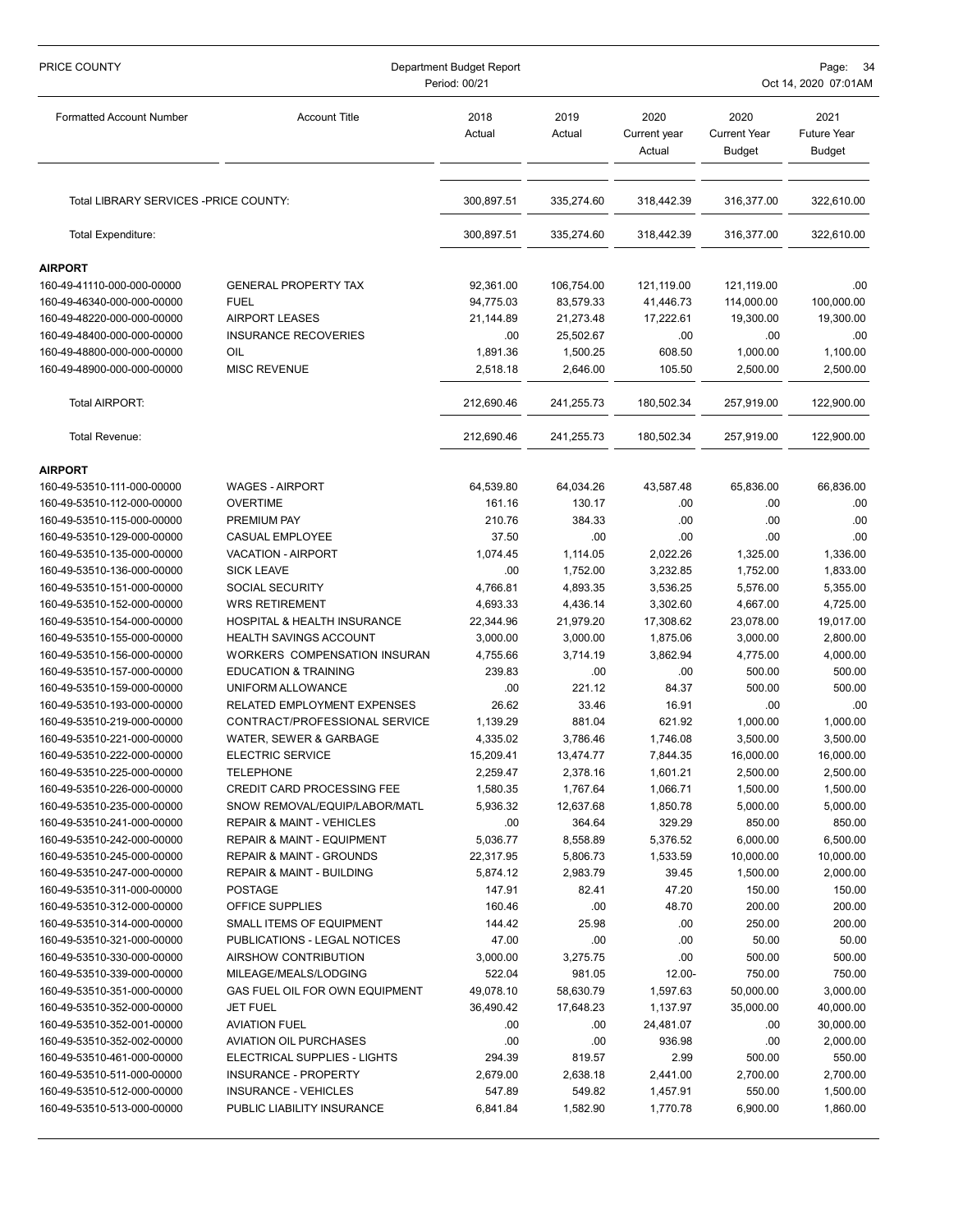| PRICE COUNTY                                             | Department Budget Report<br>Period: 00/21                   |                       | Page:<br>- 34<br>Oct 14, 2020 07:01AM |                                |                                       |                                             |
|----------------------------------------------------------|-------------------------------------------------------------|-----------------------|---------------------------------------|--------------------------------|---------------------------------------|---------------------------------------------|
| <b>Formatted Account Number</b>                          | <b>Account Title</b>                                        | 2018<br>Actual        | 2019<br>Actual                        | 2020<br>Current year<br>Actual | 2020<br><b>Current Year</b><br>Budget | 2021<br><b>Future Year</b><br><b>Budget</b> |
| Total LIBRARY SERVICES - PRICE COUNTY:                   |                                                             | 300,897.51            | 335,274.60                            | 318,442.39                     | 316,377.00                            | 322,610.00                                  |
| <b>Total Expenditure:</b>                                |                                                             | 300,897.51            | 335,274.60                            | 318,442.39                     | 316,377.00                            | 322,610.00                                  |
| <b>AIRPORT</b>                                           |                                                             |                       |                                       |                                |                                       |                                             |
| 160-49-41110-000-000-00000                               | <b>GENERAL PROPERTY TAX</b>                                 | 92,361.00             | 106,754.00                            | 121,119.00                     | 121,119.00                            | .00                                         |
| 160-49-46340-000-000-00000                               | <b>FUEL</b>                                                 | 94,775.03             | 83,579.33                             | 41,446.73                      | 114,000.00                            | 100,000.00                                  |
| 160-49-48220-000-000-00000                               | <b>AIRPORT LEASES</b>                                       | 21,144.89             | 21,273.48                             | 17,222.61                      | 19,300.00                             | 19,300.00                                   |
| 160-49-48400-000-000-00000                               | <b>INSURANCE RECOVERIES</b>                                 | .00                   | 25,502.67                             | .00.                           | .00                                   | .00                                         |
| 160-49-48800-000-000-00000                               | OIL                                                         | 1,891.36              | 1,500.25                              | 608.50                         | 1,000.00                              | 1,100.00                                    |
| 160-49-48900-000-000-00000                               | <b>MISC REVENUE</b>                                         | 2,518.18              | 2,646.00                              | 105.50                         | 2,500.00                              | 2,500.00                                    |
| <b>Total AIRPORT:</b>                                    |                                                             | 212,690.46            | 241,255.73                            | 180,502.34                     | 257,919.00                            | 122,900.00                                  |
| Total Revenue:                                           |                                                             | 212,690.46            | 241,255.73                            | 180,502.34                     | 257,919.00                            | 122,900.00                                  |
|                                                          |                                                             |                       |                                       |                                |                                       |                                             |
| <b>AIRPORT</b><br>160-49-53510-111-000-00000             | <b>WAGES - AIRPORT</b>                                      | 64,539.80             | 64,034.26                             | 43,587.48                      | 65,836.00                             | 66,836.00                                   |
| 160-49-53510-112-000-00000                               | <b>OVERTIME</b>                                             | 161.16                | 130.17                                | .00.                           | .00                                   | .00                                         |
| 160-49-53510-115-000-00000                               | PREMIUM PAY                                                 | 210.76                | 384.33                                | .00                            | .00                                   | .00                                         |
| 160-49-53510-129-000-00000                               | CASUAL EMPLOYEE                                             | 37.50                 | .00                                   | .00                            | .00                                   | .00                                         |
| 160-49-53510-135-000-00000                               | <b>VACATION - AIRPORT</b>                                   | 1,074.45              | 1,114.05                              | 2,022.26                       | 1,325.00                              | 1,336.00                                    |
| 160-49-53510-136-000-00000                               | <b>SICK LEAVE</b>                                           | .00                   | 1,752.00                              | 3,232.85                       | 1,752.00                              | 1,833.00                                    |
| 160-49-53510-151-000-00000                               | SOCIAL SECURITY                                             | 4,766.81              | 4,893.35                              | 3,536.25                       | 5,576.00                              | 5,355.00                                    |
| 160-49-53510-152-000-00000                               | <b>WRS RETIREMENT</b>                                       | 4,693.33              | 4,436.14                              | 3,302.60                       | 4,667.00                              | 4,725.00                                    |
| 160-49-53510-154-000-00000                               | HOSPITAL & HEALTH INSURANCE                                 | 22,344.96             | 21,979.20                             | 17,308.62                      | 23,078.00                             | 19,017.00                                   |
| 160-49-53510-155-000-00000                               | <b>HEALTH SAVINGS ACCOUNT</b>                               | 3,000.00              | 3,000.00                              | 1,875.06                       | 3,000.00                              | 2,800.00                                    |
| 160-49-53510-156-000-00000                               | WORKERS COMPENSATION INSURAN                                | 4,755.66              | 3,714.19                              | 3,862.94                       | 4,775.00                              | 4,000.00                                    |
| 160-49-53510-157-000-00000                               | <b>EDUCATION &amp; TRAINING</b>                             | 239.83                | .00                                   | .00.                           | 500.00                                | 500.00                                      |
| 160-49-53510-159-000-00000                               | UNIFORM ALLOWANCE                                           | .00                   | 221.12                                | 84.37                          | 500.00                                | 500.00                                      |
| 160-49-53510-193-000-00000                               | RELATED EMPLOYMENT EXPENSES                                 | 26.62                 | 33.46                                 | 16.91                          | .00                                   | .00                                         |
| 160-49-53510-219-000-00000                               | CONTRACT/PROFESSIONAL SERVICE                               | 1,139.29              | 881.04                                | 621.92                         | 1,000.00                              | 1,000.00                                    |
| 160-49-53510-221-000-00000<br>160-49-53510-222-000-00000 | WATER, SEWER & GARBAGE<br>ELECTRIC SERVICE                  | 4,335.02              | 3,786.46                              | 1.746.08                       | 3,500.00                              | 3,500.00                                    |
| 160-49-53510-225-000-00000                               | <b>TELEPHONE</b>                                            | 15,209.41<br>2,259.47 | 13,474.77<br>2,378.16                 | 7,844.35<br>1,601.21           | 16,000.00<br>2,500.00                 | 16,000.00<br>2,500.00                       |
| 160-49-53510-226-000-00000                               | CREDIT CARD PROCESSING FEE                                  | 1,580.35              | 1,767.64                              | 1,066.71                       | 1,500.00                              | 1,500.00                                    |
| 160-49-53510-235-000-00000                               | SNOW REMOVAL/EQUIP/LABOR/MATL                               | 5,936.32              | 12,637.68                             | 1,850.78                       | 5,000.00                              | 5,000.00                                    |
| 160-49-53510-241-000-00000                               | <b>REPAIR &amp; MAINT - VEHICLES</b>                        | .00.                  | 364.64                                | 329.29                         | 850.00                                | 850.00                                      |
| 160-49-53510-242-000-00000                               | <b>REPAIR &amp; MAINT - EQUIPMENT</b>                       | 5,036.77              | 8,558.89                              | 5,376.52                       | 6,000.00                              | 6,500.00                                    |
| 160-49-53510-245-000-00000                               | <b>REPAIR &amp; MAINT - GROUNDS</b>                         | 22,317.95             | 5,806.73                              | 1,533.59                       | 10,000.00                             | 10,000.00                                   |
| 160-49-53510-247-000-00000                               | REPAIR & MAINT - BUILDING                                   | 5,874.12              | 2,983.79                              | 39.45                          | 1,500.00                              | 2,000.00                                    |
| 160-49-53510-311-000-00000                               | POSTAGE                                                     | 147.91                | 82.41                                 | 47.20                          | 150.00                                | 150.00                                      |
| 160-49-53510-312-000-00000                               | OFFICE SUPPLIES                                             | 160.46                | .00                                   | 48.70                          | 200.00                                | 200.00                                      |
| 160-49-53510-314-000-00000                               | SMALL ITEMS OF EQUIPMENT                                    | 144.42                | 25.98                                 | .00.                           | 250.00                                | 200.00                                      |
| 160-49-53510-321-000-00000                               | PUBLICATIONS - LEGAL NOTICES                                | 47.00                 | .00                                   | .00                            | 50.00                                 | 50.00                                       |
| 160-49-53510-330-000-00000                               | AIRSHOW CONTRIBUTION                                        | 3,000.00              | 3,275.75                              | .00                            | 500.00                                | 500.00                                      |
| 160-49-53510-339-000-00000                               | MILEAGE/MEALS/LODGING                                       | 522.04                | 981.05                                | 12.00-                         | 750.00                                | 750.00                                      |
| 160-49-53510-351-000-00000                               | GAS FUEL OIL FOR OWN EQUIPMENT                              | 49,078.10             | 58,630.79                             | 1,597.63                       | 50,000.00                             | 3,000.00                                    |
| 160-49-53510-352-000-00000                               | <b>JET FUEL</b>                                             | 36,490.42             | 17,648.23                             | 1,137.97                       | 35,000.00                             | 40,000.00                                   |
| 160-49-53510-352-001-00000                               | <b>AVIATION FUEL</b>                                        | .00                   | .00                                   | 24,481.07                      | .00.                                  | 30,000.00                                   |
| 160-49-53510-352-002-00000                               | AVIATION OIL PURCHASES                                      | .00                   | .00                                   | 936.98                         | .00                                   | 2,000.00                                    |
| 160-49-53510-461-000-00000<br>160-49-53510-511-000-00000 | ELECTRICAL SUPPLIES - LIGHTS<br><b>INSURANCE - PROPERTY</b> | 294.39<br>2,679.00    | 819.57<br>2,638.18                    | 2.99<br>2,441.00               | 500.00<br>2,700.00                    | 550.00<br>2,700.00                          |
| 160-49-53510-512-000-00000                               | <b>INSURANCE - VEHICLES</b>                                 | 547.89                | 549.82                                | 1,457.91                       | 550.00                                | 1,500.00                                    |
| 160-49-53510-513-000-00000                               | PUBLIC LIABILITY INSURANCE                                  | 6,841.84              | 1,582.90                              | 1,770.78                       | 6,900.00                              | 1,860.00                                    |
|                                                          |                                                             |                       |                                       |                                |                                       |                                             |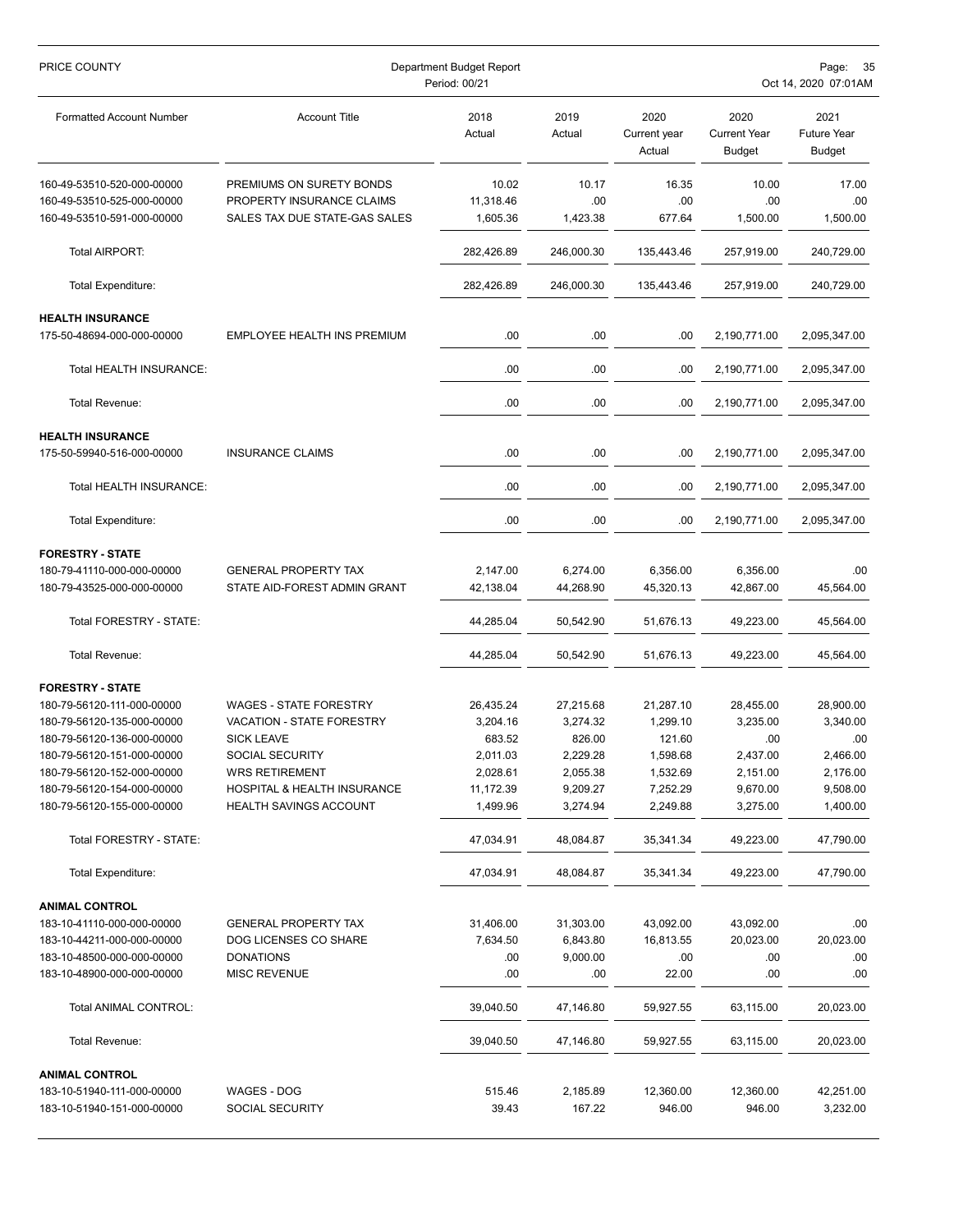| PRICE COUNTY                    | Department Budget Report<br>Period: 00/21 |                |                |                                |                                              | Page:<br>- 35<br>Oct 14, 2020 07:01AM       |  |  |
|---------------------------------|-------------------------------------------|----------------|----------------|--------------------------------|----------------------------------------------|---------------------------------------------|--|--|
| <b>Formatted Account Number</b> | <b>Account Title</b>                      | 2018<br>Actual | 2019<br>Actual | 2020<br>Current year<br>Actual | 2020<br><b>Current Year</b><br><b>Budget</b> | 2021<br><b>Future Year</b><br><b>Budget</b> |  |  |
| 160-49-53510-520-000-00000      | PREMIUMS ON SURETY BONDS                  | 10.02          | 10.17          | 16.35                          | 10.00                                        | 17.00                                       |  |  |
| 160-49-53510-525-000-00000      | PROPERTY INSURANCE CLAIMS                 | 11,318.46      | .00            | .00                            | .00                                          | .00                                         |  |  |
| 160-49-53510-591-000-00000      | SALES TAX DUE STATE-GAS SALES             | 1,605.36       | 1,423.38       | 677.64                         | 1,500.00                                     | 1,500.00                                    |  |  |
| Total AIRPORT:                  |                                           | 282,426.89     | 246,000.30     | 135,443.46                     | 257,919.00                                   | 240,729.00                                  |  |  |
| Total Expenditure:              |                                           | 282,426.89     | 246,000.30     | 135,443.46                     | 257,919.00                                   | 240,729.00                                  |  |  |
| <b>HEALTH INSURANCE</b>         |                                           |                |                |                                |                                              |                                             |  |  |
| 175-50-48694-000-000-00000      | EMPLOYEE HEALTH INS PREMIUM               | .00            | .00            | .00                            | 2,190,771.00                                 | 2,095,347.00                                |  |  |
| Total HEALTH INSURANCE:         |                                           | .00            | .00            | .00                            | 2,190,771.00                                 | 2,095,347.00                                |  |  |
| Total Revenue:                  |                                           | .00            | .00            | .00                            | 2,190,771.00                                 | 2,095,347.00                                |  |  |
| <b>HEALTH INSURANCE</b>         |                                           |                |                |                                |                                              |                                             |  |  |
| 175-50-59940-516-000-00000      | <b>INSURANCE CLAIMS</b>                   | .00            | .00            | .00                            | 2,190,771.00                                 | 2,095,347.00                                |  |  |
| Total HEALTH INSURANCE:         |                                           | .00            | .00            | .00                            | 2,190,771.00                                 | 2,095,347.00                                |  |  |
| <b>Total Expenditure:</b>       |                                           | .00            | .00            | .00                            | 2,190,771.00                                 | 2,095,347.00                                |  |  |
| <b>FORESTRY - STATE</b>         |                                           |                |                |                                |                                              |                                             |  |  |
| 180-79-41110-000-000-00000      | <b>GENERAL PROPERTY TAX</b>               | 2,147.00       | 6,274.00       | 6,356.00                       | 6,356.00                                     | .00                                         |  |  |
| 180-79-43525-000-000-00000      | STATE AID-FOREST ADMIN GRANT              | 42,138.04      | 44,268.90      | 45,320.13                      | 42,867.00                                    | 45,564.00                                   |  |  |
| Total FORESTRY - STATE:         |                                           | 44,285.04      | 50,542.90      | 51,676.13                      | 49,223.00                                    | 45,564.00                                   |  |  |
| Total Revenue:                  |                                           | 44,285.04      | 50,542.90      | 51,676.13                      | 49,223.00                                    | 45,564.00                                   |  |  |
| <b>FORESTRY - STATE</b>         |                                           |                |                |                                |                                              |                                             |  |  |
| 180-79-56120-111-000-00000      | <b>WAGES - STATE FORESTRY</b>             | 26,435.24      | 27,215.68      | 21,287.10                      | 28,455.00                                    | 28,900.00                                   |  |  |
| 180-79-56120-135-000-00000      | VACATION - STATE FORESTRY                 | 3,204.16       | 3,274.32       | 1,299.10                       | 3,235.00                                     | 3,340.00                                    |  |  |
| 180-79-56120-136-000-00000      | <b>SICK LEAVE</b>                         | 683.52         | 826.00         | 121.60                         | .00                                          | .00                                         |  |  |
| 180-79-56120-151-000-00000      | SOCIAL SECURITY                           | 2,011.03       | 2,229.28       | 1,598.68                       | 2,437.00                                     | 2,466.00                                    |  |  |
| 180-79-56120-152-000-00000      | <b>WRS RETIREMENT</b>                     | 2,028.61       | 2,055.38       | 1,532.69                       | 2,151.00                                     | 2,176.00                                    |  |  |
| 180-79-56120-154-000-00000      | HOSPITAL & HEALTH INSURANCE               | 11,172.39      | 9,209.27       | 7,252.29                       | 9,670.00                                     | 9,508.00                                    |  |  |
| 180-79-56120-155-000-00000      | <b>HEALTH SAVINGS ACCOUNT</b>             | 1,499.96       | 3,274.94       | 2,249.88                       | 3,275.00                                     | 1,400.00                                    |  |  |
| Total FORESTRY - STATE:         |                                           | 47,034.91      | 48,084.87      | 35,341.34                      | 49,223.00                                    | 47,790.00                                   |  |  |
| Total Expenditure:              |                                           | 47,034.91      | 48,084.87      | 35,341.34                      | 49,223.00                                    | 47,790.00                                   |  |  |
| <b>ANIMAL CONTROL</b>           |                                           |                |                |                                |                                              |                                             |  |  |
| 183-10-41110-000-000-00000      | <b>GENERAL PROPERTY TAX</b>               | 31,406.00      | 31,303.00      | 43,092.00                      | 43,092.00                                    | .00                                         |  |  |
| 183-10-44211-000-000-00000      | DOG LICENSES CO SHARE                     | 7,634.50       | 6,843.80       | 16,813.55                      | 20,023.00                                    | 20,023.00                                   |  |  |
| 183-10-48500-000-000-00000      | <b>DONATIONS</b>                          | .00.           | 9,000.00       | .00                            | .00                                          | .00                                         |  |  |
| 183-10-48900-000-000-00000      | <b>MISC REVENUE</b>                       | .00            | .00            | 22.00                          | .00                                          | .00                                         |  |  |
| Total ANIMAL CONTROL:           |                                           | 39,040.50      | 47,146.80      | 59,927.55                      | 63,115.00                                    | 20,023.00                                   |  |  |
| Total Revenue:                  |                                           | 39,040.50      | 47,146.80      | 59,927.55                      | 63,115.00                                    | 20,023.00                                   |  |  |
| <b>ANIMAL CONTROL</b>           |                                           |                |                |                                |                                              |                                             |  |  |
| 183-10-51940-111-000-00000      | WAGES - DOG                               | 515.46         | 2,185.89       | 12,360.00                      | 12,360.00                                    | 42,251.00                                   |  |  |
| 183-10-51940-151-000-00000      | SOCIAL SECURITY                           | 39.43          | 167.22         | 946.00                         | 946.00                                       | 3,232.00                                    |  |  |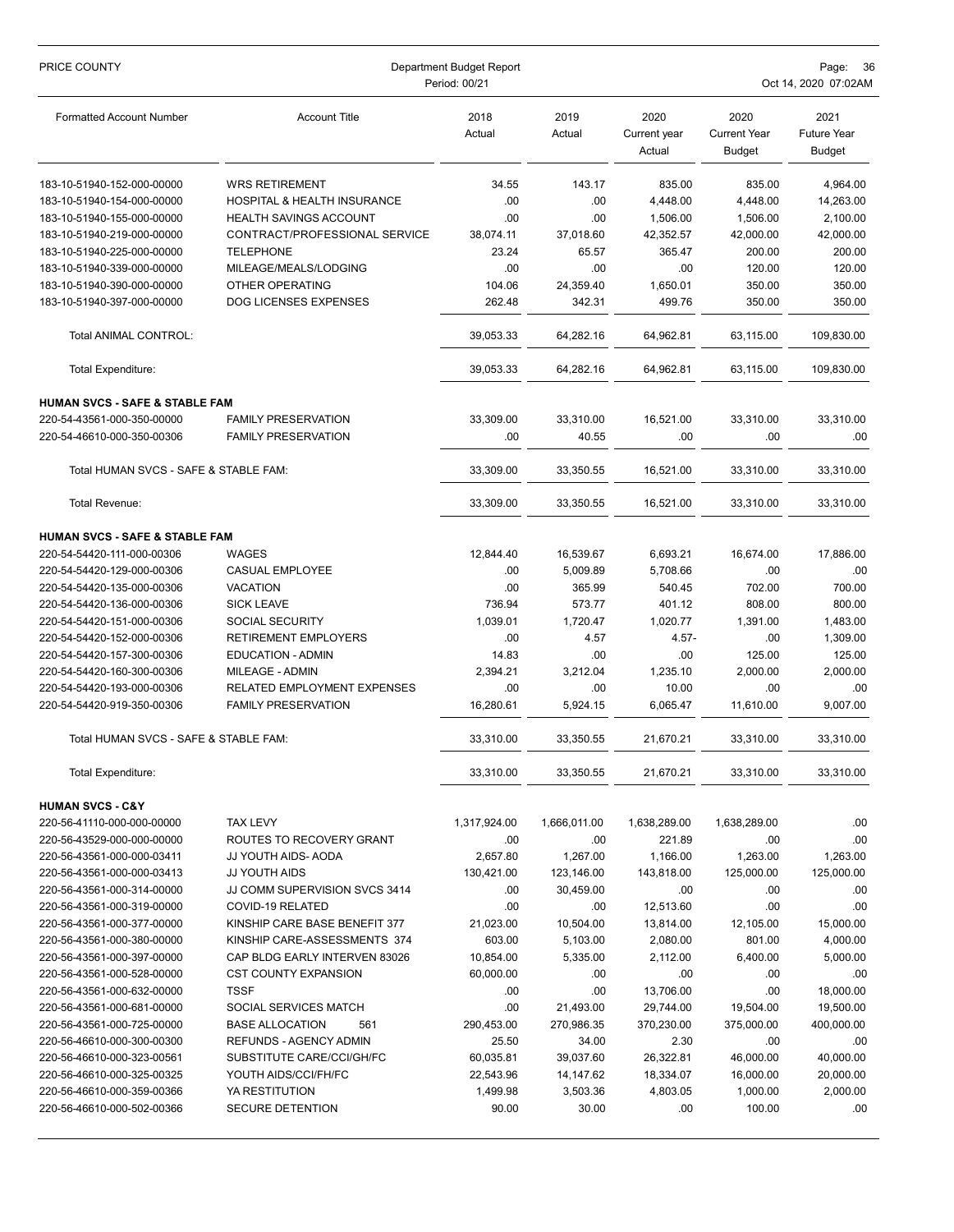| PRICE COUNTY                                             | Department Budget Report<br>Period: 00/21                 |                     |                     |                                |                                              | Page:<br>36<br>Oct 14, 2020 07:02AM         |  |  |
|----------------------------------------------------------|-----------------------------------------------------------|---------------------|---------------------|--------------------------------|----------------------------------------------|---------------------------------------------|--|--|
| <b>Formatted Account Number</b>                          | <b>Account Title</b>                                      | 2018<br>Actual      | 2019<br>Actual      | 2020<br>Current year<br>Actual | 2020<br><b>Current Year</b><br><b>Budget</b> | 2021<br><b>Future Year</b><br><b>Budget</b> |  |  |
| 183-10-51940-152-000-00000                               | <b>WRS RETIREMENT</b>                                     | 34.55               | 143.17              | 835.00                         | 835.00                                       | 4,964.00                                    |  |  |
| 183-10-51940-154-000-00000                               | <b>HOSPITAL &amp; HEALTH INSURANCE</b>                    | .00                 | .00                 | 4,448.00                       | 4,448.00                                     | 14,263.00                                   |  |  |
| 183-10-51940-155-000-00000                               | <b>HEALTH SAVINGS ACCOUNT</b>                             | .00                 | .00                 | 1.506.00                       | 1,506.00                                     | 2,100.00                                    |  |  |
| 183-10-51940-219-000-00000                               | CONTRACT/PROFESSIONAL SERVICE                             | 38,074.11           | 37,018.60           | 42,352.57                      | 42,000.00                                    | 42,000.00                                   |  |  |
| 183-10-51940-225-000-00000                               | <b>TELEPHONE</b>                                          | 23.24               | 65.57               | 365.47                         | 200.00                                       | 200.00                                      |  |  |
| 183-10-51940-339-000-00000                               | MILEAGE/MEALS/LODGING                                     | .00                 | .00                 | .00                            | 120.00                                       | 120.00                                      |  |  |
| 183-10-51940-390-000-00000                               | OTHER OPERATING                                           | 104.06              | 24,359.40           | 1,650.01                       | 350.00                                       | 350.00                                      |  |  |
| 183-10-51940-397-000-00000                               | DOG LICENSES EXPENSES                                     | 262.48              | 342.31              | 499.76                         | 350.00                                       | 350.00                                      |  |  |
| Total ANIMAL CONTROL:                                    |                                                           | 39,053.33           | 64,282.16           | 64,962.81                      | 63,115.00                                    | 109,830.00                                  |  |  |
| Total Expenditure:                                       |                                                           | 39,053.33           | 64,282.16           | 64,962.81                      | 63,115.00                                    | 109,830.00                                  |  |  |
| <b>HUMAN SVCS - SAFE &amp; STABLE FAM</b>                |                                                           |                     |                     |                                |                                              |                                             |  |  |
| 220-54-43561-000-350-00000                               | <b>FAMILY PRESERVATION</b>                                | 33,309.00           | 33,310.00           | 16,521.00                      | 33,310.00                                    | 33,310.00                                   |  |  |
| 220-54-46610-000-350-00306                               | <b>FAMILY PRESERVATION</b>                                | .00                 | 40.55               | .00                            | .00                                          | .00                                         |  |  |
| Total HUMAN SVCS - SAFE & STABLE FAM:                    |                                                           | 33,309.00           | 33,350.55           | 16,521.00                      | 33,310.00                                    | 33,310.00                                   |  |  |
| <b>Total Revenue:</b>                                    |                                                           | 33,309.00           | 33,350.55           | 16,521.00                      | 33,310.00                                    | 33,310.00                                   |  |  |
| <b>HUMAN SVCS - SAFE &amp; STABLE FAM</b>                |                                                           |                     |                     |                                |                                              |                                             |  |  |
| 220-54-54420-111-000-00306                               | <b>WAGES</b>                                              | 12,844.40           | 16,539.67           | 6,693.21                       | 16,674.00                                    | 17,886.00                                   |  |  |
| 220-54-54420-129-000-00306                               | CASUAL EMPLOYEE                                           | .00                 | 5,009.89            | 5,708.66                       | .00                                          | .00                                         |  |  |
| 220-54-54420-135-000-00306                               | <b>VACATION</b>                                           | .00                 | 365.99              | 540.45                         | 702.00                                       | 700.00                                      |  |  |
| 220-54-54420-136-000-00306                               | <b>SICK LEAVE</b>                                         | 736.94              | 573.77              | 401.12                         | 808.00                                       | 800.00                                      |  |  |
| 220-54-54420-151-000-00306                               | <b>SOCIAL SECURITY</b>                                    | 1,039.01            | 1,720.47            | 1,020.77                       | 1,391.00                                     | 1,483.00                                    |  |  |
| 220-54-54420-152-000-00306                               | <b>RETIREMENT EMPLOYERS</b>                               | .00                 | 4.57                | $4.57 -$                       | .00                                          | 1,309.00                                    |  |  |
| 220-54-54420-157-300-00306                               | <b>EDUCATION - ADMIN</b>                                  | 14.83               | .00                 | .00                            | 125.00                                       | 125.00                                      |  |  |
| 220-54-54420-160-300-00306                               | MILEAGE - ADMIN                                           | 2,394.21            | 3,212.04            | 1,235.10                       | 2,000.00                                     | 2,000.00                                    |  |  |
| 220-54-54420-193-000-00306<br>220-54-54420-919-350-00306 | RELATED EMPLOYMENT EXPENSES<br><b>FAMILY PRESERVATION</b> | .00<br>16,280.61    | .00<br>5,924.15     | 10.00<br>6,065.47              | .00<br>11,610.00                             | .00<br>9,007.00                             |  |  |
| Total HUMAN SVCS - SAFE & STABLE FAM:                    |                                                           | 33,310.00           | 33,350.55           | 21,670.21                      | 33,310.00                                    | 33,310.00                                   |  |  |
| Total Expenditure:                                       |                                                           | 33,310.00           | 33,350.55           | 21,670.21                      | 33,310.00                                    | 33,310.00                                   |  |  |
|                                                          |                                                           |                     |                     |                                |                                              |                                             |  |  |
| <b>HUMAN SVCS - C&amp;Y</b>                              |                                                           |                     |                     |                                |                                              |                                             |  |  |
| 220-56-41110-000-000-00000<br>220-56-43529-000-000-00000 | <b>TAX LEVY</b><br>ROUTES TO RECOVERY GRANT               | 1,317,924.00<br>.00 | 1,666,011.00<br>.00 | 1,638,289.00<br>221.89         | 1,638,289.00                                 | .00<br>.00                                  |  |  |
| 220-56-43561-000-000-03411                               | JJ YOUTH AIDS- AODA                                       | 2,657.80            | 1,267.00            | 1,166.00                       | .00<br>1,263.00                              | 1,263.00                                    |  |  |
| 220-56-43561-000-000-03413                               | JJ YOUTH AIDS                                             | 130,421.00          | 123,146.00          | 143,818.00                     | 125,000.00                                   | 125,000.00                                  |  |  |
| 220-56-43561-000-314-00000                               | JJ COMM SUPERVISION SVCS 3414                             | .00                 | 30,459.00           | .00                            | .00                                          | .00                                         |  |  |
| 220-56-43561-000-319-00000                               | COVID-19 RELATED                                          | .00                 | .00                 | 12,513.60                      | .00                                          | .00                                         |  |  |
| 220-56-43561-000-377-00000                               | KINSHIP CARE BASE BENEFIT 377                             | 21,023.00           | 10,504.00           | 13,814.00                      | 12,105.00                                    | 15,000.00                                   |  |  |
| 220-56-43561-000-380-00000                               | KINSHIP CARE-ASSESSMENTS 374                              | 603.00              | 5,103.00            | 2,080.00                       | 801.00                                       | 4,000.00                                    |  |  |
| 220-56-43561-000-397-00000                               | CAP BLDG EARLY INTERVEN 83026                             | 10,854.00           | 5,335.00            | 2,112.00                       | 6,400.00                                     | 5,000.00                                    |  |  |
| 220-56-43561-000-528-00000                               | <b>CST COUNTY EXPANSION</b>                               | 60,000.00           | .00                 | .00                            | .00                                          | .00                                         |  |  |
| 220-56-43561-000-632-00000                               | <b>TSSF</b>                                               | .00                 | .00                 | 13,706.00                      | .00                                          | 18,000.00                                   |  |  |
| 220-56-43561-000-681-00000                               | SOCIAL SERVICES MATCH                                     | .00                 | 21,493.00           | 29,744.00                      | 19,504.00                                    | 19,500.00                                   |  |  |
| 220-56-43561-000-725-00000                               | <b>BASE ALLOCATION</b><br>561                             | 290,453.00          | 270,986.35          | 370,230.00                     | 375,000.00                                   | 400,000.00                                  |  |  |
| 220-56-46610-000-300-00300                               | REFUNDS - AGENCY ADMIN                                    | 25.50               | 34.00               | 2.30                           | .00.                                         | .00                                         |  |  |
| 220-56-46610-000-323-00561                               | SUBSTITUTE CARE/CCI/GH/FC                                 | 60,035.81           | 39,037.60           | 26,322.81                      | 46,000.00                                    | 40,000.00                                   |  |  |
| 220-56-46610-000-325-00325                               | YOUTH AIDS/CCI/FH/FC                                      | 22,543.96           | 14, 147.62          | 18,334.07                      | 16,000.00                                    | 20,000.00                                   |  |  |
| 220-56-46610-000-359-00366                               | YA RESTITUTION                                            | 1,499.98            | 3,503.36            | 4,803.05                       | 1,000.00                                     | 2,000.00                                    |  |  |
| 220-56-46610-000-502-00366                               | <b>SECURE DETENTION</b>                                   | 90.00               | 30.00               | .00                            | 100.00                                       | .00.                                        |  |  |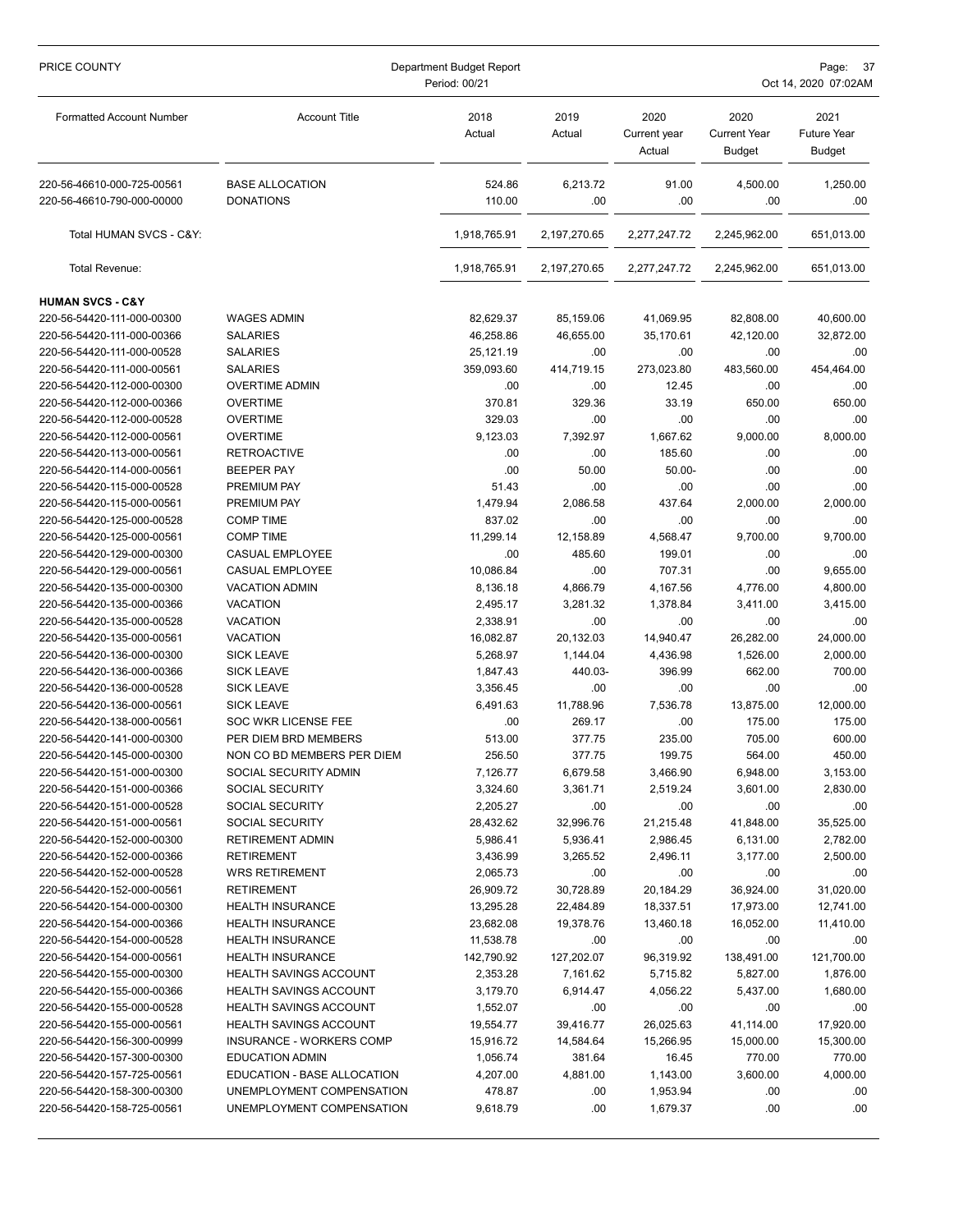| PRICE COUNTY                                             |                                            | Department Budget Report<br>Period: 00/21 |                  |                                |                                              | Page:<br>- 37<br>Oct 14, 2020 07:02AM       |
|----------------------------------------------------------|--------------------------------------------|-------------------------------------------|------------------|--------------------------------|----------------------------------------------|---------------------------------------------|
| <b>Formatted Account Number</b>                          | <b>Account Title</b>                       | 2018<br>Actual                            | 2019<br>Actual   | 2020<br>Current year<br>Actual | 2020<br><b>Current Year</b><br><b>Budget</b> | 2021<br><b>Future Year</b><br><b>Budget</b> |
| 220-56-46610-000-725-00561<br>220-56-46610-790-000-00000 | <b>BASE ALLOCATION</b><br><b>DONATIONS</b> | 524.86<br>110.00                          | 6,213.72<br>.00. | 91.00<br>.00.                  | 4,500.00<br>.00                              | 1,250.00<br>.00                             |
|                                                          |                                            |                                           |                  |                                |                                              |                                             |
| Total HUMAN SVCS - C&Y:                                  |                                            | 1,918,765.91                              | 2,197,270.65     | 2,277,247.72                   | 2,245,962.00                                 | 651,013.00                                  |
| Total Revenue:                                           |                                            | 1,918,765.91                              | 2,197,270.65     | 2,277,247.72                   | 2,245,962.00                                 | 651,013.00                                  |
| <b>HUMAN SVCS - C&amp;Y</b>                              |                                            |                                           |                  |                                |                                              |                                             |
| 220-56-54420-111-000-00300                               | <b>WAGES ADMIN</b>                         | 82,629.37                                 | 85,159.06        | 41,069.95                      | 82,808.00                                    | 40,600.00                                   |
| 220-56-54420-111-000-00366                               | <b>SALARIES</b>                            | 46,258.86                                 | 46,655.00        | 35,170.61                      | 42,120.00                                    | 32,872.00                                   |
| 220-56-54420-111-000-00528                               | <b>SALARIES</b>                            | 25,121.19                                 | .00              | .00                            | .00                                          | .00                                         |
| 220-56-54420-111-000-00561                               | <b>SALARIES</b>                            | 359,093.60                                | 414,719.15       | 273,023.80                     | 483,560.00                                   | 454,464.00                                  |
| 220-56-54420-112-000-00300                               | <b>OVERTIME ADMIN</b>                      | .00                                       | .00              | 12.45                          | .00                                          | .00                                         |
| 220-56-54420-112-000-00366                               | <b>OVERTIME</b>                            | 370.81                                    | 329.36           | 33.19                          | 650.00                                       | 650.00                                      |
| 220-56-54420-112-000-00528                               | <b>OVERTIME</b>                            | 329.03                                    | .00              | .00                            | .00                                          | .00                                         |
| 220-56-54420-112-000-00561                               | <b>OVERTIME</b>                            | 9,123.03                                  | 7,392.97         | 1,667.62                       | 9,000.00                                     | 8,000.00                                    |
| 220-56-54420-113-000-00561                               | <b>RETROACTIVE</b>                         | .00                                       | .00              | 185.60                         | .00.                                         | .00                                         |
| 220-56-54420-114-000-00561                               | <b>BEEPER PAY</b>                          | .00                                       | 50.00            | 50.00-                         | .00                                          | .00                                         |
| 220-56-54420-115-000-00528                               | <b>PREMIUM PAY</b>                         | 51.43                                     | .00              | .00.                           | .00                                          | .00                                         |
| 220-56-54420-115-000-00561                               | <b>PREMIUM PAY</b>                         | 1,479.94                                  | 2,086.58         | 437.64                         | 2,000.00                                     | 2,000.00                                    |
| 220-56-54420-125-000-00528                               | <b>COMP TIME</b>                           | 837.02                                    | .00              | .00                            | .00                                          | .00                                         |
| 220-56-54420-125-000-00561                               | <b>COMP TIME</b>                           | 11,299.14                                 | 12,158.89        | 4,568.47                       | 9,700.00                                     | 9,700.00                                    |
| 220-56-54420-129-000-00300                               | <b>CASUAL EMPLOYEE</b>                     | .00                                       | 485.60           | 199.01                         | .00                                          | .00                                         |
| 220-56-54420-129-000-00561                               | CASUAL EMPLOYEE                            | 10,086.84                                 | .00              | 707.31                         | .00                                          | 9,655.00                                    |
| 220-56-54420-135-000-00300                               | <b>VACATION ADMIN</b>                      | 8,136.18                                  | 4,866.79         | 4,167.56                       | 4,776.00                                     | 4,800.00                                    |
| 220-56-54420-135-000-00366                               | <b>VACATION</b>                            | 2,495.17                                  | 3,281.32         | 1,378.84                       | 3,411.00                                     | 3,415.00                                    |
| 220-56-54420-135-000-00528                               | <b>VACATION</b>                            | 2,338.91                                  | .00              | .00                            | .00                                          | .00                                         |
| 220-56-54420-135-000-00561                               | <b>VACATION</b>                            | 16,082.87                                 | 20,132.03        | 14,940.47                      | 26,282.00                                    | 24,000.00                                   |
| 220-56-54420-136-000-00300                               | <b>SICK LEAVE</b>                          | 5,268.97                                  | 1,144.04         | 4,436.98                       | 1,526.00                                     | 2,000.00                                    |
| 220-56-54420-136-000-00366                               | <b>SICK LEAVE</b>                          | 1,847.43                                  | 440.03-          | 396.99                         | 662.00                                       | 700.00                                      |
| 220-56-54420-136-000-00528                               | <b>SICK LEAVE</b>                          | 3,356.45                                  | .00.             | .00.                           | .00                                          | .00                                         |
| 220-56-54420-136-000-00561                               | <b>SICK LEAVE</b>                          | 6,491.63                                  | 11,788.96        | 7,536.78                       | 13,875.00                                    | 12,000.00                                   |
| 220-56-54420-138-000-00561                               | <b>SOC WKR LICENSE FEE</b>                 | .00                                       | 269.17           | .00                            | 175.00                                       | 175.00                                      |
| 220-56-54420-141-000-00300                               | PER DIEM BRD MEMBERS                       | 513.00                                    | 377.75           | 235.00                         | 705.00                                       | 600.00                                      |
| 220-56-54420-145-000-00300                               | NON CO BD MEMBERS PER DIEM                 | 256.50                                    | 377.75           | 199.75                         | 564.00                                       | 450.00                                      |
| 220-56-54420-151-000-00300                               | SOCIAL SECURITY ADMIN                      | 7,126.77                                  | 6,679.58         | 3,466.90                       | 6,948.00                                     | 3,153.00                                    |
| 220-56-54420-151-000-00366                               | SOCIAL SECURITY                            | 3,324.60                                  | 3,361.71         | 2,519.24                       | 3,601.00                                     | 2,830.00                                    |
| 220-56-54420-151-000-00528                               | SOCIAL SECURITY                            | 2,205.27                                  | .00              | .00                            | .00                                          | .00                                         |
| 220-56-54420-151-000-00561                               | SOCIAL SECURITY                            | 28,432.62                                 | 32,996.76        | 21,215.48                      | 41,848.00                                    | 35,525.00                                   |
| 220-56-54420-152-000-00300                               | <b>RETIREMENT ADMIN</b>                    | 5,986.41                                  | 5,936.41         | 2,986.45                       | 6,131.00                                     | 2,782.00                                    |
| 220-56-54420-152-000-00366                               | <b>RETIREMENT</b>                          | 3,436.99                                  | 3,265.52         | 2,496.11                       | 3,177.00                                     | 2,500.00                                    |
| 220-56-54420-152-000-00528                               | <b>WRS RETIREMENT</b>                      | 2,065.73                                  | .00              | .00                            | .00                                          | .00                                         |
| 220-56-54420-152-000-00561                               | <b>RETIREMENT</b>                          | 26,909.72                                 | 30,728.89        | 20,184.29                      | 36,924.00                                    | 31,020.00                                   |
| 220-56-54420-154-000-00300                               | <b>HEALTH INSURANCE</b>                    | 13,295.28                                 | 22,484.89        | 18,337.51                      | 17,973.00                                    | 12,741.00                                   |
| 220-56-54420-154-000-00366                               | <b>HEALTH INSURANCE</b>                    | 23,682.08                                 | 19,378.76        | 13,460.18                      | 16,052.00                                    | 11,410.00                                   |
| 220-56-54420-154-000-00528                               | <b>HEALTH INSURANCE</b>                    | 11,538.78                                 | .00.             | .00                            | .00.                                         | .00                                         |
| 220-56-54420-154-000-00561                               | <b>HEALTH INSURANCE</b>                    | 142,790.92                                | 127,202.07       | 96,319.92                      | 138,491.00                                   | 121,700.00                                  |
| 220-56-54420-155-000-00300                               | <b>HEALTH SAVINGS ACCOUNT</b>              | 2,353.28                                  | 7,161.62         | 5,715.82                       | 5,827.00                                     | 1,876.00                                    |
| 220-56-54420-155-000-00366                               | <b>HEALTH SAVINGS ACCOUNT</b>              | 3,179.70                                  | 6,914.47         | 4,056.22                       | 5,437.00                                     | 1,680.00                                    |
| 220-56-54420-155-000-00528                               | <b>HEALTH SAVINGS ACCOUNT</b>              | 1,552.07                                  | .00              | .00                            | .00                                          | .00                                         |
| 220-56-54420-155-000-00561                               | <b>HEALTH SAVINGS ACCOUNT</b>              | 19,554.77                                 | 39,416.77        | 26,025.63                      | 41,114.00                                    | 17,920.00                                   |
| 220-56-54420-156-300-00999                               | INSURANCE - WORKERS COMP                   | 15,916.72                                 | 14,584.64        | 15,266.95                      | 15,000.00                                    | 15,300.00                                   |
| 220-56-54420-157-300-00300                               | <b>EDUCATION ADMIN</b>                     | 1,056.74                                  | 381.64           | 16.45                          | 770.00                                       | 770.00                                      |
| 220-56-54420-157-725-00561                               | EDUCATION - BASE ALLOCATION                | 4,207.00                                  | 4,881.00         | 1,143.00                       | 3,600.00                                     | 4,000.00                                    |
| 220-56-54420-158-300-00300                               | UNEMPLOYMENT COMPENSATION                  | 478.87                                    | .00              | 1,953.94                       | .00                                          | .00.                                        |
| 220-56-54420-158-725-00561                               | UNEMPLOYMENT COMPENSATION                  | 9,618.79                                  | .00              | 1,679.37                       | .00                                          | .00.                                        |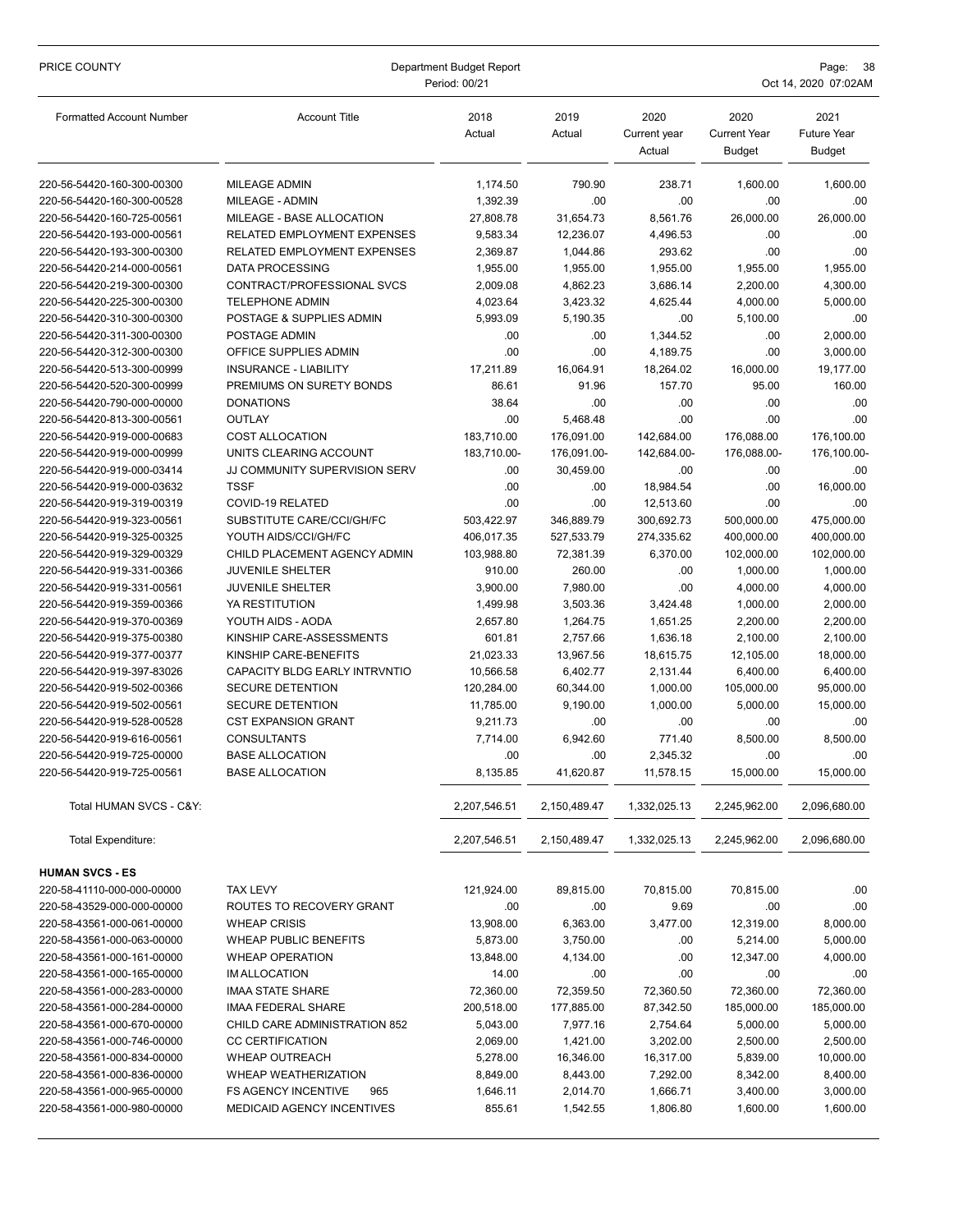| PRICE COUNTY                                             | Department Budget Report<br>Period: 00/21                              |                    |                      |                                |                                       | Page: 38<br>Oct 14, 2020 07:02AM            |  |  |
|----------------------------------------------------------|------------------------------------------------------------------------|--------------------|----------------------|--------------------------------|---------------------------------------|---------------------------------------------|--|--|
| <b>Formatted Account Number</b>                          | <b>Account Title</b>                                                   | 2018<br>Actual     | 2019<br>Actual       | 2020<br>Current year<br>Actual | 2020<br><b>Current Year</b><br>Budget | 2021<br><b>Future Year</b><br><b>Budget</b> |  |  |
| 220-56-54420-160-300-00300                               | <b>MILEAGE ADMIN</b>                                                   | 1,174.50           | 790.90               | 238.71                         | 1,600.00                              | 1,600.00                                    |  |  |
| 220-56-54420-160-300-00528                               | MILEAGE - ADMIN                                                        | 1,392.39           | .00                  | .00                            | .00                                   | .00                                         |  |  |
| 220-56-54420-160-725-00561                               | MILEAGE - BASE ALLOCATION                                              | 27,808.78          | 31,654.73            | 8,561.76                       | 26,000.00                             | 26,000.00                                   |  |  |
| 220-56-54420-193-000-00561                               | RELATED EMPLOYMENT EXPENSES                                            | 9,583.34           | 12,236.07            | 4,496.53                       | .00                                   | .00                                         |  |  |
| 220-56-54420-193-300-00300                               | RELATED EMPLOYMENT EXPENSES                                            | 2,369.87           | 1,044.86             | 293.62                         | .00                                   | .00                                         |  |  |
| 220-56-54420-214-000-00561                               | <b>DATA PROCESSING</b>                                                 | 1,955.00           | 1,955.00             | 1,955.00                       | 1,955.00                              | 1,955.00                                    |  |  |
| 220-56-54420-219-300-00300                               | CONTRACT/PROFESSIONAL SVCS                                             | 2,009.08           | 4,862.23             | 3,686.14                       | 2,200.00                              | 4,300.00                                    |  |  |
| 220-56-54420-225-300-00300                               | <b>TELEPHONE ADMIN</b>                                                 | 4,023.64           | 3,423.32             | 4,625.44                       | 4,000.00                              | 5,000.00                                    |  |  |
| 220-56-54420-310-300-00300                               | POSTAGE & SUPPLIES ADMIN                                               | 5,993.09           | 5,190.35             | .00                            | 5,100.00                              | .00                                         |  |  |
| 220-56-54420-311-300-00300                               | POSTAGE ADMIN                                                          | .00                | .00                  | 1,344.52                       | .00                                   | 2,000.00                                    |  |  |
| 220-56-54420-312-300-00300                               | OFFICE SUPPLIES ADMIN                                                  | .00                | .00                  | 4,189.75                       | .00                                   | 3,000.00                                    |  |  |
| 220-56-54420-513-300-00999                               | <b>INSURANCE - LIABILITY</b>                                           | 17,211.89          | 16,064.91            | 18,264.02                      | 16,000.00                             | 19,177.00                                   |  |  |
| 220-56-54420-520-300-00999                               | PREMIUMS ON SURETY BONDS                                               | 86.61              | 91.96                | 157.70                         | 95.00                                 | 160.00                                      |  |  |
| 220-56-54420-790-000-00000                               | <b>DONATIONS</b>                                                       | 38.64              | .00                  | .00                            | .00                                   | .00                                         |  |  |
| 220-56-54420-813-300-00561                               | OUTLAY                                                                 | .00                | 5,468.48             | .00                            | .00                                   | .00                                         |  |  |
| 220-56-54420-919-000-00683                               | <b>COST ALLOCATION</b><br>UNITS CLEARING ACCOUNT                       | 183,710.00         | 176,091.00           | 142,684.00                     | 176,088.00                            | 176,100.00                                  |  |  |
| 220-56-54420-919-000-00999                               | JJ COMMUNITY SUPERVISION SERV                                          | 183,710.00-<br>.00 | 176,091.00-          | 142,684.00-<br>.00             | 176,088.00-<br>.00.                   | 176,100.00-<br>.00                          |  |  |
| 220-56-54420-919-000-03414<br>220-56-54420-919-000-03632 | <b>TSSF</b>                                                            | .00                | 30,459.00<br>.00     | 18.984.54                      | .00.                                  | 16,000.00                                   |  |  |
| 220-56-54420-919-319-00319                               | COVID-19 RELATED                                                       | .00                | .00                  | 12,513.60                      | .00                                   | .00                                         |  |  |
| 220-56-54420-919-323-00561                               | SUBSTITUTE CARE/CCI/GH/FC                                              | 503,422.97         | 346,889.79           | 300,692.73                     | 500,000.00                            | 475,000.00                                  |  |  |
| 220-56-54420-919-325-00325                               | YOUTH AIDS/CCI/GH/FC                                                   | 406,017.35         | 527,533.79           | 274,335.62                     | 400,000.00                            | 400,000.00                                  |  |  |
| 220-56-54420-919-329-00329                               | CHILD PLACEMENT AGENCY ADMIN                                           | 103,988.80         | 72,381.39            | 6,370.00                       | 102,000.00                            | 102,000.00                                  |  |  |
| 220-56-54420-919-331-00366                               | <b>JUVENILE SHELTER</b>                                                | 910.00             | 260.00               | .00                            | 1,000.00                              | 1,000.00                                    |  |  |
| 220-56-54420-919-331-00561                               | <b>JUVENILE SHELTER</b>                                                | 3,900.00           | 7,980.00             | .00                            | 4,000.00                              | 4,000.00                                    |  |  |
| 220-56-54420-919-359-00366                               | YA RESTITUTION                                                         | 1,499.98           | 3,503.36             | 3,424.48                       | 1,000.00                              | 2,000.00                                    |  |  |
| 220-56-54420-919-370-00369                               | YOUTH AIDS - AODA                                                      | 2,657.80           | 1,264.75             | 1,651.25                       | 2,200.00                              | 2,200.00                                    |  |  |
| 220-56-54420-919-375-00380                               | KINSHIP CARE-ASSESSMENTS                                               | 601.81             | 2,757.66             | 1,636.18                       | 2,100.00                              | 2,100.00                                    |  |  |
| 220-56-54420-919-377-00377                               | KINSHIP CARE-BENEFITS                                                  | 21,023.33          | 13,967.56            | 18,615.75                      | 12,105.00                             | 18,000.00                                   |  |  |
| 220-56-54420-919-397-83026                               | CAPACITY BLDG EARLY INTRVNTIO                                          | 10,566.58          | 6,402.77             | 2,131.44                       | 6,400.00                              | 6,400.00                                    |  |  |
| 220-56-54420-919-502-00366                               | <b>SECURE DETENTION</b>                                                | 120,284.00         | 60,344.00            | 1,000.00                       | 105,000.00                            | 95,000.00                                   |  |  |
| 220-56-54420-919-502-00561                               | <b>SECURE DETENTION</b>                                                | 11,785.00          | 9,190.00             | 1,000.00                       | 5.000.00                              | 15,000.00                                   |  |  |
| 220-56-54420-919-528-00528                               | <b>CST EXPANSION GRANT</b>                                             | 9,211.73           | .00                  | .00                            | .00                                   | .00                                         |  |  |
| 220-56-54420-919-616-00561                               | <b>CONSULTANTS</b>                                                     | 7,714.00           | 6.942.60             | 771.40                         | 8,500.00                              | 8,500.00                                    |  |  |
| 220-56-54420-919-725-00000                               | <b>BASE ALLOCATION</b>                                                 | .00.               | .00                  | 2,345.32                       | .00                                   | .00                                         |  |  |
| 220-56-54420-919-725-00561                               | <b>BASE ALLOCATION</b>                                                 | 8,135.85           | 41,620.87            | 11,578.15                      | 15,000.00                             | 15,000.00                                   |  |  |
| Total HUMAN SVCS - C&Y:                                  |                                                                        | 2,207,546.51       | 2,150,489.47         | 1,332,025.13                   | 2,245,962.00                          | 2,096,680.00                                |  |  |
| <b>Total Expenditure:</b>                                |                                                                        | 2,207,546.51       | 2,150,489.47         | 1,332,025.13                   | 2,245,962.00                          | 2,096,680.00                                |  |  |
| <b>HUMAN SVCS - ES</b>                                   |                                                                        |                    |                      |                                |                                       |                                             |  |  |
| 220-58-41110-000-000-00000                               | <b>TAX LEVY</b>                                                        | 121,924.00         | 89,815.00            | 70,815.00                      | 70,815.00                             | .00                                         |  |  |
| 220-58-43529-000-000-00000                               | ROUTES TO RECOVERY GRANT                                               | .00                | .00                  | 9.69                           | .00                                   | .00                                         |  |  |
| 220-58-43561-000-061-00000                               | <b>WHEAP CRISIS</b>                                                    | 13,908.00          | 6,363.00             | 3,477.00                       | 12,319.00                             | 8,000.00                                    |  |  |
| 220-58-43561-000-063-00000                               | <b>WHEAP PUBLIC BENEFITS</b>                                           | 5,873.00           | 3,750.00             | .00                            | 5,214.00                              | 5,000.00                                    |  |  |
| 220-58-43561-000-161-00000                               | <b>WHEAP OPERATION</b>                                                 | 13,848.00          | 4,134.00             | .00                            | 12,347.00                             | 4,000.00                                    |  |  |
| 220-58-43561-000-165-00000                               | <b>IM ALLOCATION</b>                                                   | 14.00              | .00                  | .00                            | .00                                   | .00                                         |  |  |
| 220-58-43561-000-283-00000                               | <b>IMAA STATE SHARE</b>                                                | 72,360.00          | 72,359.50            | 72,360.50                      | 72,360.00                             | 72,360.00                                   |  |  |
| 220-58-43561-000-284-00000                               | IMAA FEDERAL SHARE                                                     | 200,518.00         | 177,885.00           | 87,342.50                      | 185,000.00                            | 185,000.00                                  |  |  |
| 220-58-43561-000-670-00000                               | CHILD CARE ADMINISTRATION 852                                          | 5,043.00           | 7,977.16             | 2,754.64                       | 5,000.00                              | 5,000.00                                    |  |  |
| 220-58-43561-000-746-00000                               | <b>CC CERTIFICATION</b>                                                | 2,069.00           | 1,421.00             | 3,202.00                       | 2,500.00                              | 2,500.00                                    |  |  |
| 220-58-43561-000-834-00000                               | <b>WHEAP OUTREACH</b>                                                  | 5,278.00           | 16,346.00            | 16,317.00                      | 5,839.00                              | 10,000.00                                   |  |  |
| 220-58-43561-000-836-00000                               | WHEAP WEATHERIZATION                                                   | 8,849.00           | 8,443.00             | 7,292.00                       | 8,342.00                              | 8,400.00                                    |  |  |
| 220-58-43561-000-965-00000<br>220-58-43561-000-980-00000 | <b>FS AGENCY INCENTIVE</b><br>965<br><b>MEDICAID AGENCY INCENTIVES</b> | 1,646.11<br>855.61 | 2,014.70<br>1,542.55 | 1,666.71<br>1,806.80           | 3,400.00<br>1,600.00                  | 3,000.00<br>1,600.00                        |  |  |
|                                                          |                                                                        |                    |                      |                                |                                       |                                             |  |  |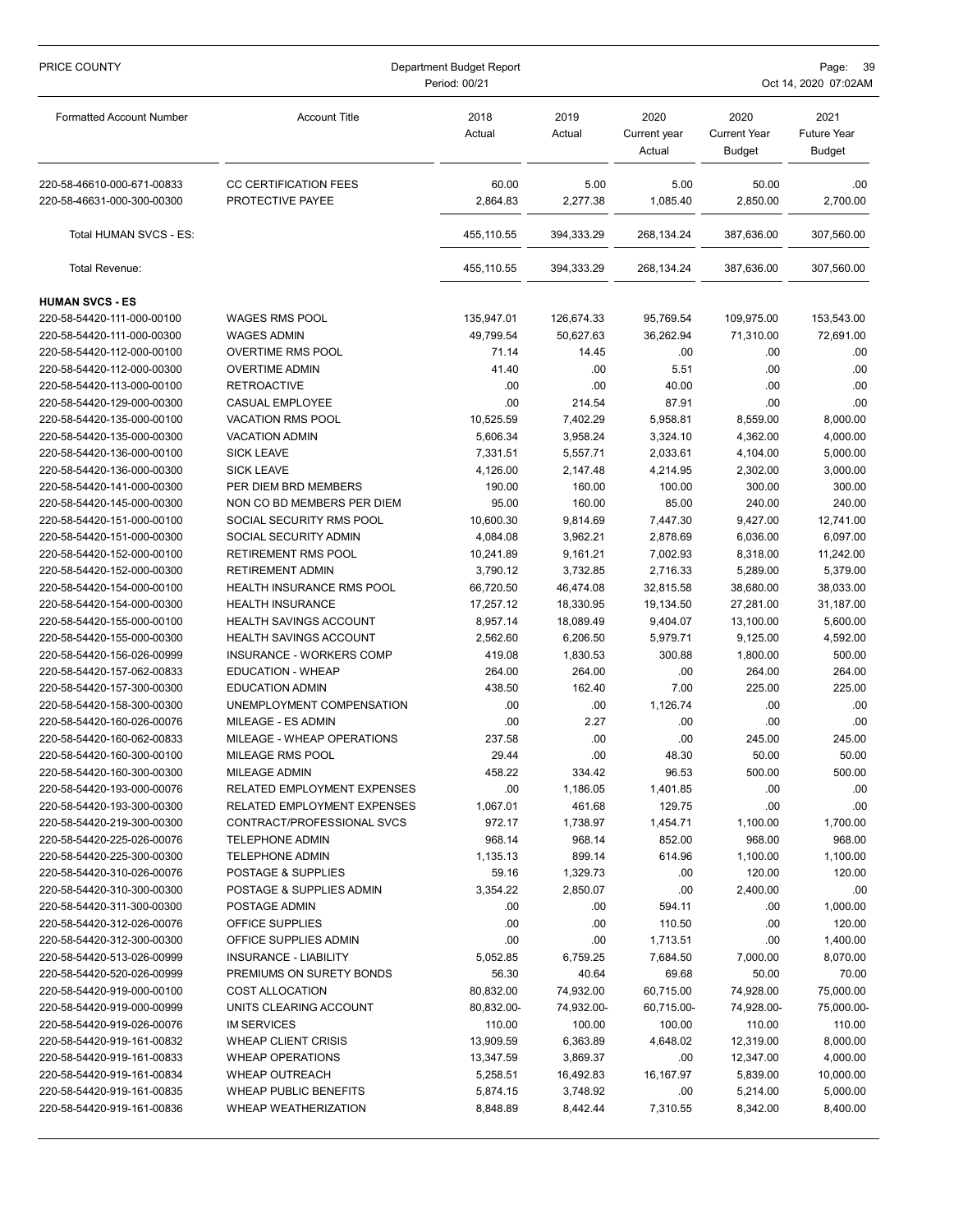| PRICE COUNTY                    | Department Budget Report<br>Period: 00/21 |                |                |                                |                                              | Page: 39<br>Oct 14, 2020 07:02AM            |  |  |
|---------------------------------|-------------------------------------------|----------------|----------------|--------------------------------|----------------------------------------------|---------------------------------------------|--|--|
| <b>Formatted Account Number</b> | <b>Account Title</b>                      | 2018<br>Actual | 2019<br>Actual | 2020<br>Current year<br>Actual | 2020<br><b>Current Year</b><br><b>Budget</b> | 2021<br><b>Future Year</b><br><b>Budget</b> |  |  |
| 220-58-46610-000-671-00833      | <b>CC CERTIFICATION FEES</b>              | 60.00          | 5.00           | 5.00                           | 50.00                                        | .00                                         |  |  |
| 220-58-46631-000-300-00300      | PROTECTIVE PAYEE                          | 2,864.83       | 2,277.38       | 1,085.40                       | 2,850.00                                     | 2,700.00                                    |  |  |
| Total HUMAN SVCS - ES:          |                                           | 455,110.55     | 394,333.29     | 268,134.24                     | 387,636.00                                   | 307,560.00                                  |  |  |
| Total Revenue:                  |                                           | 455,110.55     | 394,333.29     | 268.134.24                     | 387,636.00                                   | 307,560.00                                  |  |  |
| <b>HUMAN SVCS - ES</b>          |                                           |                |                |                                |                                              |                                             |  |  |
| 220-58-54420-111-000-00100      | <b>WAGES RMS POOL</b>                     | 135,947.01     | 126,674.33     | 95,769.54                      | 109,975.00                                   | 153,543.00                                  |  |  |
| 220-58-54420-111-000-00300      | <b>WAGES ADMIN</b>                        | 49,799.54      | 50,627.63      | 36,262.94                      | 71,310.00                                    | 72,691.00                                   |  |  |
| 220-58-54420-112-000-00100      | <b>OVERTIME RMS POOL</b>                  | 71.14          | 14.45          | .00.                           | .00.                                         | .00                                         |  |  |
| 220-58-54420-112-000-00300      | <b>OVERTIME ADMIN</b>                     | 41.40          | .00            | 5.51                           | .00                                          | .00                                         |  |  |
| 220-58-54420-113-000-00100      | <b>RETROACTIVE</b>                        | .00            | .00            | 40.00                          | .00                                          | .00                                         |  |  |
| 220-58-54420-129-000-00300      | <b>CASUAL EMPLOYEE</b>                    | .00            | 214.54         | 87.91                          | .00                                          | .00                                         |  |  |
| 220-58-54420-135-000-00100      | <b>VACATION RMS POOL</b>                  | 10,525.59      | 7,402.29       | 5,958.81                       | 8,559.00                                     | 8,000.00                                    |  |  |
| 220-58-54420-135-000-00300      | <b>VACATION ADMIN</b>                     | 5,606.34       | 3,958.24       | 3,324.10                       | 4,362.00                                     | 4,000.00                                    |  |  |
| 220-58-54420-136-000-00100      | <b>SICK LEAVE</b>                         | 7,331.51       | 5.557.71       | 2,033.61                       | 4,104.00                                     | 5,000.00                                    |  |  |
| 220-58-54420-136-000-00300      | <b>SICK LEAVE</b>                         | 4,126.00       | 2,147.48       | 4,214.95                       | 2,302.00                                     | 3,000.00                                    |  |  |
| 220-58-54420-141-000-00300      | PER DIEM BRD MEMBERS                      | 190.00         | 160.00         | 100.00                         | 300.00                                       | 300.00                                      |  |  |
| 220-58-54420-145-000-00300      | NON CO BD MEMBERS PER DIEM                | 95.00          | 160.00         | 85.00                          | 240.00                                       | 240.00                                      |  |  |
| 220-58-54420-151-000-00100      | SOCIAL SECURITY RMS POOL                  | 10,600.30      | 9,814.69       | 7,447.30                       | 9,427.00                                     | 12,741.00                                   |  |  |
| 220-58-54420-151-000-00300      | SOCIAL SECURITY ADMIN                     | 4,084.08       | 3,962.21       | 2,878.69                       | 6,036.00                                     | 6,097.00                                    |  |  |
| 220-58-54420-152-000-00100      | RETIREMENT RMS POOL                       | 10,241.89      | 9,161.21       | 7,002.93                       | 8,318.00                                     | 11,242.00                                   |  |  |
| 220-58-54420-152-000-00300      | <b>RETIREMENT ADMIN</b>                   | 3,790.12       | 3,732.85       | 2,716.33                       | 5,289.00                                     | 5,379.00                                    |  |  |
| 220-58-54420-154-000-00100      | HEALTH INSURANCE RMS POOL                 | 66,720.50      | 46,474.08      | 32,815.58                      | 38,680.00                                    | 38,033.00                                   |  |  |
| 220-58-54420-154-000-00300      | <b>HEALTH INSURANCE</b>                   | 17,257.12      | 18,330.95      | 19,134.50                      | 27,281.00                                    | 31,187.00                                   |  |  |
| 220-58-54420-155-000-00100      | HEALTH SAVINGS ACCOUNT                    | 8,957.14       | 18,089.49      | 9,404.07                       | 13,100.00                                    | 5,600.00                                    |  |  |
| 220-58-54420-155-000-00300      | <b>HEALTH SAVINGS ACCOUNT</b>             | 2,562.60       | 6,206.50       | 5,979.71                       | 9,125.00                                     | 4,592.00                                    |  |  |
| 220-58-54420-156-026-00999      | <b>INSURANCE - WORKERS COMP</b>           | 419.08         | 1,830.53       | 300.88                         | 1,800.00                                     | 500.00                                      |  |  |
| 220-58-54420-157-062-00833      | <b>EDUCATION - WHEAP</b>                  | 264.00         | 264.00         | .00.                           | 264.00                                       | 264.00                                      |  |  |
| 220-58-54420-157-300-00300      | <b>EDUCATION ADMIN</b>                    | 438.50         | 162.40         | 7.00                           | 225.00                                       | 225.00                                      |  |  |
| 220-58-54420-158-300-00300      | UNEMPLOYMENT COMPENSATION                 | .00            | .00.           | 1,126.74                       | .00.                                         | .00                                         |  |  |
| 220-58-54420-160-026-00076      | MILEAGE - ES ADMIN                        | .00            | 2.27           | .00.                           | .00                                          | .00                                         |  |  |
| 220-58-54420-160-062-00833      | MILEAGE - WHEAP OPERATIONS                | 237.58         | .00            | .00.                           | 245.00                                       | 245.00                                      |  |  |
| 220-58-54420-160-300-00100      | MILEAGE RMS POOL                          | 29.44          | .00            | 48.30                          | 50.00                                        | 50.00                                       |  |  |
| 220-58-54420-160-300-00300      | MILEAGE ADMIN                             | 458.22         | 334.42         | 96.53                          | 500.00                                       | 500.00                                      |  |  |
| 220-58-54420-193-000-00076      | RELATED EMPLOYMENT EXPENSES               | .00            | 1,186.05       | 1,401.85                       | .00                                          | .00                                         |  |  |
| 220-58-54420-193-300-00300      | RELATED EMPLOYMENT EXPENSES               | 1,067.01       | 461.68         | 129.75                         | .00                                          | .00                                         |  |  |
| 220-58-54420-219-300-00300      | CONTRACT/PROFESSIONAL SVCS                | 972.17         | 1,738.97       | 1,454.71                       | 1,100.00                                     | 1,700.00                                    |  |  |
| 220-58-54420-225-026-00076      | <b>TELEPHONE ADMIN</b>                    | 968.14         | 968.14         | 852.00                         | 968.00                                       | 968.00                                      |  |  |
| 220-58-54420-225-300-00300      | <b>TELEPHONE ADMIN</b>                    | 1,135.13       | 899.14         | 614.96                         | 1,100.00                                     | 1,100.00                                    |  |  |
| 220-58-54420-310-026-00076      | POSTAGE & SUPPLIES                        | 59.16          | 1,329.73       | .00                            | 120.00                                       | 120.00                                      |  |  |
| 220-58-54420-310-300-00300      | POSTAGE & SUPPLIES ADMIN                  | 3,354.22       | 2,850.07       | .00                            | 2,400.00                                     | .00                                         |  |  |
| 220-58-54420-311-300-00300      | POSTAGE ADMIN                             | .00            | .00.           | 594.11                         | .00.                                         | 1,000.00                                    |  |  |
| 220-58-54420-312-026-00076      | OFFICE SUPPLIES                           | .00            | .00            | 110.50                         | .00.                                         | 120.00                                      |  |  |
| 220-58-54420-312-300-00300      | OFFICE SUPPLIES ADMIN                     | .00            | .00            | 1,713.51                       | .00.                                         | 1,400.00                                    |  |  |
| 220-58-54420-513-026-00999      | <b>INSURANCE - LIABILITY</b>              | 5,052.85       | 6,759.25       | 7,684.50                       | 7,000.00                                     | 8,070.00                                    |  |  |
| 220-58-54420-520-026-00999      | PREMIUMS ON SURETY BONDS                  | 56.30          | 40.64          | 69.68                          | 50.00                                        | 70.00                                       |  |  |
| 220-58-54420-919-000-00100      | <b>COST ALLOCATION</b>                    | 80,832.00      | 74,932.00      | 60,715.00                      | 74,928.00                                    | 75,000.00                                   |  |  |
| 220-58-54420-919-000-00999      | UNITS CLEARING ACCOUNT                    | 80,832.00-     | 74,932.00-     | 60,715.00-                     | 74,928.00-                                   | 75,000.00-                                  |  |  |
| 220-58-54420-919-026-00076      | <b>IM SERVICES</b>                        | 110.00         | 100.00         | 100.00                         | 110.00                                       | 110.00                                      |  |  |
| 220-58-54420-919-161-00832      | <b>WHEAP CLIENT CRISIS</b>                | 13,909.59      | 6,363.89       | 4,648.02                       | 12,319.00                                    | 8,000.00                                    |  |  |
| 220-58-54420-919-161-00833      | <b>WHEAP OPERATIONS</b>                   | 13,347.59      | 3,869.37       | .00                            | 12,347.00                                    | 4,000.00                                    |  |  |
| 220-58-54420-919-161-00834      | <b>WHEAP OUTREACH</b>                     | 5,258.51       | 16,492.83      | 16,167.97                      | 5,839.00                                     | 10,000.00                                   |  |  |
| 220-58-54420-919-161-00835      | <b>WHEAP PUBLIC BENEFITS</b>              | 5,874.15       | 3,748.92       | .00.                           | 5,214.00                                     | 5,000.00                                    |  |  |
| 220-58-54420-919-161-00836      | WHEAP WEATHERIZATION                      | 8,848.89       | 8,442.44       | 7,310.55                       | 8,342.00                                     | 8,400.00                                    |  |  |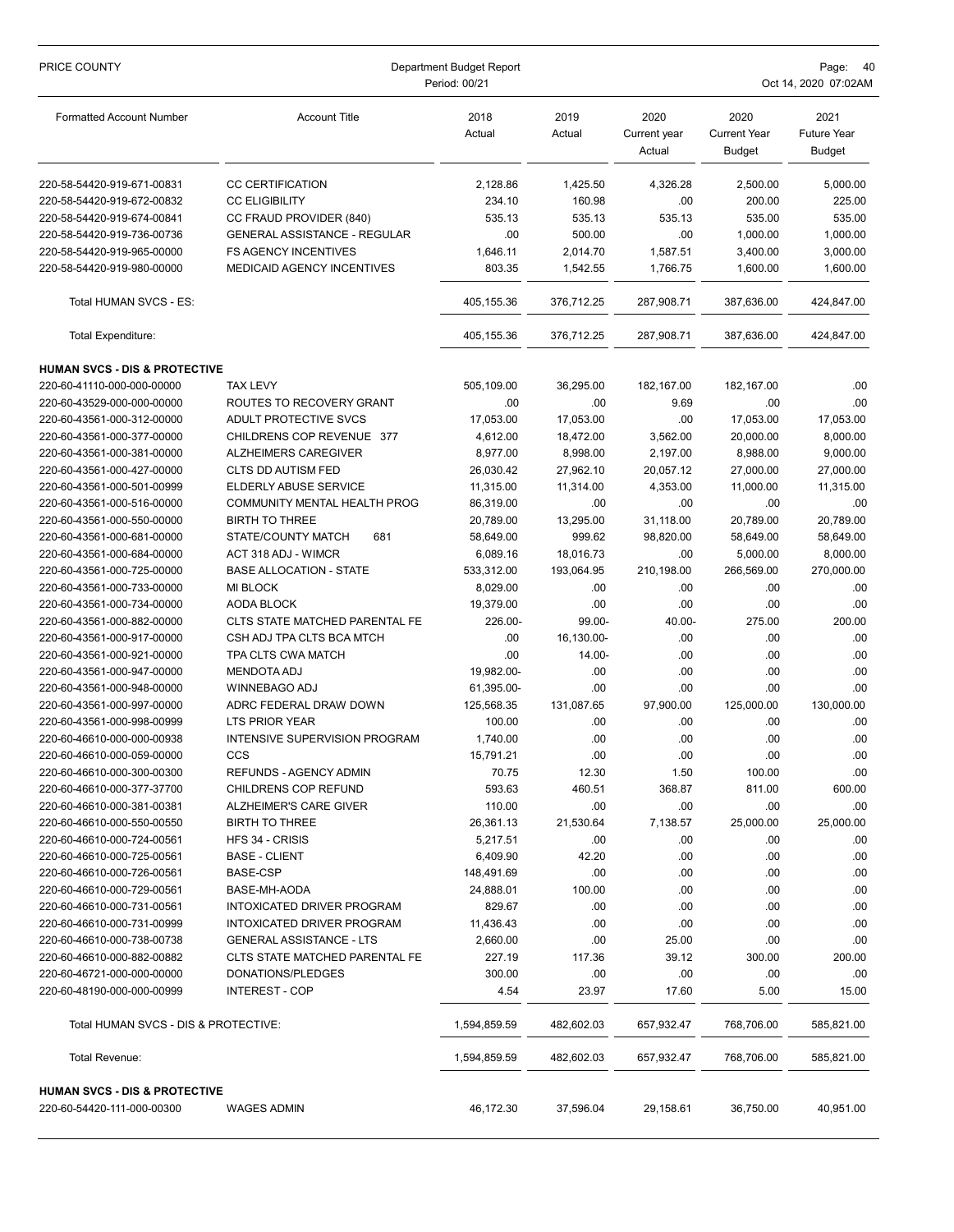| PRICE COUNTY                                             | Department Budget Report<br>Period: 00/21                |                      | Page:<br>-40<br>Oct 14, 2020 07:02AM |                                |                                              |                                             |
|----------------------------------------------------------|----------------------------------------------------------|----------------------|--------------------------------------|--------------------------------|----------------------------------------------|---------------------------------------------|
| <b>Formatted Account Number</b>                          | <b>Account Title</b>                                     | 2018<br>Actual       | 2019<br>Actual                       | 2020<br>Current year<br>Actual | 2020<br><b>Current Year</b><br><b>Budget</b> | 2021<br><b>Future Year</b><br><b>Budget</b> |
| 220-58-54420-919-671-00831                               | <b>CC CERTIFICATION</b>                                  | 2,128.86             | 1,425.50                             | 4,326.28                       | 2,500.00                                     | 5,000.00                                    |
| 220-58-54420-919-672-00832                               | <b>CC ELIGIBILITY</b>                                    | 234.10               | 160.98                               | .00                            | 200.00                                       | 225.00                                      |
| 220-58-54420-919-674-00841                               | CC FRAUD PROVIDER (840)                                  | 535.13               | 535.13                               | 535.13                         | 535.00                                       | 535.00                                      |
| 220-58-54420-919-736-00736                               | <b>GENERAL ASSISTANCE - REGULAR</b>                      | .00                  | 500.00                               | .00                            | 1,000.00                                     | 1,000.00                                    |
| 220-58-54420-919-965-00000                               | <b>FS AGENCY INCENTIVES</b>                              | 1,646.11             | 2,014.70                             | 1,587.51                       | 3,400.00                                     | 3,000.00                                    |
| 220-58-54420-919-980-00000                               | <b>MEDICAID AGENCY INCENTIVES</b>                        | 803.35               | 1,542.55                             | 1,766.75                       | 1,600.00                                     | 1,600.00                                    |
| Total HUMAN SVCS - ES:                                   |                                                          | 405,155.36           | 376,712.25                           | 287,908.71                     | 387,636.00                                   | 424,847.00                                  |
| Total Expenditure:                                       |                                                          | 405,155.36           | 376,712.25                           | 287,908.71                     | 387,636.00                                   | 424,847.00                                  |
| <b>HUMAN SVCS - DIS &amp; PROTECTIVE</b>                 |                                                          |                      |                                      |                                |                                              |                                             |
| 220-60-41110-000-000-00000                               | <b>TAX LEVY</b>                                          | 505,109.00           | 36,295.00                            | 182,167.00                     | 182,167.00                                   | .00                                         |
| 220-60-43529-000-000-00000                               | ROUTES TO RECOVERY GRANT                                 | .00                  | .00                                  | 9.69                           | .00                                          | .00                                         |
| 220-60-43561-000-312-00000                               | ADULT PROTECTIVE SVCS                                    | 17,053.00            | 17,053.00                            | .00                            | 17,053.00                                    | 17,053.00                                   |
| 220-60-43561-000-377-00000                               | CHILDRENS COP REVENUE 377<br><b>ALZHEIMERS CAREGIVER</b> | 4,612.00<br>8,977.00 | 18,472.00                            | 3,562.00                       | 20,000.00<br>8,988.00                        | 8,000.00                                    |
| 220-60-43561-000-381-00000<br>220-60-43561-000-427-00000 | CLTS DD AUTISM FED                                       | 26,030.42            | 8,998.00<br>27,962.10                | 2,197.00<br>20,057.12          | 27,000.00                                    | 9,000.00<br>27,000.00                       |
| 220-60-43561-000-501-00999                               | ELDERLY ABUSE SERVICE                                    | 11,315.00            | 11,314.00                            | 4,353.00                       | 11,000.00                                    | 11,315.00                                   |
| 220-60-43561-000-516-00000                               | <b>COMMUNITY MENTAL HEALTH PROG</b>                      | 86,319.00            | .00                                  | .00                            | .00                                          | .00                                         |
| 220-60-43561-000-550-00000                               | <b>BIRTH TO THREE</b>                                    | 20,789.00            | 13,295.00                            | 31,118.00                      | 20,789.00                                    | 20,789.00                                   |
| 220-60-43561-000-681-00000                               | STATE/COUNTY MATCH<br>681                                | 58,649.00            | 999.62                               | 98,820.00                      | 58,649.00                                    | 58,649.00                                   |
| 220-60-43561-000-684-00000                               | ACT 318 ADJ - WIMCR                                      | 6,089.16             | 18,016.73                            | .00                            | 5,000.00                                     | 8,000.00                                    |
| 220-60-43561-000-725-00000                               | <b>BASE ALLOCATION - STATE</b>                           | 533,312.00           | 193,064.95                           | 210,198.00                     | 266,569.00                                   | 270,000.00                                  |
| 220-60-43561-000-733-00000                               | <b>MI BLOCK</b>                                          | 8,029.00             | .00                                  | .00                            | .00                                          | .00                                         |
| 220-60-43561-000-734-00000                               | AODA BLOCK                                               | 19,379.00            | .00                                  | .00                            | .00                                          | .00                                         |
| 220-60-43561-000-882-00000                               | CLTS STATE MATCHED PARENTAL FE                           | 226.00-              | 99.00-                               | 40.00-                         | 275.00                                       | 200.00                                      |
| 220-60-43561-000-917-00000                               | CSH ADJ TPA CLTS BCA MTCH                                | .00                  | 16,130.00-                           | .00                            | .00                                          | .00                                         |
| 220-60-43561-000-921-00000                               | TPA CLTS CWA MATCH                                       | .00                  | 14.00-                               | .00                            | .00                                          | .00                                         |
| 220-60-43561-000-947-00000                               | <b>MENDOTA ADJ</b>                                       | 19,982.00-           | .00                                  | .00                            | .00                                          | .00                                         |
| 220-60-43561-000-948-00000                               | <b>WINNEBAGO ADJ</b>                                     | 61,395.00-           | .00                                  | .00                            | .00                                          | .00                                         |
| 220-60-43561-000-997-00000                               | ADRC FEDERAL DRAW DOWN                                   | 125,568.35           | 131,087.65                           | 97,900.00                      | 125,000.00                                   | 130,000.00                                  |
| 220-60-43561-000-998-00999                               | <b>LTS PRIOR YEAR</b>                                    | 100.00               | .00                                  | .00                            | .00                                          | .00                                         |
| 220-60-46610-000-000-00938                               | <b>INTENSIVE SUPERVISION PROGRAM</b>                     | 1,740.00             | .00                                  | .00                            | .00                                          | .00                                         |
| 220-60-46610-000-059-00000<br>220-60-46610-000-300-00300 |                                                          | 15,791.21<br>70.75   | .00                                  | .00                            | .00                                          | .00                                         |
| 220-60-46610-000-377-37700                               | REFUNDS - AGENCY ADMIN<br>CHILDRENS COP REFUND           | 593.63               | 12.30<br>460.51                      | 1.50<br>368.87                 | 100.00<br>811.00                             | .00<br>600.00                               |
| 220-60-46610-000-381-00381                               | <b>ALZHEIMER'S CARE GIVER</b>                            | 110.00               | .00                                  | .00                            | .00                                          | .00                                         |
| 220-60-46610-000-550-00550                               | <b>BIRTH TO THREE</b>                                    | 26,361.13            | 21,530.64                            | 7,138.57                       | 25,000.00                                    | 25,000.00                                   |
| 220-60-46610-000-724-00561                               | HFS 34 - CRISIS                                          | 5,217.51             | .00                                  | .00                            | .00                                          | .00                                         |
| 220-60-46610-000-725-00561                               | <b>BASE - CLIENT</b>                                     | 6,409.90             | 42.20                                | .00                            | .00                                          | .00                                         |
| 220-60-46610-000-726-00561                               | BASE-CSP                                                 | 148,491.69           | .00                                  | .00                            | .00                                          | .00                                         |
| 220-60-46610-000-729-00561                               | BASE-MH-AODA                                             | 24,888.01            | 100.00                               | .00                            | .00                                          | .00                                         |
| 220-60-46610-000-731-00561                               | INTOXICATED DRIVER PROGRAM                               | 829.67               | .00                                  | .00                            | .00                                          | .00                                         |
| 220-60-46610-000-731-00999                               | INTOXICATED DRIVER PROGRAM                               | 11,436.43            | .00                                  | .00                            | .00                                          | .00                                         |
| 220-60-46610-000-738-00738                               | <b>GENERAL ASSISTANCE - LTS</b>                          | 2,660.00             | .00                                  | 25.00                          | .00                                          | .00.                                        |
| 220-60-46610-000-882-00882                               | CLTS STATE MATCHED PARENTAL FE                           | 227.19               | 117.36                               | 39.12                          | 300.00                                       | 200.00                                      |
| 220-60-46721-000-000-00000                               | DONATIONS/PLEDGES                                        | 300.00               | .00                                  | .00                            | .00                                          | .00                                         |
| 220-60-48190-000-000-00999                               | <b>INTEREST - COP</b>                                    | 4.54                 | 23.97                                | 17.60                          | 5.00                                         | 15.00                                       |
| Total HUMAN SVCS - DIS & PROTECTIVE:                     |                                                          | 1,594,859.59         | 482,602.03                           | 657,932.47                     | 768,706.00                                   | 585,821.00                                  |
| Total Revenue:                                           |                                                          | 1,594,859.59         | 482,602.03                           | 657,932.47                     | 768,706.00                                   | 585,821.00                                  |
| <b>HUMAN SVCS - DIS &amp; PROTECTIVE</b>                 |                                                          |                      |                                      |                                |                                              |                                             |
| 220-60-54420-111-000-00300                               | <b>WAGES ADMIN</b>                                       | 46,172.30            | 37,596.04                            | 29,158.61                      | 36,750.00                                    | 40,951.00                                   |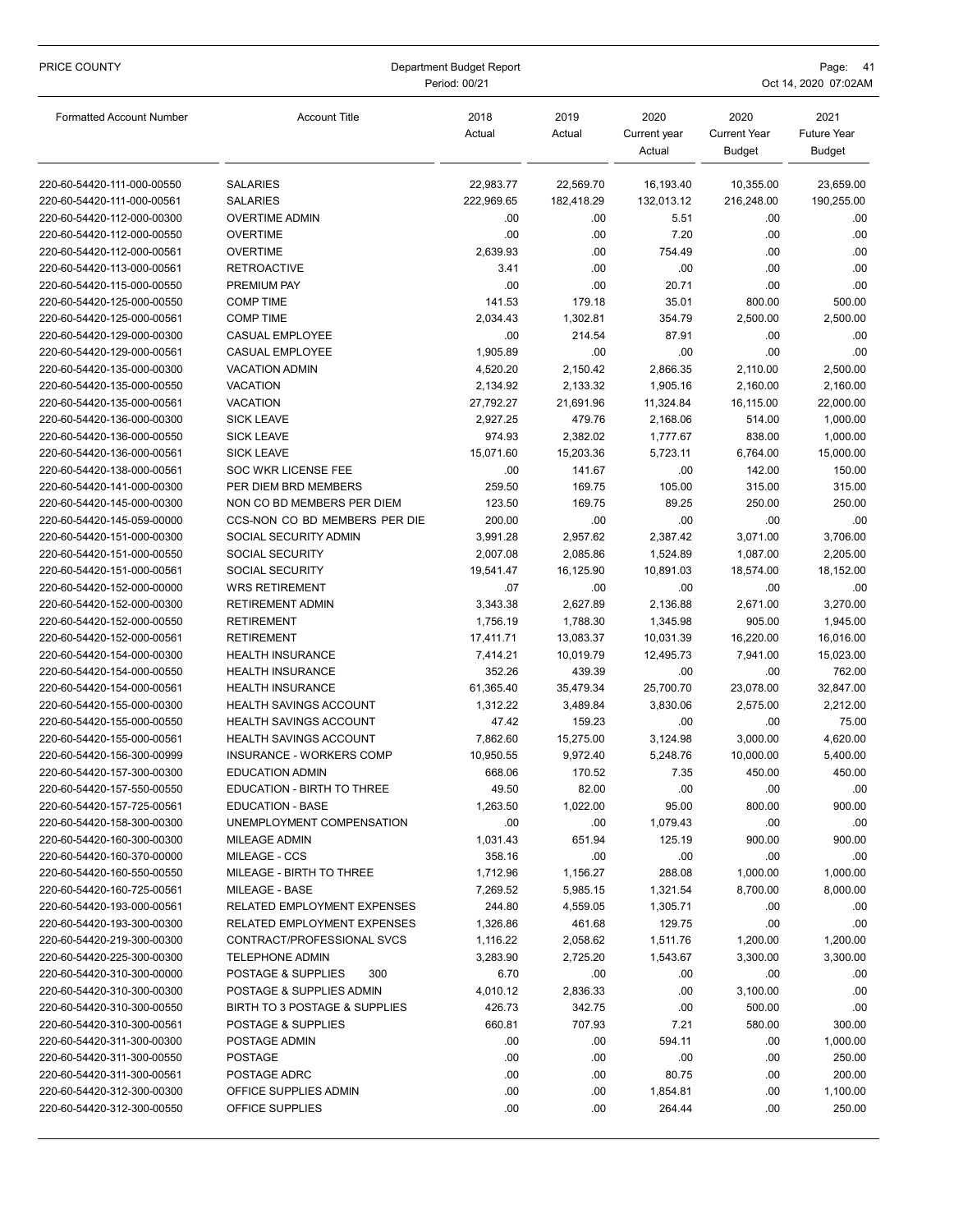| PRICE COUNTY                                             | Department Budget Report<br>Period: 00/21     |                       |                        |                                |                                       | Page: 41<br>Oct 14, 2020 07:02AM            |  |  |
|----------------------------------------------------------|-----------------------------------------------|-----------------------|------------------------|--------------------------------|---------------------------------------|---------------------------------------------|--|--|
| <b>Formatted Account Number</b>                          | <b>Account Title</b>                          | 2018<br>Actual        | 2019<br>Actual         | 2020<br>Current year<br>Actual | 2020<br><b>Current Year</b><br>Budget | 2021<br><b>Future Year</b><br><b>Budget</b> |  |  |
| 220-60-54420-111-000-00550                               | <b>SALARIES</b>                               | 22,983.77             | 22,569.70              | 16,193.40                      | 10,355.00                             | 23,659.00                                   |  |  |
| 220-60-54420-111-000-00561                               | <b>SALARIES</b>                               | 222,969.65            | 182,418.29             | 132,013.12                     | 216,248.00                            | 190,255.00                                  |  |  |
| 220-60-54420-112-000-00300                               | <b>OVERTIME ADMIN</b>                         | .00                   | .00                    | 5.51                           | .00.                                  | .00                                         |  |  |
| 220-60-54420-112-000-00550                               | <b>OVERTIME</b>                               | .00                   | .00                    | 7.20                           | .00                                   | .00                                         |  |  |
| 220-60-54420-112-000-00561                               | <b>OVERTIME</b>                               | 2,639.93              | .00                    | 754.49                         | .00                                   | .00                                         |  |  |
| 220-60-54420-113-000-00561                               | <b>RETROACTIVE</b>                            | 3.41                  | .00                    | .00                            | .00                                   | .00                                         |  |  |
| 220-60-54420-115-000-00550                               | <b>PREMIUM PAY</b>                            | .00                   | .00                    | 20.71                          | .00                                   | .00                                         |  |  |
| 220-60-54420-125-000-00550                               | <b>COMP TIME</b>                              | 141.53                | 179.18                 | 35.01                          | 800.00                                | 500.00                                      |  |  |
| 220-60-54420-125-000-00561                               | <b>COMP TIME</b>                              | 2,034.43              | 1,302.81               | 354.79                         | 2,500.00                              | 2,500.00                                    |  |  |
| 220-60-54420-129-000-00300                               | <b>CASUAL EMPLOYEE</b>                        | .00                   | 214.54                 | 87.91                          | .00.                                  | .00                                         |  |  |
| 220-60-54420-129-000-00561                               | <b>CASUAL EMPLOYEE</b>                        | 1,905.89              | .00<br>2,150.42        | .00                            | .00                                   | .00                                         |  |  |
| 220-60-54420-135-000-00300<br>220-60-54420-135-000-00550 | <b>VACATION ADMIN</b><br><b>VACATION</b>      | 4,520.20<br>2,134.92  | 2,133.32               | 2,866.35<br>1,905.16           | 2,110.00<br>2,160.00                  | 2,500.00<br>2,160.00                        |  |  |
| 220-60-54420-135-000-00561                               | <b>VACATION</b>                               | 27,792.27             | 21,691.96              | 11,324.84                      | 16,115.00                             | 22,000.00                                   |  |  |
| 220-60-54420-136-000-00300                               | <b>SICK LEAVE</b>                             | 2,927.25              | 479.76                 | 2,168.06                       | 514.00                                | 1,000.00                                    |  |  |
| 220-60-54420-136-000-00550                               | <b>SICK LEAVE</b>                             | 974.93                | 2,382.02               | 1,777.67                       | 838.00                                | 1,000.00                                    |  |  |
| 220-60-54420-136-000-00561                               | <b>SICK LEAVE</b>                             | 15,071.60             | 15,203.36              | 5,723.11                       | 6,764.00                              | 15,000.00                                   |  |  |
| 220-60-54420-138-000-00561                               | <b>SOC WKR LICENSE FEE</b>                    | .00                   | 141.67                 | .00.                           | 142.00                                | 150.00                                      |  |  |
| 220-60-54420-141-000-00300                               | PER DIEM BRD MEMBERS                          | 259.50                | 169.75                 | 105.00                         | 315.00                                | 315.00                                      |  |  |
| 220-60-54420-145-000-00300                               | NON CO BD MEMBERS PER DIEM                    | 123.50                | 169.75                 | 89.25                          | 250.00                                | 250.00                                      |  |  |
| 220-60-54420-145-059-00000                               | <b>CCS-NON CO BD MEMBERS PER DIE</b>          | 200.00                | .00                    | .00                            | .00                                   | .00                                         |  |  |
| 220-60-54420-151-000-00300                               | SOCIAL SECURITY ADMIN                         | 3,991.28              | 2,957.62               | 2,387.42                       | 3,071.00                              | 3,706.00                                    |  |  |
| 220-60-54420-151-000-00550                               | SOCIAL SECURITY                               | 2,007.08              | 2,085.86               | 1,524.89                       | 1,087.00                              | 2,205.00                                    |  |  |
| 220-60-54420-151-000-00561                               | SOCIAL SECURITY                               | 19,541.47             | 16,125.90              | 10,891.03                      | 18,574.00                             | 18,152.00                                   |  |  |
| 220-60-54420-152-000-00000                               | <b>WRS RETIREMENT</b>                         | .07                   | .00                    | .00                            | .00                                   | .00                                         |  |  |
| 220-60-54420-152-000-00300                               | <b>RETIREMENT ADMIN</b>                       | 3,343.38              | 2,627.89               | 2,136.88                       | 2,671.00                              | 3,270.00                                    |  |  |
| 220-60-54420-152-000-00550                               | <b>RETIREMENT</b>                             | 1,756.19              | 1,788.30               | 1,345.98                       | 905.00                                | 1,945.00                                    |  |  |
| 220-60-54420-152-000-00561<br>220-60-54420-154-000-00300 | <b>RETIREMENT</b><br><b>HEALTH INSURANCE</b>  | 17,411.71<br>7,414.21 | 13,083.37<br>10,019.79 | 10,031.39<br>12,495.73         | 16,220.00<br>7,941.00                 | 16,016.00<br>15,023.00                      |  |  |
| 220-60-54420-154-000-00550                               | <b>HEALTH INSURANCE</b>                       | 352.26                | 439.39                 | .00                            | .00                                   | 762.00                                      |  |  |
| 220-60-54420-154-000-00561                               | <b>HEALTH INSURANCE</b>                       | 61,365.40             | 35,479.34              | 25,700.70                      | 23,078.00                             | 32,847.00                                   |  |  |
| 220-60-54420-155-000-00300                               | <b>HEALTH SAVINGS ACCOUNT</b>                 | 1,312.22              | 3,489.84               | 3,830.06                       | 2,575.00                              | 2,212.00                                    |  |  |
| 220-60-54420-155-000-00550                               | <b>HEALTH SAVINGS ACCOUNT</b>                 | 47.42                 | 159.23                 | .00                            | .00                                   | 75.00                                       |  |  |
| 220-60-54420-155-000-00561                               | <b>HEALTH SAVINGS ACCOUNT</b>                 | 7,862.60              | 15,275.00              | 3,124.98                       | 3,000.00                              | 4,620.00                                    |  |  |
| 220-60-54420-156-300-00999                               | INSURANCE - WORKERS COMP                      | 10,950.55             | 9,972.40               | 5,248.76                       | 10,000.00                             | 5,400.00                                    |  |  |
| 220-60-54420-157-300-00300                               | <b>EDUCATION ADMIN</b>                        | 668.06                | 170.52                 | 7.35                           | 450.00                                | 450.00                                      |  |  |
| 220-60-54420-157-550-00550                               | EDUCATION - BIRTH TO THREE                    | 49.50                 | 82.00                  | .00                            | .00                                   | .00                                         |  |  |
| 220-60-54420-157-725-00561                               | <b>EDUCATION - BASE</b>                       | 1,263.50              | 1,022.00               | 95.00                          | 800.00                                | 900.00                                      |  |  |
| 220-60-54420-158-300-00300                               | UNEMPLOYMENT COMPENSATION                     | .00                   | .00.                   | 1,079.43                       | .00.                                  | .00                                         |  |  |
| 220-60-54420-160-300-00300                               | MILEAGE ADMIN                                 | 1,031.43              | 651.94                 | 125.19                         | 900.00                                | 900.00                                      |  |  |
| 220-60-54420-160-370-00000                               | MILEAGE - CCS                                 | 358.16                | .00                    | .00                            | .00                                   | .00                                         |  |  |
| 220-60-54420-160-550-00550                               | MILEAGE - BIRTH TO THREE                      | 1,712.96              | 1,156.27               | 288.08                         | 1,000.00                              | 1,000.00                                    |  |  |
| 220-60-54420-160-725-00561<br>220-60-54420-193-000-00561 | MILEAGE - BASE<br>RELATED EMPLOYMENT EXPENSES | 7,269.52<br>244.80    | 5,985.15<br>4,559.05   | 1,321.54<br>1,305.71           | 8,700.00<br>.00                       | 8,000.00<br>.00                             |  |  |
| 220-60-54420-193-300-00300                               | RELATED EMPLOYMENT EXPENSES                   | 1,326.86              | 461.68                 | 129.75                         | .00                                   | .00                                         |  |  |
| 220-60-54420-219-300-00300                               | CONTRACT/PROFESSIONAL SVCS                    | 1,116.22              | 2,058.62               | 1,511.76                       | 1,200.00                              | 1,200.00                                    |  |  |
| 220-60-54420-225-300-00300                               | <b>TELEPHONE ADMIN</b>                        | 3,283.90              | 2,725.20               | 1,543.67                       | 3,300.00                              | 3,300.00                                    |  |  |
| 220-60-54420-310-300-00000                               | POSTAGE & SUPPLIES<br>300                     | 6.70                  | .00                    | .00                            | .00                                   | .00                                         |  |  |
| 220-60-54420-310-300-00300                               | POSTAGE & SUPPLIES ADMIN                      | 4,010.12              | 2,836.33               | .00.                           | 3,100.00                              | .00                                         |  |  |
| 220-60-54420-310-300-00550                               | BIRTH TO 3 POSTAGE & SUPPLIES                 | 426.73                | 342.75                 | .00                            | 500.00                                | .00                                         |  |  |
| 220-60-54420-310-300-00561                               | POSTAGE & SUPPLIES                            | 660.81                | 707.93                 | 7.21                           | 580.00                                | 300.00                                      |  |  |
| 220-60-54420-311-300-00300                               | POSTAGE ADMIN                                 | .00                   | .00                    | 594.11                         | .00                                   | 1,000.00                                    |  |  |
| 220-60-54420-311-300-00550                               | <b>POSTAGE</b>                                | .00                   | .00.                   | .00                            | .00                                   | 250.00                                      |  |  |
| 220-60-54420-311-300-00561                               | POSTAGE ADRC                                  | .00                   | .00.                   | 80.75                          | .00.                                  | 200.00                                      |  |  |
| 220-60-54420-312-300-00300                               | OFFICE SUPPLIES ADMIN                         | .00                   | .00                    | 1,854.81                       | .00.                                  | 1,100.00                                    |  |  |
| 220-60-54420-312-300-00550                               | OFFICE SUPPLIES                               | .00                   | .00                    | 264.44                         | .00.                                  | 250.00                                      |  |  |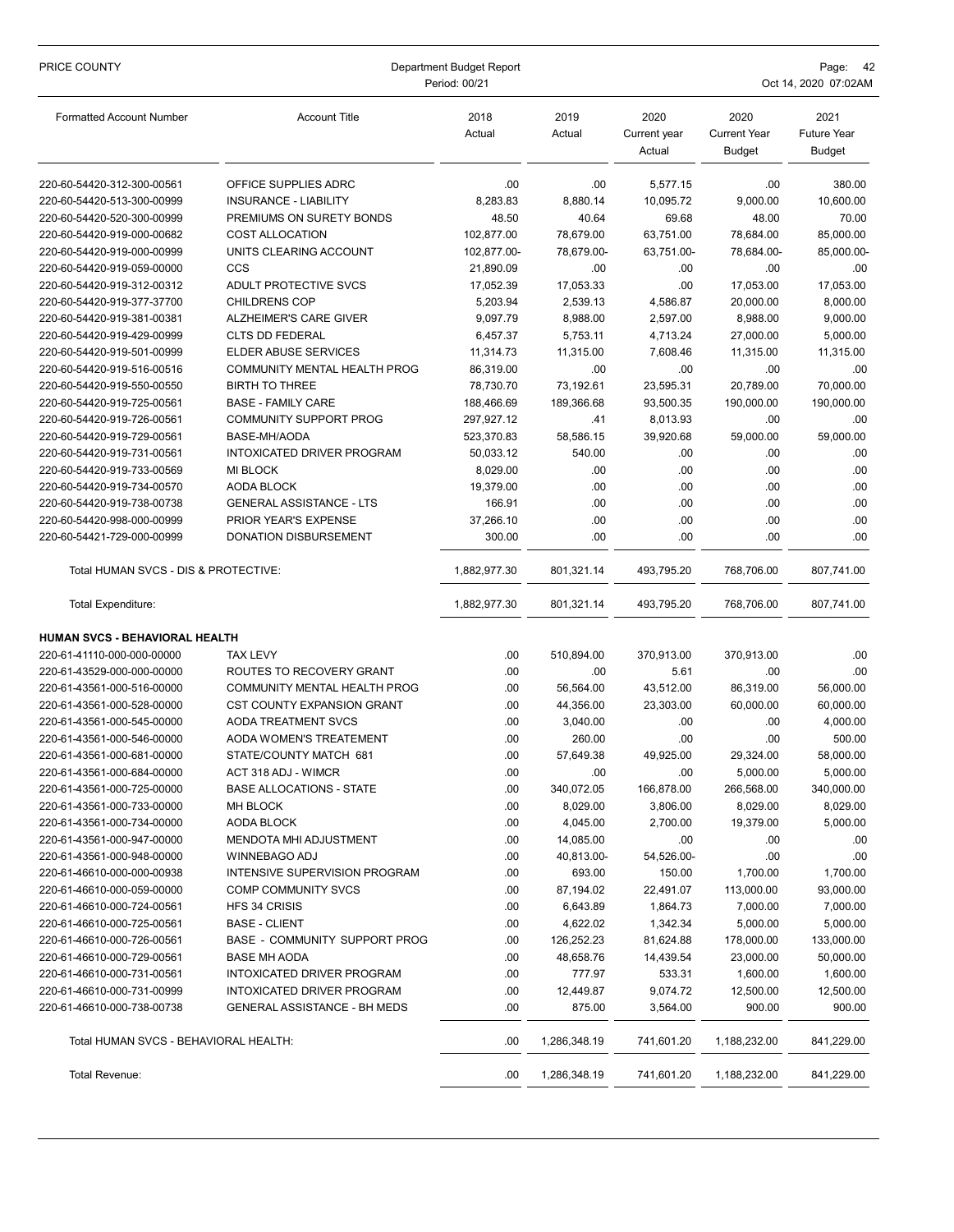| PRICE COUNTY                                             | Department Budget Report<br>Period: 00/21                  |                         | Page: 42<br>Oct 14, 2020 07:02AM |                                |                                       |                                             |
|----------------------------------------------------------|------------------------------------------------------------|-------------------------|----------------------------------|--------------------------------|---------------------------------------|---------------------------------------------|
| <b>Formatted Account Number</b>                          | <b>Account Title</b>                                       | 2018<br>Actual          | 2019<br>Actual                   | 2020<br>Current year<br>Actual | 2020<br><b>Current Year</b><br>Budget | 2021<br><b>Future Year</b><br><b>Budget</b> |
| 220-60-54420-312-300-00561                               | OFFICE SUPPLIES ADRC                                       | .00                     | .00                              | 5,577.15                       | .00                                   | 380.00                                      |
| 220-60-54420-513-300-00999                               | <b>INSURANCE - LIABILITY</b>                               | 8,283.83                | 8,880.14                         | 10,095.72                      | 9,000.00                              | 10,600.00                                   |
| 220-60-54420-520-300-00999                               | PREMIUMS ON SURETY BONDS                                   | 48.50                   | 40.64                            | 69.68                          | 48.00                                 | 70.00                                       |
| 220-60-54420-919-000-00682                               | <b>COST ALLOCATION</b>                                     | 102,877.00              | 78,679.00                        | 63,751.00                      | 78,684.00                             | 85,000.00                                   |
| 220-60-54420-919-000-00999                               | UNITS CLEARING ACCOUNT                                     | 102,877.00-             | 78,679.00-                       | 63,751.00-                     | 78,684.00-                            | 85,000.00-                                  |
| 220-60-54420-919-059-00000                               | CCS                                                        | 21,890.09               | .00                              | .00.                           | .00                                   | .00                                         |
| 220-60-54420-919-312-00312                               | ADULT PROTECTIVE SVCS                                      | 17,052.39               | 17,053.33                        | .00                            | 17,053.00                             | 17,053.00                                   |
| 220-60-54420-919-377-37700                               | <b>CHILDRENS COP</b>                                       | 5,203.94                | 2,539.13                         | 4,586.87                       | 20,000.00                             | 8,000.00                                    |
| 220-60-54420-919-381-00381                               | <b>ALZHEIMER'S CARE GIVER</b>                              | 9,097.79                | 8,988.00                         | 2,597.00                       | 8,988.00                              | 9,000.00                                    |
| 220-60-54420-919-429-00999                               | <b>CLTS DD FEDERAL</b>                                     | 6,457.37                | 5,753.11                         | 4,713.24                       | 27,000.00                             | 5,000.00                                    |
| 220-60-54420-919-501-00999                               | <b>ELDER ABUSE SERVICES</b>                                | 11,314.73               | 11,315.00                        | 7,608.46                       | 11,315.00                             | 11,315.00                                   |
| 220-60-54420-919-516-00516                               | COMMUNITY MENTAL HEALTH PROG                               | 86,319.00               | .00                              | .00                            | .00                                   | .00                                         |
| 220-60-54420-919-550-00550                               | <b>BIRTH TO THREE</b>                                      | 78,730.70               | 73,192.61                        | 23,595.31                      | 20,789.00                             | 70,000.00                                   |
| 220-60-54420-919-725-00561                               | <b>BASE - FAMILY CARE</b><br><b>COMMUNITY SUPPORT PROG</b> | 188.466.69              | 189,366.68                       | 93,500.35                      | 190,000.00                            | 190,000.00                                  |
| 220-60-54420-919-726-00561<br>220-60-54420-919-729-00561 | BASE-MH/AODA                                               | 297,927.12              | .41<br>58,586.15                 | 8,013.93                       | .00<br>59,000.00                      | .00<br>59,000.00                            |
| 220-60-54420-919-731-00561                               | INTOXICATED DRIVER PROGRAM                                 | 523,370.83<br>50,033.12 | 540.00                           | 39,920.68<br>.00               | .00                                   | .00                                         |
| 220-60-54420-919-733-00569                               | <b>MI BLOCK</b>                                            | 8.029.00                | .00                              | .00                            | .00                                   | .00                                         |
| 220-60-54420-919-734-00570                               | <b>AODA BLOCK</b>                                          | 19,379.00               | .00                              | .00                            | .00                                   | .00                                         |
| 220-60-54420-919-738-00738                               | <b>GENERAL ASSISTANCE - LTS</b>                            | 166.91                  | .00                              | .00                            | .00                                   | .00                                         |
| 220-60-54420-998-000-00999                               | PRIOR YEAR'S EXPENSE                                       | 37,266.10               | .00                              | .00.                           | .00                                   | .00                                         |
| 220-60-54421-729-000-00999                               | DONATION DISBURSEMENT                                      | 300.00                  | .00                              | .00                            | .00                                   | .00                                         |
| Total HUMAN SVCS - DIS & PROTECTIVE:                     |                                                            | 1,882,977.30            | 801,321.14                       | 493,795.20                     | 768,706.00                            | 807,741.00                                  |
|                                                          |                                                            |                         |                                  |                                |                                       |                                             |
| Total Expenditure:                                       |                                                            | 1,882,977.30            | 801,321.14                       | 493,795.20                     | 768,706.00                            | 807,741.00                                  |
| <b>HUMAN SVCS - BEHAVIORAL HEALTH</b>                    |                                                            |                         |                                  |                                |                                       |                                             |
| 220-61-41110-000-000-00000                               | <b>TAX LEVY</b>                                            | .00                     | 510,894.00                       | 370,913.00                     | 370,913.00                            | .00                                         |
| 220-61-43529-000-000-00000                               | ROUTES TO RECOVERY GRANT                                   | .00                     | .00                              | 5.61                           | .00<br>86,319.00                      | .00                                         |
| 220-61-43561-000-516-00000<br>220-61-43561-000-528-00000 | COMMUNITY MENTAL HEALTH PROG<br>CST COUNTY EXPANSION GRANT | .00<br>.00              | 56,564.00<br>44,356.00           | 43,512.00<br>23,303.00         | 60,000.00                             | 56,000.00<br>60,000.00                      |
| 220-61-43561-000-545-00000                               | <b>AODA TREATMENT SVCS</b>                                 | .00                     | 3,040.00                         | .00                            | .00                                   | 4.000.00                                    |
| 220-61-43561-000-546-00000                               | <b>AODA WOMEN'S TREATEMENT</b>                             | .00                     | 260.00                           | .00                            | .00                                   | 500.00                                      |
| 220-61-43561-000-681-00000                               | STATE/COUNTY MATCH 681                                     | .00                     | 57,649.38                        | 49,925.00                      | 29,324.00                             | 58,000.00                                   |
| 220-61-43561-000-684-00000                               | ACT 318 ADJ - WIMCR                                        | .00                     | .00                              | .00                            | 5,000.00                              | 5,000.00                                    |
| 220-61-43561-000-725-00000                               | <b>BASE ALLOCATIONS - STATE</b>                            | .00                     | 340,072.05                       | 166,878.00                     | 266,568.00                            | 340,000.00                                  |
| 220-61-43561-000-733-00000                               | MH BLOCK                                                   | .00                     | 8,029.00                         | 3,806.00                       | 8,029.00                              | 8,029.00                                    |
| 220-61-43561-000-734-00000                               | AODA BLOCK                                                 | .00                     | 4,045.00                         | 2,700.00                       | 19,379.00                             | 5,000.00                                    |
| 220-61-43561-000-947-00000                               | MENDOTA MHI ADJUSTMENT                                     | .00                     | 14,085.00                        | .00                            | .00                                   | .00                                         |
| 220-61-43561-000-948-00000                               | WINNEBAGO ADJ                                              | .00                     | 40,813.00-                       | 54,526.00-                     | .00                                   | .00                                         |
| 220-61-46610-000-000-00938                               | INTENSIVE SUPERVISION PROGRAM                              | .00                     | 693.00                           | 150.00                         | 1,700.00                              | 1,700.00                                    |
| 220-61-46610-000-059-00000                               | <b>COMP COMMUNITY SVCS</b>                                 | .00                     | 87,194.02                        | 22,491.07                      | 113,000.00                            | 93,000.00                                   |
| 220-61-46610-000-724-00561                               | HFS 34 CRISIS                                              | .00                     | 6,643.89                         | 1,864.73                       | 7,000.00                              | 7,000.00                                    |
| 220-61-46610-000-725-00561                               | <b>BASE - CLIENT</b>                                       | .00                     | 4,622.02                         | 1,342.34                       | 5,000.00                              | 5,000.00                                    |
| 220-61-46610-000-726-00561                               | <b>BASE - COMMUNITY SUPPORT PROG</b>                       | .00                     | 126,252.23                       | 81,624.88                      | 178,000.00                            | 133,000.00                                  |
| 220-61-46610-000-729-00561                               | BASE MH AODA                                               | .00                     | 48,658.76                        | 14,439.54                      | 23,000.00                             | 50,000.00                                   |
| 220-61-46610-000-731-00561                               | INTOXICATED DRIVER PROGRAM                                 | .00                     | 777.97                           | 533.31                         | 1,600.00                              | 1,600.00                                    |
| 220-61-46610-000-731-00999                               | INTOXICATED DRIVER PROGRAM                                 | .00                     | 12,449.87                        | 9,074.72                       | 12,500.00                             | 12,500.00                                   |
| 220-61-46610-000-738-00738                               | <b>GENERAL ASSISTANCE - BH MEDS</b>                        | .00                     | 875.00                           | 3,564.00                       | 900.00                                | 900.00                                      |
| Total HUMAN SVCS - BEHAVIORAL HEALTH:                    |                                                            | .00                     | 1,286,348.19                     | 741,601.20                     | 1,188,232.00                          | 841,229.00                                  |
| Total Revenue:                                           |                                                            | .00                     | 1,286,348.19                     | 741,601.20                     | 1,188,232.00                          | 841,229.00                                  |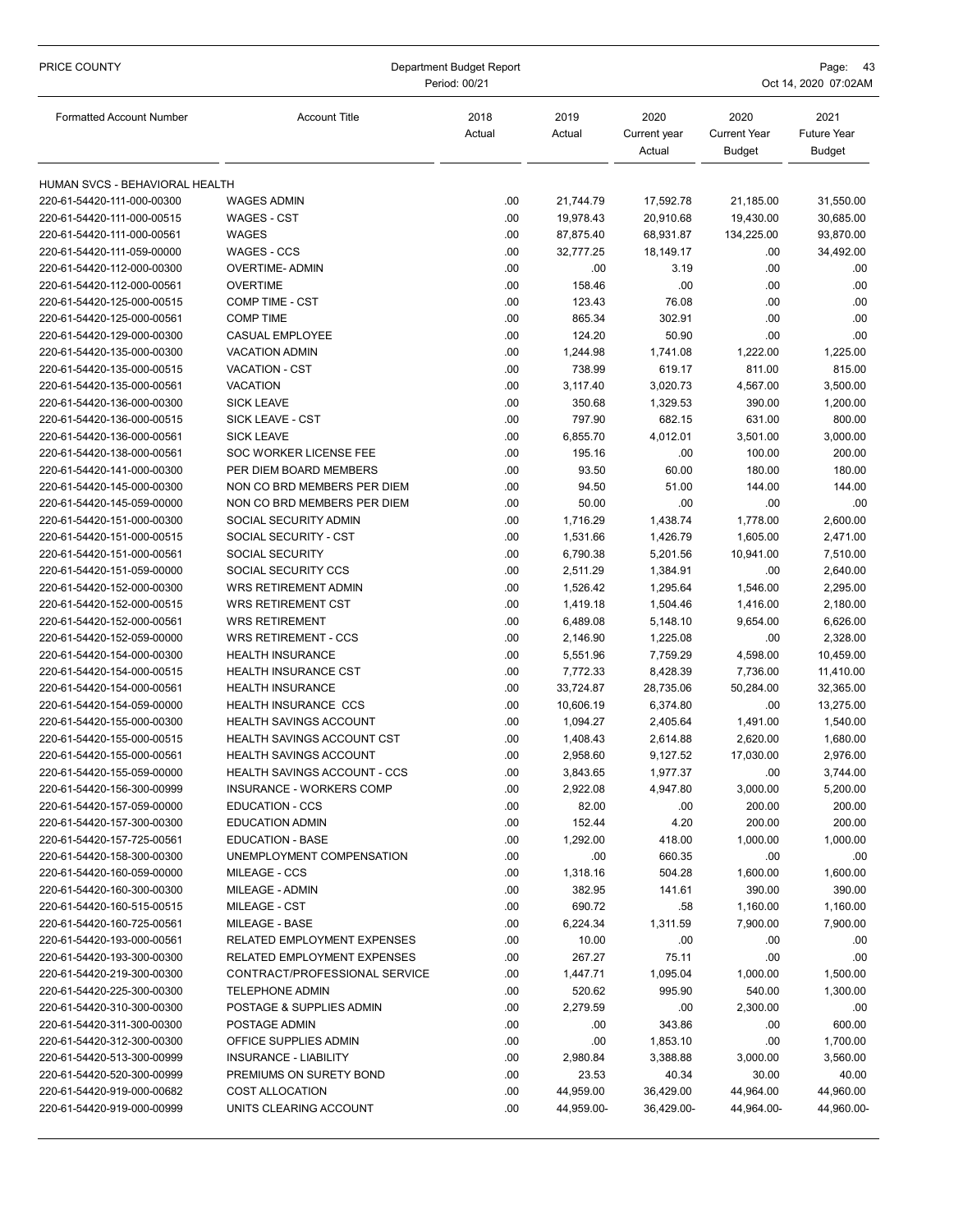| PRICE COUNTY                                             | Department Budget Report<br>Period: 00/21               |                |                       |                                | Page: 43<br>Oct 14, 2020 07:02AM             |                                      |  |
|----------------------------------------------------------|---------------------------------------------------------|----------------|-----------------------|--------------------------------|----------------------------------------------|--------------------------------------|--|
| <b>Formatted Account Number</b>                          | <b>Account Title</b>                                    | 2018<br>Actual | 2019<br>Actual        | 2020<br>Current year<br>Actual | 2020<br><b>Current Year</b><br><b>Budget</b> | 2021<br><b>Future Year</b><br>Budget |  |
| HUMAN SVCS - BEHAVIORAL HEALTH                           |                                                         |                |                       |                                |                                              |                                      |  |
| 220-61-54420-111-000-00300                               | <b>WAGES ADMIN</b>                                      | .00            | 21,744.79             | 17,592.78                      | 21,185.00                                    | 31,550.00                            |  |
| 220-61-54420-111-000-00515                               | <b>WAGES - CST</b>                                      | .00            | 19,978.43             | 20,910.68                      | 19,430.00                                    | 30,685.00                            |  |
| 220-61-54420-111-000-00561                               | <b>WAGES</b>                                            | .00            | 87,875.40             | 68,931.87                      | 134,225.00                                   | 93,870.00                            |  |
| 220-61-54420-111-059-00000                               | <b>WAGES - CCS</b>                                      | .00            | 32,777.25             | 18,149.17                      | .00                                          | 34,492.00                            |  |
| 220-61-54420-112-000-00300                               | <b>OVERTIME- ADMIN</b>                                  | .00            | .00                   | 3.19                           | .00                                          | .00                                  |  |
| 220-61-54420-112-000-00561                               | <b>OVERTIME</b>                                         | .00            | 158.46                | .00                            | .00                                          | .00                                  |  |
| 220-61-54420-125-000-00515                               | COMP TIME - CST                                         | .00            | 123.43                | 76.08                          | .00                                          | .00                                  |  |
| 220-61-54420-125-000-00561                               | <b>COMP TIME</b>                                        | .00            | 865.34                | 302.91                         | .00                                          | .00                                  |  |
| 220-61-54420-129-000-00300                               | CASUAL EMPLOYEE                                         | .00            | 124.20                | 50.90                          | .00                                          | .00                                  |  |
| 220-61-54420-135-000-00300                               | <b>VACATION ADMIN</b>                                   | .00            | 1,244.98              | 1,741.08                       | 1,222.00                                     | 1,225.00                             |  |
| 220-61-54420-135-000-00515                               | <b>VACATION - CST</b>                                   | .00            | 738.99                | 619.17                         | 811.00                                       | 815.00                               |  |
| 220-61-54420-135-000-00561                               | <b>VACATION</b>                                         | .00            | 3,117.40              | 3,020.73                       | 4,567.00                                     | 3,500.00                             |  |
| 220-61-54420-136-000-00300                               | <b>SICK LEAVE</b>                                       | .00            | 350.68                | 1,329.53                       | 390.00                                       | 1,200.00                             |  |
| 220-61-54420-136-000-00515                               | SICK LEAVE - CST                                        | .00            | 797.90                | 682.15                         | 631.00                                       | 800.00<br>3,000.00                   |  |
| 220-61-54420-136-000-00561<br>220-61-54420-138-000-00561 | <b>SICK LEAVE</b><br><b>SOC WORKER LICENSE FEE</b>      | .00<br>.00     | 6,855.70<br>195.16    | 4,012.01<br>.00                | 3,501.00<br>100.00                           | 200.00                               |  |
| 220-61-54420-141-000-00300                               | PER DIEM BOARD MEMBERS                                  | .00            | 93.50                 | 60.00                          | 180.00                                       | 180.00                               |  |
| 220-61-54420-145-000-00300                               | NON CO BRD MEMBERS PER DIEM                             | .00            | 94.50                 | 51.00                          | 144.00                                       | 144.00                               |  |
| 220-61-54420-145-059-00000                               | NON CO BRD MEMBERS PER DIEM                             | .00            | 50.00                 | .00                            | .00                                          | .00                                  |  |
| 220-61-54420-151-000-00300                               | SOCIAL SECURITY ADMIN                                   | .00            | 1,716.29              | 1,438.74                       | 1,778.00                                     | 2,600.00                             |  |
| 220-61-54420-151-000-00515                               | SOCIAL SECURITY - CST                                   | .00            | 1,531.66              | 1,426.79                       | 1,605.00                                     | 2,471.00                             |  |
| 220-61-54420-151-000-00561                               | <b>SOCIAL SECURITY</b>                                  | .00            | 6,790.38              | 5,201.56                       | 10,941.00                                    | 7,510.00                             |  |
| 220-61-54420-151-059-00000                               | SOCIAL SECURITY CCS                                     | .00            | 2,511.29              | 1,384.91                       | .00                                          | 2,640.00                             |  |
| 220-61-54420-152-000-00300                               | WRS RETIREMENT ADMIN                                    | .00            | 1,526.42              | 1,295.64                       | 1,546.00                                     | 2,295.00                             |  |
| 220-61-54420-152-000-00515                               | <b>WRS RETIREMENT CST</b>                               | .00            | 1,419.18              | 1,504.46                       | 1,416.00                                     | 2,180.00                             |  |
| 220-61-54420-152-000-00561                               | <b>WRS RETIREMENT</b>                                   | .00            | 6,489.08              | 5,148.10                       | 9,654.00                                     | 6,626.00                             |  |
| 220-61-54420-152-059-00000                               | <b>WRS RETIREMENT - CCS</b>                             | .00            | 2,146.90              | 1,225.08                       | .00                                          | 2,328.00                             |  |
| 220-61-54420-154-000-00300                               | <b>HEALTH INSURANCE</b>                                 | .00            | 5,551.96              | 7,759.29                       | 4,598.00                                     | 10,459.00                            |  |
| 220-61-54420-154-000-00515                               | <b>HEALTH INSURANCE CST</b>                             | .00            | 7,772.33              | 8,428.39                       | 7,736.00                                     | 11,410.00                            |  |
| 220-61-54420-154-000-00561                               | <b>HEALTH INSURANCE</b><br>HEALTH INSURANCE CCS         | .00            | 33,724.87             | 28,735.06                      | 50,284.00<br>.00                             | 32,365.00                            |  |
| 220-61-54420-154-059-00000<br>220-61-54420-155-000-00300 | <b>HEALTH SAVINGS ACCOUNT</b>                           | .00<br>.00     | 10,606.19<br>1,094.27 | 6,374.80<br>2,405.64           | 1,491.00                                     | 13,275.00<br>1,540.00                |  |
| 220-61-54420-155-000-00515                               | HEALTH SAVINGS ACCOUNT CST                              | .00            | 1,408.43              | 2,614.88                       | 2,620.00                                     | 1,680.00                             |  |
| 220-61-54420-155-000-00561                               | <b>HEALTH SAVINGS ACCOUNT</b>                           | .00            | 2,958.60              | 9,127.52                       | 17,030.00                                    | 2,976.00                             |  |
| 220-61-54420-155-059-00000                               | HEALTH SAVINGS ACCOUNT - CCS                            | .00            | 3,843.65              | 1,977.37                       | .00                                          | 3,744.00                             |  |
| 220-61-54420-156-300-00999                               | INSURANCE - WORKERS COMP                                | .00            | 2,922.08              | 4,947.80                       | 3,000.00                                     | 5,200.00                             |  |
| 220-61-54420-157-059-00000                               | <b>EDUCATION - CCS</b>                                  | .00            | 82.00                 | .00                            | 200.00                                       | 200.00                               |  |
| 220-61-54420-157-300-00300                               | <b>EDUCATION ADMIN</b>                                  | .00            | 152.44                | 4.20                           | 200.00                                       | 200.00                               |  |
| 220-61-54420-157-725-00561                               | <b>EDUCATION - BASE</b>                                 | .00            | 1,292.00              | 418.00                         | 1,000.00                                     | 1,000.00                             |  |
| 220-61-54420-158-300-00300                               | UNEMPLOYMENT COMPENSATION                               | .00            | .00                   | 660.35                         | .00                                          | .00                                  |  |
| 220-61-54420-160-059-00000                               | MILEAGE - CCS                                           | .00            | 1,318.16              | 504.28                         | 1,600.00                                     | 1,600.00                             |  |
| 220-61-54420-160-300-00300                               | MILEAGE - ADMIN                                         | .00            | 382.95                | 141.61                         | 390.00                                       | 390.00                               |  |
| 220-61-54420-160-515-00515                               | MILEAGE - CST                                           | .00            | 690.72                | .58                            | 1,160.00                                     | 1,160.00                             |  |
| 220-61-54420-160-725-00561                               | MILEAGE - BASE                                          | .00            | 6,224.34              | 1,311.59                       | 7,900.00                                     | 7,900.00                             |  |
| 220-61-54420-193-000-00561                               | RELATED EMPLOYMENT EXPENSES                             | .00            | 10.00                 | .00                            | .00                                          | .00                                  |  |
| 220-61-54420-193-300-00300                               | RELATED EMPLOYMENT EXPENSES                             | .00            | 267.27                | 75.11                          | .00                                          | .00                                  |  |
| 220-61-54420-219-300-00300<br>220-61-54420-225-300-00300 | CONTRACT/PROFESSIONAL SERVICE<br><b>TELEPHONE ADMIN</b> | .00<br>.00     | 1,447.71<br>520.62    | 1,095.04<br>995.90             | 1,000.00<br>540.00                           | 1,500.00<br>1,300.00                 |  |
| 220-61-54420-310-300-00300                               | POSTAGE & SUPPLIES ADMIN                                | .00            | 2,279.59              | .00                            | 2,300.00                                     | .00                                  |  |
| 220-61-54420-311-300-00300                               | POSTAGE ADMIN                                           | .00            | .00                   | 343.86                         | .00                                          | 600.00                               |  |
| 220-61-54420-312-300-00300                               | OFFICE SUPPLIES ADMIN                                   | .00            | .00                   | 1,853.10                       | .00                                          | 1,700.00                             |  |
| 220-61-54420-513-300-00999                               | INSURANCE - LIABILITY                                   | .00            | 2,980.84              | 3,388.88                       | 3,000.00                                     | 3,560.00                             |  |
| 220-61-54420-520-300-00999                               | PREMIUMS ON SURETY BOND                                 | .00            | 23.53                 | 40.34                          | 30.00                                        | 40.00                                |  |
| 220-61-54420-919-000-00682                               | COST ALLOCATION                                         | .00            | 44,959.00             | 36,429.00                      | 44,964.00                                    | 44,960.00                            |  |
| 220-61-54420-919-000-00999                               | UNITS CLEARING ACCOUNT                                  | .00            | 44,959.00-            | 36,429.00-                     | 44,964.00-                                   | 44,960.00-                           |  |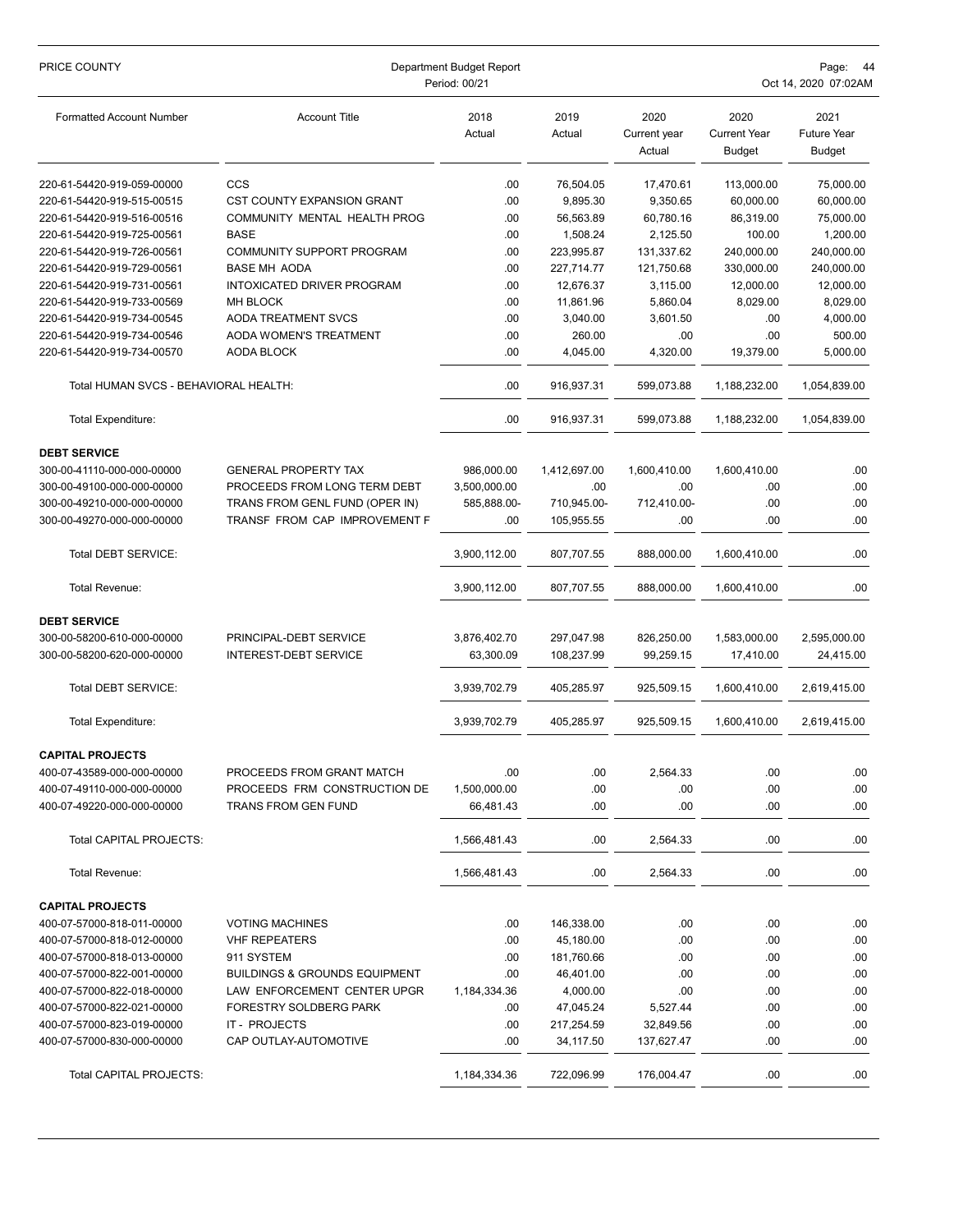| PRICE COUNTY                          | Department Budget Report<br>Period: 00/21 |                |                |                                | Page:<br>-44<br>Oct 14, 2020 07:02AM         |                                             |  |  |
|---------------------------------------|-------------------------------------------|----------------|----------------|--------------------------------|----------------------------------------------|---------------------------------------------|--|--|
| <b>Formatted Account Number</b>       | <b>Account Title</b>                      | 2018<br>Actual | 2019<br>Actual | 2020<br>Current year<br>Actual | 2020<br><b>Current Year</b><br><b>Budget</b> | 2021<br><b>Future Year</b><br><b>Budget</b> |  |  |
| 220-61-54420-919-059-00000            | CCS                                       | .00            | 76,504.05      | 17,470.61                      | 113,000.00                                   | 75,000.00                                   |  |  |
| 220-61-54420-919-515-00515            | CST COUNTY EXPANSION GRANT                | .00            | 9,895.30       | 9,350.65                       | 60,000.00                                    | 60,000.00                                   |  |  |
| 220-61-54420-919-516-00516            | COMMUNITY MENTAL HEALTH PROG              | .00            | 56,563.89      | 60,780.16                      | 86,319.00                                    | 75,000.00                                   |  |  |
| 220-61-54420-919-725-00561            | <b>BASE</b>                               | .00            | 1,508.24       | 2,125.50                       | 100.00                                       | 1,200.00                                    |  |  |
| 220-61-54420-919-726-00561            | COMMUNITY SUPPORT PROGRAM                 | .00            | 223,995.87     | 131,337.62                     | 240,000.00                                   | 240,000.00                                  |  |  |
| 220-61-54420-919-729-00561            | <b>BASE MH AODA</b>                       | .00            | 227,714.77     | 121,750.68                     | 330,000.00                                   | 240,000.00                                  |  |  |
| 220-61-54420-919-731-00561            | INTOXICATED DRIVER PROGRAM                | .00            | 12,676.37      | 3,115.00                       | 12,000.00                                    | 12,000.00                                   |  |  |
| 220-61-54420-919-733-00569            | <b>MH BLOCK</b>                           | .00            | 11,861.96      | 5,860.04                       | 8,029.00                                     | 8,029.00                                    |  |  |
| 220-61-54420-919-734-00545            | <b>AODA TREATMENT SVCS</b>                | .00            | 3,040.00       | 3,601.50                       | .00                                          | 4,000.00                                    |  |  |
| 220-61-54420-919-734-00546            | AODA WOMEN'S TREATMENT                    | .00            | 260.00         | .00                            | .00                                          | 500.00                                      |  |  |
| 220-61-54420-919-734-00570            | AODA BLOCK                                | .00            | 4,045.00       | 4,320.00                       | 19,379.00                                    | 5,000.00                                    |  |  |
| Total HUMAN SVCS - BEHAVIORAL HEALTH: |                                           | .00            | 916,937.31     | 599.073.88                     | 1,188,232.00                                 | 1,054,839.00                                |  |  |
| <b>Total Expenditure:</b>             |                                           | .00            | 916,937.31     | 599,073.88                     | 1,188,232.00                                 | 1,054,839.00                                |  |  |
| <b>DEBT SERVICE</b>                   |                                           |                |                |                                |                                              |                                             |  |  |
| 300-00-41110-000-000-00000            | <b>GENERAL PROPERTY TAX</b>               | 986,000.00     | 1,412,697.00   | 1,600,410.00                   | 1,600,410.00                                 | .00                                         |  |  |
| 300-00-49100-000-000-00000            | PROCEEDS FROM LONG TERM DEBT              | 3,500,000.00   | .00            | .00                            | .00                                          | .00                                         |  |  |
| 300-00-49210-000-000-00000            | TRANS FROM GENL FUND (OPER IN)            | 585,888.00-    | 710,945.00-    | 712,410.00-                    | .00                                          | .00                                         |  |  |
| 300-00-49270-000-000-00000            | TRANSF FROM CAP IMPROVEMENT F             | .00            | 105,955.55     | .00                            | .00                                          | .00                                         |  |  |
| Total DEBT SERVICE:                   |                                           | 3,900,112.00   | 807,707.55     | 888,000.00                     | 1,600,410.00                                 | .00                                         |  |  |
| Total Revenue:                        |                                           | 3,900,112.00   | 807,707.55     | 888,000.00                     | 1,600,410.00                                 | .00.                                        |  |  |
| <b>DEBT SERVICE</b>                   |                                           |                |                |                                |                                              |                                             |  |  |
| 300-00-58200-610-000-00000            | PRINCIPAL-DEBT SERVICE                    | 3,876,402.70   | 297,047.98     | 826,250.00                     | 1,583,000.00                                 | 2,595,000.00                                |  |  |
| 300-00-58200-620-000-00000            | <b>INTEREST-DEBT SERVICE</b>              | 63,300.09      | 108,237.99     | 99,259.15                      | 17,410.00                                    | 24,415.00                                   |  |  |
| Total DEBT SERVICE:                   |                                           | 3,939,702.79   | 405,285.97     | 925,509.15                     | 1,600,410.00                                 | 2,619,415.00                                |  |  |
| Total Expenditure:                    |                                           | 3,939,702.79   | 405,285.97     | 925,509.15                     | 1,600,410.00                                 | 2,619,415.00                                |  |  |
| <b>CAPITAL PROJECTS</b>               |                                           |                |                |                                |                                              |                                             |  |  |
| 400-07-43589-000-000-00000            | PROCEEDS FROM GRANT MATCH                 | .00            | .00            | 2,564.33                       | .00                                          | .00                                         |  |  |
| 400-07-49110-000-000-00000            | PROCEEDS FRM CONSTRUCTION DE              | 1,500,000.00   | .00            | .00                            | .00                                          | .00.                                        |  |  |
| 400-07-49220-000-000-00000            | TRANS FROM GEN FUND                       | 66,481.43      | .00            | .00                            | .00                                          | .00                                         |  |  |
| Total CAPITAL PROJECTS:               |                                           | 1,566,481.43   | .00            | 2,564.33                       | .00                                          | .00                                         |  |  |
| <b>Total Revenue:</b>                 |                                           | 1,566,481.43   | .00            | 2,564.33                       | .00                                          | .00.                                        |  |  |
| <b>CAPITAL PROJECTS</b>               |                                           |                |                |                                |                                              |                                             |  |  |
| 400-07-57000-818-011-00000            | <b>VOTING MACHINES</b>                    | .00            | 146,338.00     | .00                            | .00                                          | .00                                         |  |  |
| 400-07-57000-818-012-00000            | <b>VHF REPEATERS</b>                      | .00            | 45,180.00      | .00                            | .00                                          | .00                                         |  |  |
| 400-07-57000-818-013-00000            | 911 SYSTEM                                | .00            | 181,760.66     | .00                            | .00                                          | .00                                         |  |  |
| 400-07-57000-822-001-00000            | <b>BUILDINGS &amp; GROUNDS EQUIPMENT</b>  | .00            | 46,401.00      | .00                            | .00                                          | .00                                         |  |  |
| 400-07-57000-822-018-00000            | LAW ENFORCEMENT CENTER UPGR               | 1,184,334.36   | 4,000.00       | .00                            | .00                                          | .00                                         |  |  |
| 400-07-57000-822-021-00000            | <b>FORESTRY SOLDBERG PARK</b>             | .00            | 47,045.24      | 5,527.44                       | .00                                          | .00                                         |  |  |
| 400-07-57000-823-019-00000            | IT - PROJECTS                             | .00            | 217,254.59     | 32,849.56                      | .00                                          | .00                                         |  |  |
| 400-07-57000-830-000-00000            | CAP OUTLAY-AUTOMOTIVE                     | .00            | 34, 117.50     | 137,627.47                     | .00                                          | .00                                         |  |  |
| Total CAPITAL PROJECTS:               |                                           | 1,184,334.36   | 722,096.99     | 176,004.47                     | .00                                          | .00                                         |  |  |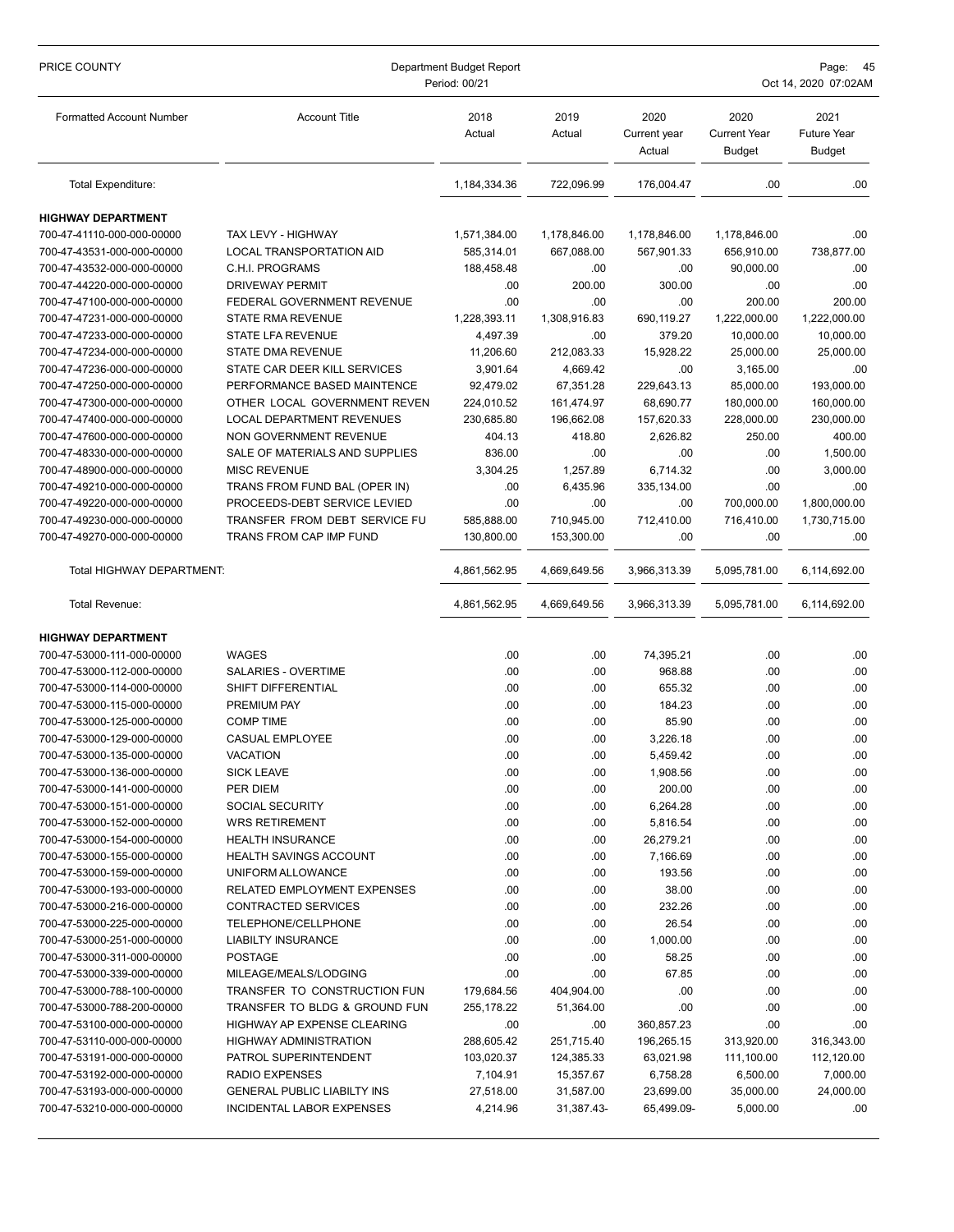| PRICE COUNTY                                             | Department Budget Report<br>Period: 00/21 | Page: 45<br>Oct 14, 2020 07:02AM |                |                                |                                              |                                             |
|----------------------------------------------------------|-------------------------------------------|----------------------------------|----------------|--------------------------------|----------------------------------------------|---------------------------------------------|
| <b>Formatted Account Number</b>                          | <b>Account Title</b>                      | 2018<br>Actual                   | 2019<br>Actual | 2020<br>Current year<br>Actual | 2020<br><b>Current Year</b><br><b>Budget</b> | 2021<br><b>Future Year</b><br><b>Budget</b> |
| <b>Total Expenditure:</b>                                |                                           | 1,184,334.36                     | 722,096.99     | 176,004.47                     | .00                                          | .00                                         |
| <b>HIGHWAY DEPARTMENT</b>                                |                                           |                                  |                |                                |                                              |                                             |
| 700-47-41110-000-000-00000                               | <b>TAX LEVY - HIGHWAY</b>                 | 1,571,384.00                     | 1,178,846.00   | 1,178,846.00                   | 1,178,846.00                                 | .00                                         |
| 700-47-43531-000-000-00000                               | LOCAL TRANSPORTATION AID                  | 585,314.01                       | 667,088.00     | 567,901.33                     | 656,910.00                                   | 738,877.00                                  |
| 700-47-43532-000-000-00000                               | C.H.I. PROGRAMS                           | 188,458.48                       | .00            | .00.                           | 90,000.00                                    | .00                                         |
| 700-47-44220-000-000-00000                               | <b>DRIVEWAY PERMIT</b>                    | .00                              | 200.00         | 300.00                         | .00.                                         | .00                                         |
| 700-47-47100-000-000-00000                               | FEDERAL GOVERNMENT REVENUE                | .00                              | .00            | .00                            | 200.00                                       | 200.00                                      |
| 700-47-47231-000-000-00000                               | <b>STATE RMA REVENUE</b>                  | 1,228,393.11                     | 1,308,916.83   | 690,119.27                     | 1,222,000.00                                 | 1,222,000.00                                |
| 700-47-47233-000-000-00000                               | STATE LFA REVENUE                         | 4,497.39                         | .00            | 379.20                         | 10,000.00                                    | 10,000.00                                   |
| 700-47-47234-000-000-00000                               | <b>STATE DMA REVENUE</b>                  | 11,206.60                        | 212,083.33     | 15,928.22                      | 25,000.00                                    | 25,000.00                                   |
| 700-47-47236-000-000-00000                               | STATE CAR DEER KILL SERVICES              | 3,901.64                         | 4,669.42       | .00.                           | 3,165.00                                     | .00                                         |
| 700-47-47250-000-000-00000                               | PERFORMANCE BASED MAINTENCE               | 92,479.02                        | 67,351.28      | 229,643.13                     | 85,000.00                                    | 193,000.00                                  |
| 700-47-47300-000-000-00000                               | OTHER LOCAL GOVERNMENT REVEN              | 224,010.52                       | 161,474.97     | 68,690.77                      | 180,000.00                                   | 160,000.00                                  |
| 700-47-47400-000-000-00000                               | <b>LOCAL DEPARTMENT REVENUES</b>          | 230,685.80                       | 196,662.08     | 157,620.33                     | 228,000.00                                   | 230,000.00                                  |
| 700-47-47600-000-000-00000                               | NON GOVERNMENT REVENUE                    | 404.13                           | 418.80         | 2.626.82                       | 250.00                                       | 400.00                                      |
| 700-47-48330-000-000-00000                               | SALE OF MATERIALS AND SUPPLIES            | 836.00                           | .00            | .00.                           | .00.                                         | 1,500.00                                    |
| 700-47-48900-000-000-00000                               | <b>MISC REVENUE</b>                       | 3,304.25                         | 1,257.89       | 6.714.32                       | .00                                          | 3,000.00                                    |
| 700-47-49210-000-000-00000                               | TRANS FROM FUND BAL (OPER IN)             | .00                              | 6,435.96       | 335,134.00                     | .00                                          | .00                                         |
| 700-47-49220-000-000-00000                               | PROCEEDS-DEBT SERVICE LEVIED              | .00                              | .00            | .00.                           | 700,000.00                                   | 1,800,000.00                                |
| 700-47-49230-000-000-00000                               | TRANSFER FROM DEBT SERVICE FU             | 585,888.00                       | 710,945.00     | 712,410.00                     | 716,410.00                                   | 1,730,715.00                                |
| 700-47-49270-000-000-00000                               | TRANS FROM CAP IMP FUND                   | 130,800.00                       | 153,300.00     | .00.                           | .00.                                         | .00                                         |
| Total HIGHWAY DEPARTMENT:                                |                                           | 4,861,562.95                     | 4,669,649.56   | 3,966,313.39                   | 5,095,781.00                                 | 6,114,692.00                                |
| Total Revenue:                                           |                                           | 4,861,562.95                     | 4,669,649.56   | 3,966,313.39                   | 5,095,781.00                                 | 6,114,692.00                                |
| <b>HIGHWAY DEPARTMENT</b>                                |                                           |                                  |                |                                |                                              |                                             |
| 700-47-53000-111-000-00000                               | <b>WAGES</b>                              | .00                              | .00            | 74,395.21                      | .00                                          | .00                                         |
| 700-47-53000-112-000-00000                               | SALARIES - OVERTIME                       | .00                              | .00            | 968.88                         | .00                                          | .00                                         |
| 700-47-53000-114-000-00000                               | SHIFT DIFFERENTIAL                        | .00                              | .00            | 655.32                         | .00                                          | .00                                         |
| 700-47-53000-115-000-00000                               | <b>PREMIUM PAY</b>                        | .00                              | .00            | 184.23                         | .00                                          | .00                                         |
| 700-47-53000-125-000-00000                               | <b>COMP TIME</b>                          | .00                              | .00            | 85.90                          | .00                                          | .00                                         |
| 700-47-53000-129-000-00000                               | CASUAL EMPLOYEE                           | .00                              | .00            | 3,226.18                       | .00                                          | .00                                         |
| 700-47-53000-135-000-00000                               | <b>VACATION</b>                           | $.00\,$                          | .00            | 5,459.42                       | $.00\,$                                      | $.00\,$                                     |
| 700-47-53000-136-000-00000                               | <b>SICK LEAVE</b><br>PER DIEM             | .00                              | .00            | 1,908.56                       | .00                                          | .00                                         |
| 700-47-53000-141-000-00000<br>700-47-53000-151-000-00000 | SOCIAL SECURITY                           | .00<br>.00                       | .00<br>.00     | 200.00<br>6,264.28             | .00<br>.00                                   | .00.<br>.00                                 |
| 700-47-53000-152-000-00000                               | <b>WRS RETIREMENT</b>                     | .00                              | .00            | 5,816.54                       | .00                                          | .00                                         |
| 700-47-53000-154-000-00000                               | <b>HEALTH INSURANCE</b>                   | .00                              | .00            | 26,279.21                      | .00                                          | .00.                                        |
| 700-47-53000-155-000-00000                               | <b>HEALTH SAVINGS ACCOUNT</b>             | .00                              | .00            | 7,166.69                       | .00                                          | .00.                                        |
| 700-47-53000-159-000-00000                               | UNIFORM ALLOWANCE                         | .00                              | .00            | 193.56                         | .00                                          | .00                                         |
| 700-47-53000-193-000-00000                               | <b>RELATED EMPLOYMENT EXPENSES</b>        | .00                              | .00            | 38.00                          | .00                                          | .00                                         |
| 700-47-53000-216-000-00000                               | CONTRACTED SERVICES                       | .00                              | .00            | 232.26                         | .00                                          | .00                                         |
| 700-47-53000-225-000-00000                               | TELEPHONE/CELLPHONE                       | .00                              | .00            | 26.54                          | .00                                          | .00.                                        |
| 700-47-53000-251-000-00000                               | <b>LIABILTY INSURANCE</b>                 | .00                              | .00            | 1,000.00                       | .00                                          | .00.                                        |
| 700-47-53000-311-000-00000                               | POSTAGE                                   | .00                              | .00            | 58.25                          | .00                                          | .00                                         |
| 700-47-53000-339-000-00000                               | MILEAGE/MEALS/LODGING                     | .00                              | .00            | 67.85                          | .00                                          | .00                                         |
| 700-47-53000-788-100-00000                               | TRANSFER TO CONSTRUCTION FUN              | 179,684.56                       | 404,904.00     | .00                            | .00                                          | .00                                         |
| 700-47-53000-788-200-00000                               | TRANSFER TO BLDG & GROUND FUN             | 255,178.22                       | 51,364.00      | .00                            | .00                                          | .00                                         |
| 700-47-53100-000-000-00000                               | HIGHWAY AP EXPENSE CLEARING               | .00                              | .00            | 360,857.23                     | .00                                          | .00                                         |
| 700-47-53110-000-000-00000                               | <b>HIGHWAY ADMINISTRATION</b>             | 288,605.42                       | 251,715.40     | 196,265.15                     | 313,920.00                                   | 316,343.00                                  |
| 700-47-53191-000-000-00000                               | PATROL SUPERINTENDENT                     | 103,020.37                       | 124,385.33     | 63,021.98                      | 111,100.00                                   | 112,120.00                                  |
| 700-47-53192-000-000-00000                               | RADIO EXPENSES                            | 7,104.91                         | 15,357.67      | 6,758.28                       | 6,500.00                                     | 7,000.00                                    |
| 700-47-53193-000-000-00000                               | <b>GENERAL PUBLIC LIABILTY INS</b>        | 27,518.00                        | 31,587.00      | 23,699.00                      | 35,000.00                                    | 24,000.00                                   |
| 700-47-53210-000-000-00000                               | <b>INCIDENTAL LABOR EXPENSES</b>          | 4,214.96                         | 31,387.43-     | 65,499.09-                     | 5,000.00                                     | .00.                                        |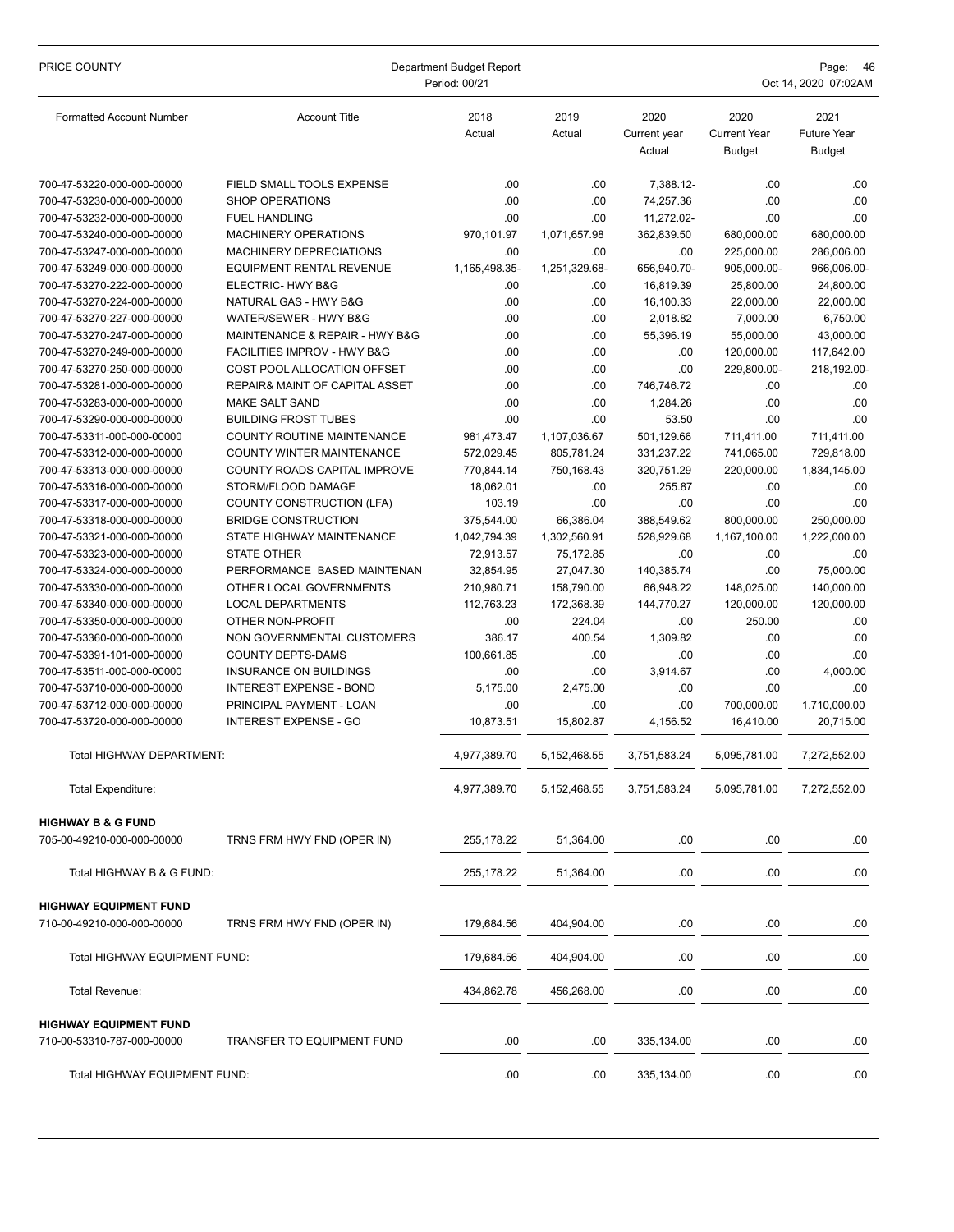| PRICE COUNTY                                                |                                                     | Department Budget Report<br>Period: 00/21 |                          |                                |                                              | Page: 46<br>Oct 14, 2020 07:02AM            |
|-------------------------------------------------------------|-----------------------------------------------------|-------------------------------------------|--------------------------|--------------------------------|----------------------------------------------|---------------------------------------------|
| <b>Formatted Account Number</b>                             | <b>Account Title</b>                                | 2018<br>Actual                            | 2019<br>Actual           | 2020<br>Current year<br>Actual | 2020<br><b>Current Year</b><br><b>Budget</b> | 2021<br><b>Future Year</b><br><b>Budget</b> |
| 700-47-53220-000-000-00000                                  | FIELD SMALL TOOLS EXPENSE                           | .00                                       | .00                      | 7,388.12-                      | .00                                          | .00                                         |
| 700-47-53230-000-000-00000                                  | <b>SHOP OPERATIONS</b>                              | .00                                       | .00                      | 74,257.36                      | .00                                          | .00                                         |
| 700-47-53232-000-000-00000                                  | <b>FUEL HANDLING</b>                                | .00                                       | .00                      | 11,272.02-                     | .00                                          | .00                                         |
| 700-47-53240-000-000-00000                                  | <b>MACHINERY OPERATIONS</b>                         | 970,101.97                                | 1,071,657.98             | 362,839.50                     | 680,000.00                                   | 680,000.00                                  |
| 700-47-53247-000-000-00000                                  | <b>MACHINERY DEPRECIATIONS</b>                      | .00                                       | .00                      | .00.                           | 225,000.00                                   | 286,006.00                                  |
| 700-47-53249-000-000-00000                                  | <b>EQUIPMENT RENTAL REVENUE</b>                     | 1,165,498.35-                             | 1,251,329.68-            | 656,940.70-                    | 905,000.00-                                  | 966,006.00-                                 |
| 700-47-53270-222-000-00000                                  | ELECTRIC- HWY B&G                                   | .00                                       | .00                      | 16,819.39                      | 25,800.00                                    | 24,800.00                                   |
| 700-47-53270-224-000-00000                                  | NATURAL GAS - HWY B&G                               | .00                                       | .00                      | 16,100.33                      | 22,000.00                                    | 22,000.00                                   |
| 700-47-53270-227-000-00000                                  | WATER/SEWER - HWY B&G                               | .00                                       | .00                      | 2,018.82                       | 7,000.00                                     | 6,750.00                                    |
| 700-47-53270-247-000-00000                                  | MAINTENANCE & REPAIR - HWY B&G                      | .00                                       | .00                      | 55,396.19                      | 55,000.00                                    | 43,000.00                                   |
| 700-47-53270-249-000-00000                                  | FACILITIES IMPROV - HWY B&G                         | .00                                       | .00                      | .00.                           | 120,000.00                                   | 117,642.00                                  |
| 700-47-53270-250-000-00000                                  | COST POOL ALLOCATION OFFSET                         | .00                                       | .00                      | .00.                           | 229,800.00-                                  | 218,192.00-                                 |
| 700-47-53281-000-000-00000                                  | REPAIR& MAINT OF CAPITAL ASSET                      | .00                                       | .00                      | 746,746.72                     | .00                                          | .00                                         |
| 700-47-53283-000-000-00000                                  | <b>MAKE SALT SAND</b>                               | .00                                       | .00                      | 1,284.26                       | .00                                          | .00                                         |
| 700-47-53290-000-000-00000                                  | <b>BUILDING FROST TUBES</b>                         | .00                                       | .00                      | 53.50                          | .00                                          | .00                                         |
| 700-47-53311-000-000-00000                                  | COUNTY ROUTINE MAINTENANCE                          | 981,473.47                                | 1,107,036.67             | 501,129.66                     | 711,411.00                                   | 711,411.00                                  |
| 700-47-53312-000-000-00000                                  | <b>COUNTY WINTER MAINTENANCE</b>                    | 572.029.45                                | 805,781.24               | 331,237.22                     | 741,065.00                                   | 729,818.00                                  |
| 700-47-53313-000-000-00000                                  | COUNTY ROADS CAPITAL IMPROVE                        | 770,844.14                                | 750,168.43               | 320,751.29                     | 220,000.00                                   | 1,834,145.00                                |
| 700-47-53316-000-000-00000                                  | STORM/FLOOD DAMAGE                                  | 18,062.01                                 | .00                      | 255.87                         | .00                                          | .00                                         |
| 700-47-53317-000-000-00000                                  | COUNTY CONSTRUCTION (LFA)                           | 103.19                                    | .00                      | .00                            | .00                                          | .00                                         |
| 700-47-53318-000-000-00000                                  | <b>BRIDGE CONSTRUCTION</b>                          | 375,544.00                                | 66,386.04                | 388,549.62                     | 800,000.00                                   | 250,000.00                                  |
| 700-47-53321-000-000-00000                                  | STATE HIGHWAY MAINTENANCE                           | 1,042,794.39                              | 1,302,560.91             | 528,929.68                     | 1,167,100.00                                 | 1,222,000.00                                |
| 700-47-53323-000-000-00000                                  | <b>STATE OTHER</b>                                  | 72,913.57                                 | 75,172.85                | .00.                           | .00                                          | .00                                         |
| 700-47-53324-000-000-00000                                  | PERFORMANCE BASED MAINTENAN                         | 32,854.95                                 | 27,047.30                | 140,385.74                     | .00                                          | 75,000.00                                   |
| 700-47-53330-000-000-00000<br>700-47-53340-000-000-00000    | OTHER LOCAL GOVERNMENTS<br><b>LOCAL DEPARTMENTS</b> | 210,980.71<br>112,763.23                  | 158,790.00<br>172,368.39 | 66,948.22<br>144,770.27        | 148,025.00<br>120,000.00                     | 140,000.00<br>120,000.00                    |
| 700-47-53350-000-000-00000                                  | OTHER NON-PROFIT                                    | .00                                       | 224.04                   | .00.                           | 250.00                                       | .00                                         |
| 700-47-53360-000-000-00000                                  | NON GOVERNMENTAL CUSTOMERS                          | 386.17                                    | 400.54                   | 1,309.82                       | .00                                          | .00                                         |
| 700-47-53391-101-000-00000                                  | COUNTY DEPTS-DAMS                                   | 100.661.85                                | .00                      | .00                            | .00                                          | .00                                         |
| 700-47-53511-000-000-00000                                  | <b>INSURANCE ON BUILDINGS</b>                       | .00                                       | .00                      | 3,914.67                       | .00                                          | 4.000.00                                    |
| 700-47-53710-000-000-00000                                  | <b>INTEREST EXPENSE - BOND</b>                      | 5,175.00                                  | 2,475.00                 | .00                            | .00                                          | .00                                         |
| 700-47-53712-000-000-00000                                  | PRINCIPAL PAYMENT - LOAN                            | .00                                       | .00                      | .00                            | 700,000.00                                   | 1,710,000.00                                |
| 700-47-53720-000-000-00000                                  | <b>INTEREST EXPENSE - GO</b>                        | 10,873.51                                 | 15,802.87                | 4,156.52                       | 16,410.00                                    | 20,715.00                                   |
| Total HIGHWAY DEPARTMENT:                                   |                                                     | 4,977,389.70                              | 5,152,468.55             | 3,751,583.24                   | 5,095,781.00                                 | 7,272,552.00                                |
| Total Expenditure:                                          |                                                     | 4,977,389.70                              | 5,152,468.55             | 3,751,583.24                   | 5,095,781.00                                 | 7,272,552.00                                |
|                                                             |                                                     |                                           |                          |                                |                                              |                                             |
| <b>HIGHWAY B &amp; G FUND</b><br>705-00-49210-000-000-00000 | TRNS FRM HWY FND (OPER IN)                          | 255,178.22                                | 51,364.00                | .00                            | .00                                          | .00.                                        |
| Total HIGHWAY B & G FUND:                                   |                                                     | 255,178.22                                | 51,364.00                | .00                            | .00                                          | .00                                         |
| <b>HIGHWAY EQUIPMENT FUND</b>                               |                                                     |                                           |                          |                                |                                              |                                             |
| 710-00-49210-000-000-00000                                  | TRNS FRM HWY FND (OPER IN)                          | 179,684.56                                | 404,904.00               | .00                            | .00                                          | .00                                         |
| Total HIGHWAY EQUIPMENT FUND:                               |                                                     | 179,684.56                                | 404,904.00               | .00                            | .00                                          | .00                                         |
| Total Revenue:                                              |                                                     | 434,862.78                                | 456,268.00               | .00                            | .00                                          | .00                                         |
|                                                             |                                                     |                                           |                          |                                |                                              |                                             |
| <b>HIGHWAY EQUIPMENT FUND</b><br>710-00-53310-787-000-00000 | TRANSFER TO EQUIPMENT FUND                          | .00                                       | .00                      | 335,134.00                     | .00                                          | .00                                         |
| Total HIGHWAY EQUIPMENT FUND:                               |                                                     | .00                                       | .00                      | 335,134.00                     | .00.                                         | .00                                         |
|                                                             |                                                     |                                           |                          |                                |                                              |                                             |